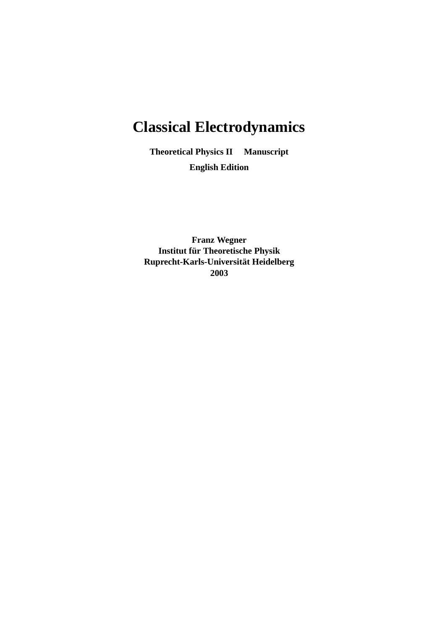# **Classical Electrodynamics**

**Theoretical Physics II Manuscript English Edition**

**Franz Wegner Institut fur¨ Theoretische Physik Ruprecht-Karls-Universitat¨ Heidelberg 2003**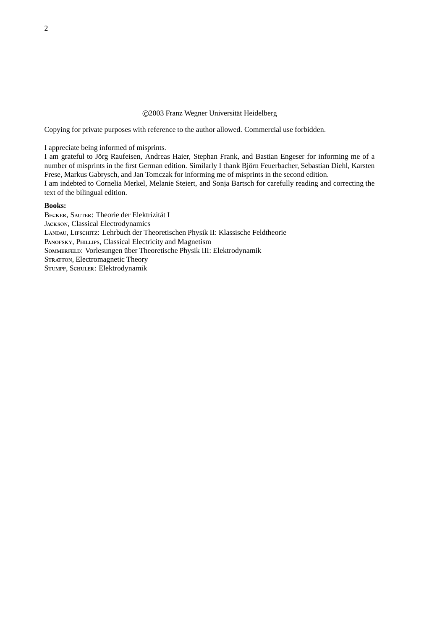### ©2003 Franz Wegner Universität Heidelberg

Copying for private purposes with reference to the author allowed. Commercial use forbidden.

I appreciate being informed of misprints.

I am grateful to Jörg Raufeisen, Andreas Haier, Stephan Frank, and Bastian Engeser for informing me of a number of misprints in the first German edition. Similarly I thank Björn Feuerbacher, Sebastian Diehl, Karsten Frese, Markus Gabrysch, and Jan Tomczak for informing me of misprints in the second edition. I am indebted to Cornelia Merkel, Melanie Steiert, and Sonja Bartsch for carefully reading and correcting the text of the bilingual edition.

#### **Books:**

BECKER, SAUTER: Theorie der Elektrizität I JACKSON, Classical Electrodynamics LANDAU, LIFSCHITZ: Lehrbuch der Theoretischen Physik II: Klassische Feldtheorie PANOFSKY, PHILLIPS, Classical Electricity and Magnetism SOMMERFELD: Vorlesungen über Theoretische Physik III: Elektrodynamik STRATTON, Electromagnetic Theory STUMPF, SCHULER: Elektrodynamik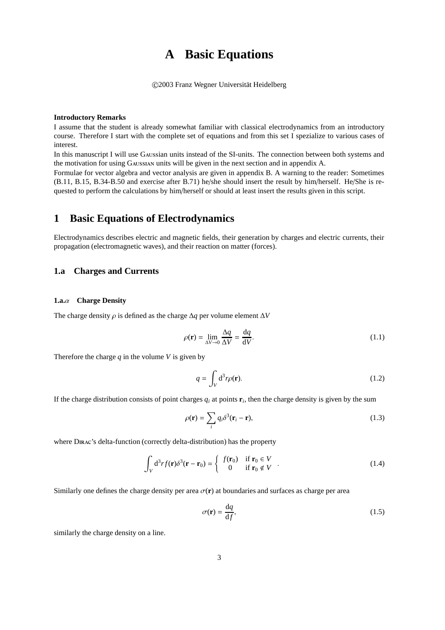# **A Basic Equations**

©2003 Franz Wegner Universität Heidelberg

#### **Introductory Remarks**

I assume that the student is already somewhat familiar with classical electrodynamics from an introductory course. Therefore I start with the complete set of equations and from this set I spezialize to various cases of interest.

In this manuscript I will use Gaussian units instead of the SI-units. The connection between both systems and the motivation for using GAUSSIAN units will be given in the next section and in appendix A.

Formulae for vector algebra and vector analysis are given in appendix B. A warning to the reader: Sometimes (B.11, B.15, B.34-B.50 and exercise after B.71) he/she should insert the result by him/herself. He/She is requested to perform the calculations by him/herself or should at least insert the results given in this script.

# **1 Basic Equations of Electrodynamics**

Electrodynamics describes electric and magnetic fields, their generation by charges and electric currents, their propagation (electromagnetic waves), and their reaction on matter (forces).

## **1.a Charges and Currents**

### **1.a.**α **Charge Density**

The charge density  $\rho$  is defined as the charge  $\Delta q$  per volume element  $\Delta V$ 

$$
\rho(\mathbf{r}) = \lim_{\Delta V \to 0} \frac{\Delta q}{\Delta V} = \frac{\mathrm{d}q}{\mathrm{d}V}.
$$
\n(1.1)

Therefore the charge  $q$  in the volume  $V$  is given by

$$
q = \int_{V} d^{3}r \rho(\mathbf{r}).
$$
 (1.2)

If the charge distribution consists of point charges  $q_i$  at points  $\mathbf{r}_i$ , then the charge density is given by the sum

$$
\rho(\mathbf{r}) = \sum_{i} q_i \delta^3(\mathbf{r}_i - \mathbf{r}),
$$
\n(1.3)

where DIRAC's delta-function (correctly delta-distribution) has the property

$$
\int_{V} d^{3}rf(\mathbf{r})\delta^{3}(\mathbf{r}-\mathbf{r}_{0}) = \begin{cases} f(\mathbf{r}_{0}) & \text{if } \mathbf{r}_{0} \in V \\ 0 & \text{if } \mathbf{r}_{0} \notin V \end{cases} . \tag{1.4}
$$

Similarly one defines the charge density per area  $\sigma(\mathbf{r})$  at boundaries and surfaces as charge per area

$$
\sigma(\mathbf{r}) = \frac{\mathrm{d}q}{\mathrm{d}f},\tag{1.5}
$$

similarly the charge density on a line.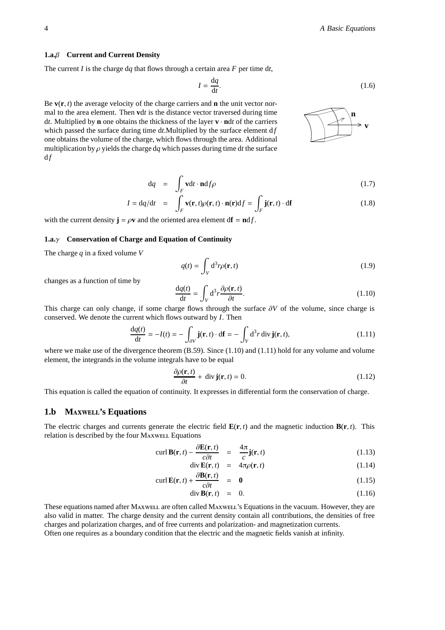#### **1.a.**β **Current and Current Density**

The current *I* is the charge d*q* that flows through a certain area *F* per time d*t*,

$$
I = \frac{\mathrm{d}q}{\mathrm{d}t}.\tag{1.6}
$$

Be  $\mathbf{v}(\mathbf{r}, t)$  the average velocity of the charge carriers and **n** the unit vector normal to the area element. Then **v**d*t* is the distance vector traversed during time dt. Multiplied by **n** one obtains the thickness of the layer  $\mathbf{v} \cdot \mathbf{n}$  of the carriers which passed the surface during time  $dt$ . Multiplied by the surface element  $df$ one obtains the volume of the charge, which flows through the area. Additional multiplication by  $\rho$  yields the charge dq which passes during time dt the surface  $df$ 

$$
dq = \int_{F} \mathbf{v} dt \cdot \mathbf{n} df \rho \qquad (1.7)
$$

$$
I = dq/dt = \int_{F} \mathbf{v}(\mathbf{r}, t)\rho(\mathbf{r}, t) \cdot \mathbf{n}(\mathbf{r}) \mathrm{d}f = \int_{F} \mathbf{j}(\mathbf{r}, t) \cdot \mathrm{d}\mathbf{f}
$$
 (1.8)

with the current density  $\mathbf{j} = \rho \mathbf{v}$  and the oriented area element d**f** = **n**d *f*.

#### **1.a.**γ **Conservation of Charge and Equation of Continuity**

The charge *q* in a fixed volume *V*

$$
q(t) = \int_{V} d^{3}r \rho(\mathbf{r}, t)
$$
\n(1.9)

changes as a function of time by

$$
\frac{dq(t)}{dt} = \int_{V} d^{3}r \frac{\partial \rho(\mathbf{r}, t)}{\partial t}.
$$
\n(1.10)

This charge can only change, if some charge flows through the surface ∂*V* of the volume, since charge is conserved. We denote the current which flows outward by *I*. Then

$$
\frac{dq(t)}{dt} = -I(t) = -\int_{\partial V} \mathbf{j}(\mathbf{r}, t) \cdot d\mathbf{f} = -\int_{V} d^{3}r \operatorname{div} \mathbf{j}(\mathbf{r}, t),
$$
\n(1.11)

where we make use of the divergence theorem  $(B.59)$ . Since  $(1.10)$  and  $(1.11)$  hold for any volume and volume element, the integrands in the volume integrals have to be equal

$$
\frac{\partial \rho(\mathbf{r},t)}{\partial t} + \text{div}\,\mathbf{j}(\mathbf{r},t) = 0. \tag{1.12}
$$

This equation is called the equation of continuity. It expresses in differential form the conservation of charge.

### **1.b M's Equations**

The electric charges and currents generate the electric field  $\mathbf{E}(\mathbf{r}, t)$  and the magnetic induction  $\mathbf{B}(\mathbf{r}, t)$ . This relation is described by the four MAXWELL Equations

$$
\operatorname{curl} \mathbf{B}(\mathbf{r}, t) - \frac{\partial \mathbf{E}(\mathbf{r}, t)}{c \partial t} = \frac{4\pi}{c} \mathbf{j}(\mathbf{r}, t)
$$
\n(1.13)

$$
\operatorname{div} \mathbf{E}(\mathbf{r}, t) = 4\pi \rho(\mathbf{r}, t) \tag{1.14}
$$

$$
\operatorname{curl} \mathbf{E}(\mathbf{r}, t) + \frac{\partial \mathbf{B}(\mathbf{r}, t)}{\partial t} = \mathbf{0} \tag{1.15}
$$

$$
\operatorname{div} \mathbf{B}(\mathbf{r}, t) = 0. \tag{1.16}
$$

These equations named after MAXWELL are often called MAXWELL's Equations in the vacuum. However, they are also valid in matter. The charge density and the current density contain all contributions, the densities of free charges and polarization charges, and of free currents and polarization- and magnetization currents. Often one requires as a boundary condition that the electric and the magnetic fields vanish at infinity.

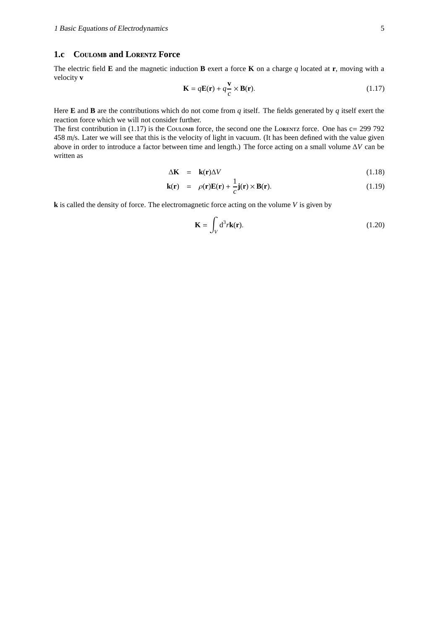# **1.c COULOMB and LORENTZ FORCE**

The electric field **E** and the magnetic induction **B** exert a force **K** on a charge *q* located at **r**, moving with a velocity **v**

$$
\mathbf{K} = q\mathbf{E}(\mathbf{r}) + q\frac{\mathbf{v}}{c} \times \mathbf{B}(\mathbf{r}).
$$
\n(1.17)

Here **E** and **B** are the contributions which do not come from *q* itself. The fields generated by *q* itself exert the reaction force which we will not consider further.

The first contribution in  $(1.17)$  is the Coulomb force, the second one the LORENTZ force. One has c= 299 792 458 m/s. Later we will see that this is the velocity of light in vacuum. (It has been defined with the value given above in order to introduce a factor between time and length.) The force acting on a small volume ∆*V* can be written as

$$
\Delta \mathbf{K} = \mathbf{k}(\mathbf{r}) \Delta V \tag{1.18}
$$

$$
\mathbf{k}(\mathbf{r}) = \rho(\mathbf{r})\mathbf{E}(\mathbf{r}) + \frac{1}{c}\mathbf{j}(\mathbf{r}) \times \mathbf{B}(\mathbf{r}).
$$
 (1.19)

**k** is called the density of force. The electromagnetic force acting on the volume *V* is given by

$$
\mathbf{K} = \int_{V} \mathrm{d}^{3} r \mathbf{k}(\mathbf{r}).
$$
 (1.20)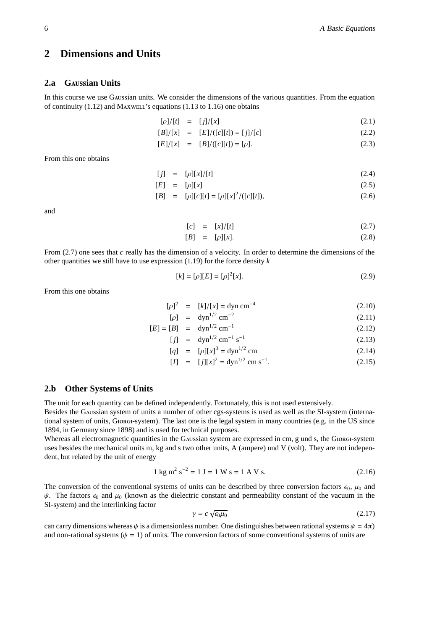# **2 Dimensions and Units**

# **2.a Gian Units**

In this course we use Gaussian units. We consider the dimensions of the various quantities. From the equation of continuity  $(1.12)$  and MAXWELL's equations  $(1.13 \text{ to } 1.16)$  one obtains

$$
[\rho]/[t] = [j]/[x] \tag{2.1}
$$

$$
[B]/[x] = [E]/([c][t]) = [j]/[c]
$$
\n(2.2)

$$
[E]/[x] = [B]/([c][t]) = [\rho]. \tag{2.3}
$$

From this one obtains

$$
[j] = [\rho][x]/[t] \tag{2.4}
$$

$$
[E] = [\rho][x] \tag{2.5}
$$

$$
[B] = [\rho][c][t] = [\rho][x]^2/([c][t]), \qquad (2.6)
$$

and

$$
[c] = [x]/[t] \tag{2.7}
$$

$$
[B] = [\rho][x]. \tag{2.8}
$$

From (2.7) one sees that *c* really has the dimension of a velocity. In order to determine the dimensions of the other quantities we still have to use expression (1.19) for the force density *k*

$$
[k] = [\rho][E] = [\rho]^2[x].
$$
\n(2.9)

From this one obtains

$$
[\rho]^2 = [k]/[x] = \text{dyn cm}^{-4} \tag{2.10}
$$

$$
[\rho] = \frac{d \text{y} \text{n}^{1/2} \text{ cm}^{-2}}{4 \text{m}^{1/2} \text{ cm}^{-1}}
$$
\n(2.11)

$$
[E] = [B] = \text{dyn}^{1/2} \text{cm}^{-1}
$$
\n
$$
[E] = [B] = \text{dyn}^{1/2} \text{cm}^{-1} \text{cm}^{-1}
$$
\n
$$
(2.12)
$$
\n
$$
(2.13)
$$

$$
\begin{array}{rcl}\n[J] & = & \text{dyn}^{1/2} \text{ cm}^{-1} \text{ s}^{-1} \\
[q] & = & [\rho][x]^3 = \text{dyn}^{1/2} \text{ cm}\n\end{array}\n\tag{2.13}
$$

$$
[I] = [j][x]^2 = dyn^{1/2} \text{ cm s}^{-1}.
$$
 (2.15)

# **2.b Other Systems of Units**

The unit for each quantity can be defined independently. Fortunately, this is not used extensively.

Besides the Gaussian system of units a number of other cgs-systems is used as well as the SI-system (international system of units, GIORGI-System). The last one is the legal system in many countries (e.g. in the US since 1894, in Germany since 1898) and is used for technical purposes.

Whereas all electromagnetic quantities in the Gaussian system are expressed in cm, g und s, the Goorgi-system uses besides the mechanical units m, kg and s two other units, A (ampere) und V (volt). They are not independent, but related by the unit of energy

$$
1 \text{ kg m}^2 \text{ s}^{-2} = 1 \text{ J} = 1 \text{ W s} = 1 \text{ A V s.}
$$
 (2.16)

The conversion of the conventional systems of units can be described by three conversion factors  $\epsilon_0$ ,  $\mu_0$  and  $\psi$ . The factors  $\epsilon_0$  and  $\mu_0$  (known as the dielectric constant and permeability constant of the vacuum in the SI-system) and the interlinking factor

$$
\gamma = c \sqrt{\epsilon_0 \mu_0} \tag{2.17}
$$

can carry dimensions whereas  $\psi$  is a dimensionless number. One distinguishes between rational systems  $\psi = 4\pi$ ) and non-rational systems ( $\psi = 1$ ) of units. The conversion factors of some conventional systems of units are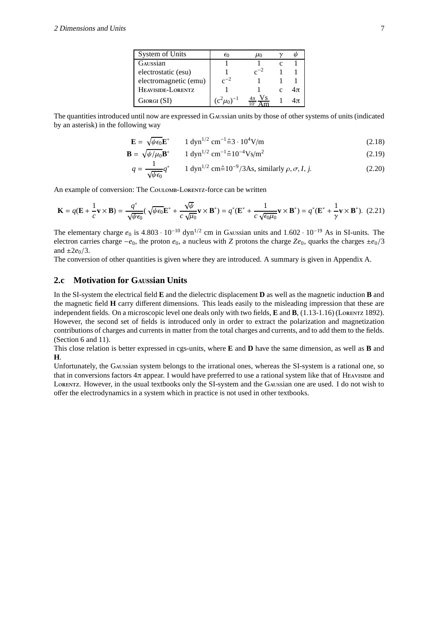| System of Units       | E٨                | $\mu_0$  |    |
|-----------------------|-------------------|----------|----|
| GAUSSian              |                   |          |    |
| electrostatic (esu)   |                   | $c^{-2}$ |    |
| electromagnetic (emu) | $c^{-2}$          |          |    |
| HEAVISIDE-LORENTZ     |                   |          | 4π |
| GIORGI (SI)           | $(c^2\mu_0)^{-1}$ | V s      |    |

The quantities introduced until now are expressed in Gaussian units by those of other systems of units (indicated by an asterisk) in the following way

$$
\mathbf{E} = \sqrt{\psi \epsilon_0} \mathbf{E}^* \qquad 1 \text{ dyn}^{1/2} \text{ cm}^{-1} \hat{=} 3 \cdot 10^4 \text{V/m}
$$
 (2.18)

$$
\mathbf{B} = \sqrt{\psi/\mu_0} \mathbf{B}^* \qquad 1 \text{ dyn}^{1/2} \text{ cm}^{-1} \hat{=} 10^{-4} \text{Vs/m}^2 \tag{2.19}
$$

$$
q = \frac{1}{\sqrt{\psi \epsilon_0}} q^*
$$
 1 dyn<sup>1/2</sup> cm<sup>2</sup>10<sup>-9</sup>/3As, similarly  $\rho, \sigma, I, j.$  (2.20)

An example of conversion: The COULOMB-LORENTZ-force can be written

$$
\mathbf{K} = q(\mathbf{E} + \frac{1}{c}\mathbf{v} \times \mathbf{B}) = \frac{q^*}{\sqrt{\psi \epsilon_0}} (\sqrt{\psi \epsilon_0} \mathbf{E}^* + \frac{\sqrt{\psi}}{c \sqrt{\mu_0}} \mathbf{v} \times \mathbf{B}^*) = q^*(\mathbf{E}^* + \frac{1}{c \sqrt{\epsilon_0 \mu_0}} \mathbf{v} \times \mathbf{B}^*) = q^*(\mathbf{E}^* + \frac{1}{\gamma} \mathbf{v} \times \mathbf{B}^*). (2.21)
$$

The elementary charge  $e_0$  is  $4.803 \cdot 10^{-10}$  dyn<sup>1/2</sup> cm in Gaussian units and  $1.602 \cdot 10^{-19}$  As in SI-units. The electron carries charge −*e*0, the proton *e*0, a nucleus with *Z* protons the charge *Ze*0, quarks the charges ±*e*0/3 and  $\pm 2e_0/3$ .

The conversion of other quantities is given where they are introduced. A summary is given in Appendix A.

## **2.c Motivation for Gian Units**

In the SI-system the electrical field **E** and the dielectric displacement **D** as well as the magnetic induction **B** and the magnetic field **H** carry different dimensions. This leads easily to the misleading impression that these are independent fields. On a microscopic level one deals only with two fields, **E** and **B**,  $(1.13-1.16)$  (LORENTZ 1892). However, the second set of fields is introduced only in order to extract the polarization and magnetization contributions of charges and currents in matter from the total charges and currents, and to add them to the fields. (Section 6 and 11).

This close relation is better expressed in cgs-units, where **E** and **D** have the same dimension, as well as **B** and **H**.

Unfortunately, the Gaussian system belongs to the irrational ones, whereas the SI-system is a rational one, so that in conversions factors  $4\pi$  appear. I would have preferred to use a rational system like that of HEAVISIDE and LORENTZ. However, in the usual textbooks only the SI-system and the Gaussian one are used. I do not wish to offer the electrodynamics in a system which in practice is not used in other textbooks.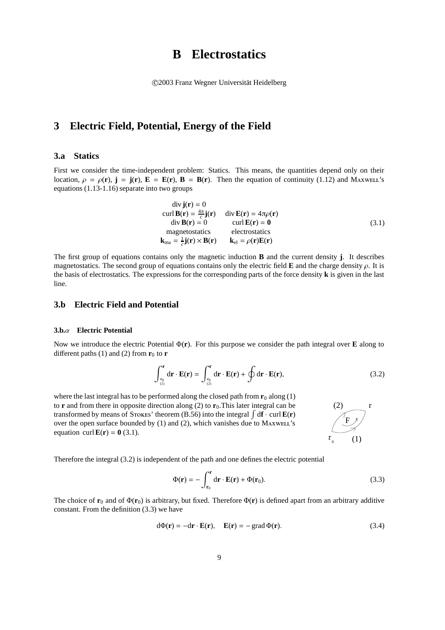# **B Electrostatics**

©2003 Franz Wegner Universität Heidelberg

# **3 Electric Field, Potential, Energy of the Field**

# **3.a Statics**

First we consider the time-independent problem: Statics. This means, the quantities depend only on their location,  $\rho = \rho(\mathbf{r})$ ,  $\mathbf{j} = \mathbf{j}(\mathbf{r})$ ,  $\mathbf{E} = \mathbf{E}(\mathbf{r})$ ,  $\mathbf{B} = \mathbf{B}(\mathbf{r})$ . Then the equation of continuity (1.12) and MAXWELL's equations (1.13-1.16) separate into two groups

$$
\begin{array}{ll}\n\text{div } \mathbf{j}(\mathbf{r}) = 0 \\
\text{curl } \mathbf{B}(\mathbf{r}) = \frac{4\pi}{c} \mathbf{j}(\mathbf{r}) & \text{div } \mathbf{E}(\mathbf{r}) = 4\pi \rho(\mathbf{r}) \\
\text{div } \mathbf{B}(\mathbf{r}) = 0 & \text{curl } \mathbf{E}(\mathbf{r}) = \mathbf{0} \\
\text{magnetostatics} & \text{electrostatics} \\
\mathbf{k}_{\text{ma}} = \frac{1}{c} \mathbf{j}(\mathbf{r}) \times \mathbf{B}(\mathbf{r}) & \mathbf{k}_{\text{el}} = \rho(\mathbf{r}) \mathbf{E}(\mathbf{r})\n\end{array} \tag{3.1}
$$

The first group of equations contains only the magnetic induction **B** and the current density **j**. It describes magnetostatics. The second group of equations contains only the electric field  $\bf{E}$  and the charge density  $\rho$ . It is the basis of electrostatics. The expressions for the corresponding parts of the force density **k** is given in the last line.

# **3.b Electric Field and Potential**

#### **3.b.**α **Electric Potential**

Now we introduce the electric Potential Φ(**r**). For this purpose we consider the path integral over **E** along to different paths (1) and (2) from  $\mathbf{r}_0$  to **r** 

$$
\int_{\begin{array}{c}\n\mathbf{r}_0 \\
\mathbf{r}_1\n\end{array}}^{\mathbf{r}} \mathbf{dr} \cdot \mathbf{E}(\mathbf{r}) = \int_{\begin{array}{c}\n\mathbf{r}_0 \\
\mathbf{r}_2\n\end{array}}^{\mathbf{r}} \mathbf{dr} \cdot \mathbf{E}(\mathbf{r}) + \oint \mathbf{dr} \cdot \mathbf{E}(\mathbf{r}),
$$
\n(3.2)

where the last integral has to be performed along the closed path from  $\mathbf{r}_0$  along (1) to **r** and from there in opposite direction along (2) to  $\mathbf{r}_0$ . This later integral can be transformed by means of STOKES' theorem (B.56) into the integral  $\int df \cdot \text{curl } \mathbf{E}(\mathbf{r})$ over the open surface bounded by  $(1)$  and  $(2)$ , which vanishes due to MAXWELL's equation curl  $\mathbf{E}(\mathbf{r}) = \mathbf{0}$  (3.1).



Therefore the integral (3.2) is independent of the path and one defines the electric potential

$$
\Phi(\mathbf{r}) = -\int_{\mathbf{r}_0}^{\mathbf{r}} d\mathbf{r} \cdot \mathbf{E}(\mathbf{r}) + \Phi(\mathbf{r}_0).
$$
\n(3.3)

The choice of  $\mathbf{r}_0$  and of  $\Phi(\mathbf{r}_0)$  is arbitrary, but fixed. Therefore  $\Phi(\mathbf{r})$  is defined apart from an arbitrary additive constant. From the definition (3.3) we have

$$
d\Phi(\mathbf{r}) = -d\mathbf{r} \cdot \mathbf{E}(\mathbf{r}), \quad \mathbf{E}(\mathbf{r}) = -\operatorname{grad}\Phi(\mathbf{r}). \tag{3.4}
$$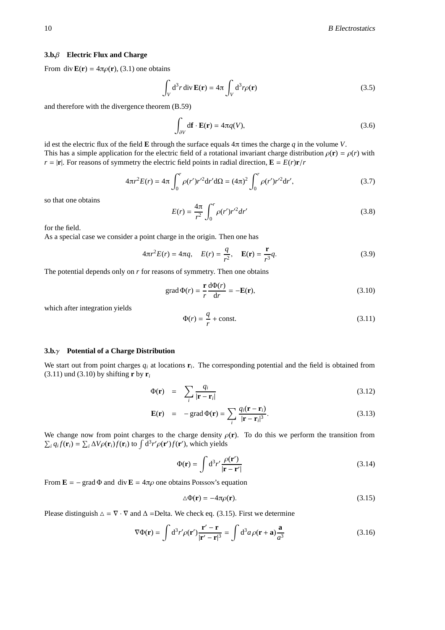#### **3.b.**β **Electric Flux and Charge**

From div  $\mathbf{E}(\mathbf{r}) = 4\pi \rho(\mathbf{r})$ , (3.1) one obtains

$$
\int_{V} d^{3}r \operatorname{div} \mathbf{E}(\mathbf{r}) = 4\pi \int_{V} d^{3}r \rho(\mathbf{r})
$$
\n(3.5)

and therefore with the divergence theorem (B.59)

$$
\int_{\partial V} \mathbf{df} \cdot \mathbf{E}(\mathbf{r}) = 4\pi q(V),\tag{3.6}
$$

id est the electric flux of the field **E** through the surface equals 4π times the charge *q* in the volume *V*. This has a simple application for the electric field of a rotational invariant charge distribution  $\rho(\mathbf{r}) = \rho(r)$  with  $r = |\mathbf{r}|$ . For reasons of symmetry the electric field points in radial direction,  $\mathbf{E} = E(r)\mathbf{r}/r$ 

$$
4\pi r^2 E(r) = 4\pi \int_0^r \rho(r') r'^2 dr' d\Omega = (4\pi)^2 \int_0^r \rho(r') r'^2 dr', \qquad (3.7)
$$

so that one obtains

$$
E(r) = \frac{4\pi}{r^2} \int_0^r \rho(r')r'^2 dr'
$$
 (3.8)

for the field.

As a special case we consider a point charge in the origin. Then one has

$$
4\pi r^2 E(r) = 4\pi q, \quad E(r) = \frac{q}{r^2}, \quad E(r) = \frac{r}{r^3}q.
$$
 (3.9)

The potential depends only on *r* for reasons of symmetry. Then one obtains

$$
\text{grad}\,\Phi(r) = \frac{\mathbf{r}}{r} \frac{\mathrm{d}\Phi(r)}{\mathrm{d}r} = -\mathbf{E}(\mathbf{r}),\tag{3.10}
$$

which after integration yields

$$
\Phi(r) = \frac{q}{r} + \text{const.} \tag{3.11}
$$

### **3.b.**γ **Potential of a Charge Distribution**

We start out from point charges  $q_i$  at locations  $r_i$ . The corresponding potential and the field is obtained from  $(3.11)$  und  $(3.10)$  by shifting **r** by  $\mathbf{r}_i$ 

$$
\Phi(\mathbf{r}) = \sum_{i} \frac{q_i}{|\mathbf{r} - \mathbf{r}_i|} \tag{3.12}
$$

$$
\mathbf{E}(\mathbf{r}) = -\text{grad}\,\Phi(\mathbf{r}) = \sum_{i} \frac{q_i(\mathbf{r} - \mathbf{r}_i)}{|\mathbf{r} - \mathbf{r}_i|^3}.
$$
 (3.13)

We change now from point charges to the charge density  $\rho(\mathbf{r})$ . To do this we perform the transition from  $\sum_i q_i f(\mathbf{r}_i) = \sum_i \Delta V \rho(\mathbf{r}_i) f(\mathbf{r}_i)$  to  $\int d^3 r' \rho(\mathbf{r}') f(\mathbf{r}')$ , which yields

$$
\Phi(\mathbf{r}) = \int d^3 r' \frac{\rho(\mathbf{r}')}{|\mathbf{r} - \mathbf{r}'|}
$$
\n(3.14)

From  $\mathbf{E} = -\text{grad}\Phi$  and div  $\mathbf{E} = 4\pi\rho$  one obtains Posson's equation

$$
\Delta \Phi(\mathbf{r}) = -4\pi \rho(\mathbf{r}).\tag{3.15}
$$

Please distinguish  $\Delta = \nabla \cdot \nabla$  and  $\Delta =$ Delta. We check eq. (3.15). First we determine

$$
\nabla \Phi(\mathbf{r}) = \int d^3 r' \rho(\mathbf{r}') \frac{\mathbf{r}' - \mathbf{r}}{|\mathbf{r}' - \mathbf{r}|^3} = \int d^3 a \rho(\mathbf{r} + \mathbf{a}) \frac{\mathbf{a}}{a^3}
$$
(3.16)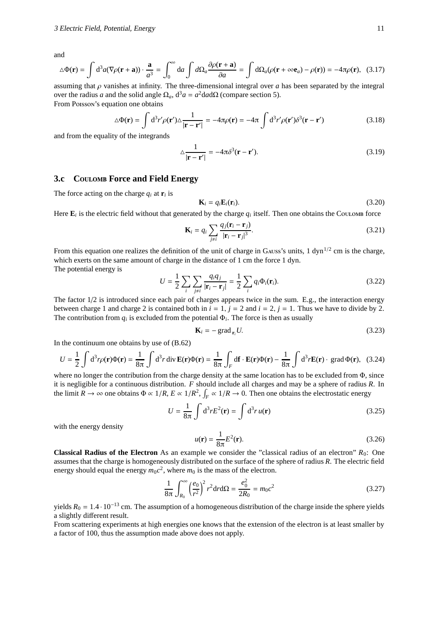and

$$
\Delta \Phi(\mathbf{r}) = \int d^3 a (\nabla \rho(\mathbf{r} + \mathbf{a})) \cdot \frac{\mathbf{a}}{a^3} = \int_0^\infty da \int d\Omega_a \frac{\partial \rho(\mathbf{r} + \mathbf{a})}{\partial a} = \int d\Omega_a (\rho(\mathbf{r} + \infty \mathbf{e}_a) - \rho(\mathbf{r})) = -4\pi \rho(\mathbf{r}), \quad (3.17)
$$

assuming that  $\rho$  vanishes at infinity. The three-dimensional integral over *a* has been separated by the integral over the radius *a* and the solid angle  $\Omega_a$ ,  $d^3a = a^2dadΩ$  (compare section 5). From Poisson's equation one obtains

$$
\Delta \Phi(\mathbf{r}) = \int d^3 r' \rho(\mathbf{r}') \Delta \frac{1}{|\mathbf{r} - \mathbf{r}'|} = -4\pi \rho(\mathbf{r}) = -4\pi \int d^3 r' \rho(\mathbf{r}') \delta^3(\mathbf{r} - \mathbf{r}') \tag{3.18}
$$

and from the equality of the integrands

$$
\Delta \frac{1}{|\mathbf{r} - \mathbf{r}'|} = -4\pi \delta^3 (\mathbf{r} - \mathbf{r}'). \tag{3.19}
$$

# **3.c C Force and Field Energy**

The force acting on the charge  $q_i$  at  $\mathbf{r}_i$  is

$$
\mathbf{K}_i = q_i \mathbf{E}_i(\mathbf{r}_i). \tag{3.20}
$$

Here  $\mathbf{E}_i$  is the electric field without that generated by the charge  $q_i$  itself. Then one obtains the Coulomb force

$$
\mathbf{K}_{i} = q_{i} \sum_{j \neq i} \frac{q_{j}(\mathbf{r}_{i} - \mathbf{r}_{j})}{|\mathbf{r}_{i} - \mathbf{r}_{j}|^{3}}.
$$
 (3.21)

From this equation one realizes the definition of the unit of charge in GAUSS's units, 1 dyn<sup>1/2</sup> cm is the charge, which exerts on the same amount of charge in the distance of 1 cm the force 1 dyn. The potential energy is

$$
U = \frac{1}{2} \sum_{i} \sum_{j \neq i} \frac{q_i q_j}{|\mathbf{r}_i - \mathbf{r}_j|} = \frac{1}{2} \sum_{i} q_i \Phi_i(\mathbf{r}_i).
$$
 (3.22)

The factor 1/2 is introduced since each pair of charges appears twice in the sum. E.g., the interaction energy between charge 1 and charge 2 is contained both in  $i = 1$ ,  $j = 2$  and  $i = 2$ ,  $j = 1$ . Thus we have to divide by 2. The contribution from  $q_i$  is excluded from the potential  $\Phi_i$ . The force is then as usually

$$
\mathbf{K}_i = -\operatorname{grad}_{\mathbf{r}_i} U. \tag{3.23}
$$

In the continuum one obtains by use of (B.62)

$$
U = \frac{1}{2} \int d^3 r \rho(\mathbf{r}) \Phi(\mathbf{r}) = \frac{1}{8\pi} \int d^3 r \, \text{div} \, \mathbf{E}(\mathbf{r}) \Phi(\mathbf{r}) = \frac{1}{8\pi} \int_F d\mathbf{r} \cdot \mathbf{E}(\mathbf{r}) \Phi(\mathbf{r}) - \frac{1}{8\pi} \int d^3 r \mathbf{E}(\mathbf{r}) \cdot \text{grad} \, \Phi(\mathbf{r}), \tag{3.24}
$$

where no longer the contribution from the charge density at the same location has to be excluded from Φ, since it is negligible for a continuous distribution. *F* should include all charges and may be a sphere of radius *R*. In the limit  $R \to \infty$  one obtains  $\Phi \propto 1/R$ ,  $E \propto 1/R^2$ ,  $\int_F \propto 1/R \to 0$ . Then one obtains the electrostatic energy

$$
U = \frac{1}{8\pi} \int d^3 r E^2(\mathbf{r}) = \int d^3 r u(\mathbf{r})
$$
\n(3.25)

with the energy density

$$
u(\mathbf{r}) = \frac{1}{8\pi}E^2(\mathbf{r}).
$$
\n(3.26)

**Classical Radius of the Electron** As an example we consider the "classical radius of an electron" *R*0: One assumes that the charge is homogeneously distributed on the surface of the sphere of radius *R*. The electric field energy should equal the energy  $m_0c^2$ , where  $m_0$  is the mass of the electron.

$$
\frac{1}{8\pi} \int_{R_0}^{\infty} \left(\frac{e_0}{r^2}\right)^2 r^2 dr d\Omega = \frac{e_0^2}{2R_0} = m_0 c^2 \tag{3.27}
$$

yields  $R_0 = 1.4 \cdot 10^{-13}$  cm. The assumption of a homogeneous distribution of the charge inside the sphere yields a slightly different result.

From scattering experiments at high energies one knows that the extension of the electron is at least smaller by a factor of 100, thus the assumption made above does not apply.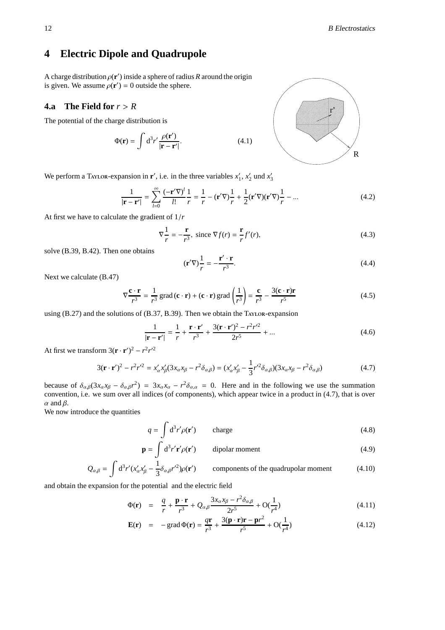# **4 Electric Dipole and Quadrupole**

A charge distribution  $\rho(\mathbf{r}')$  inside a sphere of radius *R* around the origin is given. We assume  $\rho(\mathbf{r}') = 0$  outside the sphere.

# **4.a The Field for**  $r > R$

The potential of the charge distribution is

$$
\Phi(\mathbf{r}) = \int d^3 r' \frac{\rho(\mathbf{r}')}{|\mathbf{r} - \mathbf{r}'|}.
$$
\n(4.



We perform a TAYLOR-expansion in **r**', i.e. in the three variables  $x'_1$ ,  $x'_2$  und  $x'_3$ 

$$
\frac{1}{|\mathbf{r} - \mathbf{r}'|} = \sum_{l=0}^{\infty} \frac{(-\mathbf{r}' \nabla)^l}{l!} \frac{1}{r} = \frac{1}{r} - (\mathbf{r}' \nabla) \frac{1}{r} + \frac{1}{2} (\mathbf{r}' \nabla) (\mathbf{r}' \nabla) \frac{1}{r} - \dots
$$
(4.2)

At first we have to calculate the gradient of 1/*r*

$$
\nabla \frac{1}{r} = -\frac{\mathbf{r}}{r^3}, \text{ since } \nabla f(r) = \frac{\mathbf{r}}{r} f'(r), \tag{4.3}
$$

solve (B.39, B.42). Then one obtains

$$
(\mathbf{r}'\nabla)\frac{1}{r} = -\frac{\mathbf{r}' \cdot \mathbf{r}}{r^3}.
$$
 (4.4)

Next we calculate (B.47)

$$
\nabla \frac{\mathbf{c} \cdot \mathbf{r}}{r^3} = \frac{1}{r^3} \operatorname{grad} (\mathbf{c} \cdot \mathbf{r}) + (\mathbf{c} \cdot \mathbf{r}) \operatorname{grad} \left(\frac{1}{r^3}\right) = \frac{\mathbf{c}}{r^3} - \frac{3(\mathbf{c} \cdot \mathbf{r})\mathbf{r}}{r^5}
$$
(4.5)

using  $(B.27)$  and the solutions of  $(B.37, B.39)$ . Then we obtain the TAYLOR-expansion

$$
\frac{1}{|\mathbf{r} - \mathbf{r}'|} = \frac{1}{r} + \frac{\mathbf{r} \cdot \mathbf{r}'}{r^3} + \frac{3(\mathbf{r} \cdot \mathbf{r}')^2 - r^2 r'^2}{2r^5} + \dots
$$
(4.6)

At first we transform  $3(\mathbf{r} \cdot \mathbf{r}')^2 - r^2 r'^2$ 

$$
3(\mathbf{r} \cdot \mathbf{r}')^{2} - r^{2} r'^{2} = x'_{\alpha} x'_{\beta} (3x_{\alpha} x_{\beta} - r^{2} \delta_{\alpha,\beta}) = (x'_{\alpha} x'_{\beta} - \frac{1}{3} r'^{2} \delta_{\alpha,\beta}) (3x_{\alpha} x_{\beta} - r^{2} \delta_{\alpha,\beta})
$$
(4.7)

because of  $\delta_{\alpha,\beta}(3x_{\alpha}x_{\beta} - \delta_{\alpha,\beta}r^2) = 3x_{\alpha}x_{\alpha} - r^2\delta_{\alpha,\alpha} = 0$ . Here and in the following we use the summation convention, i.e. we sum over all indices (of components), which appear twice in a product in (4.7), that is over  $\alpha$  and  $\beta$ .

We now introduce the quantities

$$
q = \int d^3 r' \rho(\mathbf{r'}) \qquad \text{charge} \tag{4.8}
$$

$$
\mathbf{p} = \int d^3 r' \mathbf{r}' \rho(\mathbf{r}') \qquad \text{dipolar moment} \tag{4.9}
$$

$$
Q_{\alpha,\beta} = \int d^3 r' (x'_{\alpha} x'_{\beta} - \frac{1}{3} \delta_{\alpha,\beta} r'^2) \rho(\mathbf{r}') \qquad \text{components of the quadrupolar moment} \tag{4.10}
$$

and obtain the expansion for the potential and the electric field

$$
\Phi(\mathbf{r}) = \frac{q}{r} + \frac{\mathbf{p} \cdot \mathbf{r}}{r^3} + Q_{\alpha,\beta} \frac{3x_{\alpha}x_{\beta} - r^2 \delta_{\alpha,\beta}}{2r^5} + \mathcal{O}(\frac{1}{r^4})
$$
\n(4.11)

$$
\mathbf{E}(\mathbf{r}) = -\text{grad}\,\Phi(\mathbf{r}) = \frac{q\mathbf{r}}{r^3} + \frac{3(\mathbf{p}\cdot\mathbf{r})\mathbf{r} - \mathbf{p}r^2}{r^5} + \mathbf{O}(\frac{1}{r^4})
$$
(4.12)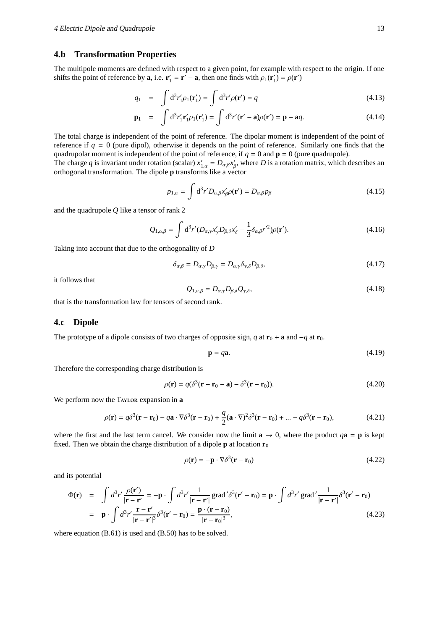# **4.b Transformation Properties**

The multipole moments are defined with respect to a given point, for example with respect to the origin. If one shifts the point of reference by **a**, i.e.  $\mathbf{r}'_1 = \mathbf{r}' - \mathbf{a}$ , then one finds with  $\rho_1(\mathbf{r}'_1) = \rho(\mathbf{r}')$ 

$$
q_1 = \int d^3 r'_1 \rho_1(\mathbf{r}'_1) = \int d^3 r' \rho(\mathbf{r}') = q \qquad (4.13)
$$

$$
\mathbf{p}_1 = \int d^3 r'_1 \mathbf{r}'_1 \rho_1(\mathbf{r}'_1) = \int d^3 r' (\mathbf{r}' - \mathbf{a}) \rho(\mathbf{r}') = \mathbf{p} - \mathbf{a} q. \tag{4.14}
$$

The total charge is independent of the point of reference. The dipolar moment is independent of the point of reference if  $q = 0$  (pure dipol), otherwise it depends on the point of reference. Similarly one finds that the quadrupolar moment is independent of the point of reference, if  $q = 0$  and  $p = 0$  (pure quadrupole).

The charge *q* is invariant under rotation (scalar)  $x'_{1,\alpha} = D_{\alpha,\beta} x'_{\beta}$ , where *D* is a rotation matrix, which describes an orthogonal transformation. The dipole **p** transforms like a vector

$$
p_{1,\alpha} = \int \mathrm{d}^3 r' D_{\alpha,\beta} x'_{\beta} \rho(\mathbf{r}') = D_{\alpha,\beta} p_{\beta} \tag{4.15}
$$

and the quadrupole *Q* like a tensor of rank 2

$$
Q_{1,\alpha,\beta} = \int d^3 r' (D_{\alpha,\gamma} x'_{\gamma} D_{\beta,\delta} x'_{\delta} - \frac{1}{3} \delta_{\alpha,\beta} r'^2) \rho(\mathbf{r}'). \tag{4.16}
$$

Taking into account that due to the orthogonality of *D*

$$
\delta_{\alpha,\beta} = D_{\alpha,\gamma} D_{\beta,\gamma} = D_{\alpha,\gamma} \delta_{\gamma,\delta} D_{\beta,\delta},\tag{4.17}
$$

it follows that

$$
Q_{1,\alpha,\beta} = D_{\alpha,\gamma} D_{\beta,\delta} Q_{\gamma,\delta},\tag{4.18}
$$

that is the transformation law for tensors of second rank.

## **4.c Dipole**

The prototype of a dipole consists of two charges of opposite sign, *q* at **r**<sub>0</sub> + **a** and −*q* at **r**<sub>0</sub>.

$$
\mathbf{p} = q\mathbf{a}.\tag{4.19}
$$

Therefore the corresponding charge distribution is

$$
\rho(\mathbf{r}) = q(\delta^3(\mathbf{r} - \mathbf{r}_0 - \mathbf{a}) - \delta^3(\mathbf{r} - \mathbf{r}_0)).
$$
\n(4.20)

We perform now the TAYLOR expansion in a

$$
\rho(\mathbf{r}) = q\delta^3(\mathbf{r} - \mathbf{r}_0) - q\mathbf{a} \cdot \nabla \delta^3(\mathbf{r} - \mathbf{r}_0) + \frac{q}{2}(\mathbf{a} \cdot \nabla)^2 \delta^3(\mathbf{r} - \mathbf{r}_0) + \dots - q\delta^3(\mathbf{r} - \mathbf{r}_0),
$$
(4.21)

where the first and the last term cancel. We consider now the limit  $\mathbf{a} \rightarrow 0$ , where the product  $q\mathbf{a} = \mathbf{p}$  is kept fixed. Then we obtain the charge distribution of a dipole **p** at location **r**<sup>0</sup>

$$
\rho(\mathbf{r}) = -\mathbf{p} \cdot \nabla \delta^3(\mathbf{r} - \mathbf{r}_0) \tag{4.22}
$$

and its potential

$$
\Phi(\mathbf{r}) = \int d^3 r' \frac{\rho(\mathbf{r}')}{|\mathbf{r} - \mathbf{r}'|} = -\mathbf{p} \cdot \int d^3 r' \frac{1}{|\mathbf{r} - \mathbf{r}'|} \operatorname{grad}' \delta^3(\mathbf{r}' - \mathbf{r}_0) = \mathbf{p} \cdot \int d^3 r' \operatorname{grad}' \frac{1}{|\mathbf{r} - \mathbf{r}'|} \delta^3(\mathbf{r}' - \mathbf{r}_0)
$$
  
\n
$$
= \mathbf{p} \cdot \int d^3 r' \frac{\mathbf{r} - \mathbf{r}'}{|\mathbf{r} - \mathbf{r}'|^3} \delta^3(\mathbf{r}' - \mathbf{r}_0) = \frac{\mathbf{p} \cdot (\mathbf{r} - \mathbf{r}_0)}{|\mathbf{r} - \mathbf{r}_0|^3},
$$
(4.23)

where equation (B.61) is used and (B.50) has to be solved.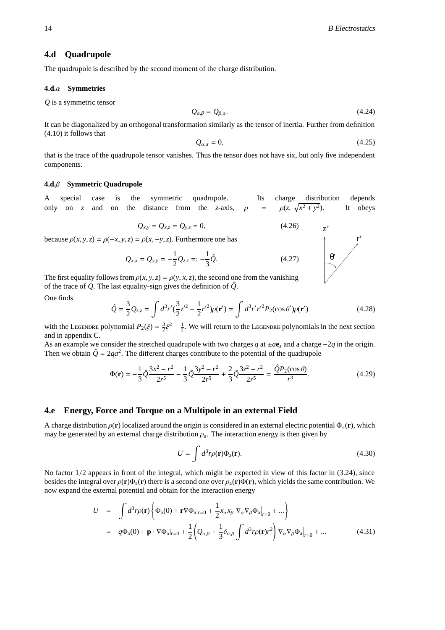r'

 $\theta$ 

# **4.d Quadrupole**

The quadrupole is described by the second moment of the charge distribution.

#### **4.d.**α **Symmetries**

*Q* is a symmetric tensor

$$
Q_{\alpha,\beta} = Q_{\beta,\alpha}.\tag{4.24}
$$

It can be diagonalized by an orthogonal transformation similarly as the tensor of inertia. Further from definition (4.10) it follows that

$$
Q_{\alpha,\alpha} = 0,\tag{4.25}
$$

that is the trace of the quadrupole tensor vanishes. Thus the tensor does not have six, but only five independent components.

#### **4.d.**β **Symmetric Quadrupole**

A special case is the symmetric quadrupole. Its charge distribution depends only on *z* and on the distance from the *z*-axis,  $\rho$  =  $\sqrt{x^2 + y^2}$ It obeys

$$
Q_{x,y} = Q_{x,z} = Q_{y,z} = 0, \tag{4.26}
$$

because  $\rho(x, y, z) = \rho(-x, y, z) = \rho(x, -y, z)$ . Furthermore one has

$$
Q_{x,x} = Q_{y,y} = -\frac{1}{2}Q_{z,z} =: -\frac{1}{3}\hat{Q}.
$$
 (4.27)

The first equality follows from  $\rho(x, y, z) = \rho(y, x, z)$ , the second one from the vanishing of the trace of  $Q$ . The last equality-sign gives the definition of  $\hat{Q}$ .

One finds

$$
\hat{Q} = \frac{3}{2} Q_{z,z} = \int d^3 r' (\frac{3}{2} z'^2 - \frac{1}{2} r'^2) \rho(\mathbf{r}') = \int d^3 r' r'^2 P_2(\cos \theta') \rho(\mathbf{r}')
$$
(4.28)

with the LEGENDRE polynomial  $P_2(\xi) = \frac{3}{2}\xi^2 - \frac{1}{2}$ . We will return to the LEGENDRE polynomials in the next section and in appendix C.

As an example we consider the stretched quadrupole with two charges *q* at ±*a***e***<sup>z</sup>* and a charge −2*q* in the origin. Then we obtain  $\hat{Q} = 2qa^2$ . The different charges contribute to the potential of the quadrupole

$$
\Phi(\mathbf{r}) = -\frac{1}{3}\hat{Q}\frac{3x^2 - r^2}{2r^5} - \frac{1}{3}\hat{Q}\frac{3y^2 - r^2}{2r^5} + \frac{2}{3}\hat{Q}\frac{3z^2 - r^2}{2r^5} = \frac{\hat{Q}P_2(\cos\theta)}{r^3}.
$$
\n(4.29)

#### **4.e Energy, Force and Torque on a Multipole in an external Field**

A charge distribution  $\rho(\mathbf{r})$  localized around the origin is considered in an external electric potential  $\Phi_a(\mathbf{r})$ , which may be generated by an external charge distribution  $\rho_a$ . The interaction energy is then given by

$$
U = \int d^3 r \rho(\mathbf{r}) \Phi_a(\mathbf{r}). \tag{4.30}
$$

No factor  $1/2$  appears in front of the integral, which might be expected in view of this factor in  $(3.24)$ , since besides the integral over  $\rho(\mathbf{r})\Phi_a(\mathbf{r})$  there is a second one over  $\rho_a(\mathbf{r})\Phi(\mathbf{r})$ , which yields the same contribution. We now expand the external potential and obtain for the interaction energy

$$
U = \int d^3 r \rho(\mathbf{r}) \left\{ \Phi_a(0) + \mathbf{r} \nabla \Phi_a|_{r=0} + \frac{1}{2} x_a x_\beta \nabla_\alpha \nabla_\beta \Phi_a|_{r=0} + \dots \right\}
$$
  
=  $q \Phi_a(0) + \mathbf{p} \cdot \nabla \Phi_a|_{r=0} + \frac{1}{2} \left( Q_{\alpha,\beta} + \frac{1}{3} \delta_{\alpha,\beta} \int d^3 r \rho(\mathbf{r}) r^2 \right) \nabla_\alpha \nabla_\beta \Phi_a|_{r=0} + \dots$  (4.31)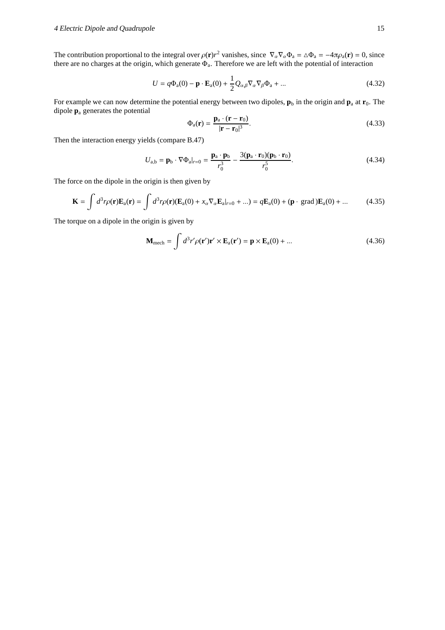The contribution proportional to the integral over  $\rho(\mathbf{r})r^2$  vanishes, since  $\nabla_\alpha \nabla_\alpha \Phi_a = \Delta \Phi_a = -4\pi \rho_a(\mathbf{r}) = 0$ , since there are no charges at the origin, which generate  $\Phi_a$ . Therefore we are left with the potential of interaction

$$
U = q\Phi_a(0) - \mathbf{p} \cdot \mathbf{E}_a(0) + \frac{1}{2} Q_{\alpha\beta} \nabla_\alpha \nabla_\beta \Phi_a + \dots
$$
 (4.32)

For example we can now determine the potential energy between two dipoles,  $\mathbf{p}_b$  in the origin and  $\mathbf{p}_a$  at  $\mathbf{r}_0$ . The dipole **p**<sup>a</sup> generates the potential

$$
\Phi_{a}(\mathbf{r}) = \frac{\mathbf{p}_{a} \cdot (\mathbf{r} - \mathbf{r}_{0})}{|\mathbf{r} - \mathbf{r}_{0}|^{3}}.
$$
\n(4.33)

Then the interaction energy yields (compare B.47)

$$
U_{a,b} = \mathbf{p}_b \cdot \nabla \Phi_a|_{r=0} = \frac{\mathbf{p}_a \cdot \mathbf{p}_b}{r_0^3} - \frac{3(\mathbf{p}_a \cdot \mathbf{r}_0)(\mathbf{p}_b \cdot \mathbf{r}_0)}{r_0^5}.
$$
(4.34)

The force on the dipole in the origin is then given by

$$
\mathbf{K} = \int d^3 r \rho(\mathbf{r}) \mathbf{E}_a(\mathbf{r}) = \int d^3 r \rho(\mathbf{r}) (\mathbf{E}_a(0) + x_\alpha \nabla_\alpha \mathbf{E}_a|_{r=0} + ...) = q \mathbf{E}_a(0) + (\mathbf{p} \cdot \text{grad}) \mathbf{E}_a(0) + ... \tag{4.35}
$$

The torque on a dipole in the origin is given by

$$
\mathbf{M}_{\text{mech}} = \int d^3 r' \rho(\mathbf{r}') \mathbf{r}' \times \mathbf{E}_a(\mathbf{r}') = \mathbf{p} \times \mathbf{E}_a(0) + \dots
$$
 (4.36)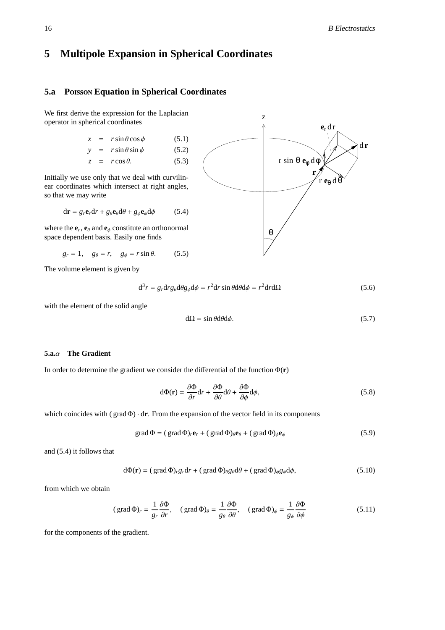# **5 Multipole Expansion in Spherical Coordinates**

# **5.a P Equation in Spherical Coordinates**

We first derive the expression for the Laplacian operator in spherical coordinates

$$
x = r \sin \theta \cos \phi \qquad (5.1)
$$
  

$$
y = r \sin \theta \sin \phi \qquad (5.2)
$$

$$
z = r \cos \theta. \tag{5.3}
$$

Initially we use only that we deal with curvilinear coordinates which intersect at right angles, so that we may write

 $d\mathbf{r} = g_r \mathbf{e}_r dr + g_\theta \mathbf{e}_\theta d\theta + g_\phi \mathbf{e}_\phi d\phi$  (5.4)

where the  $\mathbf{e}_r$ ,  $\mathbf{e}_{\theta}$  and  $\mathbf{e}_{\phi}$  constitute an orthonormal space dependent basis. Easily one finds

$$
g_r = 1, \quad g_\theta = r, \quad g_\phi = r \sin \theta. \tag{5.5}
$$

The volume element is given by

$$
d^{3}r = g_{r}drg_{\theta}d\theta g_{\phi}d\phi = r^{2}dr\sin\theta d\theta d\phi = r^{2}drd\Omega
$$
\n(5.6)

with the element of the solid angle

$$
d\Omega = \sin\theta d\theta d\phi. \tag{5.7}
$$

### **5.a.**α **The Gradient**

In order to determine the gradient we consider the differential of the function  $\Phi(\mathbf{r})$ 

$$
d\Phi(\mathbf{r}) = \frac{\partial \Phi}{\partial r} dr + \frac{\partial \Phi}{\partial \theta} d\theta + \frac{\partial \Phi}{\partial \phi} d\phi,
$$
 (5.8)

which coincides with (grad Φ) · d**r**. From the expansion of the vector field in its components

$$
\text{grad}\,\Phi = (\text{grad}\,\Phi)_r \mathbf{e}_r + (\text{grad}\,\Phi)_\theta \mathbf{e}_\theta + (\text{grad}\,\Phi)_\phi \mathbf{e}_\phi \tag{5.9}
$$

and (5.4) it follows that

$$
d\Phi(\mathbf{r}) = (grad \Phi)_{r}g_{r}dr + (grad \Phi)_{\theta}g_{\theta}d\theta + (grad \Phi)_{\phi}g_{\phi}d\phi, \qquad (5.10)
$$

from which we obtain

$$
(\text{grad }\Phi)_r = \frac{1}{g_r} \frac{\partial \Phi}{\partial r}, \quad (\text{grad }\Phi)_\theta = \frac{1}{g_\theta} \frac{\partial \Phi}{\partial \theta}, \quad (\text{grad }\Phi)_\phi = \frac{1}{g_\phi} \frac{\partial \Phi}{\partial \phi}
$$
(5.11)

for the components of the gradient.

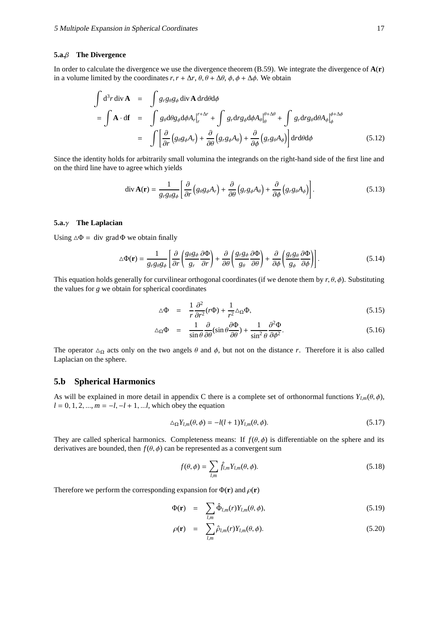### **5.a.**β **The Divergence**

In order to calculate the divergence we use the divergence theorem (B.59). We integrate the divergence of **A**(**r**) in a volume limited by the coordinates  $r, r + \Delta r, \theta, \theta + \Delta \theta, \phi, \phi + \Delta \phi$ . We obtain

$$
\int d^{3}r \, \text{div} \, \mathbf{A} = \int g_{r}g_{\theta}g_{\phi} \, \text{div} \, \mathbf{A} \, \text{d}r \, \text{d}\theta \, \text{d}\phi
$$
\n
$$
= \int \mathbf{A} \cdot \text{d}\mathbf{f} = \int g_{\theta}d\theta g_{\phi}d\phi A_{r} \big|_{r}^{r+\Delta r} + \int g_{r}drg_{\phi}d\phi A_{\theta} \big|_{\theta}^{\theta+\Delta\theta} + \int g_{r}drg_{\theta}d\theta A_{\phi} \big|_{\phi}^{\phi+\Delta\phi}
$$
\n
$$
= \int \left[ \frac{\partial}{\partial r} \left( g_{\theta}g_{\phi}A_{r} \right) + \frac{\partial}{\partial \theta} \left( g_{r}g_{\phi}A_{\theta} \right) + \frac{\partial}{\partial \phi} \left( g_{r}g_{\theta}A_{\phi} \right) \right] \text{d}r \, \text{d}\theta \, \text{d}\phi \tag{5.12}
$$

Since the identity holds for arbitrarily small volumina the integrands on the right-hand side of the first line and on the third line have to agree which yields

$$
\operatorname{div} \mathbf{A}(\mathbf{r}) = \frac{1}{g_r g_\theta g_\phi} \left[ \frac{\partial}{\partial r} \left( g_\theta g_\phi A_r \right) + \frac{\partial}{\partial \theta} \left( g_r g_\phi A_\theta \right) + \frac{\partial}{\partial \phi} \left( g_r g_\theta A_\phi \right) \right]. \tag{5.13}
$$

#### **5.a.**γ **The Laplacian**

Using  $\Delta \Phi = \text{div grad } \Phi$  we obtain finally

$$
\Delta \Phi(\mathbf{r}) = \frac{1}{g_r g_{\theta} g_{\phi}} \left[ \frac{\partial}{\partial r} \left( \frac{g_{\theta} g_{\phi}}{g_r} \frac{\partial \Phi}{\partial r} \right) + \frac{\partial}{\partial \theta} \left( \frac{g_r g_{\phi}}{g_{\theta}} \frac{\partial \Phi}{\partial \theta} \right) + \frac{\partial}{\partial \phi} \left( \frac{g_r g_{\theta}}{g_{\phi}} \frac{\partial \Phi}{\partial \phi} \right) \right].
$$
 (5.14)

This equation holds generally for curvilinear orthogonal coordinates (if we denote them by  $r, \theta, \phi$ ). Substituting the values for *g* we obtain for spherical coordinates

$$
\Delta \Phi = \frac{1}{r} \frac{\partial^2}{\partial r^2} (r \Phi) + \frac{1}{r^2} \Delta_{\Omega} \Phi, \tag{5.15}
$$

$$
\Delta_{\Omega}\Phi = \frac{1}{\sin\theta} \frac{\partial}{\partial\theta} (\sin\theta \frac{\partial \Phi}{\partial\theta}) + \frac{1}{\sin^2\theta} \frac{\partial^2 \Phi}{\partial\phi^2}.
$$
 (5.16)

The operator  $\Delta_{\Omega}$  acts only on the two angels  $\theta$  and  $\phi$ , but not on the distance *r*. Therefore it is also called Laplacian on the sphere.

### **5.b Spherical Harmonics**

As will be explained in more detail in appendix C there is a complete set of orthonormal functions  $Y_{lm}(\theta, \phi)$ ,  $l = 0, 1, 2, \dots, m = -l, -l + 1, \dots, l$ , which obey the equation

$$
\Delta_{\Omega} Y_{l,m}(\theta,\phi) = -l(l+1)Y_{l,m}(\theta,\phi). \tag{5.17}
$$

They are called spherical harmonics. Completeness means: If  $f(\theta, \phi)$  is differentiable on the sphere and its derivatives are bounded, then  $f(\theta, \phi)$  can be represented as a convergent sum

$$
f(\theta,\phi) = \sum_{l,m} \hat{f}_{l,m} Y_{l,m}(\theta,\phi). \tag{5.18}
$$

Therefore we perform the corresponding expansion for  $\Phi(\mathbf{r})$  and  $\rho(\mathbf{r})$ 

$$
\Phi(\mathbf{r}) = \sum_{l,m} \hat{\Phi}_{l,m}(r) Y_{l,m}(\theta, \phi), \qquad (5.19)
$$

$$
\rho(\mathbf{r}) = \sum_{l,m} \hat{\rho}_{l,m}(r) Y_{l,m}(\theta, \phi). \tag{5.20}
$$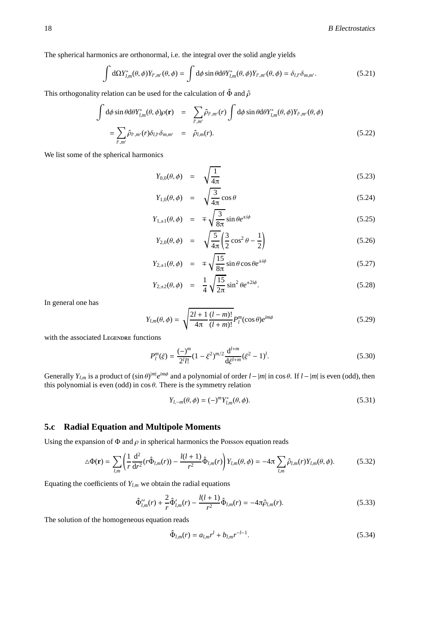The spherical harmonics are orthonormal, i.e. the integral over the solid angle yields

$$
\int d\Omega Y_{l,m}^*(\theta,\phi) Y_{l',m'}(\theta,\phi) = \int d\phi \sin\theta d\theta Y_{l,m}^*(\theta,\phi) Y_{l',m'}(\theta,\phi) = \delta_{l,l'} \delta_{m,m'}.
$$
\n(5.21)

This orthogonality relation can be used for the calculation of  $\hat{\Phi}$  and  $\hat{\rho}$ 

$$
\int d\phi \sin \theta d\theta Y_{l,m}^*(\theta, \phi) \rho(\mathbf{r}) = \sum_{l',m'} \hat{\rho}_{l',m'}(r) \int d\phi \sin \theta d\theta Y_{l,m}^*(\theta, \phi) Y_{l',m'}(\theta, \phi)
$$
  
= 
$$
\sum_{l',m'} \hat{\rho}_{l',m'}(r) \delta_{l,l'} \delta_{m,m'} = \hat{\rho}_{l,m}(r).
$$
 (5.22)

We list some of the spherical harmonics

$$
Y_{0,0}(\theta,\phi) = \sqrt{\frac{1}{4\pi}} \tag{5.23}
$$

$$
Y_{1,0}(\theta,\phi) = \sqrt{\frac{3}{4\pi}} \cos \theta \tag{5.24}
$$

$$
Y_{1,\pm 1}(\theta,\phi) = \mp \sqrt{\frac{3}{8\pi}} \sin \theta e^{\pm i\phi}
$$
 (5.25)

$$
Y_{2,0}(\theta,\phi) = \sqrt{\frac{5}{4\pi}} \left( \frac{3}{2} \cos^2 \theta - \frac{1}{2} \right)
$$
 (5.26)

$$
Y_{2,\pm 1}(\theta,\phi) = \mp \sqrt{\frac{15}{8\pi}} \sin \theta \cos \theta e^{\pm i\phi}
$$
 (5.27)

$$
Y_{2,\pm 2}(\theta,\phi) = \frac{1}{4} \sqrt{\frac{15}{2\pi}} \sin^2 \theta e^{\pm 2i\phi}.
$$
 (5.28)

In general one has

$$
Y_{l,m}(\theta,\phi) = \sqrt{\frac{2l+1}{4\pi} \frac{(l-m)!}{(l+m)!}} P_l^m(\cos\theta) e^{im\phi}
$$
 (5.29)

with the associated LEGENDRE functions

$$
P_l^m(\xi) = \frac{(-)^m}{2^l l!} (1 - \xi^2)^{m/2} \frac{\mathrm{d}^{l+m}}{\mathrm{d}\xi^{l+m}} (\xi^2 - 1)^l. \tag{5.30}
$$

Generally  $Y_{l,m}$  is a product of  $(\sin \theta)^{|m|} e^{im\phi}$  and a polynomial of order  $l-|m|$  in  $\cos \theta$ . If  $l-|m|$  is even (odd), then this polynomial is even (odd) in  $\cos \theta$ . There is the symmetry relation

$$
Y_{l,-m}(\theta,\phi) = (-)^m Y_{l,m}^*(\theta,\phi).
$$
 (5.31)

# **5.c Radial Equation and Multipole Moments**

Using the expansion of  $\Phi$  and  $\rho$  in spherical harmonics the Poisson equation reads

$$
\Delta \Phi(\mathbf{r}) = \sum_{l,m} \left( \frac{1}{r} \frac{d^2}{dr^2} (r \hat{\Phi}_{l,m}(r)) - \frac{l(l+1)}{r^2} \hat{\Phi}_{l,m}(r) \right) Y_{l,m}(\theta, \phi) = -4\pi \sum_{l,m} \hat{\rho}_{l,m}(r) Y_{l,m}(\theta, \phi). \tag{5.32}
$$

Equating the coefficients of  $Y_{l,m}$  we obtain the radial equations

$$
\hat{\Phi}_{l,m}^{"}(r) + \frac{2}{r} \hat{\Phi}_{l,m}^{\prime}(r) - \frac{l(l+1)}{r^2} \hat{\Phi}_{l,m}(r) = -4\pi \hat{\rho}_{l,m}(r). \tag{5.33}
$$

The solution of the homogeneous equation reads

$$
\hat{\Phi}_{l,m}(r) = a_{l,m}r^l + b_{l,m}r^{-l-1}.\tag{5.34}
$$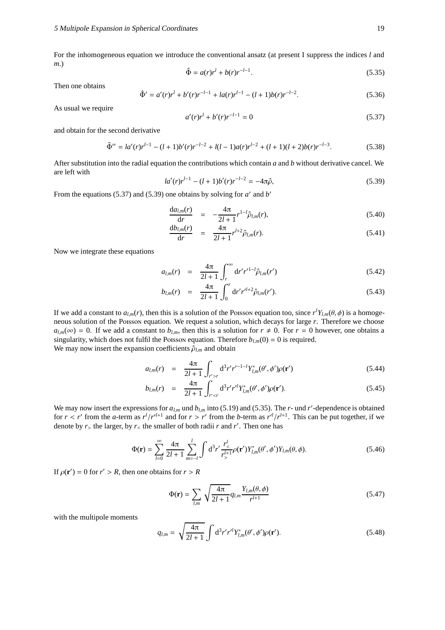For the inhomogeneous equation we introduce the conventional ansatz (at present I suppress the indices *l* and *m*.)

$$
\hat{\Phi} = a(r)r^{l} + b(r)r^{-l-1}.
$$
\n(5.35)

Then one obtains

$$
\hat{\Phi}' = a'(r)r^{l} + b'(r)r^{-l-1} + la(r)r^{l-1} - (l+1)b(r)r^{-l-2}.
$$
\n(5.36)

As usual we require

$$
a'(r)r^{l} + b'(r)r^{-l-1} = 0
$$
\n(5.37)

and obtain for the second derivative

$$
\hat{\Phi}^{"}=la'(r)r^{l-1} - (l+1)b'(r)r^{-l-2} + l(l-1)a(r)r^{l-2} + (l+1)(l+2)b(r)r^{-l-3}.\tag{5.38}
$$

After substitution into the radial equation the contributions which contain *a* and *b* without derivative cancel. We are left with

$$
la'(r)r^{l-1} - (l+1)b'(r)r^{-l-2} = -4\pi\hat{\rho},\tag{5.39}
$$

From the equations  $(5.37)$  and  $(5.39)$  one obtains by solving for *a'* and *b'* 

$$
\frac{da_{l,m}(r)}{dr} = -\frac{4\pi}{2l+1}r^{1-l}\hat{\rho}_{l,m}(r),
$$
\n(5.40)

$$
\frac{db_{l,m}(r)}{dr} = \frac{4\pi}{2l+1}r^{l+2}\hat{\rho}_{l,m}(r).
$$
\n(5.41)

Now we integrate these equations

$$
a_{l,m}(r) = \frac{4\pi}{2l+1} \int_r^{\infty} dr' r'^{1-l} \hat{\rho}_{l,m}(r') \qquad (5.42)
$$

$$
b_{l,m}(r) = \frac{4\pi}{2l+1} \int_0^r dr' r'^{l+2} \hat{\rho}_{l,m}(r'). \qquad (5.43)
$$

If we add a constant to  $a_{l,m}(r)$ , then this is a solution of the Poisson equation too, since  $r^l Y_{l,m}(\theta, \phi)$  is a homogeneous solution of the Poisson equation. We request a solution, which decays for large r. Therefore we choose  $a_{l,m}(\infty) = 0$ . If we add a constant to  $b_{l,m}$ , then this is a solution for  $r \neq 0$ . For  $r = 0$  however, one obtains a singularity, which does not fulfil the Poisson equation. Therefore  $b_{lm}(0) = 0$  is required. We may now insert the expansion coefficients  $\hat{\rho}_{l,m}$  and obtain

$$
a_{l,m}(r) = \frac{4\pi}{2l+1} \int_{r'>r} d^3r' r'^{-1-l} Y_{l,m}^*(\theta', \phi') \rho(\mathbf{r}')
$$
 (5.44)

$$
b_{l,m}(r) = \frac{4\pi}{2l+1} \int_{r' < r} d^3 r' r'^l Y_{l,m}^*(\theta', \phi') \rho(\mathbf{r}'). \tag{5.45}
$$

We may now insert the expressions for  $a_{l,m}$  und  $b_{l,m}$  into (5.19) and (5.35). The *r*- und *r'*-dependence is obtained for  $r < r'$  from the *a*-term as  $r^{l}/r'^{l+1}$  and for  $r > r'$  from the *b*-term as  $r^{l}/r^{l+1}$ . This can be put together, if we denote by  $r_$  the larger, by  $r_$  the smaller of both radii  $r$  and  $r'$ . Then one has

$$
\Phi(\mathbf{r}) = \sum_{l=0}^{\infty} \frac{4\pi}{2l+1} \sum_{m=-l}^{l} \int d^3 r' \frac{r_<^{l}}{r_>^{l+1}} \rho(\mathbf{r}') Y_{l,m}^*(\theta', \phi') Y_{l,m}(\theta, \phi).
$$
 (5.46)

If  $\rho(\mathbf{r}') = 0$  for  $r' > R$ , then one obtains for  $r > R$ 

$$
\Phi(\mathbf{r}) = \sum_{l,m} \sqrt{\frac{4\pi}{2l+1}} q_{l,m} \frac{Y_{l,m}(\theta,\phi)}{r^{l+1}}
$$
(5.47)

with the multipole moments

$$
q_{l,m} = \sqrt{\frac{4\pi}{2l+1}} \int d^3 r' r'^l Y_{l,m}^*(\theta', \phi') \rho(\mathbf{r}'). \tag{5.48}
$$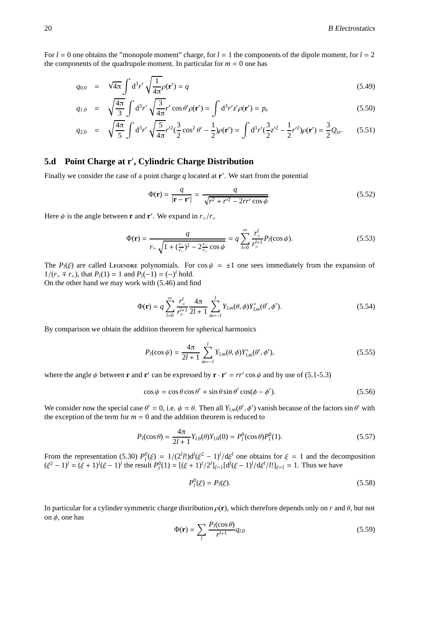For  $l = 0$  one obtains the "monopole moment" charge, for  $l = 1$  the components of the dipole moment, for  $l = 2$ the components of the quadrupole moment. In particular for  $m = 0$  one has

$$
q_{0,0} = \sqrt{4\pi} \int d^3 r' \sqrt{\frac{1}{4\pi}} \rho(\mathbf{r}') = q \tag{5.49}
$$

$$
q_{1,0} = \sqrt{\frac{4\pi}{3}} \int d^3 r' \sqrt{\frac{3}{4\pi}} r' \cos \theta' \rho(\mathbf{r}') = \int d^3 r' z' \rho(\mathbf{r}') = p_z \tag{5.50}
$$

$$
q_{2,0} = \sqrt{\frac{4\pi}{5}} \int d^3 r' \sqrt{\frac{5}{4\pi}} r'^2 (\frac{3}{2} \cos^2 \theta' - \frac{1}{2}) \rho(\mathbf{r}') = \int d^3 r' (\frac{3}{2} z'^2 - \frac{1}{2} r'^2) \rho(\mathbf{r}') = \frac{3}{2} Q_{zz}.
$$
 (5.51)

# **5.d Point Charge at r** 0 **, Cylindric Charge Distribution**

Finally we consider the case of a point charge  $q$  located at  $\mathbf{r}'$ . We start from the potential

$$
\Phi(\mathbf{r}) = \frac{q}{|\mathbf{r} - \mathbf{r}'|} = \frac{q}{\sqrt{r^2 + r'^2 - 2rr'\cos\psi}}.\tag{5.52}
$$

Here  $\psi$  is the angle between **r** and **r**'. We expand in  $r_{\leq}/r_{>}$ 

$$
\Phi(\mathbf{r}) = \frac{q}{r_{>}\sqrt{1 + (\frac{r_{<}}{r_{>}})^2 - 2\frac{r_{<}}{r_{>}}\cos\psi}} = q \sum_{l=0}^{\infty} \frac{r_{<}^l}{r_{>}^{l+1}} P_l(\cos\psi). \tag{5.53}
$$

The  $P_l(\xi)$  are called LEGENDRE polynomials. For  $\cos \psi = \pm 1$  one sees immediately from the expansion of 1/( $r$ <sub>></sub> ∓  $r$ <sub><</sub>), that  $P$ <sup>*l*</sup>(1) = 1 and  $P$ <sup>*l*</sup>(−1) = (−)<sup>*l*</sup> hold. On the other hand we may work with (5.46) and find

$$
\Phi(\mathbf{r}) = q \sum_{l=0}^{\infty} \frac{r_<^l}{r_>^{l+1}} \frac{4\pi}{2l+1} \sum_{m=-l}^l Y_{l,m}(\theta,\phi) Y_{l,m}^*(\theta',\phi').
$$
\n(5.54)

By comparison we obtain the addition theorem for spherical harmonics

$$
P_l(\cos\psi) = \frac{4\pi}{2l+1} \sum_{m=-l}^{l} Y_{l,m}(\theta,\phi) Y_{l,m}^*(\theta',\phi'),
$$
\n(5.55)

where the angle  $\psi$  between **r** and **r**' can be expressed by  $\mathbf{r} \cdot \mathbf{r}' = rr' \cos \psi$  and by use of (5.1-5.3)

$$
\cos \psi = \cos \theta \cos \theta' + \sin \theta \sin \theta' \cos(\phi - \phi'). \tag{5.56}
$$

We consider now the special case  $\theta' = 0$ , i.e.  $\psi = \theta$ . Then all  $Y_{l,m}(\theta', \phi')$  vanish because of the factors sin  $\theta'$  with the exception of the term for  $m = 0$  and the addition theorem is reduced to

$$
P_l(\cos\theta) = \frac{4\pi}{2l+1} Y_{l,0}(\theta) Y_{l,0}(0) = P_l^0(\cos\theta) P_l^0(1).
$$
 (5.57)

From the representation (5.30)  $P_l^0(\xi) = 1/(2^l l!)d^l(\xi^2 - 1)^l/d\xi^l$  one obtains for  $\xi = 1$  and the decomposition  $(\xi^2 - 1)^l = (\xi + 1)^l (\xi - 1)^l$  the result  $P_l^0(1) = [(\xi + 1)^l / 2^l]_{\xi=1} [d^l (\xi - 1)^l / d\xi^l / l!]_{\xi=1} = 1$ . Thus we have

$$
P_l^0(\xi) = P_l(\xi). \tag{5.58}
$$

In particular for a cylinder symmetric charge distribution  $\rho(\mathbf{r})$ , which therefore depends only on *r* and  $\theta$ , but not on  $\phi$ , one has

$$
\Phi(\mathbf{r}) = \sum_{l} \frac{P_l(\cos \theta)}{r^{l+1}} q_{l,0}
$$
\n(5.59)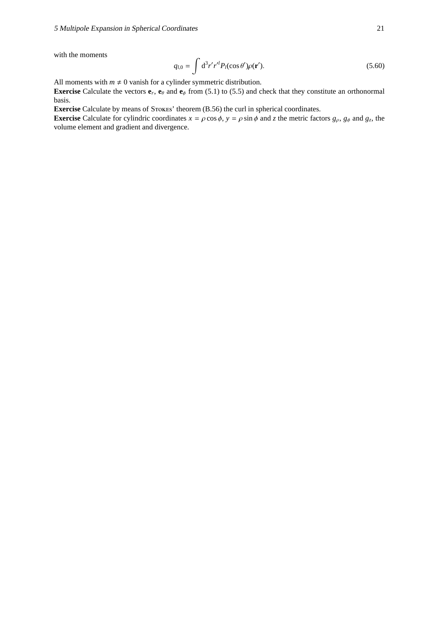with the moments

$$
q_{l,0} = \int \mathrm{d}^3 r' r'^l P_l(\cos \theta') \rho(\mathbf{r}'). \tag{5.60}
$$

All moments with  $m \neq 0$  vanish for a cylinder symmetric distribution.

**Exercise** Calculate the vectors  $e_r$ ,  $e_\theta$  and  $e_\phi$  from (5.1) to (5.5) and check that they constitute an orthonormal basis.

**Exercise** Calculate by means of STOKES' theorem (B.56) the curl in spherical coordinates.

**Exercise** Calculate for cylindric coordinates  $x = \rho \cos \phi$ ,  $y = \rho \sin \phi$  and *z* the metric factors  $g_\rho$ ,  $g_\phi$  and  $g_z$ , the volume element and gradient and divergence.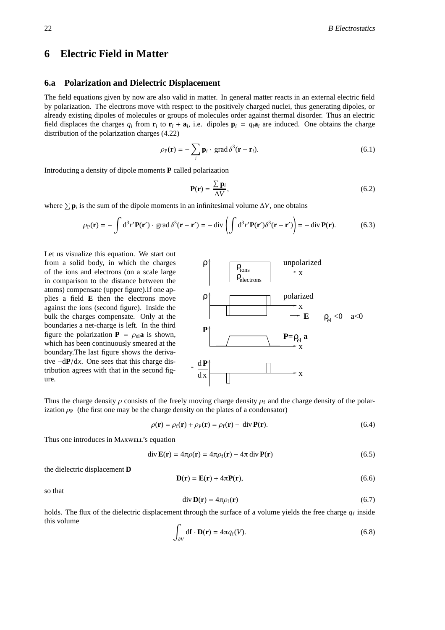# **6 Electric Field in Matter**

### **6.a Polarization and Dielectric Displacement**

The field equations given by now are also valid in matter. In general matter reacts in an external electric field by polarization. The electrons move with respect to the positively charged nuclei, thus generating dipoles, or already existing dipoles of molecules or groups of molecules order against thermal disorder. Thus an electric field displaces the charges  $q_i$  from  $\mathbf{r}_i$  to  $\mathbf{r}_i + \mathbf{a}_i$ , i.e. dipoles  $\mathbf{p}_i = q_i \mathbf{a}_i$  are induced. One obtains the charge distribution of the polarization charges (4.22)

$$
\rho_{\mathbf{P}}(\mathbf{r}) = -\sum_{i} \mathbf{p}_i \cdot \text{grad } \delta^3(\mathbf{r} - \mathbf{r}_i). \tag{6.1}
$$

Introducing a density of dipole moments **P** called polarization

$$
\mathbf{P}(\mathbf{r}) = \frac{\sum \mathbf{p}_i}{\Delta V},\tag{6.2}
$$

where  $\sum \mathbf{p}_i$  is the sum of the dipole moments in an infinitesimal volume  $\Delta V$ , one obtains

$$
\rho_{\mathbf{P}}(\mathbf{r}) = -\int d^3 r' \mathbf{P}(\mathbf{r}') \cdot \operatorname{grad} \delta^3(\mathbf{r} - \mathbf{r}') = -\operatorname{div} \left( \int d^3 r' \mathbf{P}(\mathbf{r}') \delta^3(\mathbf{r} - \mathbf{r}') \right) = -\operatorname{div} \mathbf{P}(\mathbf{r}). \tag{6.3}
$$

Let us visualize this equation. We start out from a solid body, in which the charges of the ions and electrons (on a scale large in comparison to the distance between the atoms) compensate (upper figure).If one applies a field **E** then the electrons move against the ions (second figure). Inside the bulk the charges compensate. Only at the boundaries a net-charge is left. In the third figure the polarization  $P = \rho_{el}a$  is shown, which has been continuously smeared at the boundary.The last figure shows the derivative −d**P**/d*x*. One sees that this charge distribution agrees with that in the second figure.



Thus the charge density  $\rho$  consists of the freely moving charge density  $\rho_f$  and the charge density of the polarization  $\rho_P$  (the first one may be the charge density on the plates of a condensator)

$$
\rho(\mathbf{r}) = \rho_f(\mathbf{r}) + \rho_p(\mathbf{r}) = \rho_f(\mathbf{r}) - \text{div}\,\mathbf{P}(\mathbf{r}).\tag{6.4}
$$

Thus one introduces in MAXWELL's equation

$$
\operatorname{div} \mathbf{E}(\mathbf{r}) = 4\pi \rho(\mathbf{r}) = 4\pi \rho_f(\mathbf{r}) - 4\pi \operatorname{div} \mathbf{P}(\mathbf{r}) \tag{6.5}
$$

the dielectric displacement **D**

$$
\mathbf{D}(\mathbf{r}) = \mathbf{E}(\mathbf{r}) + 4\pi \mathbf{P}(\mathbf{r}),\tag{6.6}
$$

so that

$$
\operatorname{div} \mathbf{D}(\mathbf{r}) = 4\pi \rho_f(\mathbf{r}) \tag{6.7}
$$

holds. The flux of the dielectric displacement through the surface of a volume yields the free charge  $q_f$  inside this volume

$$
\int_{\partial V} \mathbf{df} \cdot \mathbf{D}(\mathbf{r}) = 4\pi q_{\rm f}(V). \tag{6.8}
$$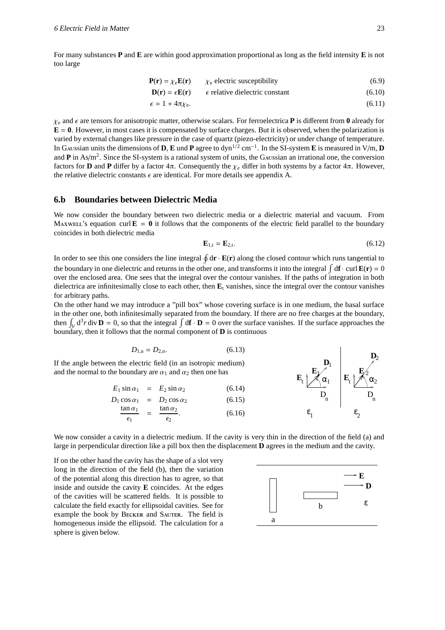For many substances **P** and **E** are within good approximation proportional as long as the field intensity **E** is not too large

$$
\mathbf{P}(\mathbf{r}) = \chi_e \mathbf{E}(\mathbf{r}) \qquad \chi_e \text{ electric susceptibility} \tag{6.9}
$$

$$
\mathbf{D}(\mathbf{r}) = \epsilon \mathbf{E}(\mathbf{r}) \qquad \epsilon \text{ relative dielectric constant} \tag{6.10}
$$

$$
\epsilon = 1 + 4\pi \chi_{\rm e}.\tag{6.11}
$$

 $\chi_e$  and  $\epsilon$  are tensors for anisotropic matter, otherwise scalars. For ferroelectrica **P** is different from **0** already for **E** = **0**. However, in most cases it is compensated by surface charges. But it is observed, when the polarization is varied by external changes like pressure in the case of quartz (piezo-electricity) or under change of temperature. In Gaussian units the dimensions of **D**, **E** und **P** agree to dyn<sup>1/2</sup> cm<sup>−1</sup>. In the SI-system **E** is measured in V/m, **D** and  $P$  in As/m<sup>2</sup>. Since the SI-system is a rational system of units, the Gaussian an irrational one, the conversion factors for **D** and **P** differ by a factor 4π. Consequently the χ*<sup>e</sup>* differ in both systems by a factor 4π. However, the relative dielectric constants  $\epsilon$  are identical. For more details see appendix A.

#### **6.b Boundaries between Dielectric Media**

We now consider the boundary between two dielectric media or a dielectric material and vacuum. From MAXWELL's equation curl  $\mathbf{E} = \mathbf{0}$  it follows that the components of the electric field parallel to the boundary coincides in both dielectric media

$$
\mathbf{E}_{1,t} = \mathbf{E}_{2,t}.\tag{6.12}
$$

In order to see this one considers the line integral  $\oint d\mathbf{r} \cdot \mathbf{E}(\mathbf{r})$  along the closed contour which runs tangential to the boundary in one dielectric and returns in the other one, and transforms it into the integral  $\int df \cdot curl E(\mathbf{r}) = 0$ over the enclosed area. One sees that the integral over the contour vanishes. If the paths of integration in both dielectrica are infinitesimally close to each other, then  $E_t$  vanishes, since the integral over the contour vanishes for arbitrary paths.

On the other hand we may introduce a "pill box" whose covering surface is in one medium, the basal surface in the other one, both infinitesimally separated from the boundary. If there are no free charges at the boundary, then  $\int_V d^3r \, \text{div } \mathbf{D} = 0$ , so that the integral  $\int d\mathbf{f} \cdot \mathbf{D} = 0$  over the surface vanishes. If the surface approaches the boundary, then it follows that the normal component of **D** is continuous

$$
D_{1,n} = D_{2,n}.\tag{6.13}
$$

If the angle between the electric field (in an isotropic medium) and the normal to the boundary are  $\alpha_1$  and  $\alpha_2$  then one has

$$
E_1 \sin \alpha_1 = E_2 \sin \alpha_2 \qquad (6.14)
$$
  
\n
$$
D_1 \cos \alpha_1 = D_2 \cos \alpha_2 \qquad (6.15)
$$
  
\n
$$
\frac{\tan \alpha_1}{\epsilon_1} = \frac{\tan \alpha_2}{\epsilon_2}.
$$
 (6.16)



We now consider a cavity in a dielectric medium. If the cavity is very thin in the direction of the field (a) and large in perpendicular direction like a pill box then the displacement **D** agrees in the medium and the cavity.

If on the other hand the cavity has the shape of a slot very long in the direction of the field (b), then the variation of the potential along this direction has to agree, so that inside and outside the cavity **E** coincides. At the edges of the cavities will be scattered fields. It is possible to calculate the field exactly for ellipsoidal cavities. See for example the book by BECKER and SAUTER. The field is homogeneous inside the ellipsoid. The calculation for a sphere is given below.

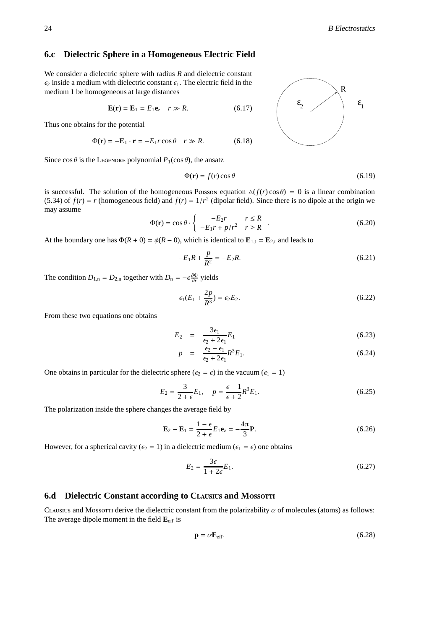# **6.c Dielectric Sphere in a Homogeneous Electric Field**

We consider a dielectric sphere with radius *R* and dielectric constant  $\epsilon_2$  inside a medium with dielectric constant  $\epsilon_1$ . The electric field in the medium 1 be homogeneous at large distances

$$
\mathbf{E}(\mathbf{r}) = \mathbf{E}_1 = E_1 \mathbf{e}_z \quad r \gg R. \tag{6.17}
$$

Thus one obtains for the potential

$$
\Phi(\mathbf{r}) = -\mathbf{E}_1 \cdot \mathbf{r} = -E_1 r \cos \theta \quad r \gg R. \tag{6.18}
$$

Since  $\cos \theta$  is the LEGENDRE polynomial  $P_1(\cos \theta)$ , the ansatz

$$
\Phi(\mathbf{r}) = f(r)\cos\theta\tag{6.19}
$$

is successful. The solution of the homogeneous Poisson equation  $\Delta(f(r)\cos\theta) = 0$  is a linear combination (5.34) of  $f(r) = r$  (homogeneous field) and  $f(r) = 1/r^2$  (dipolar field). Since there is no dipole at the origin we may assume

$$
\Phi(\mathbf{r}) = \cos \theta \cdot \begin{cases}\n-E_2 r & r \le R \\
-E_1 r + p/r^2 & r \ge R\n\end{cases}.
$$
\n(6.20)

At the boundary one has  $\Phi(R + 0) = \phi(R - 0)$ , which is identical to  $\mathbf{E}_{1,t} = \mathbf{E}_{2,t}$  and leads to

$$
-E_1R + \frac{p}{R^2} = -E_2R.
$$
\n(6.21)

The condition  $D_{1,n} = D_{2,n}$  together with  $D_n = -\epsilon \frac{\partial \Phi}{\partial r}$  yields

$$
\epsilon_1(E_1 + \frac{2p}{R^3}) = \epsilon_2 E_2. \tag{6.22}
$$

From these two equations one obtains

$$
E_2 = \frac{3\epsilon_1}{\epsilon_2 + 2\epsilon_1} E_1 \tag{6.23}
$$

$$
p = \frac{\epsilon_2 - \epsilon_1}{\epsilon_2 + 2\epsilon_1} R^3 E_1.
$$
\n(6.24)

One obtains in particular for the dielectric sphere ( $\epsilon_2 = \epsilon$ ) in the vacuum ( $\epsilon_1 = 1$ )

$$
E_2 = \frac{3}{2 + \epsilon} E_1, \quad p = \frac{\epsilon - 1}{\epsilon + 2} R^3 E_1.
$$
 (6.25)

The polarization inside the sphere changes the average field by

$$
\mathbf{E}_2 - \mathbf{E}_1 = \frac{1 - \epsilon}{2 + \epsilon} E_1 \mathbf{e}_z = -\frac{4\pi}{3} \mathbf{P}.
$$
 (6.26)

However, for a spherical cavity ( $\epsilon_2 = 1$ ) in a dielectric medium ( $\epsilon_1 = \epsilon$ ) one obtains

$$
E_2 = \frac{3\epsilon}{1 + 2\epsilon} E_1. \tag{6.27}
$$

### **6.d Dielectric Constant according to C and M**

CLAUSIUS and MOSSOTTI derive the dielectric constant from the polarizability  $\alpha$  of molecules (atoms) as follows: The average dipole moment in the field **E**eff is

$$
\mathbf{p} = \alpha \mathbf{E}_{\text{eff}}.\tag{6.28}
$$

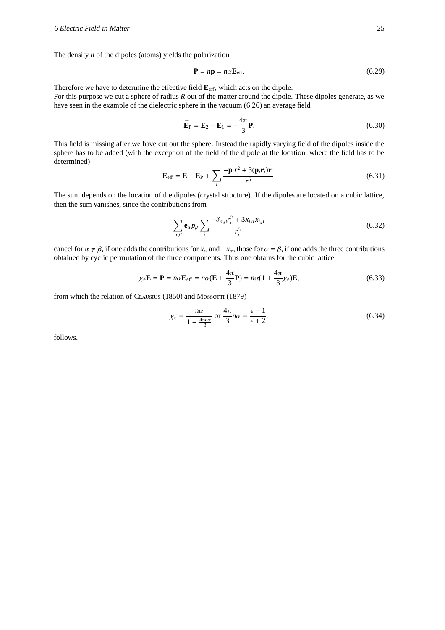The density *n* of the dipoles (atoms) yields the polarization

$$
\mathbf{P} = n\mathbf{p} = n\alpha \mathbf{E}_{\text{eff}}.\tag{6.29}
$$

Therefore we have to determine the effective field  $\mathbf{E}_{\text{eff}}$ , which acts on the dipole.

For this purpose we cut a sphere of radius *R* out of the matter around the dipole. These dipoles generate, as we have seen in the example of the dielectric sphere in the vacuum (6.26) an average field

$$
\mathbf{\bar{E}}_{\mathbf{P}} = \mathbf{E}_2 - \mathbf{E}_1 = -\frac{4\pi}{3} \mathbf{P}.
$$
 (6.30)

This field is missing after we have cut out the sphere. Instead the rapidly varying field of the dipoles inside the sphere has to be added (with the exception of the field of the dipole at the location, where the field has to be determined)

$$
\mathbf{E}_{\text{eff}} = \mathbf{E} - \bar{\mathbf{E}}_{\text{P}} + \sum_{i} \frac{-\mathbf{p}_{i}r_{i}^{2} + 3(\mathbf{p}_{i}\mathbf{r}_{i})\mathbf{r}_{i}}{r_{i}^{5}}.
$$
\n(6.31)

The sum depends on the location of the dipoles (crystal structure). If the dipoles are located on a cubic lattice, then the sum vanishes, since the contributions from

$$
\sum_{\alpha,\beta} \mathbf{e}_{\alpha} p_{\beta} \sum_{i} \frac{-\delta_{\alpha,\beta} r_{i}^{2} + 3x_{i,\alpha} x_{i,\beta}}{r_{i}^{5}}
$$
(6.32)

cancel for  $\alpha \neq \beta$ , if one adds the contributions for  $x_\alpha$  and  $-x_\alpha$ , those for  $\alpha = \beta$ , if one adds the three contributions obtained by cyclic permutation of the three components. Thus one obtains for the cubic lattice

$$
\chi_{\rm e} \mathbf{E} = \mathbf{P} = n\alpha \mathbf{E}_{\rm eff} = n\alpha (\mathbf{E} + \frac{4\pi}{3} \mathbf{P}) = n\alpha (1 + \frac{4\pi}{3} \chi_{\rm e}) \mathbf{E},\tag{6.33}
$$

from which the relation of CLAUSIUS  $(1850)$  and Mossorri  $(1879)$ 

$$
\chi_{\rm e} = \frac{n\alpha}{1 - \frac{4\pi n\alpha}{3}} \text{ or } \frac{4\pi}{3}n\alpha = \frac{\epsilon - 1}{\epsilon + 2}.
$$
 (6.34)

follows.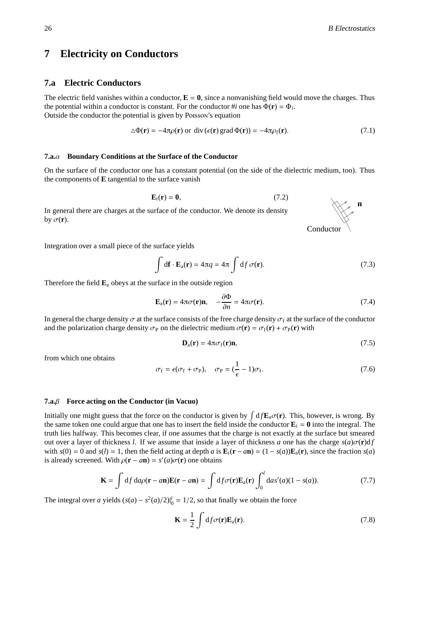# **7 Electricity on Conductors**

# **7.a Electric Conductors**

The electric field vanishes within a conductor,  $\mathbf{E} = \mathbf{0}$ , since a nonvanishing field would move the charges. Thus the potential within a conductor is constant. For the conductor #*i* one has  $\Phi(\mathbf{r}) = \Phi_i$ . Outside the conductor the potential is given by Poisson's equation

$$
\Delta \Phi(\mathbf{r}) = -4\pi \rho(\mathbf{r}) \text{ or } \text{div}\left(\epsilon(\mathbf{r})\text{ grad}\,\Phi(\mathbf{r})\right) = -4\pi \rho_f(\mathbf{r}).\tag{7.1}
$$

#### **7.a.**α **Boundary Conditions at the Surface of the Conductor**

On the surface of the conductor one has a constant potential (on the side of the dielectric medium, too). Thus the components of **E** tangential to the surface vanish

$$
\mathbf{E}_{t}(\mathbf{r}) = \mathbf{0},\tag{7.2}
$$

In general there are charges at the surface of the conductor. We denote its density by  $\sigma(\mathbf{r})$ .



Integration over a small piece of the surface yields

$$
\int d\mathbf{f} \cdot \mathbf{E}_a(\mathbf{r}) = 4\pi q = 4\pi \int df \,\sigma(\mathbf{r}).
$$
\n(7.3)

Therefore the field **E**<sup>a</sup> obeys at the surface in the outside region

$$
\mathbf{E}_{a}(\mathbf{r}) = 4\pi\sigma(\mathbf{r})\mathbf{n}, \quad -\frac{\partial \Phi}{\partial n} = 4\pi\sigma(\mathbf{r}). \tag{7.4}
$$

In general the charge density  $\sigma$  at the surface consists of the free charge density  $\sigma_f$  at the surface of the conductor and the polarization charge density  $\sigma_P$  on the dielectric medium  $\sigma(\mathbf{r}) = \sigma_f(\mathbf{r}) + \sigma_P(\mathbf{r})$  with

$$
\mathbf{D}_{a}(\mathbf{r}) = 4\pi\sigma_{f}(\mathbf{r})\mathbf{n},\tag{7.5}
$$

from which one obtains

$$
\sigma_{\rm f} = \epsilon (\sigma_{\rm f} + \sigma_{\rm P}), \quad \sigma_{\rm P} = (\frac{1}{\epsilon} - 1)\sigma_{\rm f}.
$$
 (7.6)

#### **7.a.**β **Force acting on the Conductor (in Vacuo)**

Initially one might guess that the force on the conductor is given by  $\int dfE_a\sigma(\mathbf{r})$ . This, however, is wrong. By the same token one could argue that one has to insert the field inside the conductor  $\mathbf{E}_i = \mathbf{0}$  into the integral. The truth lies halfway. This becomes clear, if one assumes that the charge is not exactly at the surface but smeared out over a layer of thickness *l*. If we assume that inside a layer of thickness *a* one has the charge  $s(a)\sigma(\mathbf{r})df$ with  $s(0) = 0$  and  $s(l) = 1$ , then the field acting at depth *a* is  $\mathbf{E}_i(\mathbf{r} - a\mathbf{n}) = (1 - s(a))\mathbf{E}_a(\mathbf{r})$ , since the fraction  $s(a)$ is already screened. With  $\rho(\mathbf{r} - a\mathbf{n}) = s'(a)\sigma(\mathbf{r})$  one obtains

$$
\mathbf{K} = \int \mathrm{d}f \, \mathrm{d}a \rho(\mathbf{r} - a\mathbf{n}) \mathbf{E}(\mathbf{r} - a\mathbf{n}) = \int \mathrm{d}f \sigma(\mathbf{r}) \mathbf{E}_a(\mathbf{r}) \int_0^l \mathrm{d}a s'(a)(1 - s(a)). \tag{7.7}
$$

The integral over *a* yields  $(s(a) - s^2(a)/2)|_0^l = 1/2$ , so that finally we obtain the force

$$
\mathbf{K} = \frac{1}{2} \int d f \sigma(\mathbf{r}) \mathbf{E}_a(\mathbf{r}).
$$
 (7.8)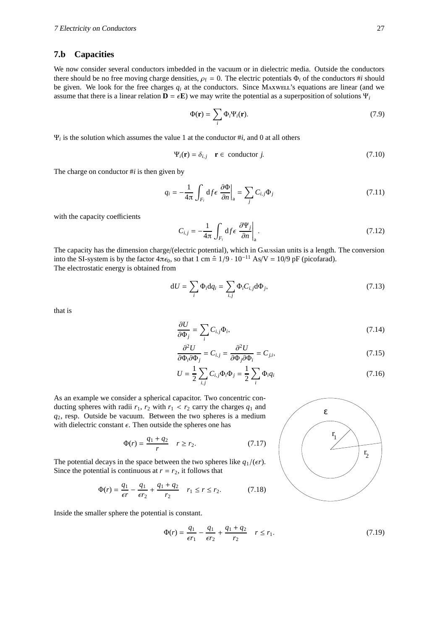# **7.b Capacities**

We now consider several conductors imbedded in the vacuum or in dielectric media. Outside the conductors there should be no free moving charge densities,  $\rho_f = 0$ . The electric potentials  $\Phi_i$  of the conductors #*i* should be given. We look for the free charges  $q_i$  at the conductors. Since MAXWELL's equations are linear (and we assume that there is a linear relation  $\mathbf{D} = \epsilon \mathbf{E}$ ) we may write the potential as a superposition of solutions  $\Psi_i$ 

$$
\Phi(\mathbf{r}) = \sum_{i} \Phi_i \Psi_i(\mathbf{r}).
$$
\n(7.9)

 $\Psi_i$  is the solution which assumes the value 1 at the conductor #*i*, and 0 at all others

$$
\Psi_i(\mathbf{r}) = \delta_{i,j} \quad \mathbf{r} \in \text{conductor } j. \tag{7.10}
$$

The charge on conductor #*i* is then given by

$$
q_i = -\frac{1}{4\pi} \int_{F_i} \mathrm{d}f \epsilon \left. \frac{\partial \Phi}{\partial n} \right|_{\mathbf{a}} = \sum_j C_{i,j} \Phi_j \tag{7.11}
$$

with the capacity coefficients

$$
C_{i,j} = -\frac{1}{4\pi} \int_{F_i} \mathrm{d}f \epsilon \left. \frac{\partial \Psi_j}{\partial n} \right|_{\mathbf{a}} . \tag{7.12}
$$

The capacity has the dimension charge/(electric potential), which in Gaussian units is a length. The conversion into the SI-system is by the factor  $4\pi\epsilon_0$ , so that  $1 \text{ cm} \hat{=} 1/9 \cdot 10^{-11} \text{ As/V} = 10/9 \text{ pF}$  (picofarad). The electrostatic energy is obtained from

$$
dU = \sum_{i} \Phi_i dq_i = \sum_{i,j} \Phi_i C_{i,j} d\Phi_j,
$$
 (7.13)

that is

$$
\frac{\partial U}{\partial \Phi_j} = \sum_i C_{i,j} \Phi_i, \tag{7.14}
$$

$$
\frac{\partial^2 U}{\partial \Phi_i \partial \Phi_j} = C_{i,j} = \frac{\partial^2 U}{\partial \Phi_j \partial \Phi_i} = C_{j,i},\tag{7.15}
$$

$$
U = \frac{1}{2} \sum_{i,j} C_{i,j} \Phi_i \Phi_j = \frac{1}{2} \sum_i \Phi_i q_i
$$
 (7.16)

As an example we consider a spherical capacitor. Two concentric conducting spheres with radii  $r_1$ ,  $r_2$  with  $r_1 < r_2$  carry the charges  $q_1$  and *q*2, resp. Outside be vacuum. Between the two spheres is a medium with dielectric constant  $\epsilon$ . Then outside the spheres one has

$$
\Phi(r) = \frac{q_1 + q_2}{r} \quad r \ge r_2. \tag{7.17}
$$

The potential decays in the space between the two spheres like  $q_1/(\epsilon r)$ . Since the potential is continuous at  $r = r_2$ , it follows that

$$
\Phi(r) = \frac{q_1}{\epsilon r} - \frac{q_1}{\epsilon r_2} + \frac{q_1 + q_2}{r_2} \quad r_1 \le r \le r_2. \tag{7.18}
$$

Inside the smaller sphere the potential is constant.

$$
\Phi(r) = \frac{q_1}{\epsilon r_1} - \frac{q_1}{\epsilon r_2} + \frac{q_1 + q_2}{r_2} \quad r \le r_1.
$$
\n(7.19)

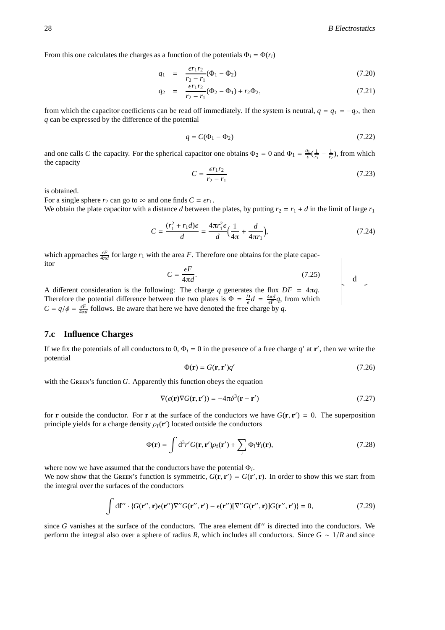d

From this one calculates the charges as a function of the potentials  $\Phi_i = \Phi(r_i)$ 

$$
q_1 = \frac{\epsilon r_1 r_2}{r_2 - r_1} (\Phi_1 - \Phi_2) \tag{7.20}
$$

$$
q_2 = \frac{\epsilon r_1 r_2}{r_2 - r_1} (\Phi_2 - \Phi_1) + r_2 \Phi_2, \tag{7.21}
$$

from which the capacitor coefficients can be read off immediately. If the system is neutral,  $q = q_1 = -q_2$ , then *q* can be expressed by the difference of the potential

$$
q = C(\Phi_1 - \Phi_2) \tag{7.22}
$$

and one calls *C* the capacity. For the spherical capacitor one obtains  $\Phi_2 = 0$  and  $\Phi_1 = \frac{q_1}{\epsilon}(\frac{1}{r_1} - \frac{1}{r_2})$ , from which the capacity

$$
C = \frac{\epsilon r_1 r_2}{r_2 - r_1} \tag{7.23}
$$

is obtained.

For a single sphere  $r_2$  can go to  $\infty$  and one finds  $C = \epsilon r_1$ .

We obtain the plate capacitor with a distance *d* between the plates, by putting  $r_2 = r_1 + d$  in the limit of large  $r_1$ 

$$
C = \frac{(r_1^2 + r_1 d)\epsilon}{d} = \frac{4\pi r_1^2 \epsilon}{d} \Big(\frac{1}{4\pi} + \frac{d}{4\pi r_1}\Big),\tag{7.24}
$$

which approaches  $\frac{\epsilon F}{4\pi d}$  for large  $r_1$  with the area *F*. Therefore one obtains for the plate capacitor

$$
C = \frac{\epsilon F}{4\pi d}.\tag{7.25}
$$

A different consideration is the following: The charge  $q$  generates the flux  $DF = 4\pi q$ . Therefore the potential difference between the two plates is  $\Phi = \frac{D}{\epsilon}d = \frac{4\pi d}{\epsilon F}q$ , from which  $C = q/\phi = \frac{\epsilon F}{4\pi d}$  follows. Be aware that here we have denoted the free charge by *q*.

# **7.c Influence Charges**

If we fix the potentials of all conductors to 0,  $\Phi_i = 0$  in the presence of a free charge  $q'$  at  $r'$ , then we write the potential

$$
\Phi(\mathbf{r}) = G(\mathbf{r}, \mathbf{r}')q' \tag{7.26}
$$

with the GREEN's function  $G$ . Apparently this function obeys the equation

$$
\nabla(\epsilon(\mathbf{r})\nabla G(\mathbf{r}, \mathbf{r}')) = -4\pi\delta^3(\mathbf{r} - \mathbf{r}')
$$
\n(7.27)

for **r** outside the conductor. For **r** at the surface of the conductors we have  $G(\mathbf{r}, \mathbf{r}') = 0$ . The superposition principle yields for a charge density  $\rho_f(\mathbf{r}')$  located outside the conductors

$$
\Phi(\mathbf{r}) = \int d^3 r' G(\mathbf{r}, \mathbf{r}') \rho_f(\mathbf{r}') + \sum_i \Phi_i \Psi_i(\mathbf{r}), \qquad (7.28)
$$

where now we have assumed that the conductors have the potential Φ*<sup>i</sup>* .

We now show that the GREEN's function is symmetric,  $G(\mathbf{r}, \mathbf{r}') = G(\mathbf{r}', \mathbf{r})$ . In order to show this we start from the integral over the surfaces of the conductors

$$
\int d\mathbf{f}'' \cdot \{ G(\mathbf{r}'', \mathbf{r}) \epsilon(\mathbf{r}'') \nabla'' G(\mathbf{r}'', \mathbf{r}') - \epsilon(\mathbf{r}'') [\nabla'' G(\mathbf{r}'', \mathbf{r})] G(\mathbf{r}'', \mathbf{r}') \} = 0,
$$
\n(7.29)

since  $G$  vanishes at the surface of the conductors. The area element  $df''$  is directed into the conductors. We perform the integral also over a sphere of radius *R*, which includes all conductors. Since *G* ∼ 1/*R* and since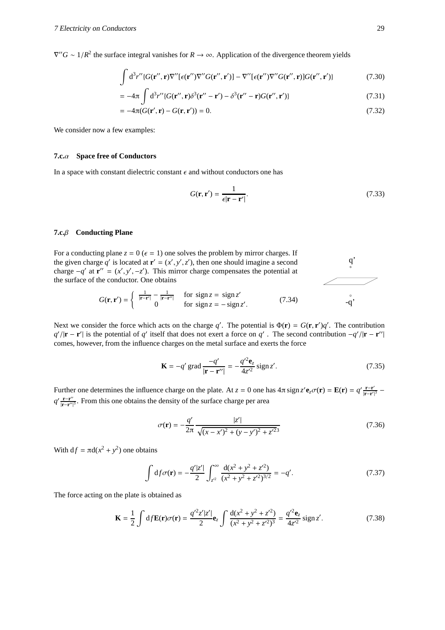$\nabla'' G \sim 1/R^2$  the surface integral vanishes for  $R \to \infty$ . Application of the divergence theorem yields

$$
\int d^3r'' \{ G(\mathbf{r''}, \mathbf{r}) \nabla'' [\epsilon(\mathbf{r''}) \nabla'' G(\mathbf{r''}, \mathbf{r'})] - \nabla'' [\epsilon(\mathbf{r''}) \nabla'' G(\mathbf{r''}, \mathbf{r})] G(\mathbf{r''}, \mathbf{r'}) \}
$$
(7.30)

$$
= -4\pi \int d^3 r'' \{ G(\mathbf{r}'', \mathbf{r}) \delta^3(\mathbf{r}'' - \mathbf{r}') - \delta^3(\mathbf{r}'' - \mathbf{r}) G(\mathbf{r}'', \mathbf{r}') \} \tag{7.31}
$$

$$
= -4\pi (G(\mathbf{r}', \mathbf{r}) - G(\mathbf{r}, \mathbf{r}')) = 0.
$$
 (7.32)

We consider now a few examples:

#### **7.c.**α **Space free of Conductors**

In a space with constant dielectric constant  $\epsilon$  and without conductors one has

$$
G(\mathbf{r}, \mathbf{r}') = \frac{1}{\epsilon |\mathbf{r} - \mathbf{r}'|}.
$$
\n(7.33)

#### **7.c.**β **Conducting Plane**

For a conducting plane  $z = 0$  ( $\epsilon = 1$ ) one solves the problem by mirror charges. If the given charge *q'* is located at  $\mathbf{r}' = (x', y', z')$ , then one should imagine a second charge  $-q'$  at **r**<sup> $\prime$ </sup> = (*x'*, *y'*,  $-z'$ ). This mirror charge compensates the potential at the surface of the conductor. One obtains





Next we consider the force which acts on the charge *q'*. The potential is  $\Phi(\mathbf{r}) = G(\mathbf{r}, \mathbf{r'})q'$ . The contribution  $q'$  |**r** − **r**' is the potential of *q*' itself that does not exert a force on *q*'. The second contribution −*q'* |**r** − **r**" comes, however, from the influence charges on the metal surface and exerts the force

$$
\mathbf{K} = -q' \operatorname{grad} \frac{-q'}{|\mathbf{r} - \mathbf{r}''|} = -\frac{q'^2 \mathbf{e}_z}{4z'^2} \operatorname{sign} z'.\tag{7.35}
$$

Further one determines the influence charge on the plate. At *z* = 0 one has  $4\pi \operatorname{sign} z' \mathbf{e}_z \sigma(\mathbf{r}) = \mathbf{E}(\mathbf{r}) = q' \frac{\mathbf{r} - \mathbf{r}'}{|\mathbf{r} - \mathbf{r'}|^3}$  $q'$   $\frac{\mathbf{r} - \mathbf{r}''}{|\mathbf{r} - \mathbf{r}''|^3}$ . From this one obtains the density of the surface charge per area

$$
\sigma(\mathbf{r}) = -\frac{q'}{2\pi} \frac{|z'|}{\sqrt{(x-x')^2 + (y-y')^2 + z'^2^3}}
$$
(7.36)

With  $df = \pi d(x^2 + y^2)$  one obtains

$$
\int df \sigma(\mathbf{r}) = -\frac{q' |z'|}{2} \int_{z'^2}^{\infty} \frac{d(x^2 + y^2 + z'^2)}{(x^2 + y^2 + z'^2)^{3/2}} = -q'.
$$
 (7.37)

The force acting on the plate is obtained as

$$
\mathbf{K} = \frac{1}{2} \int d f \mathbf{E}(\mathbf{r}) \sigma(\mathbf{r}) = \frac{q'^2 z' |z'|}{2} \mathbf{e}_z \int \frac{d(x^2 + y^2 + z'^2)}{(x^2 + y^2 + z'^2)^3} = \frac{q'^2 \mathbf{e}_z}{4z'^2} \operatorname{sign} z'.
$$
 (7.38)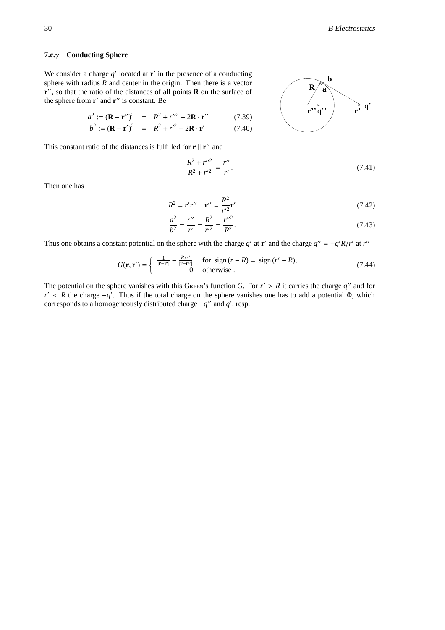#### **7.c.**γ **Conducting Sphere**

We consider a charge  $q'$  located at  $\mathbf{r}'$  in the presence of a conducting sphere with radius *R* and center in the origin. Then there is a vector **r**<sup>"</sup>, so that the ratio of the distances of all points **R** on the surface of the sphere from  $\mathbf{r}'$  and  $\mathbf{r}''$  is constant. Be

$$
a^{2} := (\mathbf{R} - \mathbf{r}'')^{2} = R^{2} + r''^{2} - 2\mathbf{R} \cdot \mathbf{r}''
$$
(7.39)  

$$
b^{2} := (\mathbf{R} - \mathbf{r}')^{2} = R^{2} + r'^{2} - 2\mathbf{R} \cdot \mathbf{r}'
$$
(7.40)

This constant ratio of the distances is fulfilled for  $\mathbf{r} \parallel \mathbf{r}^{\prime\prime}$  and

$$
\frac{R^2 + r^{\prime\prime 2}}{R^2 + r^{\prime 2}} = \frac{r^{\prime\prime}}{r^{\prime}}.\tag{7.41}
$$

Then one has

$$
R^{2} = r'r'' \t\mathbf{r}'' = \frac{R^{2}}{r'^{2}} \mathbf{r}' \t(7.42)
$$

$$
\frac{a^2}{b^2} = \frac{r''}{r'} = \frac{R^2}{r'^2} = \frac{r''^2}{R^2}.
$$
\n(7.43)

Thus one obtains a constant potential on the sphere with the charge *q*' at **r**' and the charge  $q'' = -q'R/r'$  at  $r''$ 

$$
G(\mathbf{r}, \mathbf{r}') = \begin{cases} \frac{1}{|\mathbf{r} - \mathbf{r}'|} - \frac{R/r'}{|\mathbf{r} - \mathbf{r}''|} & \text{for sign } (r - R) = \text{sign } (r' - R), \\ 0 & \text{otherwise} \end{cases}
$$
(7.44)

The potential on the sphere vanishes with this GREEN's function *G*. For  $r' > R$  it carries the charge  $q''$  and for  $r'$  < *R* the charge  $-q'$ . Thus if the total charge on the sphere vanishes one has to add a potential  $\Phi$ , which corresponds to a homogeneously distributed charge  $-q$ <sup>"</sup> and *q*', resp.

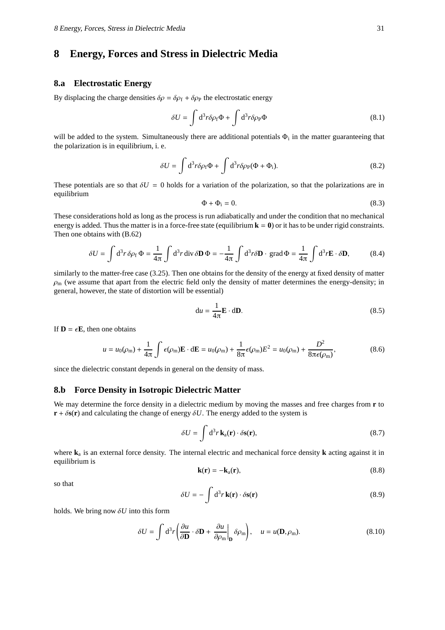# **8 Energy, Forces and Stress in Dielectric Media**

#### **8.a Electrostatic Energy**

By displacing the charge densities  $\delta \rho = \delta \rho_f + \delta \rho_p$  the electrostatic energy

$$
\delta U = \int d^3 r \delta \rho_f \Phi + \int d^3 r \delta \rho_P \Phi \tag{8.1}
$$

will be added to the system. Simultaneously there are additional potentials  $\Phi_i$  in the matter guaranteeing that the polarization is in equilibrium, i. e.

$$
\delta U = \int d^3 r \delta \rho_f \Phi + \int d^3 r \delta \rho_P (\Phi + \Phi_i). \tag{8.2}
$$

These potentials are so that  $\delta U = 0$  holds for a variation of the polarization, so that the polarizations are in equilibrium

$$
\Phi + \Phi_{i} = 0. \tag{8.3}
$$

These considerations hold as long as the process is run adiabatically and under the condition that no mechanical energy is added. Thus the matter is in a force-free state (equilibrium  $\mathbf{k} = \mathbf{0}$ ) or it has to be under rigid constraints. Then one obtains with (B.62)

$$
\delta U = \int d^3 r \, \delta \rho_f \, \Phi = \frac{1}{4\pi} \int d^3 r \, \text{div} \, \delta \mathbf{D} \, \Phi = -\frac{1}{4\pi} \int d^3 r \delta \mathbf{D} \cdot \text{grad} \, \Phi = \frac{1}{4\pi} \int d^3 r \mathbf{E} \cdot \delta \mathbf{D},\tag{8.4}
$$

similarly to the matter-free case (3.25). Then one obtains for the density of the energy at fixed density of matter  $\rho_{\rm m}$  (we assume that apart from the electric field only the density of matter determines the energy-density; in general, however, the state of distortion will be essential)

$$
du = \frac{1}{4\pi} \mathbf{E} \cdot d\mathbf{D}.
$$
 (8.5)

If  $\mathbf{D} = \epsilon \mathbf{E}$ , then one obtains

$$
u = u_0(\rho_m) + \frac{1}{4\pi} \int \epsilon(\rho_m) \mathbf{E} \cdot d\mathbf{E} = u_0(\rho_m) + \frac{1}{8\pi} \epsilon(\rho_m) E^2 = u_0(\rho_m) + \frac{D^2}{8\pi \epsilon(\rho_m)},
$$
(8.6)

since the dielectric constant depends in general on the density of mass.

# **8.b Force Density in Isotropic Dielectric Matter**

We may determine the force density in a dielectric medium by moving the masses and free charges from **r** to  $\mathbf{r} + \delta \mathbf{s}(\mathbf{r})$  and calculating the change of energy  $\delta U$ . The energy added to the system is

$$
\delta U = \int d^3 r \, \mathbf{k}_a(\mathbf{r}) \cdot \delta \mathbf{s}(\mathbf{r}), \tag{8.7}
$$

where **k**<sup>a</sup> is an external force density. The internal electric and mechanical force density **k** acting against it in equilibrium is

$$
\mathbf{k}(\mathbf{r}) = -\mathbf{k}_a(\mathbf{r}),\tag{8.8}
$$

so that

$$
\delta U = -\int d^3 r \, \mathbf{k}(\mathbf{r}) \cdot \delta \mathbf{s}(\mathbf{r}) \tag{8.9}
$$

holds. We bring now δ*U* into this form

$$
\delta U = \int d^3 r \left( \frac{\partial u}{\partial \mathbf{D}} \cdot \delta \mathbf{D} + \frac{\partial u}{\partial \rho_m} \bigg|_{\mathbf{D}} \delta \rho_m \right), \quad u = u(\mathbf{D}, \rho_m). \tag{8.10}
$$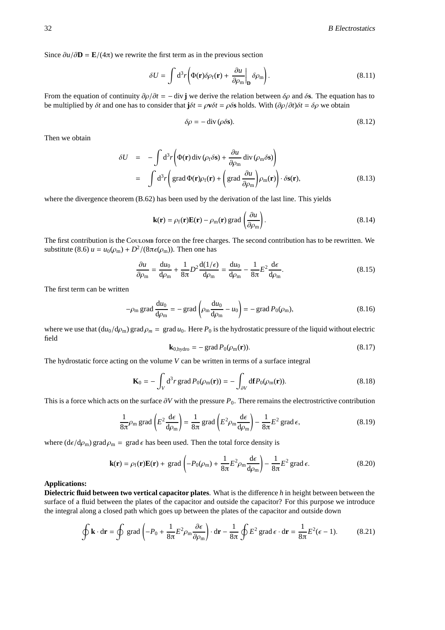Since  $\partial u/\partial \mathbf{D} = \mathbf{E}/(4\pi)$  we rewrite the first term as in the previous section

$$
\delta U = \int d^3 r \left( \Phi(\mathbf{r}) \delta \rho_f(\mathbf{r}) + \left. \frac{\partial u}{\partial \rho_m} \right|_{\mathbf{D}} \delta \rho_m \right). \tag{8.11}
$$

From the equation of continuity  $\partial \rho/\partial t = - \text{div} \mathbf{i}$  we derive the relation between  $\delta \rho$  and  $\delta \mathbf{s}$ . The equation has to be multiplied by  $\delta t$  and one has to consider that  $j\delta t = \rho \mathbf{v} \delta t = \rho \delta \mathbf{s}$  holds. With  $(\partial \rho/\partial t) \delta t = \delta \rho$  we obtain

$$
\delta \rho = - \operatorname{div} (\rho \delta \mathbf{s}). \tag{8.12}
$$

Then we obtain

$$
\delta U = -\int d^3 r \left( \Phi(\mathbf{r}) \operatorname{div} (\rho_f \delta \mathbf{s}) + \frac{\partial u}{\partial \rho_m} \operatorname{div} (\rho_m \delta \mathbf{s}) \right)
$$
  
= 
$$
\int d^3 r \left( \operatorname{grad} \Phi(\mathbf{r}) \rho_f(\mathbf{r}) + \left( \operatorname{grad} \frac{\partial u}{\partial \rho_m} \right) \rho_m(\mathbf{r}) \right) \cdot \delta \mathbf{s}(\mathbf{r}),
$$
(8.13)

where the divergence theorem  $(B.62)$  has been used by the derivation of the last line. This yields

$$
\mathbf{k}(\mathbf{r}) = \rho_{\rm f}(\mathbf{r}) \mathbf{E}(\mathbf{r}) - \rho_{\rm m}(\mathbf{r}) \operatorname{grad} \left( \frac{\partial u}{\partial \rho_{\rm m}} \right). \tag{8.14}
$$

The first contribution is the COULOMB force on the free charges. The second contribution has to be rewritten. We substitute (8.6)  $u = u_0(\rho_m) + D^2/(8\pi\epsilon(\rho_m))$ . Then one has

$$
\frac{\partial u}{\partial \rho_m} = \frac{du_0}{d\rho_m} + \frac{1}{8\pi} D^2 \frac{d(1/\epsilon)}{d\rho_m} = \frac{du_0}{d\rho_m} - \frac{1}{8\pi} E^2 \frac{d\epsilon}{d\rho_m}.
$$
(8.15)

The first term can be written

$$
-\rho_{\rm m} \operatorname{grad} \frac{\mathrm{d}u_0}{\mathrm{d}\rho_{\rm m}} = -\operatorname{grad} \left( \rho_{\rm m} \frac{\mathrm{d}u_0}{\mathrm{d}\rho_{\rm m}} - u_0 \right) = -\operatorname{grad} P_0(\rho_{\rm m}),\tag{8.16}
$$

where we use that  $(\frac{du_0}{d\rho_m})$  grad  $\rho_m = \text{grad } u_0$ . Here  $P_0$  is the hydrostatic pressure of the liquid without electric field

$$
\mathbf{k}_{0,\text{hydro}} = -\operatorname{grad} P_0(\rho_m(\mathbf{r})). \tag{8.17}
$$

The hydrostatic force acting on the volume *V* can be written in terms of a surface integral

$$
\mathbf{K}_0 = -\int_V \mathrm{d}^3 r \operatorname{grad} P_0(\rho_m(\mathbf{r})) = -\int_{\partial V} \mathrm{d} \mathbf{f} P_0(\rho_m(\mathbf{r})). \tag{8.18}
$$

This is a force which acts on the surface  $\partial V$  with the pressure  $P_0$ . There remains the electrostrictive contribution

$$
\frac{1}{8\pi}\rho_{\rm m}\,\text{grad}\left(E^2\frac{\mathrm{d}\epsilon}{\mathrm{d}\rho_{\rm m}}\right) = \frac{1}{8\pi}\,\text{grad}\left(E^2\rho_{\rm m}\frac{\mathrm{d}\epsilon}{\mathrm{d}\rho_{\rm m}}\right) - \frac{1}{8\pi}E^2\,\text{grad}\,\epsilon,\tag{8.19}
$$

where ( $d\epsilon/d\rho_m$ ) grad  $\rho_m =$  grad  $\epsilon$  has been used. Then the total force density is

$$
\mathbf{k}(\mathbf{r}) = \rho_f(\mathbf{r})\mathbf{E}(\mathbf{r}) + \text{ grad}\left(-P_0(\rho_m) + \frac{1}{8\pi}E^2\rho_m\frac{d\epsilon}{d\rho_m}\right) - \frac{1}{8\pi}E^2\text{ grad }\epsilon.
$$
 (8.20)

**Applications:**

**Dielectric fluid between two vertical capacitor plates**. What is the difference *h* in height between between the surface of a fluid between the plates of the capacitor and outside the capacitor? For this purpose we introduce the integral along a closed path which goes up between the plates of the capacitor and outside down

$$
\oint \mathbf{k} \cdot d\mathbf{r} = \oint \text{grad} \left( -P_0 + \frac{1}{8\pi} E^2 \rho_m \frac{\partial \epsilon}{\partial \rho_m} \right) \cdot d\mathbf{r} - \frac{1}{8\pi} \oint E^2 \text{grad } \epsilon \cdot d\mathbf{r} = \frac{1}{8\pi} E^2 (\epsilon - 1).
$$
 (8.21)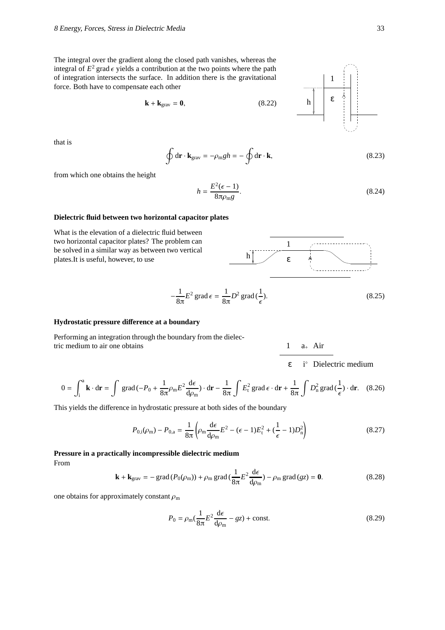The integral over the gradient along the closed path vanishes, whereas the integral of  $E^2$  grad  $\epsilon$  yields a contribution at the two points where the path of integration intersects the surface. In addition there is the gravitational force. Both have to compensate each other

$$
\mathbf{k} + \mathbf{k}_{\text{grav}} = \mathbf{0}, \tag{8.22}
$$
 h

that is

$$
\oint d\mathbf{r} \cdot \mathbf{k}_{\text{grav}} = -\rho_{\text{m}}gh = -\oint d\mathbf{r} \cdot \mathbf{k},
$$
\n(8.23)

from which one obtains the height

$$
h = \frac{E^2(\epsilon - 1)}{8\pi\rho_m g}.\tag{8.24}
$$

#### **Dielectric fluid between two horizontal capacitor plates**

What is the elevation of a dielectric fluid between two horizontal capacitor plates? The problem can be solved in a similar way as between two vertical plates.It is useful, however, to use  $h_n$ 



### **Hydrostatic pressure di**ff**erence at a boundary**

Performing an integration through the boundary from the dielectric medium to air one obtains

1 Air

i Dielectric medium ε

$$
0 = \int_{i}^{a} \mathbf{k} \cdot d\mathbf{r} = \int \text{grad}(-P_{0} + \frac{1}{8\pi} \rho_{m} E^{2} \frac{d\epsilon}{d\rho_{m}}) \cdot d\mathbf{r} - \frac{1}{8\pi} \int E_{t}^{2} \text{grad}\,\epsilon \cdot d\mathbf{r} + \frac{1}{8\pi} \int D_{n}^{2} \text{grad}\,\left(\frac{1}{\epsilon}\right) \cdot d\mathbf{r}.
$$
 (8.26)

This yields the difference in hydrostatic pressure at both sides of the boundary

− 1

$$
P_{0,i}(\rho_m) - P_{0,a} = \frac{1}{8\pi} \left( \rho_m \frac{d\epsilon}{d\rho_m} E^2 - (\epsilon - 1)E_t^2 + (\frac{1}{\epsilon} - 1)D_n^2 \right)
$$
(8.27)

**Pressure in a practically incompressible dielectric medium** From

$$
\mathbf{k} + \mathbf{k}_{\text{grav}} = -\operatorname{grad}(P_0(\rho_m)) + \rho_m \operatorname{grad}\left(\frac{1}{8\pi}E^2 \frac{d\epsilon}{d\rho_m}\right) - \rho_m \operatorname{grad}(gz) = \mathbf{0}.
$$
 (8.28)

one obtains for approximately constant  $\rho_m$ 

$$
P_0 = \rho_m \left(\frac{1}{8\pi} E^2 \frac{d\epsilon}{d\rho_m} - gz\right) + \text{const.}
$$
\n(8.29)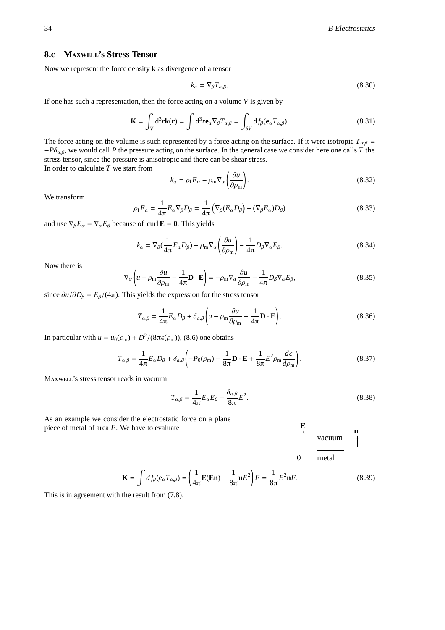# **8.c M's Stress Tensor**

Now we represent the force density **k** as divergence of a tensor

$$
k_{\alpha} = \nabla_{\beta} T_{\alpha, \beta}.
$$
\n(8.30)

If one has such a representation, then the force acting on a volume *V* is given by

$$
\mathbf{K} = \int_{V} d^{3} r \mathbf{k}(\mathbf{r}) = \int d^{3} r \mathbf{e}_{\alpha} \nabla_{\beta} T_{\alpha \beta} = \int_{\partial V} d f_{\beta} (\mathbf{e}_{\alpha} T_{\alpha \beta}).
$$
\n(8.31)

The force acting on the volume is such represented by a force acting on the surface. If it were isotropic  $T_{\alpha,\beta}$  =  $-P\delta_{\alpha,\beta}$ , we would call *P* the pressure acting on the surface. In the general case we consider here one calls *T* the stress tensor, since the pressure is anisotropic and there can be shear stress.

In order to calculate *T* we start from

$$
k_{\alpha} = \rho_{\rm f} E_{\alpha} - \rho_{\rm m} \nabla_{\alpha} \left( \frac{\partial u}{\partial \rho_{\rm m}} \right). \tag{8.32}
$$

We transform

$$
\rho_f E_\alpha = \frac{1}{4\pi} E_\alpha \nabla_\beta D_\beta = \frac{1}{4\pi} \left( \nabla_\beta (E_\alpha D_\beta) - (\nabla_\beta E_\alpha) D_\beta \right) \tag{8.33}
$$

and use  $\nabla_{\beta} E_{\alpha} = \nabla_{\alpha} E_{\beta}$  because of curl **E** = **0**. This yields

$$
k_{\alpha} = \nabla_{\beta} \left( \frac{1}{4\pi} E_{\alpha} D_{\beta} \right) - \rho_{\text{m}} \nabla_{\alpha} \left( \frac{\partial u}{\partial \rho_{\text{m}}} \right) - \frac{1}{4\pi} D_{\beta} \nabla_{\alpha} E_{\beta}.
$$
 (8.34)

Now there is

$$
\nabla_{\alpha} \left( u - \rho_{\rm m} \frac{\partial u}{\partial \rho_{\rm m}} - \frac{1}{4\pi} \mathbf{D} \cdot \mathbf{E} \right) = -\rho_{\rm m} \nabla_{\alpha} \frac{\partial u}{\partial \rho_{\rm m}} - \frac{1}{4\pi} D_{\beta} \nabla_{\alpha} E_{\beta}, \tag{8.35}
$$

since  $\partial u / \partial D_\beta = E_\beta / (4\pi)$ . This yields the expression for the stress tensor

$$
T_{\alpha\beta} = \frac{1}{4\pi} E_{\alpha} D_{\beta} + \delta_{\alpha\beta} \left( u - \rho_{\rm m} \frac{\partial u}{\partial \rho_{\rm m}} - \frac{1}{4\pi} \mathbf{D} \cdot \mathbf{E} \right). \tag{8.36}
$$

In particular with  $u = u_0(\rho_m) + D^2/(8\pi\epsilon(\rho_m))$ , (8.6) one obtains

$$
T_{\alpha\beta} = \frac{1}{4\pi} E_{\alpha} D_{\beta} + \delta_{\alpha\beta} \left( -P_0(\rho_m) - \frac{1}{8\pi} \mathbf{D} \cdot \mathbf{E} + \frac{1}{8\pi} E^2 \rho_m \frac{d\epsilon}{d\rho_m} \right). \tag{8.37}
$$

MAXWELL's stress tensor reads in vacuum

$$
T_{\alpha,\beta} = \frac{1}{4\pi} E_{\alpha} E_{\beta} - \frac{\delta_{\alpha,\beta}}{8\pi} E^2.
$$
 (8.38)

As an example we consider the electrostatic force on a plane piece of metal of area *F*. We have to evaluate



$$
\mathbf{K} = \int df_{\beta}(\mathbf{e}_{\alpha} T_{\alpha,\beta}) = \left(\frac{1}{4\pi} \mathbf{E}(\mathbf{E}\mathbf{n}) - \frac{1}{8\pi} \mathbf{n} E^2\right) F = \frac{1}{8\pi} E^2 \mathbf{n} F. \tag{8.39}
$$

This is in agreement with the result from (7.8).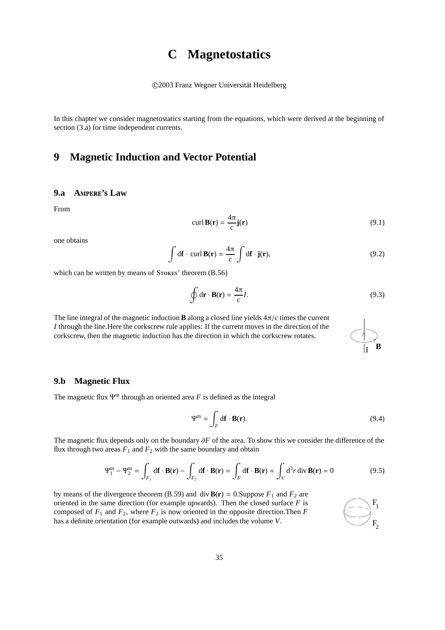# **C Magnetostatics**

©2003 Franz Wegner Universität Heidelberg

In this chapter we consider magnetostatics starting from the equations, which were derived at the beginning of section (3.a) for time independent currents.

# **9 Magnetic Induction and Vector Potential**

# **9.a A's Law**

From

$$
\operatorname{curl} \mathbf{B}(\mathbf{r}) = \frac{4\pi}{c}\mathbf{j}(\mathbf{r})\tag{9.1}
$$

one obtains

$$
\int df \cdot \operatorname{curl} \mathbf{B}(\mathbf{r}) = \frac{4\pi}{c} \int df \cdot \mathbf{j}(\mathbf{r}),\tag{9.2}
$$

which can be written by means of  $S$ TOKES' theorem  $(B.56)$ 

$$
\oint d\mathbf{r} \cdot \mathbf{B}(\mathbf{r}) = \frac{4\pi}{c} I.
$$
\n(9.3)

The line integral of the magnetic induction **B** along a closed line yields  $4\pi/c$  times the current *I* through the line.Here the corkscrew rule applies: If the current moves in the direction of the corkscrew, then the magnetic induction has the direction in which the corkscrew rotates.



### **9.b Magnetic Flux**

The magnetic flux  $\Psi^m$  through an oriented area *F* is defined as the integral

$$
\Psi^{\mathbf{m}} = \int_{F} d\mathbf{f} \cdot \mathbf{B}(\mathbf{r}).
$$
\n(9.4)

The magnetic flux depends only on the boundary ∂*F* of the area. To show this we consider the difference of the flux through two areas  $F_1$  and  $F_2$  with the same boundary and obtain

$$
\Psi_1^m - \Psi_2^m = \int_{F_1} d\mathbf{f} \cdot \mathbf{B}(\mathbf{r}) - \int_{F_2} d\mathbf{f} \cdot \mathbf{B}(\mathbf{r}) = \int_F d\mathbf{f} \cdot \mathbf{B}(\mathbf{r}) = \int_V d^3 r \operatorname{div} \mathbf{B}(\mathbf{r}) = 0 \tag{9.5}
$$

by means of the divergence theorem (B.59) and div  $\mathbf{B}(\mathbf{r}) = 0$ . Suppose  $F_1$  and  $F_2$  are oriented in the same direction (for example upwards). Then the closed surface  $F$  is composed of  $F_1$  and  $F_2$ , where  $F_2$  is now oriented in the opposite direction. Then  $F$ has a definite orientation (for example outwards) and includes the volume *V*.

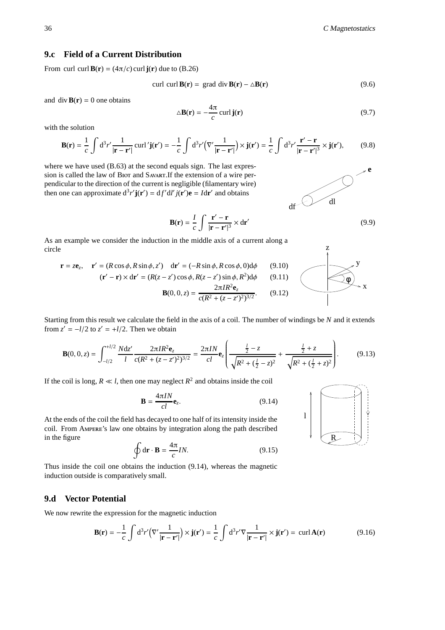# **9.c Field of a Current Distribution**

From curl curl  $\mathbf{B}(\mathbf{r}) = (4\pi/c)$  curl  $\mathbf{j}(\mathbf{r})$  due to (B.26)

$$
\operatorname{curl} \operatorname{curl} \mathbf{B}(\mathbf{r}) = \operatorname{grad} \operatorname{div} \mathbf{B}(\mathbf{r}) - \Delta \mathbf{B}(\mathbf{r}) \tag{9.6}
$$

and div  $\mathbf{B}(\mathbf{r}) = 0$  one obtains

$$
\Delta \mathbf{B}(\mathbf{r}) = -\frac{4\pi}{c} \operatorname{curl} \mathbf{j}(\mathbf{r})
$$
\n(9.7)

with the solution

$$
\mathbf{B}(\mathbf{r}) = \frac{1}{c} \int d^3 r' \frac{1}{|\mathbf{r} - \mathbf{r}'|} \operatorname{curl}' \mathbf{j}(\mathbf{r}') = -\frac{1}{c} \int d^3 r' \left(\nabla' \frac{1}{|\mathbf{r} - \mathbf{r}'|}\right) \times \mathbf{j}(\mathbf{r}') = \frac{1}{c} \int d^3 r' \frac{\mathbf{r}' - \mathbf{r}}{|\mathbf{r} - \mathbf{r}'|^3} \times \mathbf{j}(\mathbf{r}'),\tag{9.8}
$$

where we have used (B.63) at the second equals sign. The last expression is called the law of BIor and SAVART. If the extension of a wire perpendicular to the direction of the current is negligible (filamentary wire) then one can approximate  $d^3r'j(r') = df'dl'j(r')e = Idr'$  and obtains



z

(9.9)

$$
\mathbf{B}(\mathbf{r}) = \frac{I}{c} \int \frac{\mathbf{r}' - \mathbf{r}}{|\mathbf{r} - \mathbf{r}'|^3} \times \mathrm{d}\mathbf{r}'
$$

As an example we consider the induction in the middle axis of a current along a circle



Starting from this result we calculate the field in the axis of a coil. The number of windings be *N* and it extends from  $z' = -l/2$  to  $z' = +l/2$ . Then we obtain

$$
\mathbf{B}(0,0,z) = \int_{-l/2}^{+l/2} \frac{Ndz'}{l} \frac{2\pi I R^2 \mathbf{e}_z}{c(R^2 + (z - z')^2)^{3/2}} = \frac{2\pi I N}{c l} \mathbf{e}_z \left( \frac{\frac{l}{2} - z}{\sqrt{R^2 + (\frac{l}{2} - z)^2}} + \frac{\frac{l}{2} + z}{\sqrt{R^2 + (\frac{l}{2} + z)^2}} \right). \tag{9.13}
$$

If the coil is long,  $R \ll l$ , then one may neglect  $R^2$  and obtains inside the coil

$$
\mathbf{B} = \frac{4\pi IN}{cl} \mathbf{e}_z.
$$
 (9.14)

At the ends of the coil the field has decayed to one half of its intensity inside the coil. From AMPERE's law one obtains by integration along the path described in the figure

$$
\oint d\mathbf{r} \cdot \mathbf{B} = \frac{4\pi}{c} IN.
$$
\n(9.15)

Thus inside the coil one obtains the induction (9.14), whereas the magnetic induction outside is comparatively small.

# **9.d Vector Potential**

We now rewrite the expression for the magnetic induction

$$
\mathbf{B}(\mathbf{r}) = -\frac{1}{c} \int d^3 r' \left( \nabla' \frac{1}{|\mathbf{r} - \mathbf{r}'|} \right) \times \mathbf{j}(\mathbf{r}') = \frac{1}{c} \int d^3 r' \nabla \frac{1}{|\mathbf{r} - \mathbf{r}'|} \times \mathbf{j}(\mathbf{r}') = \text{curl} \,\mathbf{A}(\mathbf{r}) \tag{9.16}
$$

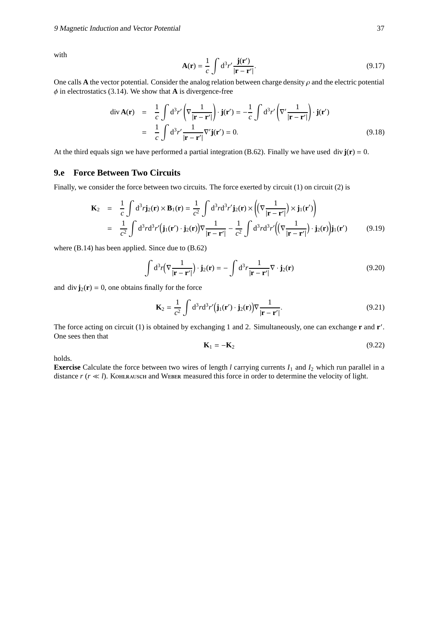with

$$
\mathbf{A}(\mathbf{r}) = \frac{1}{c} \int d^3 r' \frac{\mathbf{j}(\mathbf{r}')}{|\mathbf{r} - \mathbf{r}'|}.
$$
 (9.17)

One calls **A** the vector potential. Consider the analog relation between charge density  $\rho$  and the electric potential  $\phi$  in electrostatics (3.14). We show that **A** is divergence-free

$$
\operatorname{div} \mathbf{A}(\mathbf{r}) = \frac{1}{c} \int d^3 r' \left( \nabla \frac{1}{|\mathbf{r} - \mathbf{r}'|} \right) \cdot \mathbf{j}(\mathbf{r}') = -\frac{1}{c} \int d^3 r' \left( \nabla' \frac{1}{|\mathbf{r} - \mathbf{r}'|} \right) \cdot \mathbf{j}(\mathbf{r}') = \frac{1}{c} \int d^3 r' \frac{1}{|\mathbf{r} - \mathbf{r}'|} \nabla' \mathbf{j}(\mathbf{r}') = 0.
$$
\n(9.18)

At the third equals sign we have performed a partial integration (B.62). Finally we have used div  $\mathbf{j}(\mathbf{r}) = 0$ .

### **9.e Force Between Two Circuits**

Finally, we consider the force between two circuits. The force exerted by circuit (1) on circuit (2) is

$$
\mathbf{K}_{2} = \frac{1}{c} \int d^{3}r \mathbf{j}_{2}(\mathbf{r}) \times \mathbf{B}_{1}(\mathbf{r}) = \frac{1}{c^{2}} \int d^{3}r d^{3}r' \mathbf{j}_{2}(\mathbf{r}) \times \left( \left( \nabla \frac{1}{|\mathbf{r} - \mathbf{r}'|} \right) \times \mathbf{j}_{1}(\mathbf{r}') \right)
$$

$$
= \frac{1}{c^{2}} \int d^{3}r d^{3}r' \left( \mathbf{j}_{1}(\mathbf{r}') \cdot \mathbf{j}_{2}(\mathbf{r}) \right) \nabla \frac{1}{|\mathbf{r} - \mathbf{r}'|} - \frac{1}{c^{2}} \int d^{3}r d^{3}r' \left( \left( \nabla \frac{1}{|\mathbf{r} - \mathbf{r}'|} \right) \cdot \mathbf{j}_{2}(\mathbf{r}) \right) \mathbf{j}_{1}(\mathbf{r}') \tag{9.19}
$$

where (B.14) has been applied. Since due to (B.62)

$$
\int d^3r \left(\nabla \frac{1}{|\mathbf{r} - \mathbf{r}'|}\right) \cdot \mathbf{j}_2(\mathbf{r}) = -\int d^3r \frac{1}{|\mathbf{r} - \mathbf{r}'|} \nabla \cdot \mathbf{j}_2(\mathbf{r}) \tag{9.20}
$$

and div  $\mathbf{j}_2(\mathbf{r}) = 0$ , one obtains finally for the force

$$
\mathbf{K}_2 = \frac{1}{c^2} \int d^3 r d^3 r' \left( \mathbf{j}_1(\mathbf{r}') \cdot \mathbf{j}_2(\mathbf{r}) \right) \nabla \frac{1}{|\mathbf{r} - \mathbf{r}'|}.
$$
 (9.21)

The force acting on circuit (1) is obtained by exchanging 1 and 2. Simultaneously, one can exchange **r** and **r'**. One sees then that

$$
\mathbf{K}_1 = -\mathbf{K}_2 \tag{9.22}
$$

holds.

**Exercise** Calculate the force between two wires of length *l* carrying currents  $I_1$  and  $I_2$  which run parallel in a distance  $r (r \ll l)$ . KOHLRAUSCH and WEBER measured this force in order to determine the velocity of light.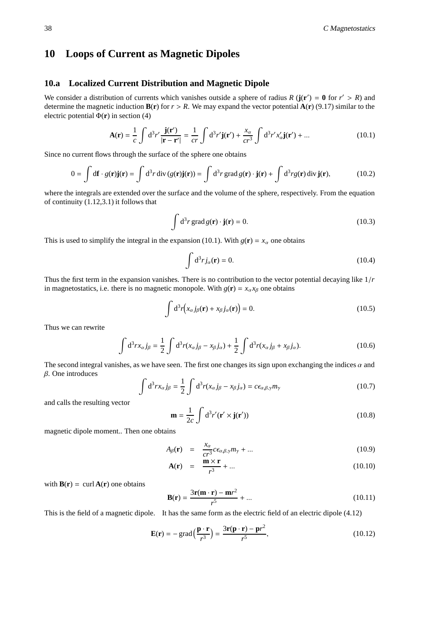## **10 Loops of Current as Magnetic Dipoles**

### **10.a Localized Current Distribution and Magnetic Dipole**

We consider a distribution of currents which vanishes outside a sphere of radius  $R(j(r') = 0$  for  $r' > R$ ) and determine the magnetic induction  $\mathbf{B}(\mathbf{r})$  for  $r > R$ . We may expand the vector potential  $\mathbf{A}(\mathbf{r})$  (9.17) similar to the electric potential  $\Phi(\mathbf{r})$  in section (4)

$$
\mathbf{A}(\mathbf{r}) = \frac{1}{c} \int d^3 r' \frac{\mathbf{j}(\mathbf{r}')}{|\mathbf{r} - \mathbf{r}'|} = \frac{1}{cr} \int d^3 r' \mathbf{j}(\mathbf{r}') + \frac{x_\alpha}{cr^3} \int d^3 r' x'_\alpha \mathbf{j}(\mathbf{r}') + \dots
$$
 (10.1)

Since no current flows through the surface of the sphere one obtains

$$
0 = \int df \cdot g(\mathbf{r}) \mathbf{j}(\mathbf{r}) = \int d^3 r \operatorname{div} (g(\mathbf{r}) \mathbf{j}(\mathbf{r})) = \int d^3 r \operatorname{grad} g(\mathbf{r}) \cdot \mathbf{j}(\mathbf{r}) + \int d^3 r g(\mathbf{r}) \operatorname{div} \mathbf{j}(\mathbf{r}), \tag{10.2}
$$

where the integrals are extended over the surface and the volume of the sphere, respectively. From the equation of continuity (1.12,3.1) it follows that

$$
\int d^3 r \, \text{grad } g(\mathbf{r}) \cdot \mathbf{j}(\mathbf{r}) = 0. \tag{10.3}
$$

This is used to simplify the integral in the expansion (10.1). With  $g(\mathbf{r}) = x_\alpha$  one obtains

$$
\int d^3r j_\alpha(\mathbf{r}) = 0. \tag{10.4}
$$

Thus the first term in the expansion vanishes. There is no contribution to the vector potential decaying like 1/*r* in magnetostatics, i.e. there is no magnetic monopole. With  $g(\mathbf{r}) = x_\alpha x_\beta$  one obtains

$$
\int d^3r (x_\alpha j_\beta(\mathbf{r}) + x_\beta j_\alpha(\mathbf{r}) ) = 0.
$$
\n(10.5)

Thus we can rewrite

$$
\int d^3 r x_{\alpha} j_{\beta} = \frac{1}{2} \int d^3 r (x_{\alpha} j_{\beta} - x_{\beta} j_{\alpha}) + \frac{1}{2} \int d^3 r (x_{\alpha} j_{\beta} + x_{\beta} j_{\alpha}).
$$
 (10.6)

The second integral vanishes, as we have seen. The first one changes its sign upon exchanging the indices  $\alpha$  and  $β$ . One introduces

$$
\int d^3rx_{\alpha}j_{\beta} = \frac{1}{2}\int d^3r(x_{\alpha}j_{\beta} - x_{\beta}j_{\alpha}) = c\epsilon_{\alpha,\beta,\gamma}m_{\gamma}
$$
\n(10.7)

and calls the resulting vector

$$
\mathbf{m} = \frac{1}{2c} \int d^3 r' (\mathbf{r'} \times \mathbf{j}(\mathbf{r'}))
$$
 (10.8)

magnetic dipole moment.. Then one obtains

$$
A_{\beta}(\mathbf{r}) = \frac{x_{\alpha}}{c r^3} c \epsilon_{\alpha, \beta, \gamma} m_{\gamma} + \dots \tag{10.9}
$$

$$
\mathbf{A}(\mathbf{r}) = \frac{\mathbf{m} \times \mathbf{r}}{r^3} + \dots \tag{10.10}
$$

with  $\mathbf{B}(\mathbf{r}) = \text{curl } \mathbf{A}(\mathbf{r})$  one obtains

$$
\mathbf{B}(\mathbf{r}) = \frac{3\mathbf{r}(\mathbf{m}\cdot\mathbf{r}) - \mathbf{m}r^2}{r^5} + \dots
$$
 (10.11)

This is the field of a magnetic dipole. It has the same form as the electric field of an electric dipole (4.12)

$$
\mathbf{E}(\mathbf{r}) = -\operatorname{grad}\left(\frac{\mathbf{p} \cdot \mathbf{r}}{r^3}\right) = \frac{3\mathbf{r}(\mathbf{p} \cdot \mathbf{r}) - \mathbf{p}r^2}{r^5},\tag{10.12}
$$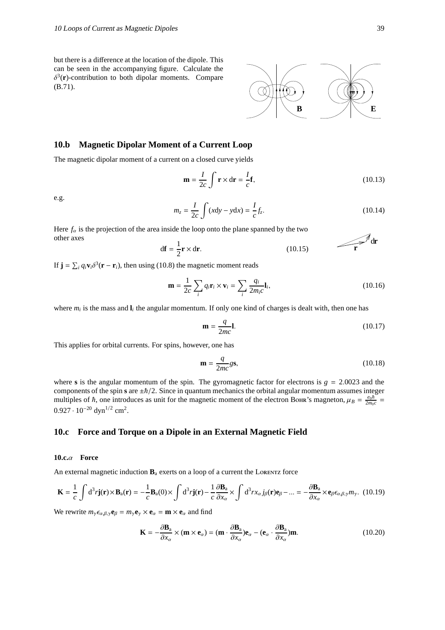but there is a difference at the location of the dipole. This can be seen in the accompanying figure. Calculate the  $\delta^3(\mathbf{r})$ -contribution to both dipolar moments. Compare (B.71).



### **10.b Magnetic Dipolar Moment of a Current Loop**

The magnetic dipolar moment of a current on a closed curve yields

$$
\mathbf{m} = \frac{I}{2c} \int \mathbf{r} \times d\mathbf{r} = \frac{I}{c} \mathbf{f},
$$
 (10.13)

e.g.

$$
m_z = \frac{I}{2c} \int (x \, dy - y \, dx) = \frac{I}{c} f_z. \tag{10.14}
$$

Here  $f_{\alpha}$  is the projection of the area inside the loop onto the plane spanned by the two other axes

$$
df = \frac{1}{2} \mathbf{r} \times dr. \qquad (10.15) \qquad \overline{\mathbf{r}}'
$$

If  $\mathbf{j} = \sum_i q_i \mathbf{v}_i \delta^3(\mathbf{r} - \mathbf{r}_i)$ , then using (10.8) the magnetic moment reads

$$
\mathbf{m} = \frac{1}{2c} \sum_{i} q_i \mathbf{r}_i \times \mathbf{v}_i = \sum_{i} \frac{q_i}{2m_i c} \mathbf{l}_i,
$$
 (10.16)

where  $m_i$  is the mass and  $\mathbf{l}_i$  the angular momentum. If only one kind of charges is dealt with, then one has

$$
\mathbf{m} = \frac{q}{2mc} \mathbf{l}.\tag{10.17}
$$

This applies for orbital currents. For spins, however, one has

$$
\mathbf{m} = \frac{q}{2mc} g\mathbf{s},\tag{10.18}
$$

where **s** is the angular momentum of the spin. The gyromagnetic factor for electrons is  $g = 2.0023$  and the components of the spin  $s$  are  $\pm \hbar/2$ . Since in quantum mechanics the orbital angular momentum assumes integer multiples of  $\hbar$ , one introduces as unit for the magnetic moment of the electron BoHR's magneton,  $\mu_B = \frac{e_0 \hbar}{2m_0}$  $\frac{e_0 h}{2m_0 c}$  =  $0.927 \cdot 10^{-20}$  dyn<sup>1/2</sup> cm<sup>2</sup>.

### **10.c Force and Torque on a Dipole in an External Magnetic Field**

### **10.c.**α **Force**

An external magnetic induction  $\mathbf{B}_a$  exerts on a loop of a current the LORENTZ force

$$
\mathbf{K} = \frac{1}{c} \int d^3 r \mathbf{j}(\mathbf{r}) \times \mathbf{B}_a(\mathbf{r}) = -\frac{1}{c} \mathbf{B}_a(0) \times \int d^3 r \mathbf{j}(\mathbf{r}) - \frac{1}{c} \frac{\partial \mathbf{B}_a}{\partial x_\alpha} \times \int d^3 r x_\alpha j_\beta(\mathbf{r}) \mathbf{e}_\beta - \dots = -\frac{\partial \mathbf{B}_a}{\partial x_\alpha} \times \mathbf{e}_\beta \epsilon_{\alpha, \beta, \gamma} m_\gamma. (10.19)
$$

We rewrite  $m_{\gamma} \epsilon_{\alpha, \beta, \gamma} \mathbf{e}_{\beta} = m_{\gamma} \mathbf{e}_{\gamma} \times \mathbf{e}_{\alpha} = \mathbf{m} \times \mathbf{e}_{\alpha}$  and find

$$
\mathbf{K} = -\frac{\partial \mathbf{B}_a}{\partial x_\alpha} \times (\mathbf{m} \times \mathbf{e}_\alpha) = (\mathbf{m} \cdot \frac{\partial \mathbf{B}_a}{\partial x_\alpha}) \mathbf{e}_\alpha - (\mathbf{e}_\alpha \cdot \frac{\partial \mathbf{B}_a}{\partial x_\alpha}) \mathbf{m}.
$$
 (10.20)

d **r**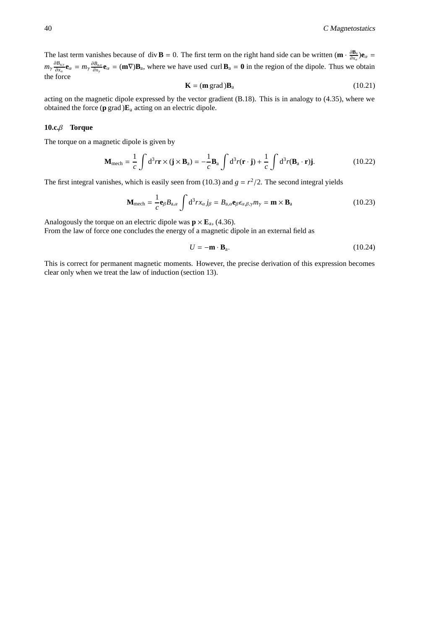The last term vanishes because of div **B** = 0. The first term on the right hand side can be written  $(\mathbf{m} \cdot \frac{\partial \mathbf{B}_a}{\partial x_a})$  $\frac{\partial \mathbf{B}_a}{\partial x_\alpha}$ **)e**<sub>α</sub> =  $m_\gamma \frac{\partial B_{\rm a,\gamma}}{\partial x_\alpha}$  $\frac{\partial B_{\text{a},\gamma}}{\partial x_{\alpha}}\mathbf{e}_{\alpha} = m_{\gamma}\frac{\partial B_{\text{a},\alpha}}{\partial x_{\gamma}}$  $\frac{\partial B_{a,\alpha}}{\partial x_{\gamma}}$ **e**<sub> $\alpha$ </sub> = (**m**∇)**B**<sub>a</sub>, where we have used curl **B**<sub>a</sub> = **0** in the region of the dipole. Thus we obtain the force

$$
\mathbf{K} = (\mathbf{m} \text{ grad}) \mathbf{B}_a \tag{10.21}
$$

acting on the magnetic dipole expressed by the vector gradient (B.18). This is in analogy to (4.35), where we obtained the force (**p** grad )**E**<sup>a</sup> acting on an electric dipole.

### **10.c.**β **Torque**

The torque on a magnetic dipole is given by

$$
\mathbf{M}_{\text{mech}} = \frac{1}{c} \int d^3 r \mathbf{r} \times (\mathbf{j} \times \mathbf{B}_a) = -\frac{1}{c} \mathbf{B}_a \int d^3 r (\mathbf{r} \cdot \mathbf{j}) + \frac{1}{c} \int d^3 r (\mathbf{B}_a \cdot \mathbf{r}) \mathbf{j}.
$$
 (10.22)

The first integral vanishes, which is easily seen from (10.3) and  $g = r^2/2$ . The second integral yields

$$
\mathbf{M}_{\text{mech}} = \frac{1}{c} \mathbf{e}_{\beta} B_{\mathbf{a}, \alpha} \int d^3 r x_{\alpha} j_{\beta} = B_{\mathbf{a}, \alpha} \mathbf{e}_{\beta} \epsilon_{\alpha, \beta, \gamma} m_{\gamma} = \mathbf{m} \times \mathbf{B}_{\mathbf{a}}
$$
(10.23)

Analogously the torque on an electric dipole was  $\mathbf{p} \times \mathbf{E}_{a}$ , (4.36). From the law of force one concludes the energy of a magnetic dipole in an external field as

$$
U = -\mathbf{m} \cdot \mathbf{B}_{a}.\tag{10.24}
$$

This is correct for permanent magnetic moments. However, the precise derivation of this expression becomes clear only when we treat the law of induction (section 13).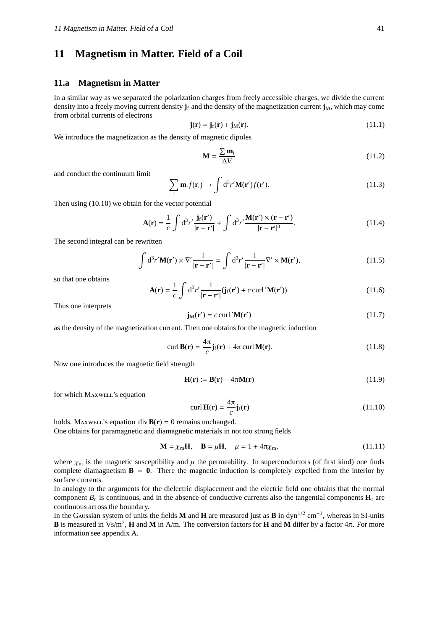## **11 Magnetism in Matter. Field of a Coil**

### **11.a Magnetism in Matter**

In a similar way as we separated the polarization charges from freely accessible charges, we divide the current density into a freely moving current density  $\mathbf{j}_f$  and the density of the magnetization current  $\mathbf{j}_M$ , which may come from orbital currents of electrons

$$
\mathbf{j}(\mathbf{r}) = \mathbf{j}_f(\mathbf{r}) + \mathbf{j}_M(\mathbf{r}).
$$
 (11.1)

We introduce the magnetization as the density of magnetic dipoles

$$
\mathbf{M} = \frac{\sum \mathbf{m}_i}{\Delta V} \tag{11.2}
$$

and conduct the continuum limit

$$
\sum_{i} \mathbf{m}_{i} f(\mathbf{r}_{i}) \rightarrow \int d^{3} r' \mathbf{M}(\mathbf{r}') f(\mathbf{r}'). \qquad (11.3)
$$

Then using (10.10) we obtain for the vector potential

$$
\mathbf{A}(\mathbf{r}) = \frac{1}{c} \int d^3 r' \frac{\mathbf{j}(\mathbf{r}')}{|\mathbf{r} - \mathbf{r}'|} + \int d^3 r' \frac{\mathbf{M}(\mathbf{r}') \times (\mathbf{r} - \mathbf{r}')}{|\mathbf{r} - \mathbf{r}'|^3}.
$$
(11.4)

The second integral can be rewritten

$$
\int d^3 r' \mathbf{M}(\mathbf{r}') \times \nabla' \frac{1}{|\mathbf{r} - \mathbf{r}'|} = \int d^3 r' \frac{1}{|\mathbf{r} - \mathbf{r}'|} \nabla' \times \mathbf{M}(\mathbf{r}'),\tag{11.5}
$$

so that one obtains

$$
\mathbf{A}(\mathbf{r}) = \frac{1}{c} \int d^3 r' \frac{1}{|\mathbf{r} - \mathbf{r}'|} (\mathbf{j}_f(\mathbf{r}') + c \operatorname{curl}' \mathbf{M}(\mathbf{r}')). \qquad (11.6)
$$

Thus one interprets

$$
\mathbf{j}_{\mathbf{M}}(\mathbf{r}') = c \operatorname{curl}' \mathbf{M}(\mathbf{r}') \tag{11.7}
$$

as the density of the magnetization current. Then one obtains for the magnetic induction

$$
\operatorname{curl} \mathbf{B}(\mathbf{r}) = \frac{4\pi}{c} \mathbf{j}_f(\mathbf{r}) + 4\pi \operatorname{curl} \mathbf{M}(\mathbf{r}).
$$
\n(11.8)

Now one introduces the magnetic field strength

$$
\mathbf{H}(\mathbf{r}) := \mathbf{B}(\mathbf{r}) - 4\pi \mathbf{M}(\mathbf{r})
$$
\n(11.9)

for which MAXWELL's equation

$$
\operatorname{curl} \mathbf{H}(\mathbf{r}) = \frac{4\pi}{c} \mathbf{j}_f(\mathbf{r}) \tag{11.10}
$$

holds. MAXWELL's equation div  $\mathbf{B}(\mathbf{r}) = 0$  remains unchanged.

One obtains for paramagnetic and diamagnetic materials in not too strong fields

$$
\mathbf{M} = \chi_{\rm m} \mathbf{H}, \quad \mathbf{B} = \mu \mathbf{H}, \quad \mu = 1 + 4\pi \chi_{\rm m}, \tag{11.11}
$$

where  $\chi_m$  is the magnetic susceptibility and  $\mu$  the permeability. In superconductors (of first kind) one finds complete diamagnetism  $\mathbf{B} = \mathbf{0}$ . There the magnetic induction is completely expelled from the interior by surface currents.

In analogy to the arguments for the dielectric displacement and the electric field one obtains that the normal component  $B_n$  is continuous, and in the absence of conductive currents also the tangential components  $H_t$  are continuous across the boundary.

In the Gaussian system of units the fields **M** and **H** are measured just as **B** in dyn<sup>1/2</sup> cm<sup>-1</sup>, whereas in SI-units **B** is measured in Vs/m<sup>2</sup> , **H** and **M** in A/m. The conversion factors for **H** and **M** differ by a factor 4π. For more information see appendix A.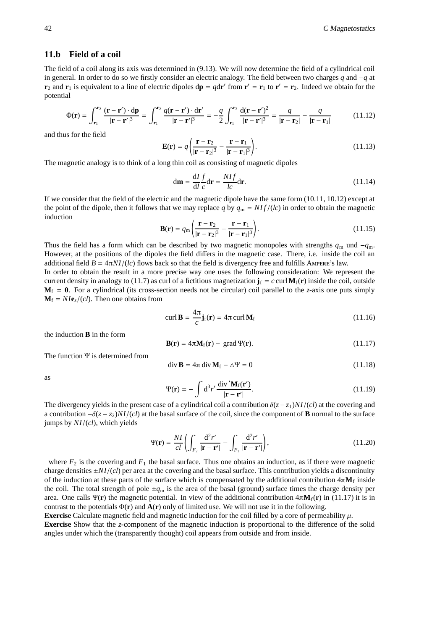### **11.b Field of a coil**

The field of a coil along its axis was determined in (9.13). We will now determine the field of a cylindrical coil in general. In order to do so we firstly consider an electric analogy. The field between two charges *q* and −*q* at **r**<sub>2</sub> and **r**<sub>1</sub> is equivalent to a line of electric dipoles  $dp = qdr'$  from  $r' = r_1$  to  $r' = r_2$ . Indeed we obtain for the potential

$$
\Phi(\mathbf{r}) = \int_{\mathbf{r}_1}^{\mathbf{r}_2} \frac{(\mathbf{r} - \mathbf{r}') \cdot d\mathbf{p}}{|\mathbf{r} - \mathbf{r}'|^3} = \int_{\mathbf{r}_1}^{\mathbf{r}_2} \frac{q(\mathbf{r} - \mathbf{r}') \cdot d\mathbf{r}'}{|\mathbf{r} - \mathbf{r}'|^3} = -\frac{q}{2} \int_{\mathbf{r}_1}^{\mathbf{r}_2} \frac{d(\mathbf{r} - \mathbf{r}')^2}{|\mathbf{r} - \mathbf{r}'|^3} = \frac{q}{|\mathbf{r} - \mathbf{r}_2|} - \frac{q}{|\mathbf{r} - \mathbf{r}_1|}
$$
(11.12)

and thus for the field

$$
\mathbf{E}(\mathbf{r}) = q \left( \frac{\mathbf{r} - \mathbf{r}_2}{|\mathbf{r} - \mathbf{r}_2|^3} - \frac{\mathbf{r} - \mathbf{r}_1}{|\mathbf{r} - \mathbf{r}_1|^3} \right).
$$
(11.13)

The magnetic analogy is to think of a long thin coil as consisting of magnetic dipoles

$$
dm = \frac{dI}{dl} \frac{f}{c} dr = \frac{NIf}{lc} dr.
$$
 (11.14)

If we consider that the field of the electric and the magnetic dipole have the same form (10.11, 10.12) except at the point of the dipole, then it follows that we may replace  $q$  by  $q_m = NIf/(lc)$  in order to obtain the magnetic induction

$$
\mathbf{B}(\mathbf{r}) = q_{\rm m} \left( \frac{\mathbf{r} - \mathbf{r}_2}{|\mathbf{r} - \mathbf{r}_2|^3} - \frac{\mathbf{r} - \mathbf{r}_1}{|\mathbf{r} - \mathbf{r}_1|^3} \right).
$$
 (11.15)

Thus the field has a form which can be described by two magnetic monopoles with strengths  $q_m$  und  $-q_m$ . However, at the positions of the dipoles the field differs in the magnetic case. There, i.e. inside the coil an additional field  $B = 4\pi N I/(l c)$  flows back so that the field is divergency free and fulfills AMPERE's law.

In order to obtain the result in a more precise way one uses the following consideration: We represent the current density in analogy to (11.7) as curl of a fictitious magnetization  $\mathbf{j}_f = c$  curl  $\mathbf{M}_f(\mathbf{r})$  inside the coil, outside  $M_f = 0$ . For a cylindrical (its cross-section needs not be circular) coil parallel to the *z*-axis one puts simply  $M_f = NIe_z/(cl)$ . Then one obtains from

$$
\operatorname{curl} \mathbf{B} = \frac{4\pi}{c} \mathbf{j}_f(\mathbf{r}) = 4\pi \operatorname{curl} \mathbf{M}_f \tag{11.16}
$$

the induction **B** in the form

$$
\mathbf{B}(\mathbf{r}) = 4\pi \mathbf{M}_{\text{f}}(\mathbf{r}) - \text{grad}\,\Psi(\mathbf{r}).\tag{11.17}
$$

The function Ψ is determined from

$$
\operatorname{div} \mathbf{B} = 4\pi \operatorname{div} \mathbf{M}_{\mathrm{f}} - \Delta \Psi = 0 \tag{11.18}
$$

as

$$
\Psi(\mathbf{r}) = -\int d^3 r' \frac{\text{div}' \mathbf{M}_f(\mathbf{r}')}{|\mathbf{r} - \mathbf{r}'|}.
$$
 (11.19)

The divergency yields in the present case of a cylindrical coil a contribution  $\delta(z - z_1)NI/(c_l)$  at the covering and a contribution  $-\delta(z - z_2)NI/(c_l)$  at the basal surface of the coil, since the component of **B** normal to the surface jumps by *NI*/(*cl*), which yields

$$
\Psi(\mathbf{r}) = \frac{NI}{cl} \left( \int_{F_2} \frac{\mathrm{d}^2 r'}{|\mathbf{r} - \mathbf{r}'|} - \int_{F_1} \frac{\mathrm{d}^2 r'}{|\mathbf{r} - \mathbf{r}'|} \right),\tag{11.20}
$$

where  $F_2$  is the covering and  $F_1$  the basal surface. Thus one obtains an induction, as if there were magnetic charge densities ±*NI*/(*cl*) per area at the covering and the basal surface. This contribution yields a discontinuity of the induction at these parts of the surface which is compensated by the additional contribution  $4\pi M_f$  inside the coil. The total strength of pole  $\pm q_m$  is the area of the basal (ground) surface times the charge density per area. One calls  $\Psi(\mathbf{r})$  the magnetic potential. In view of the additional contribution  $4\pi \mathbf{M}_f(\mathbf{r})$  in (11.17) it is in contrast to the potentials  $\Phi(\mathbf{r})$  and  $\mathbf{A}(\mathbf{r})$  only of limited use. We will not use it in the following.

**Exercise** Calculate magnetic field and magnetic induction for the coil filled by a core of permeability  $\mu$ .

**Exercise** Show that the *z*-component of the magnetic induction is proportional to the difference of the solid angles under which the (transparently thought) coil appears from outside and from inside.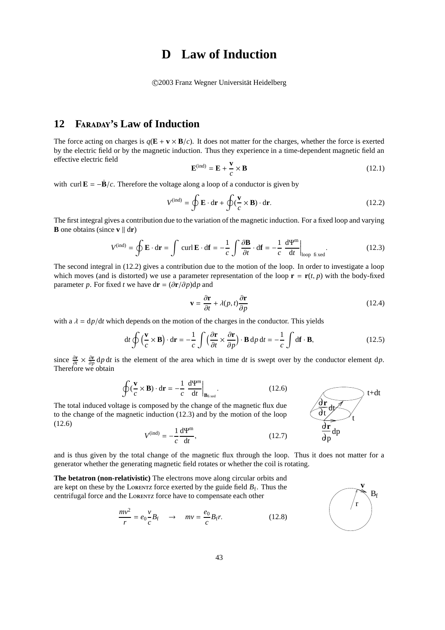# **D Law of Induction**

©2003 Franz Wegner Universität Heidelberg

## 12 **FARADAY's Law of Induction**

The force acting on charges is  $q(\mathbf{E} + \mathbf{v} \times \mathbf{B}/c)$ . It does not matter for the charges, whether the force is exerted by the electric field or by the magnetic induction. Thus they experience in a time-dependent magnetic field an effective electric field

$$
\mathbf{E}^{\text{(ind)}} = \mathbf{E} + \frac{\mathbf{v}}{c} \times \mathbf{B}
$$
 (12.1)

with curl  $\mathbf{E} = -\dot{\mathbf{B}}/c$ . Therefore the voltage along a loop of a conductor is given by

$$
V^{(\text{ind})} = \oint \mathbf{E} \cdot d\mathbf{r} + \oint (\frac{\mathbf{v}}{c} \times \mathbf{B}) \cdot d\mathbf{r}.
$$
 (12.2)

The first integral gives a contribution due to the variation of the magnetic induction. For a fixed loop and varying **B** one obtains (since  $\bf{v} \parallel d\bf{r}$ )

$$
V^{(\text{ind})} = \oint \mathbf{E} \cdot d\mathbf{r} = \int \text{curl } \mathbf{E} \cdot d\mathbf{f} = -\frac{1}{c} \int \frac{\partial \mathbf{B}}{\partial t} \cdot d\mathbf{f} = -\frac{1}{c} \left. \frac{\mathrm{d} \Psi^{\text{m}}}{\mathrm{d} t} \right|_{\text{loop fixed}}.
$$
 (12.3)

The second integral in (12.2) gives a contribution due to the motion of the loop. In order to investigate a loop which moves (and is distorted) we use a parameter representation of the loop  $\mathbf{r} = \mathbf{r}(t, p)$  with the body-fixed parameter *p*. For fixed *t* we have  $d\mathbf{r} = (\partial \mathbf{r}/\partial p) d p$  and

$$
\mathbf{v} = \frac{\partial \mathbf{r}}{\partial t} + \lambda(p, t) \frac{\partial \mathbf{r}}{\partial p}
$$
 (12.4)

with a  $\lambda = dp/dt$  which depends on the motion of the charges in the conductor. This yields

$$
dt \oint \left(\frac{\mathbf{v}}{c} \times \mathbf{B}\right) \cdot d\mathbf{r} = -\frac{1}{c} \int \left(\frac{\partial \mathbf{r}}{\partial t} \times \frac{\partial \mathbf{r}}{\partial p}\right) \cdot \mathbf{B} \, dp \, dt = -\frac{1}{c} \int d\mathbf{f} \cdot \mathbf{B},\tag{12.5}
$$

since  $\frac{\partial \mathbf{r}}{\partial t} \times \frac{\partial \mathbf{r}}{\partial p} \, \mathrm{d}p \, \mathrm{d}t$  is the element of the area which in time dt is swept over by the conductor element dp. Therefore we obtain

$$
\oint \left(\frac{\mathbf{v}}{c} \times \mathbf{B}\right) \cdot d\mathbf{r} = -\frac{1}{c} \left. \frac{d\Psi^m}{dt} \right|_{\mathbf{B}_{\text{fixed}}}.\tag{12.6}
$$

The total induced voltage is composed by the change of the magnetic flux due to the change of the magnetic induction (12.3) and by the motion of the loop (12.6)





and is thus given by the total change of the magnetic flux through the loop. Thus it does not matter for a generator whether the generating magnetic field rotates or whether the coil is rotating.

**The betatron (non-relativistic)** The electrons move along circular orbits and are kept on these by the LORENTZ force exerted by the guide field  $B_f$ . Thus the centrifugal force and the LORENTZ force have to compensate each other

$$
\frac{mv^2}{r} = e_0 \frac{v}{c} B_f \quad \rightarrow \quad mv = \frac{e_0}{c} B_f r. \tag{12.8}
$$

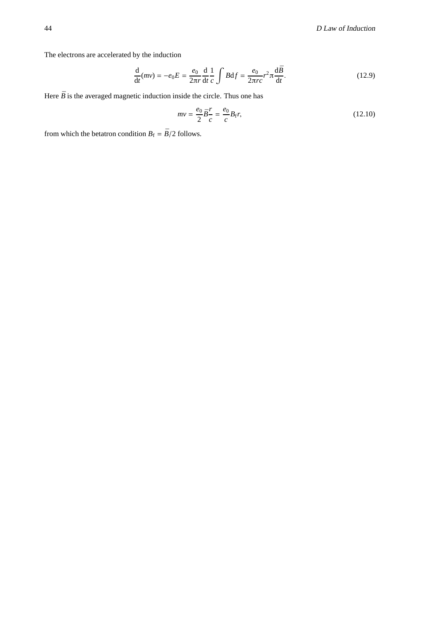The electrons are accelerated by the induction

$$
\frac{\mathrm{d}}{\mathrm{d}t}(mv) = -e_0 E = \frac{e_0}{2\pi r} \frac{\mathrm{d}}{\mathrm{d}t} \frac{1}{c} \int B \mathrm{d}f = \frac{e_0}{2\pi r c} r^2 \pi \frac{\mathrm{d}\bar{B}}{\mathrm{d}t}.
$$
\n(12.9)

Here  $\bar{B}$  is the averaged magnetic induction inside the circle. Thus one has

$$
mv = \frac{e_0}{2}\bar{B}\frac{r}{c} = \frac{e_0}{c}B_{\rm f}r,\tag{12.10}
$$

from which the betatron condition  $B_f = \bar{B}/2$  follows.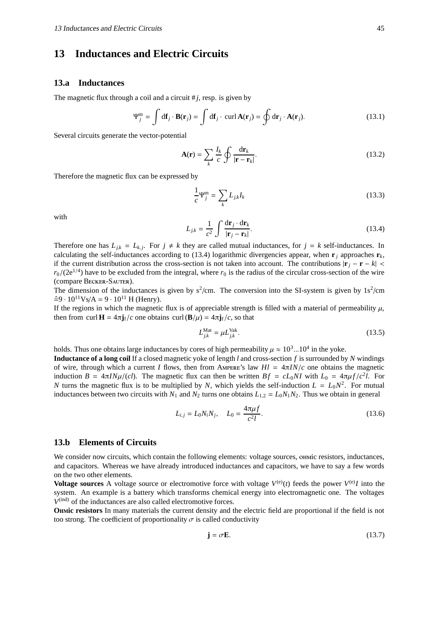## **13 Inductances and Electric Circuits**

### **13.a Inductances**

The magnetic flux through a coil and a circuit  $\#$ *j*, resp. is given by

$$
\Psi_j^m = \int d\mathbf{f}_j \cdot \mathbf{B}(\mathbf{r}_j) = \int d\mathbf{f}_j \cdot \operatorname{curl} \mathbf{A}(\mathbf{r}_j) = \oint d\mathbf{r}_j \cdot \mathbf{A}(\mathbf{r}_j). \tag{13.1}
$$

Several circuits generate the vector-potential

$$
\mathbf{A}(\mathbf{r}) = \sum_{k} \frac{I_k}{c} \oint \frac{\mathrm{d}\mathbf{r}_k}{|\mathbf{r} - \mathbf{r}_k|}.
$$
 (13.2)

Therefore the magnetic flux can be expressed by

$$
\frac{1}{c}\Psi_j^{\mathbf{m}} = \sum_k L_{j,k} I_k \tag{13.3}
$$

with

$$
L_{j,k} = \frac{1}{c^2} \int \frac{d\mathbf{r}_j \cdot d\mathbf{r}_k}{|\mathbf{r}_j - \mathbf{r}_k|}.
$$
 (13.4)

Therefore one has  $L_{j,k} = L_{k,j}$ . For  $j \neq k$  they are called mutual inductances, for  $j = k$  self-inductances. In calculating the self-inductances according to (13.4) logarithmic divergencies appear, when  $\mathbf{r}_i$  approaches  $\mathbf{r}_k$ , if the current distribution across the cross-section is not taken into account. The contributions  $|\mathbf{r}_i - \mathbf{r} - k|$  <  $r_0/(2e^{1/4})$  have to be excluded from the integral, where  $r_0$  is the radius of the circular cross-section of the wire (compare BECKER-SAUTER).

The dimension of the inductances is given by  $s^2$ /cm. The conversion into the SI-system is given by  $1s^2$ /cm  $\hat{=}9 \cdot 10^{11}$ Vs/A = 9 ·  $10^{11}$  H (Henry).

If the regions in which the magnetic flux is of appreciable strength is filled with a material of permeability  $\mu$ , then from curl  $\mathbf{H} = 4\pi \mathbf{j}_f/c$  one obtains curl  $(\mathbf{B}/\mu) = 4\pi \mathbf{j}_f/c$ , so that

$$
L_{j,k}^{\text{Mat}} = \mu L_{j,k}^{\text{Vak}}.
$$
\n(13.5)

holds. Thus one obtains large inductances by cores of high permeability  $\mu \approx 10^3...10^4$  in the yoke.

**Inductance of a long coil** If a closed magnetic yoke of length *l* and cross-section *f* is surrounded by *N* windings of wire, through which a current *I* flows, then from AMPERE's law  $Hl = 4\pi IN/c$  one obtains the magnetic induction  $B = 4\pi I N \mu/(cl)$ . The magnetic flux can then be written  $Bf = cL_0 NI$  with  $L_0 = 4\pi \mu f/c^2 l$ . For *N* turns the magnetic flux is to be multiplied by *N*, which yields the self-induction  $L = L_0 N^2$ . For mutual inductances between two circuits with  $N_1$  and  $N_2$  turns one obtains  $L_{1,2} = L_0 N_1 N_2$ . Thus we obtain in general

$$
L_{i,j} = L_0 N_i N_j, \quad L_0 = \frac{4\pi\mu f}{c^2 l}.
$$
\n(13.6)

### **13.b Elements of Circuits**

We consider now circuits, which contain the following elements: voltage sources, onmic resistors, inductances, and capacitors. Whereas we have already introduced inductances and capacitors, we have to say a few words on the two other elements.

**Voltage** sources A voltage source or electromotive force with voltage  $V^{(e)}(t)$  feeds the power  $V^{(e)}I$  into the system. An example is a battery which transforms chemical energy into electromagnetic one. The voltages  $V^{(ind)}$  of the inductances are also called electromotive forces.

**OHMIC resistors** In many materials the current density and the electric field are proportional if the field is not too strong. The coefficient of proportionality  $\sigma$  is called conductivity

$$
\mathbf{j} = \sigma \mathbf{E}.\tag{13.7}
$$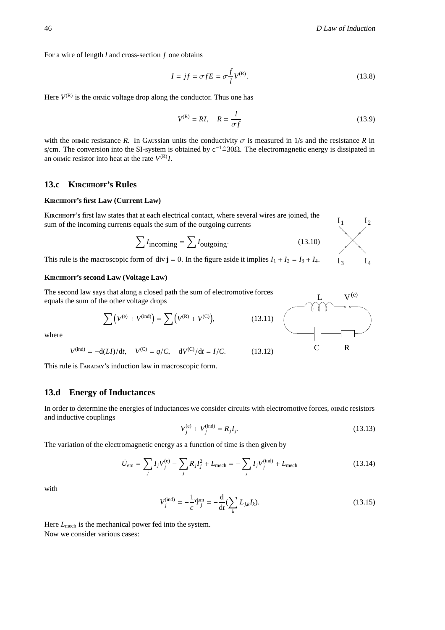$I_1$   $I_2$ 

 $I_4$ 

 $I<sub>3</sub>$ 

For a wire of length *l* and cross-section *f* one obtains

$$
I = jf = \sigma f E = \sigma \frac{f}{l} V^{(R)}.
$$
\n(13.8)

Here  $V^{(R)}$  is the onwic voltage drop along the conductor. Thus one has

$$
V^{(R)} = RI, \quad R = \frac{l}{\sigma f} \tag{13.9}
$$

with the onwic resistance *R*. In Gaussian units the conductivity  $\sigma$  is measured in 1/s and the resistance *R* in s/cm. The conversion into the SI-system is obtained by  $c^{-1}$   $\hat{=}$  30 $\Omega$ . The electromagnetic energy is dissipated in an on *n*ic resistor into heat at the rate  $V^{(R)}I$ .

### **13.c K's Rules**

### **K's first Law (Current Law)**

KIRCHHOFF's first law states that at each electrical contact, where several wires are joined, the sum of the incoming currents equals the sum of the outgoing currents

$$
\sum I_{\text{incoming}} = \sum I_{\text{outgoing}}.
$$
 (13.10)

This rule is the macroscopic form of div  $\mathbf{j} = 0$ . In the figure aside it implies  $I_1 + I_2 = I_3 + I_4$ .

### **K's second Law (Voltage Law)**

The second law says that along a closed path the sum of electromotive forces equals the sum of the other voltage drops

$$
\sum (V^{(e)} + V^{(ind)}) = \sum (V^{(R)} + V^{(C)}),
$$

where

$$
V^{(ind)} = -d(LI)/dt
$$
,  $V^{(C)} = q/C$ ,  $dV^{(C)}/dt = I/C$ . (

This rule is FARADAY's induction law in macroscopic form.

### **13.d Energy of Inductances**

In order to determine the energies of inductances we consider circuits with electromotive forces, onmic resistors and inductive couplings

$$
V_j^{(e)} + V_j^{(ind)} = R_j I_j.
$$
\n(13.13)

The variation of the electromagnetic energy as a function of time is then given by

$$
\dot{U}_{\text{em}} = \sum_{j} I_{j} V_{j}^{(e)} - \sum_{j} R_{j} I_{j}^{2} + L_{\text{mech}} = -\sum_{j} I_{j} V_{j}^{(\text{ind})} + L_{\text{mech}}
$$
\n(13.14)

with

$$
V_j^{(\text{ind})} = -\frac{1}{c} \dot{\Psi}_j^{\text{m}} = -\frac{d}{dt} (\sum_k L_{j,k} I_k).
$$
 (13.15)

Here  $L_{\text{mech}}$  is the mechanical power fed into the system. Now we consider various cases:

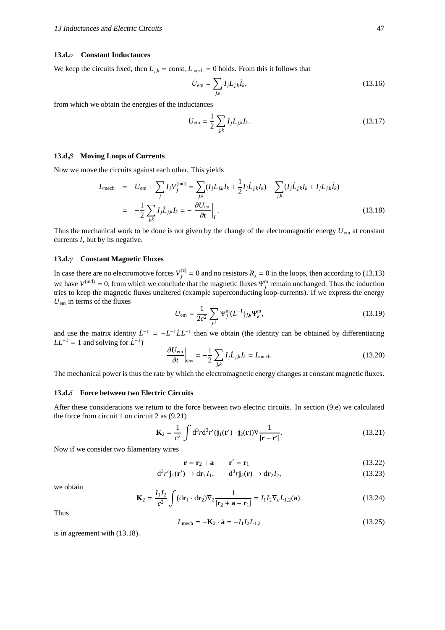### **13.d.**α **Constant Inductances**

We keep the circuits fixed, then  $L_{jk} = \text{const}$ ,  $L_{\text{mech}} = 0$  holds. From this it follows that

$$
\dot{U}_{\rm em} = \sum_{j,k} I_j L_{j,k} \dot{I}_k,\tag{13.16}
$$

from which we obtain the energies of the inductances

$$
U_{\rm em} = \frac{1}{2} \sum_{j,k} I_j L_{j,k} I_k. \tag{13.17}
$$

#### **13.d.**β **Moving Loops of Currents**

Now we move the circuits against each other. This yields

$$
L_{\text{mech}} = \dot{U}_{\text{em}} + \sum_{j} I_{j} V_{j}^{(\text{ind})} = \sum_{j,k} (I_{j} L_{j,k} \dot{I}_{k} + \frac{1}{2} I_{j} \dot{L}_{j,k} I_{k}) - \sum_{j,k} (I_{j} \dot{L}_{j,k} I_{k} + I_{j} L_{j,k} \dot{I}_{k})
$$

$$
= -\frac{1}{2} \sum_{j,k} I_{j} \dot{L}_{j,k} I_{k} = -\frac{\partial U_{\text{em}}}{\partial t} \Big|_{I}.
$$
(13.18)

Thus the mechanical work to be done is not given by the change of the electromagnetic energy  $U_{\text{em}}$  at constant currents *I*, but by its negative.

### **13.d.**γ **Constant Magnetic Fluxes**

In case there are no electromotive forces  $V_j^{(e)} = 0$  and no resistors  $R_j = 0$  in the loops, then according to (13.13) we have  $V^{(ind)} = 0$ , from which we conclude that the magnetic fluxes  $\Psi_j^m$  remain unchanged. Thus the induction tries to keep the magnetic fluxes unaltered (example superconducting loop-currents). If we express the energy *U*em in terms of the fluxes

$$
U_{\rm em} = \frac{1}{2c^2} \sum_{j,k} \Psi_j^{\rm m} (L^{-1})_{j,k} \Psi_k^{\rm m},\tag{13.19}
$$

and use the matrix identity  $\dot{L}^{-1} = -L^{-1}\dot{L}L^{-1}$  then we obtain (the identity can be obtained by differentiating  $LL^{-1} = 1$  and solving for  $\dot{L}^{-1}$ )

$$
\left. \frac{\partial U_{\text{em}}}{\partial t} \right|_{\Psi^{\text{m}}} = -\frac{1}{2} \sum_{j,k} I_j \dot{L}_{j,k} I_k = L_{\text{mech}}.
$$
\n(13.20)

The mechanical power is thus the rate by which the electromagnetic energy changes at constant magnetic fluxes.

### **13.d.**δ **Force between two Electric Circuits**

After these considerations we return to the force between two electric circuits. In section (9.e) we calculated the force from circuit 1 on circuit 2 as (9.21)

$$
\mathbf{K}_2 = \frac{1}{c^2} \int d^3 r d^3 r' (\mathbf{j}_1(\mathbf{r}') \cdot \mathbf{j}_2(\mathbf{r})) \nabla \frac{1}{|\mathbf{r} - \mathbf{r}'|}.
$$
 (13.21)

Now if we consider two filamentary wires

$$
\mathbf{r} = \mathbf{r}_2 + \mathbf{a} \qquad \mathbf{r}' = \mathbf{r}_1 \tag{13.22}
$$

$$
d^3r'\mathbf{j}_1(\mathbf{r}') \to d\mathbf{r}_1 I_1, \qquad d^3r\mathbf{j}_2(\mathbf{r}) \to d\mathbf{r}_2 I_2,\tag{13.23}
$$

we obtain

$$
\mathbf{K}_2 = \frac{I_1 I_2}{c^2} \int (\mathbf{dr}_1 \cdot \mathbf{dr}_2) \nabla_2 \frac{1}{|\mathbf{r}_2 + \mathbf{a} - \mathbf{r}_1|} = I_1 I_2 \nabla_a L_{1,2}(\mathbf{a}).
$$
 (13.24)

Thus

$$
L_{\text{mech}} = -\mathbf{K}_2 \cdot \dot{\mathbf{a}} = -I_1 I_2 \dot{L}_{1,2} \tag{13.25}
$$

is in agreement with (13.18).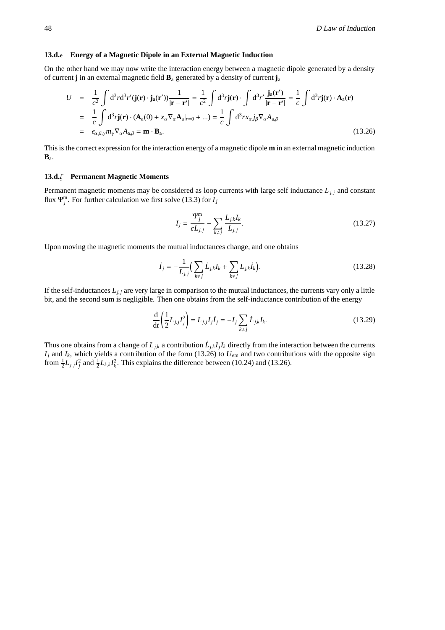### **13.d. Energy of a Magnetic Dipole in an External Magnetic Induction**

On the other hand we may now write the interaction energy between a magnetic dipole generated by a density of current **j** in an external magnetic field **B**<sup>a</sup> generated by a density of current **j**<sup>a</sup>

$$
U = \frac{1}{c^2} \int d^3 r d^3 r' (\mathbf{j}(\mathbf{r}) \cdot \mathbf{j}_a(\mathbf{r}')) \frac{1}{|\mathbf{r} - \mathbf{r}'|} = \frac{1}{c^2} \int d^3 r \mathbf{j}(\mathbf{r}) \cdot \int d^3 r' \frac{\mathbf{j}_a(\mathbf{r}')}{|\mathbf{r} - \mathbf{r}'|} = \frac{1}{c} \int d^3 r \mathbf{j}(\mathbf{r}) \cdot \mathbf{A}_a(\mathbf{r})
$$
  
\n
$$
= \frac{1}{c} \int d^3 r \mathbf{j}(\mathbf{r}) \cdot (\mathbf{A}_a(0) + x_\alpha \nabla_\alpha \mathbf{A}_a|_{r=0} + ...) = \frac{1}{c} \int d^3 r x_\alpha j_\beta \nabla_\alpha A_{a,\beta}
$$
  
\n
$$
= \epsilon_{\alpha,\beta,\gamma} m_\gamma \nabla_\alpha A_{a,\beta} = \mathbf{m} \cdot \mathbf{B}_a.
$$
 (13.26)

This is the correct expression for the interaction energy of a magnetic dipole **m** in an external magnetic induction **B**a.

### **13.d.**ζ **Permanent Magnetic Moments**

Permanent magnetic moments may be considered as loop currents with large self inductance  $L_{j,j}$  and constant flux  $\Psi_j^m$ . For further calculation we first solve (13.3) for  $I_j$ 

$$
I_j = \frac{\Psi_j^m}{c L_{j,j}} - \sum_{k \neq j} \frac{L_{j,k} I_k}{L_{j,j}}.
$$
 (13.27)

Upon moving the magnetic moments the mutual inductances change, and one obtains

$$
\dot{I}_j = -\frac{1}{L_{j,j}} \Big( \sum_{k \neq j} \dot{L}_{j,k} I_k + \sum_{k \neq j} L_{j,k} \dot{I}_k \Big). \tag{13.28}
$$

If the self-inductances  $L_{i,j}$  are very large in comparison to the mutual inductances, the currents vary only a little bit, and the second sum is negligible. Then one obtains from the self-inductance contribution of the energy

$$
\frac{d}{dt} \left( \frac{1}{2} L_{j,j} I_j^2 \right) = L_{j,j} I_j I_j = -I_j \sum_{k \neq j} L_{j,k} I_k.
$$
\n(13.29)

Thus one obtains from a change of  $L_{j,k}$  a contribution  $\dot{L}_{j,k}I_jI_k$  directly from the interaction between the currents  $I_j$  and  $I_k$ , which yields a contribution of the form (13.26) to  $U_{\text{em}}$  and two contributions with the opposite sign from  $\frac{1}{2}L_{j,j}I_j^2$  and  $\frac{1}{2}L_{k,k}I_k^2$ . This explains the difference between (10.24) and (13.26).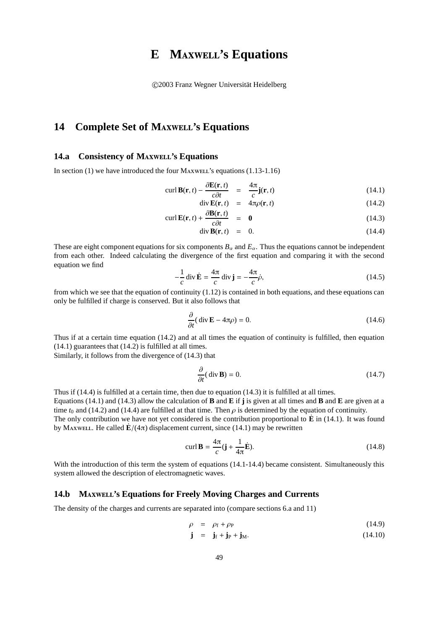# **E M's Equations**

©2003 Franz Wegner Universität Heidelberg

## **14 Complete Set of M's Equations**

### **14.a Consistency of M's Equations**

In section  $(1)$  we have introduced the four MAXWELL's equations  $(1.13-1.16)$ 

$$
\operatorname{curl} \mathbf{B}(\mathbf{r},t) - \frac{\partial \mathbf{E}(\mathbf{r},t)}{\partial t} = \frac{4\pi}{c}\mathbf{j}(\mathbf{r},t) \tag{14.1}
$$

$$
\operatorname{div} \mathbf{E}(\mathbf{r}, t) = 4\pi \rho(\mathbf{r}, t) \tag{14.2}
$$

$$
\operatorname{curl} \mathbf{E}(\mathbf{r}, t) + \frac{\partial \mathbf{B}(\mathbf{r}, t)}{\partial t} = \mathbf{0}
$$
 (14.3)

$$
\operatorname{div} \mathbf{B}(\mathbf{r}, t) = 0. \tag{14.4}
$$

These are eight component equations for six components  $B_\alpha$  and  $E_\alpha$ . Thus the equations cannot be independent from each other. Indeed calculating the divergence of the first equation and comparing it with the second equation we find

$$
-\frac{1}{c}\operatorname{div}\dot{\mathbf{E}} = \frac{4\pi}{c}\operatorname{div}\mathbf{j} = -\frac{4\pi}{c}\dot{\rho},\tag{14.5}
$$

from which we see that the equation of continuity (1.12) is contained in both equations, and these equations can only be fulfilled if charge is conserved. But it also follows that

$$
\frac{\partial}{\partial t}(\text{div}\,\mathbf{E} - 4\pi\rho) = 0. \tag{14.6}
$$

Thus if at a certain time equation (14.2) and at all times the equation of continuity is fulfilled, then equation (14.1) guarantees that (14.2) is fulfilled at all times.

Similarly, it follows from the divergence of (14.3) that

$$
\frac{\partial}{\partial t}(\text{div }\mathbf{B}) = 0. \tag{14.7}
$$

Thus if (14.4) is fulfilled at a certain time, then due to equation (14.3) it is fulfilled at all times. Equations (14.1) and (14.3) allow the calculation of **B** and **E** if **j** is given at all times and **B** and **E** are given at a time  $t_0$  and (14.2) and (14.4) are fulfilled at that time. Then  $\rho$  is determined by the equation of continuity.

The only contribution we have not yet considered is the contribution proportional to  $\dot{\mathbf{E}}$  in (14.1). It was found by MAXWELL. He called  $\dot{\mathbf{E}}/(4\pi)$  displacement current, since (14.1) may be rewritten

$$
\operatorname{curl} \mathbf{B} = \frac{4\pi}{c} (\mathbf{j} + \frac{1}{4\pi} \dot{\mathbf{E}}). \tag{14.8}
$$

With the introduction of this term the system of equations (14.1-14.4) became consistent. Simultaneously this system allowed the description of electromagnetic waves.

### **14.b M's Equations for Freely Moving Charges and Currents**

The density of the charges and currents are separated into (compare sections 6.a and 11)

$$
\rho = \rho_f + \rho_P \tag{14.9}
$$

$$
\mathbf{j} = \mathbf{j}_f + \mathbf{j}_P + \mathbf{j}_M. \tag{14.10}
$$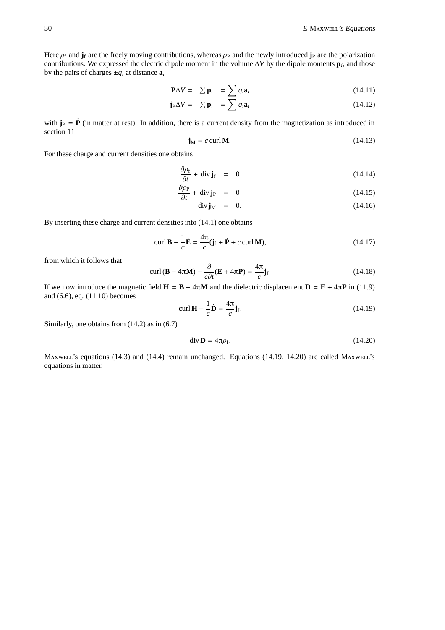Here  $\rho_f$  and  $\mathbf{j}_f$  are the freely moving contributions, whereas  $\rho_P$  and the newly introduced  $\mathbf{j}_P$  are the polarization contributions. We expressed the electric dipole moment in the volume  $\Delta V$  by the dipole moments  $\mathbf{p}_i$ , and those by the pairs of charges  $\pm q_i$  at distance  $\mathbf{a}_i$ 

$$
\mathbf{P}\Delta V = \sum \mathbf{p}_i = \sum q_i \mathbf{a}_i \tag{14.11}
$$

$$
\mathbf{j}_{P}\Delta V = \sum \dot{\mathbf{p}}_{i} = \sum q_{i}\dot{\mathbf{a}}_{i}
$$
 (14.12)

with  $\mathbf{j}_P = \mathbf{\dot{P}}$  (in matter at rest). In addition, there is a current density from the magnetization as introduced in section 11

$$
\mathbf{j}_M = c \operatorname{curl} \mathbf{M}.\tag{14.13}
$$

For these charge and current densities one obtains

$$
\frac{\partial \rho_f}{\partial t} + \text{div } \mathbf{j}_f = 0 \tag{14.14}
$$

$$
\frac{\partial \rho_{\rm P}}{\partial t} + \text{div} \, \mathbf{j}_{\rm P} = 0 \tag{14.15}
$$

$$
\text{div}\,\mathbf{j}_M = 0. \tag{14.16}
$$

By inserting these charge and current densities into (14.1) one obtains

$$
\operatorname{curl} \mathbf{B} - \frac{1}{c} \dot{\mathbf{E}} = \frac{4\pi}{c} (\mathbf{j}_\text{f} + \dot{\mathbf{P}} + c \operatorname{curl} \mathbf{M}),\tag{14.17}
$$

from which it follows that

$$
\operatorname{curl} (\mathbf{B} - 4\pi \mathbf{M}) - \frac{\partial}{c\partial t} (\mathbf{E} + 4\pi \mathbf{P}) = \frac{4\pi}{c} \mathbf{j}_f.
$$
 (14.18)

If we now introduce the magnetic field  $H = B - 4\pi M$  and the dielectric displacement  $D = E + 4\pi P$  in (11.9) and (6.6), eq. (11.10) becomes

$$
\operatorname{curl} \mathbf{H} - \frac{1}{c} \dot{\mathbf{D}} = \frac{4\pi}{c} \mathbf{j}_f. \tag{14.19}
$$

Similarly, one obtains from (14.2) as in (6.7)

$$
\operatorname{div} \mathbf{D} = 4\pi \rho_f. \tag{14.20}
$$

MAXWELL's equations  $(14.3)$  and  $(14.4)$  remain unchanged. Equations  $(14.19, 14.20)$  are called MAXWELL's equations in matter.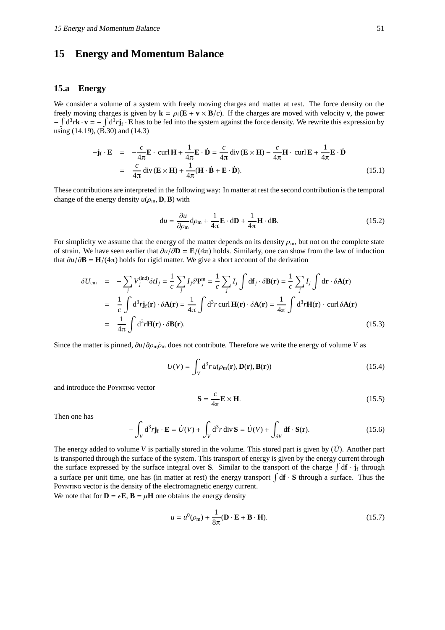### **15 Energy and Momentum Balance**

### **15.a Energy**

We consider a volume of a system with freely moving charges and matter at rest. The force density on the freely moving charges is given by  $\mathbf{k} = \rho_f(\mathbf{E} + \mathbf{v} \times \mathbf{B}/c)$ . If the charges are moved with velocity **v**, the power  $-\int d^3 r \mathbf{k} \cdot \mathbf{v} = -\int d^3 r \mathbf{j}_f \cdot \mathbf{E}$  has to be fed into the system against the force density. We rewrite this expression by using (14.19), (B.30) and (14.3)

$$
- \mathbf{j}_{\rm f} \cdot \mathbf{E} = -\frac{c}{4\pi} \mathbf{E} \cdot \text{curl} \mathbf{H} + \frac{1}{4\pi} \mathbf{E} \cdot \mathbf{D} = \frac{c}{4\pi} \text{div} (\mathbf{E} \times \mathbf{H}) - \frac{c}{4\pi} \mathbf{H} \cdot \text{curl} \mathbf{E} + \frac{1}{4\pi} \mathbf{E} \cdot \mathbf{D}
$$
  
=  $\frac{c}{4\pi} \text{div} (\mathbf{E} \times \mathbf{H}) + \frac{1}{4\pi} (\mathbf{H} \cdot \mathbf{B} + \mathbf{E} \cdot \mathbf{D}).$  (15.1)

These contributions are interpreted in the following way: In matter at rest the second contribution is the temporal change of the energy density  $u(\rho_m, \mathbf{D}, \mathbf{B})$  with

$$
du = \frac{\partial u}{\partial \rho_m} d\rho_m + \frac{1}{4\pi} \mathbf{E} \cdot d\mathbf{D} + \frac{1}{4\pi} \mathbf{H} \cdot d\mathbf{B}.
$$
 (15.2)

For simplicity we assume that the energy of the matter depends on its density  $\rho_m$ , but not on the complete state of strain. We have seen earlier that ∂*u*/∂**D** = **E**/(4π) holds. Similarly, one can show from the law of induction that  $\partial u / \partial \mathbf{B} = \mathbf{H}/(4\pi)$  holds for rigid matter. We give a short account of the derivation

$$
\delta U_{\rm em} = -\sum_{j} V_{j}^{\rm (ind)} \delta t I_{j} = \frac{1}{c} \sum_{j} I_{j} \delta \Psi_{j}^{\rm m} = \frac{1}{c} \sum_{j} I_{j} \int d\mathbf{f}_{j} \cdot \delta \mathbf{B}(\mathbf{r}) = \frac{1}{c} \sum_{j} I_{j} \int d\mathbf{r} \cdot \delta \mathbf{A}(\mathbf{r})
$$

$$
= \frac{1}{c} \int d^{3} r \mathbf{j}_{\rm f}(\mathbf{r}) \cdot \delta \mathbf{A}(\mathbf{r}) = \frac{1}{4\pi} \int d^{3} r \operatorname{curl} \mathbf{H}(\mathbf{r}) \cdot \delta \mathbf{A}(\mathbf{r}) = \frac{1}{4\pi} \int d^{3} r \mathbf{H}(\mathbf{r}) \cdot \operatorname{curl} \delta \mathbf{A}(\mathbf{r})
$$

$$
= \frac{1}{4\pi} \int d^{3} r \mathbf{H}(\mathbf{r}) \cdot \delta \mathbf{B}(\mathbf{r}). \tag{15.3}
$$

Since the matter is pinned,  $\partial u / \partial \rho_m \dot{\rho}_m$  does not contribute. Therefore we write the energy of volume *V* as

$$
U(V) = \int_{V} d^{3}r \, u(\rho_{m}(\mathbf{r}), \mathbf{D}(\mathbf{r}), \mathbf{B}(\mathbf{r})) \tag{15.4}
$$

and introduce the POYNTING vector

$$
\mathbf{S} = \frac{c}{4\pi} \mathbf{E} \times \mathbf{H}.
$$
 (15.5)

Then one has

$$
-\int_{V} d^{3}r \mathbf{j}_{\rm f} \cdot \mathbf{E} = \dot{U}(V) + \int_{V} d^{3}r \operatorname{div} \mathbf{S} = \dot{U}(V) + \int_{\partial V} d\mathbf{f} \cdot \mathbf{S}(\mathbf{r}).
$$
\n(15.6)

The energy added to volume *V* is partially stored in the volume. This stored part is given by (*U*˙). Another part is transported through the surface of the system. This transport of energy is given by the energy current through the surface expressed by the surface integral over **S**. Similar to the transport of the charge  $\int df \cdot j_f$  through a surface per unit time, one has (in matter at rest) the energy transport  $\int df \cdot S$  through a surface. Thus the POYNTING vector is the density of the electromagnetic energy current.

We note that for  $\mathbf{D} = \epsilon \mathbf{E}$ ,  $\mathbf{B} = \mu \mathbf{H}$  one obtains the energy density

$$
u = u^{0}(\rho_{\rm m}) + \frac{1}{8\pi}(\mathbf{D} \cdot \mathbf{E} + \mathbf{B} \cdot \mathbf{H}).
$$
 (15.7)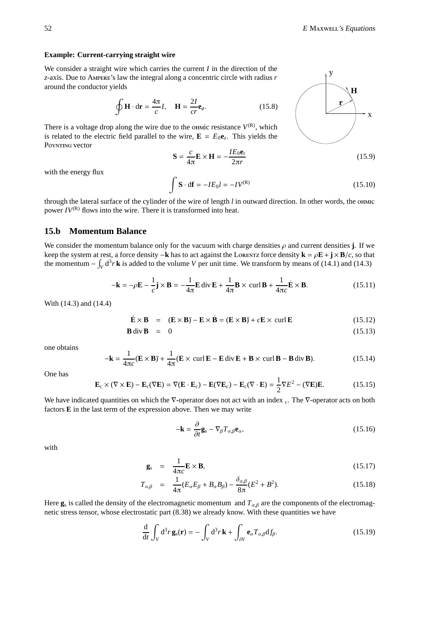### **Example: Current-carrying straight wire**

We consider a straight wire which carries the current *I* in the direction of the  $z$ -axis. Due to AMPERE's law the integral along a concentric circle with radius *r* around the conductor yields

$$
\oint \mathbf{H} \cdot d\mathbf{r} = \frac{4\pi}{c} I, \quad \mathbf{H} = \frac{2I}{cr} \mathbf{e}_{\phi}.
$$
\n(15.8)

There is a voltage drop along the wire due to the onwic resistance  $V^{(R)}$ , which is related to the electric field parallel to the wire,  $\mathbf{E} = E_0 \mathbf{e}_z$ . This yields the POYNTING vector

$$
\mathbf{S} = \frac{c}{4\pi} \mathbf{E} \times \mathbf{H} = -\frac{I E_0 \mathbf{e}_r}{2\pi r}
$$
(15.9)

with the energy flux

$$
\int \mathbf{S} \cdot \mathbf{df} = -IE_0 l = -IV^{(R)} \tag{15.10}
$$

through the lateral surface of the cylinder of the wire of length *l* in outward direction. In other words, the power  $IV^{(R)}$  flows into the wire. There it is transformed into heat.

### **15.b Momentum Balance**

We consider the momentum balance only for the vacuum with charge densities  $\rho$  and current densities **j**. If we keep the system at rest, a force density  $-\mathbf{k}$  has to act against the LORENTZ force density  $\mathbf{k} = \rho \mathbf{E} + \mathbf{j} \times \mathbf{B}/c$ , so that the momentum  $-\int_V d^3r \mathbf{k}$  is added to the volume *V* per unit time. We transform by means of (14.1) and (14.3)

$$
-\mathbf{k} = -\rho \mathbf{E} - \frac{1}{c} \mathbf{j} \times \mathbf{B} = -\frac{1}{4\pi} \mathbf{E} \operatorname{div} \mathbf{E} + \frac{1}{4\pi} \mathbf{B} \times \operatorname{curl} \mathbf{B} + \frac{1}{4\pi c} \dot{\mathbf{E}} \times \mathbf{B}.
$$
 (15.11)

With (14.3) and (14.4)

$$
\dot{\mathbf{E}} \times \mathbf{B} = (\mathbf{E} \times \mathbf{B}) - \mathbf{E} \times \dot{\mathbf{B}} = (\mathbf{E} \times \mathbf{B}) + c\mathbf{E} \times \text{curl } \mathbf{E}
$$
 (15.12)

$$
\mathbf{B} \operatorname{div} \mathbf{B} = 0 \tag{15.13}
$$

one obtains

$$
-\mathbf{k} = \frac{1}{4\pi c} (\mathbf{E} \times \mathbf{B}) + \frac{1}{4\pi} (\mathbf{E} \times \text{curl } \mathbf{E} - \mathbf{E} \text{div } \mathbf{E} + \mathbf{B} \times \text{curl } \mathbf{B} - \mathbf{B} \text{div } \mathbf{B}).
$$
 (15.14)

One has

$$
\mathbf{E}_{c} \times (\nabla \times \mathbf{E}) - \mathbf{E}_{c}(\nabla \mathbf{E}) = \nabla (\mathbf{E} \cdot \mathbf{E}_{c}) - \mathbf{E}(\nabla \mathbf{E}_{c}) - \mathbf{E}_{c}(\nabla \cdot \mathbf{E}) = \frac{1}{2} \nabla E^{2} - (\nabla \mathbf{E}) \mathbf{E}.
$$
 (15.15)

We have indicated quantities on which the ∇-operator does not act with an index <sub>c</sub>. The ∇-operator acts on both factors **E** in the last term of the expression above. Then we may write

$$
-\mathbf{k} = \frac{\partial}{\partial t} \mathbf{g}_s - \nabla_\beta T_{\alpha,\beta} \mathbf{e}_\alpha, \tag{15.16}
$$

with

$$
\mathbf{g}_s = \frac{1}{4\pi c} \mathbf{E} \times \mathbf{B},\tag{15.17}
$$

$$
T_{\alpha\beta} = \frac{1}{4\pi} (E_{\alpha} E_{\beta} + B_{\alpha} B_{\beta}) - \frac{\delta_{\alpha\beta}}{8\pi} (E^2 + B^2).
$$
 (15.18)

Here  $\mathbf{g}_s$  is called the density of the electromagnetic momentum and  $T_{\alpha,\beta}$  are the components of the electromagnetic stress tensor, whose electrostatic part (8.38) we already know. With these quantities we have

$$
\frac{\mathrm{d}}{\mathrm{d}t} \int_{V} \mathrm{d}^{3} r \, \mathbf{g}_{\mathrm{s}}(\mathbf{r}) = -\int_{V} \mathrm{d}^{3} r \, \mathbf{k} + \int_{\partial V} \mathbf{e}_{\alpha} T_{\alpha\beta} \mathrm{d}f_{\beta}.
$$
\n(15.19)



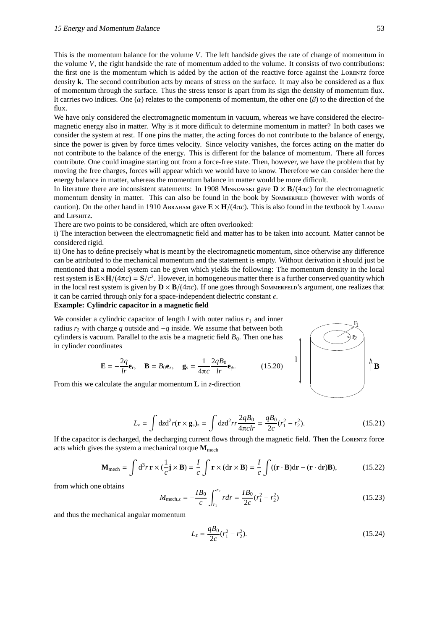This is the momentum balance for the volume *V*. The left handside gives the rate of change of momentum in the volume *V*, the right handside the rate of momentum added to the volume. It consists of two contributions: the first one is the momentum which is added by the action of the reactive force against the LORENTZ force density **k**. The second contribution acts by means of stress on the surface. It may also be considered as a flux of momentum through the surface. Thus the stress tensor is apart from its sign the density of momentum flux. It carries two indices. One  $(\alpha)$  relates to the components of momentum, the other one  $(\beta)$  to the direction of the flux.

We have only considered the electromagnetic momentum in vacuum, whereas we have considered the electromagnetic energy also in matter. Why is it more difficult to determine momentum in matter? In both cases we consider the system at rest. If one pins the matter, the acting forces do not contribute to the balance of energy, since the power is given by force times velocity. Since velocity vanishes, the forces acting on the matter do not contribute to the balance of the energy. This is different for the balance of momentum. There all forces contribute. One could imagine starting out from a force-free state. Then, however, we have the problem that by moving the free charges, forces will appear which we would have to know. Therefore we can consider here the energy balance in matter, whereas the momentum balance in matter would be more difficult.

In literature there are inconsistent statements: In 1908 M<sub>INKOWSKI</sub> gave  $\mathbf{D} \times \mathbf{B}/(4\pi c)$  for the electromagnetic momentum density in matter. This can also be found in the book by SOMMERFELD (however with words of caution). On the other hand in 1910 ABRAHAM gave  $\mathbf{E} \times \mathbf{H}/(4\pi c)$ . This is also found in the textbook by LANDAU and LIFSHITZ.

There are two points to be considered, which are often overlooked:

i) The interaction between the electromagnetic field and matter has to be taken into account. Matter cannot be considered rigid.

ii) One has to define precisely what is meant by the electromagnetic momentum, since otherwise any difference can be attributed to the mechanical momentum and the statement is empty. Without derivation it should just be mentioned that a model system can be given which yields the following: The momentum density in the local rest system is  $\mathbf{E} \times \mathbf{H}/(4\pi c) = \mathbf{S}/c^2$ . However, in homogeneous matter there is a further conserved quantity which in the local rest system is given by  $\mathbf{D} \times \mathbf{B}/(4\pi c)$ . If one goes through SOMMERFELD's argument, one realizes that it can be carried through only for a space-independent dielectric constant  $\epsilon$ .

#### **Example: Cylindric capacitor in a magnetic field**

We consider a cylindric capacitor of length *l* with outer radius  $r_1$  and inner radius *r*<sup>2</sup> with charge *q* outside and −*q* inside. We assume that between both cylinders is vacuum. Parallel to the axis be a magnetic field  $B_0$ . Then one has in cylinder coordinates

$$
\mathbf{E} = -\frac{2q}{lr}\mathbf{e}_r, \quad \mathbf{B} = B_0 \mathbf{e}_z, \quad \mathbf{g}_s = \frac{1}{4\pi c} \frac{2qB_0}{lr} \mathbf{e}_\phi. \tag{15.20}
$$

From this we calculate the angular momentum **L** in *z*-direction



l

r r

2  $\mathbf 1$ 

 $^{\mathbb{A}}$  B

$$
L_z = \int dz d^2 r (\mathbf{r} \times \mathbf{g}_s)_z = \int dz d^2 r r \frac{2q B_0}{4\pi c l r} = \frac{q B_0}{2c} (r_1^2 - r_2^2).
$$
 (15.21)

If the capacitor is decharged, the decharging current flows through the magnetic field. Then the LORENTZ force acts which gives the system a mechanical torque **M**mech

$$
\mathbf{M}_{\text{mech}} = \int d^3 r \, \mathbf{r} \times (\frac{1}{c} \mathbf{j} \times \mathbf{B}) = \frac{I}{c} \int \mathbf{r} \times (\mathbf{dr} \times \mathbf{B}) = \frac{I}{c} \int ((\mathbf{r} \cdot \mathbf{B}) \mathbf{dr} - (\mathbf{r} \cdot \mathbf{dr}) \mathbf{B}), \tag{15.22}
$$

from which one obtains

$$
M_{\text{mech},z} = -\frac{IB_0}{c} \int_{r_1}^{r_2} r dr = \frac{IB_0}{2c} (r_1^2 - r_2^2)
$$
 (15.23)

and thus the mechanical angular momentum

$$
L_z = \frac{qB_0}{2c}(r_1^2 - r_2^2). \tag{15.24}
$$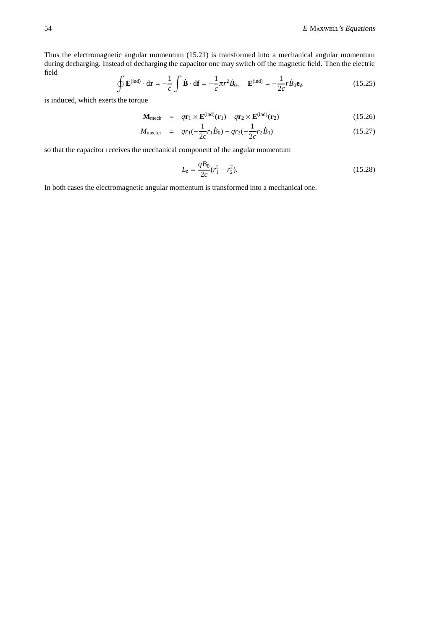Thus the electromagnetic angular momentum (15.21) is transformed into a mechanical angular momentum during decharging. Instead of decharging the capacitor one may switch off the magnetic field. Then the electric field

$$
\oint \mathbf{E}^{(\text{ind})} \cdot d\mathbf{r} = -\frac{1}{c} \int \dot{\mathbf{B}} \cdot d\mathbf{f} = -\frac{1}{c} \pi r^2 \dot{B}_0, \quad \mathbf{E}^{(\text{ind})} = -\frac{1}{2c} r \dot{B}_0 \mathbf{e}_{\phi}
$$
\n(15.25)

is induced, which exerts the torque

$$
\mathbf{M}_{\text{mech}} = q\mathbf{r}_1 \times \mathbf{E}^{\text{(ind)}}(\mathbf{r}_1) - q\mathbf{r}_2 \times \mathbf{E}^{\text{(ind)}}(\mathbf{r}_2)
$$
(15.26)

$$
M_{\text{mech},z} = qr_1(-\frac{1}{2c}r_1\dot{B}_0) - qr_2(-\frac{1}{2c}r_2\dot{B}_0)
$$
\n(15.27)

so that the capacitor receives the mechanical component of the angular momentum

$$
L_z = \frac{qB_0}{2c}(r_1^2 - r_2^2). \tag{15.28}
$$

In both cases the electromagnetic angular momentum is transformed into a mechanical one.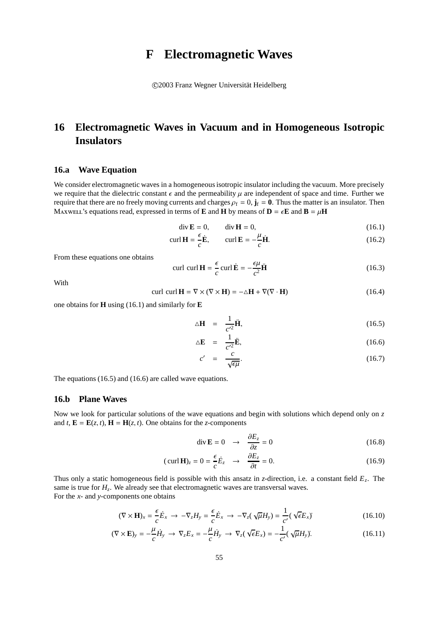# **F Electromagnetic Waves**

©2003 Franz Wegner Universität Heidelberg

## **16 Electromagnetic Waves in Vacuum and in Homogeneous Isotropic Insulators**

## **16.a Wave Equation**

We consider electromagnetic waves in a homogeneous isotropic insulator including the vacuum. More precisely we require that the dielectric constant  $\epsilon$  and the permeability  $\mu$  are independent of space and time. Further we require that there are no freely moving currents and charges  $\rho_f = 0$ ,  $\mathbf{j}_f = 0$ . Thus the matter is an insulator. Then MAXWELL'S equations read, expressed in terms of **E** and **H** by means of  $D = \epsilon E$  and  $B = \mu H$ 

$$
\operatorname{div} \mathbf{E} = 0, \qquad \operatorname{div} \mathbf{H} = 0, \tag{16.1}
$$

$$
\operatorname{curl} \mathbf{H} = \frac{\epsilon}{c} \dot{\mathbf{E}}, \qquad \operatorname{curl} \mathbf{E} = -\frac{\mu}{c} \dot{\mathbf{H}}.
$$
 (16.2)

From these equations one obtains

$$
\operatorname{curl} \operatorname{curl} \mathbf{H} = \frac{\epsilon}{c} \operatorname{curl} \dot{\mathbf{E}} = -\frac{\epsilon \mu}{c^2} \ddot{\mathbf{H}} \tag{16.3}
$$

With

$$
\operatorname{curl} \operatorname{curl} \mathbf{H} = \nabla \times (\nabla \times \mathbf{H}) = -\Delta \mathbf{H} + \nabla (\nabla \cdot \mathbf{H}) \tag{16.4}
$$

one obtains for **H** using (16.1) and similarly for **E**

$$
\Delta \mathbf{H} = \frac{1}{c'^2} \ddot{\mathbf{H}}, \tag{16.5}
$$

$$
\Delta \mathbf{E} = \frac{1}{c'^2} \ddot{\mathbf{E}}, \tag{16.6}
$$

$$
c' = \frac{c}{\sqrt{\epsilon \mu}}.\tag{16.7}
$$

The equations (16.5) and (16.6) are called wave equations.

### **16.b Plane Waves**

Now we look for particular solutions of the wave equations and begin with solutions which depend only on z and  $t$ ,  $\mathbf{E} = \mathbf{E}(z, t)$ ,  $\mathbf{H} = \mathbf{H}(z, t)$ . One obtains for the *z*-components

$$
\operatorname{div} \mathbf{E} = 0 \quad \to \quad \frac{\partial E_z}{\partial z} = 0 \tag{16.8}
$$

$$
(\operatorname{curl} \mathbf{H})_z = 0 = \frac{\epsilon}{c} \dot{E}_z \rightarrow \frac{\partial E_z}{\partial t} = 0. \tag{16.9}
$$

Thus only a static homogeneous field is possible with this ansatz in *z*-direction, i.e. a constant field *E<sup>z</sup>* . The same is true for  $H_z$ . We already see that electromagnetic waves are transversal waves. For the *x*- and *y*-components one obtains

$$
(\nabla \times \mathbf{H})_x = \frac{\epsilon}{c} \dot{E}_x \to -\nabla_z H_y = \frac{\epsilon}{c} \dot{E}_x \to -\nabla_z (\sqrt{\mu} H_y) = \frac{1}{c'} (\sqrt{\epsilon} E_x)
$$
(16.10)

$$
(\nabla \times \mathbf{E})_y = -\frac{\mu}{c} \dot{H}_y \to \nabla_z E_x = -\frac{\mu}{c} \dot{H}_y \to \nabla_z (\sqrt{\epsilon} E_x) = -\frac{1}{c'} (\sqrt{\mu} H_y).
$$
 (16.11)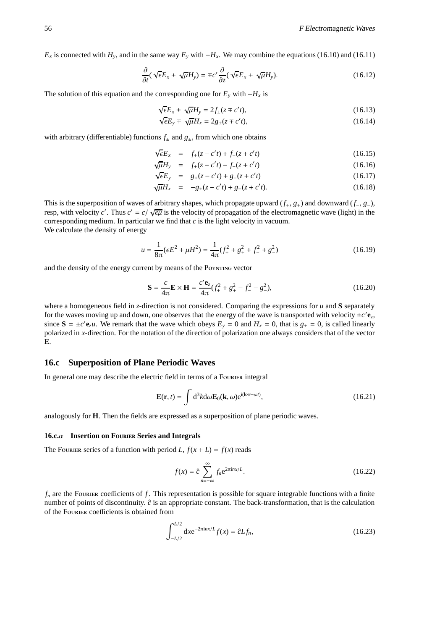$E_x$  is connected with  $H_y$ , and in the same way  $E_y$  with  $-H_x$ . We may combine the equations (16.10) and (16.11)

$$
\frac{\partial}{\partial t}(\sqrt{\epsilon}E_x \pm \sqrt{\mu}H_y) = \mp c' \frac{\partial}{\partial z}(\sqrt{\epsilon}E_x \pm \sqrt{\mu}H_y).
$$
 (16.12)

The solution of this equation and the corresponding one for  $E_y$  with  $-H_x$  is

$$
\sqrt{\epsilon}E_x \pm \sqrt{\mu}H_y = 2f_{\pm}(z \mp c't), \qquad (16.13)
$$

$$
\sqrt{\epsilon}E_y \mp \sqrt{\mu}H_x = 2g_{\pm}(z \mp c't),\tag{16.14}
$$

with arbitrary (differentiable) functions  $f_{\pm}$  and  $g_{\pm}$ , from which one obtains

$$
\sqrt{\epsilon}E_x = f_+(z - c't) + f_-(z + c't) \tag{16.15}
$$

$$
\sqrt{\mu}H_{y} = f_{+}(z - c't) - f_{-}(z + c't)
$$
\n(16.16)

$$
\sqrt{\epsilon}E_y = g_+(z - c't) + g_-(z + c't) \tag{16.17}
$$

$$
\sqrt{\mu}H_x = -g_+(z-c't) + g_-(z+c't). \tag{16.18}
$$

This is the superposition of waves of arbitrary shapes, which propagate upward  $(f_+, g_+)$  and downward  $(f_-, g_-)$ , resp, with velocity *c'*. Thus  $c' = c/\sqrt{\epsilon\mu}$  is the velocity of propagation of the electromagnetic wave (light) in the corresponding medium. In particular we find that *c* is the light velocity in vacuum. We calculate the density of energy

$$
u = \frac{1}{8\pi}(\epsilon E^2 + \mu H^2) = \frac{1}{4\pi}(f_+^2 + g_+^2 + f_-^2 + g_-^2)
$$
 (16.19)

and the density of the energy current by means of the POYNTING vector

$$
\mathbf{S} = \frac{c}{4\pi} \mathbf{E} \times \mathbf{H} = \frac{c' \mathbf{e}_z}{4\pi} (f_+^2 + g_+^2 - f_-^2 - g_-^2), \tag{16.20}
$$

where a homogeneous field in *z*-direction is not considered. Comparing the expressions for  $u$  and  $S$  separately for the waves moving up and down, one observes that the energy of the wave is transported with velocity  $\pm c' \mathbf{e}_z$ , since  $S = \pm c' \mathbf{e}_z u$ . We remark that the wave which obeys  $E_y = 0$  and  $H_x = 0$ , that is  $g_{\pm} = 0$ , is called linearly polarized in *x*-direction. For the notation of the direction of polarization one always considers that of the vector **E**.

### **16.c Superposition of Plane Periodic Waves**

In general one may describe the electric field in terms of a Fourier integral

$$
\mathbf{E}(\mathbf{r},t) = \int d^3k d\omega \mathbf{E}_0(\mathbf{k},\omega) e^{i(\mathbf{k}\cdot\mathbf{r}-\omega t)},
$$
 (16.21)

analogously for **H**. Then the fields are expressed as a superposition of plane periodic waves.

#### **16.c.**α **Insertion on F Series and Integrals**

The FOURIER series of a function with period *L*,  $f(x + L) = f(x)$  reads

$$
f(x) = \hat{c} \sum_{n = -\infty}^{\infty} f_n e^{2\pi i n x/L}.
$$
 (16.22)

 $f_n$  are the FOURIER coefficients of f. This representation is possible for square integrable functions with a finite number of points of discontinuity.  $\hat{c}$  is an appropriate constant. The back-transformation, that is the calculation of the FOURIER coefficients is obtained from

$$
\int_{-L/2}^{L/2} dx e^{-2\pi i n x/L} f(x) = \hat{c} L f_n,
$$
\n(16.23)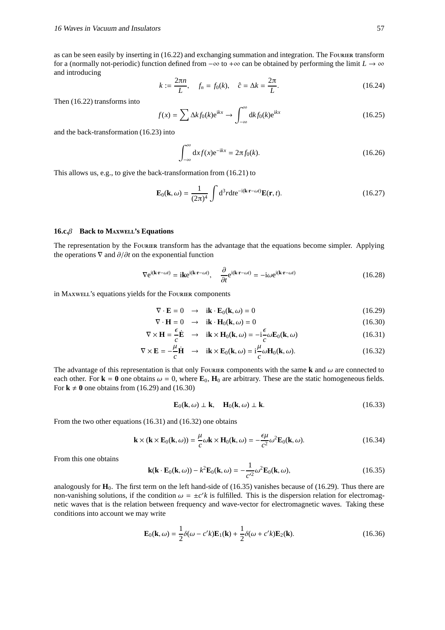as can be seen easily by inserting in (16.22) and exchanging summation and integration. The FOURIER transform for a (normally not-periodic) function defined from −∞ to +∞ can be obtained by performing the limit *L* → ∞ and introducing

$$
k := \frac{2\pi n}{L}, \quad f_n = f_0(k), \quad \hat{c} = \Delta k = \frac{2\pi}{L}.
$$
 (16.24)

Then (16.22) transforms into

$$
f(x) = \sum \Delta k f_0(k) e^{ikx} \to \int_{-\infty}^{\infty} dk f_0(k) e^{ikx}
$$
 (16.25)

and the back-transformation (16.23) into

$$
\int_{-\infty}^{\infty} dx f(x) e^{-ikx} = 2\pi f_0(k).
$$
 (16.26)

This allows us, e.g., to give the back-transformation from (16.21) to

$$
\mathbf{E}_0(\mathbf{k},\omega) = \frac{1}{(2\pi)^4} \int d^3r dt \mathrm{e}^{-i(\mathbf{k}\cdot\mathbf{r}-\omega t)} \mathbf{E}(\mathbf{r},t).
$$
 (16.27)

### **16.c.**β **Back to M's Equations**

The representation by the FOURIER transform has the advantage that the equations become simpler. Applying the operations ∇ and ∂/∂*t* on the exponential function

$$
\nabla e^{i(\mathbf{k}\cdot\mathbf{r}-\omega t)} = i\mathbf{k}e^{i(\mathbf{k}\cdot\mathbf{r}-\omega t)}, \quad \frac{\partial}{\partial t}e^{i(\mathbf{k}\cdot\mathbf{r}-\omega t)} = -i\omega e^{i(\mathbf{k}\cdot\mathbf{r}-\omega t)}
$$
(16.28)

in MAXWELL's equations yields for the FOURIER components

$$
\nabla \cdot \mathbf{E} = 0 \quad \rightarrow \quad \mathbf{ik} \cdot \mathbf{E}_0(\mathbf{k}, \omega) = 0 \tag{16.29}
$$

$$
\nabla \cdot \mathbf{H} = 0 \quad \rightarrow \quad \mathbf{ik} \cdot \mathbf{H}_0(\mathbf{k}, \omega) = 0 \tag{16.30}
$$

$$
\nabla \times \mathbf{H} = \frac{\epsilon}{c} \dot{\mathbf{E}} \quad \to \quad \mathbf{i}\mathbf{k} \times \mathbf{H}_0(\mathbf{k}, \omega) = -\mathbf{i} \frac{\epsilon}{c} \omega \mathbf{E}_0(\mathbf{k}, \omega) \tag{16.31}
$$

$$
\nabla \times \mathbf{E} = -\frac{\mu}{c} \dot{\mathbf{H}} \quad \to \quad \mathbf{i}\mathbf{k} \times \mathbf{E}_0(\mathbf{k}, \omega) = \mathbf{i}\frac{\mu}{c} \omega \mathbf{H}_0(\mathbf{k}, \omega).
$$
 (16.32)

The advantage of this representation is that only FOURIER components with the same **k** and  $\omega$  are connected to each other. For  $\mathbf{k} = \mathbf{0}$  one obtains  $\omega = 0$ , where  $\mathbf{E}_0$ ,  $\mathbf{H}_0$  are arbitrary. These are the static homogeneous fields. For  $\mathbf{k} \neq \mathbf{0}$  one obtains from (16.29) and (16.30)

$$
\mathbf{E}_0(\mathbf{k},\omega) \perp \mathbf{k}, \quad \mathbf{H}_0(\mathbf{k},\omega) \perp \mathbf{k}.\tag{16.33}
$$

From the two other equations (16.31) and (16.32) one obtains

$$
\mathbf{k} \times (\mathbf{k} \times \mathbf{E}_0(\mathbf{k}, \omega)) = \frac{\mu}{c} \omega \mathbf{k} \times \mathbf{H}_0(\mathbf{k}, \omega) = -\frac{\epsilon \mu}{c^2} \omega^2 \mathbf{E}_0(\mathbf{k}, \omega).
$$
 (16.34)

From this one obtains

$$
\mathbf{k}(\mathbf{k}\cdot\mathbf{E}_0(\mathbf{k},\omega)) - k^2 \mathbf{E}_0(\mathbf{k},\omega) = -\frac{1}{c'^2} \omega^2 \mathbf{E}_0(\mathbf{k},\omega),
$$
 (16.35)

analogously for **H**0. The first term on the left hand-side of (16.35) vanishes because of (16.29). Thus there are non-vanishing solutions, if the condition  $\omega = \pm c' k$  is fulfilled. This is the dispersion relation for electromagnetic waves that is the relation between frequency and wave-vector for electromagnetic waves. Taking these conditions into account we may write

$$
\mathbf{E}_0(\mathbf{k},\omega) = \frac{1}{2}\delta(\omega - c'k)\mathbf{E}_1(\mathbf{k}) + \frac{1}{2}\delta(\omega + c'k)\mathbf{E}_2(\mathbf{k}).
$$
\n(16.36)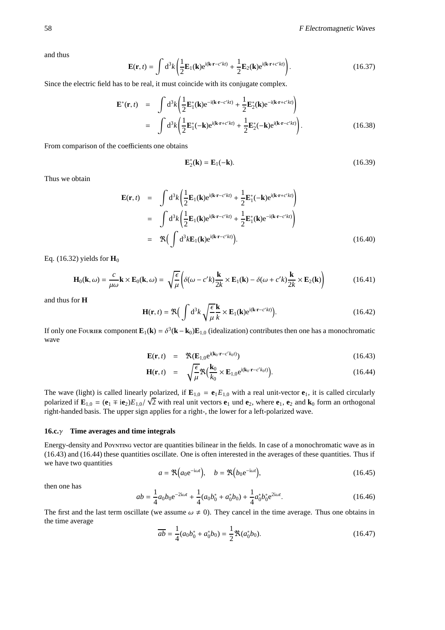and thus

$$
\mathbf{E}(\mathbf{r},t) = \int d^3k \left( \frac{1}{2} \mathbf{E}_1(\mathbf{k}) e^{i(\mathbf{k} \cdot \mathbf{r} - c'kt)} + \frac{1}{2} \mathbf{E}_2(\mathbf{k}) e^{i(\mathbf{k} \cdot \mathbf{r} + c'kt)} \right).
$$
 (16.37)

Since the electric field has to be real, it must coincide with its conjugate complex.

$$
\mathbf{E}^*(\mathbf{r},t) = \int d^3k \left( \frac{1}{2} \mathbf{E}_1^*(\mathbf{k}) e^{-i(\mathbf{k}\cdot\mathbf{r} - c'kt)} + \frac{1}{2} \mathbf{E}_2^*(\mathbf{k}) e^{-i(\mathbf{k}\cdot\mathbf{r} + c'kt)} \right)
$$
  
= 
$$
\int d^3k \left( \frac{1}{2} \mathbf{E}_1^*(-\mathbf{k}) e^{i(\mathbf{k}\cdot\mathbf{r} + c'kt)} + \frac{1}{2} \mathbf{E}_2^*(-\mathbf{k}) e^{i(\mathbf{k}\cdot\mathbf{r} - c'kt)} \right).
$$
 (16.38)

From comparison of the coefficients one obtains

$$
\mathbf{E}_2^*(\mathbf{k}) = \mathbf{E}_1(-\mathbf{k}).\tag{16.39}
$$

Thus we obtain

$$
\mathbf{E}(\mathbf{r},t) = \int d^3k \left( \frac{1}{2} \mathbf{E}_1(\mathbf{k}) e^{i(\mathbf{k} \cdot \mathbf{r} - c'kt)} + \frac{1}{2} \mathbf{E}_1^*(-\mathbf{k}) e^{i(\mathbf{k} \cdot \mathbf{r} + c'kt)} \right)
$$
  
\n
$$
= \int d^3k \left( \frac{1}{2} \mathbf{E}_1(\mathbf{k}) e^{i(\mathbf{k} \cdot \mathbf{r} - c'kt)} + \frac{1}{2} \mathbf{E}_1^*(\mathbf{k}) e^{-i(\mathbf{k} \cdot \mathbf{r} - c'kt)} \right)
$$
  
\n
$$
= \mathcal{R} \Big( \int d^3k \mathbf{E}_1(\mathbf{k}) e^{i(\mathbf{k} \cdot \mathbf{r} - c'kt)} \Big).
$$
 (16.40)

Eq. (16.32) yields for  $H_0$ 

$$
\mathbf{H}_0(\mathbf{k},\omega) = \frac{c}{\mu\omega}\mathbf{k} \times \mathbf{E}_0(\mathbf{k},\omega) = \sqrt{\frac{\epsilon}{\mu}} \left( \delta(\omega - c'k) \frac{\mathbf{k}}{2k} \times \mathbf{E}_1(\mathbf{k}) - \delta(\omega + c'k) \frac{\mathbf{k}}{2k} \times \mathbf{E}_2(\mathbf{k}) \right)
$$
(16.41)

and thus for **H**

$$
\mathbf{H}(\mathbf{r},t) = \mathcal{R} \Big( \int d^3k \sqrt{\frac{\epsilon}{\mu}} \frac{\mathbf{k}}{k} \times \mathbf{E}_1(\mathbf{k}) e^{i(\mathbf{k}\cdot\mathbf{r} - c'kt)} \Big). \tag{16.42}
$$

If only one Fourier component  $\mathbf{E}_1(\mathbf{k}) = \delta^3(\mathbf{k}-\mathbf{k}_0)\mathbf{E}_{1,0}$  (idealization) contributes then one has a monochromatic wave

$$
\mathbf{E}(\mathbf{r},t) = \mathbf{\mathcal{R}}(\mathbf{E}_{1,0}e^{i(\mathbf{k}_0 \cdot \mathbf{r} - c'k_0t)})
$$
 (16.43)

$$
\mathbf{H}(\mathbf{r},t) = \sqrt{\frac{\epsilon}{\mu}} \mathcal{R} \Big( \frac{\mathbf{k}_0}{k_0} \times \mathbf{E}_{1,0} e^{i(\mathbf{k}_0 \cdot \mathbf{r} - c' k_0 t)} \Big).
$$
 (16.44)

The wave (light) is called linearly polarized, if  $\mathbf{E}_{1,0} = \mathbf{e}_1 E_{1,0}$  with a real unit-vector  $\mathbf{e}_1$ , it is called circularly polarized if  $\mathbf{E}_{1,0} = (\mathbf{e}_1 \mp \mathbf{i}\mathbf{e}_2)E_{1,0}/\sqrt{2}$  with real unit vectors  $\mathbf{e}_1$  und  $\mathbf{e}_2$ , where  $\mathbf{e}_1$ ,  $\mathbf{e}_2$  and  $\mathbf{k}_0$  form an orthogonal right-handed basis. The upper sign applies for a right-, the lower for a left-polarized wave.

### **16.c.**γ **Time averages and time integrals**

Energy-density and Poynth G vector are quantities bilinear in the fields. In case of a monochromatic wave as in (16.43) and (16.44) these quantities oscillate. One is often interested in the averages of these quantities. Thus if we have two quantities

$$
a = \mathcal{R}(a_0 e^{-i\omega t}), \quad b = \mathcal{R}(b_0 e^{-i\omega t}), \tag{16.45}
$$

then one has

$$
ab = \frac{1}{4}a_0b_0e^{-2i\omega t} + \frac{1}{4}(a_0b_0^* + a_0^*b_0) + \frac{1}{4}a_0^*b_0^*e^{2i\omega t}.
$$
 (16.46)

The first and the last term oscillate (we assume  $\omega \neq 0$ ). They cancel in the time average. Thus one obtains in the time average

$$
\overline{ab} = \frac{1}{4}(a_0b_0^* + a_0^*b_0) = \frac{1}{2}\Re(a_0^*b_0).
$$
 (16.47)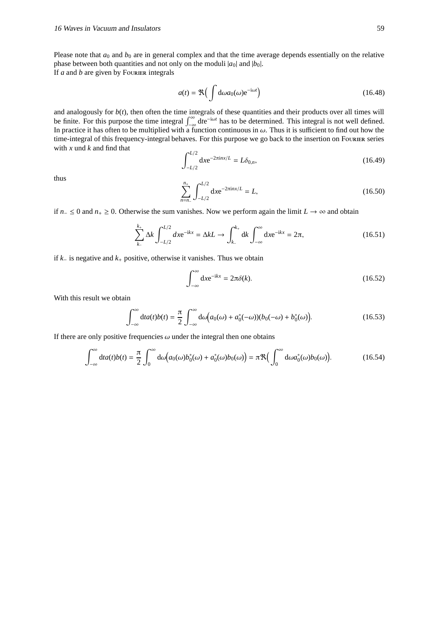Please note that  $a_0$  and  $b_0$  are in general complex and that the time average depends essentially on the relative phase between both quantities and not only on the moduli  $|a_0|$  and  $|b_0|$ .

If  $a$  and  $b$  are given by Fourier integrals

$$
a(t) = \mathcal{R}\left(\int d\omega a_0(\omega) e^{-i\omega t}\right)
$$
 (16.48)

and analogously for  $b(t)$ , then often the time integrals of these quantities and their products over all times will be finite. For this purpose the time integral  $\int_{-\infty}^{\infty} dte^{-i\omega t}$  has to be determined. This integral is not well defined. In practice it has often to be multiplied with a function continuous in  $\omega$ . Thus it is sufficient to find out how the time-integral of this frequency-integral behaves. For this purpose we go back to the insertion on Fourier series with *x* und *k* and find that

$$
\int_{-L/2}^{L/2} \mathrm{d}x \mathrm{e}^{-2\pi \mathrm{i}n x/L} = L \delta_{0,n},\tag{16.49}
$$

thus

$$
\sum_{n=n_{-}}^{n_{+}} \int_{-L/2}^{L/2} \mathrm{d}x \mathrm{e}^{-2\pi \mathrm{i}n x/L} = L,\tag{16.50}
$$

if *n*<sup>−</sup> ≤ 0 and *n*<sup>+</sup> ≥ 0. Otherwise the sum vanishes. Now we perform again the limit *L* → ∞ and obtain

$$
\sum_{k_{-}}^{k_{+}} \Delta k \int_{-L/2}^{L/2} dx e^{-ikx} = \Delta k L \to \int_{k_{-}}^{k_{+}} dk \int_{-\infty}^{\infty} dx e^{-ikx} = 2\pi,
$$
\n(16.51)

if *k*<sup>−</sup> is negative and *k*<sup>+</sup> positive, otherwise it vanishes. Thus we obtain

$$
\int_{-\infty}^{\infty} dx e^{-ikx} = 2\pi \delta(k). \tag{16.52}
$$

With this result we obtain

$$
\int_{-\infty}^{\infty} \mathrm{d}t a(t) b(t) = \frac{\pi}{2} \int_{-\infty}^{\infty} \mathrm{d}\omega \Big( a_0(\omega) + a_0^*(-\omega) + b_0^*(\omega) + b_0^*(\omega) \Big). \tag{16.53}
$$

If there are only positive frequencies  $\omega$  under the integral then one obtains

$$
\int_{-\infty}^{\infty} dt a(t)b(t) = \frac{\pi}{2} \int_{0}^{\infty} d\omega \Big(a_0(\omega)b_0^*(\omega) + a_0^*(\omega)b_0(\omega)\Big) = \pi \mathcal{R}\Big(\int_{0}^{\infty} d\omega a_0^*(\omega)b_0(\omega)\Big). \tag{16.54}
$$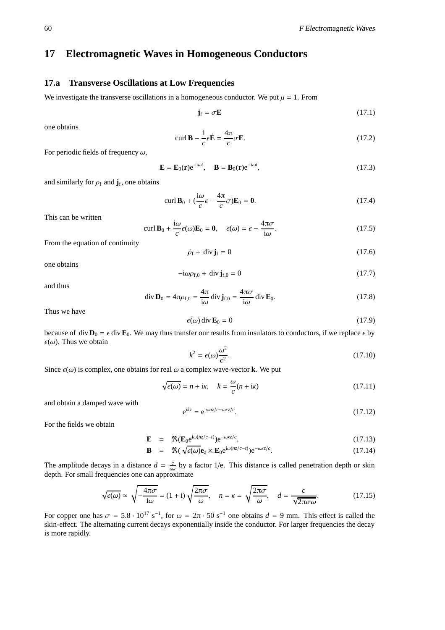## **17 Electromagnetic Waves in Homogeneous Conductors**

### **17.a Transverse Oscillations at Low Frequencies**

We investigate the transverse oscillations in a homogeneous conductor. We put  $\mu = 1$ . From

$$
\mathbf{j}_{\mathrm{f}} = \sigma \mathbf{E} \tag{17.1}
$$

one obtains

$$
\operatorname{curl} \mathbf{B} - \frac{1}{c} \epsilon \dot{\mathbf{E}} = \frac{4\pi}{c} \sigma \mathbf{E}.
$$
 (17.2)

For periodic fields of frequency  $\omega$ ,

$$
\mathbf{E} = \mathbf{E}_0(\mathbf{r}) e^{-i\omega t}, \quad \mathbf{B} = \mathbf{B}_0(\mathbf{r}) e^{-i\omega t}, \tag{17.3}
$$

and similarly for  $\rho_f$  and  $\mathbf{j}_f$ , one obtains

$$
\operatorname{curl} \mathbf{B}_0 + (\frac{\mathrm{i}\omega}{c}\epsilon - \frac{4\pi}{c}\sigma)\mathbf{E}_0 = \mathbf{0}.\tag{17.4}
$$

This can be written

$$
\operatorname{curl} \mathbf{B}_0 + \frac{\mathrm{i}\omega}{c} \epsilon(\omega) \mathbf{E}_0 = \mathbf{0}, \quad \epsilon(\omega) = \epsilon - \frac{4\pi\sigma}{\mathrm{i}\omega}.\tag{17.5}
$$

From the equation of continuity

$$
\dot{\rho}_{\rm f} + \text{div}\,\mathbf{j}_{\rm f} = 0\tag{17.6}
$$

one obtains

$$
-i\omega\rho_{f,0} + \operatorname{div} \mathbf{j}_{f,0} = 0 \tag{17.7}
$$

and thus

$$
\operatorname{div} \mathbf{D}_0 = 4\pi \rho_{\rm f,0} = \frac{4\pi}{\mathrm{i}\omega} \operatorname{div} \mathbf{j}_{\rm f,0} = \frac{4\pi\sigma}{\mathrm{i}\omega} \operatorname{div} \mathbf{E}_0.
$$
 (17.8)

Thus we have

$$
\epsilon(\omega) \operatorname{div} \mathbf{E}_0 = 0 \tag{17.9}
$$

because of div  $\mathbf{D}_0 = \epsilon$  div  $\mathbf{E}_0$ . We may thus transfer our results from insulators to conductors, if we replace  $\epsilon$  by  $\epsilon(\omega)$ . Thus we obtain

$$
k^2 = \epsilon(\omega)\frac{\omega^2}{c^2}.\tag{17.10}
$$

Since  $\epsilon(\omega)$  is complex, one obtains for real  $\omega$  a complex wave-vector **k**. We put

$$
\sqrt{\epsilon(\omega)} = n + \mathbf{i}\kappa, \quad k = \frac{\omega}{c}(n + \mathbf{i}\kappa) \tag{17.11}
$$

and obtain a damped wave with

$$
e^{ikz} = e^{i\omega nz/c - \omega \kappa z/c}.\tag{17.12}
$$

For the fields we obtain

$$
\mathbf{E} = \mathcal{R}(\mathbf{E}_0 e^{i\omega(nz/c-t)}) e^{-\omega \kappa z/c}, \qquad (17.13)
$$

$$
\mathbf{B} = \mathcal{R}(\sqrt{\epsilon(\omega)}\mathbf{e}_z \times \mathbf{E}_0 e^{i\omega(nz/c-t)}) e^{-\omega\kappa z/c}.
$$
 (17.14)

The amplitude decays in a distance  $d = \frac{c}{\omega k}$  by a factor 1/e. This distance is called penetration depth or skin depth. For small frequencies one can approximate

$$
\sqrt{\epsilon(\omega)} \approx \sqrt{-\frac{4\pi\sigma}{i\omega}} = (1+i)\sqrt{\frac{2\pi\sigma}{\omega}}, \quad n = \kappa = \sqrt{\frac{2\pi\sigma}{\omega}}, \quad d = \frac{c}{\sqrt{2\pi\sigma\omega}}.
$$
 (17.15)

For copper one has  $\sigma = 5.8 \cdot 10^{17} \text{ s}^{-1}$ , for  $\omega = 2\pi \cdot 50 \text{ s}^{-1}$  one obtains  $d = 9 \text{ mm}$ . This effect is called the skin-effect. The alternating current decays exponentially inside the conductor. For larger frequencies the decay is more rapidly.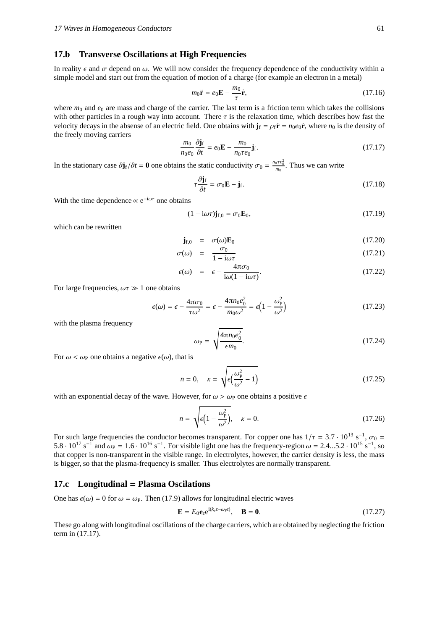### **17.b Transverse Oscillations at High Frequencies**

In reality  $\epsilon$  and  $\sigma$  depend on  $\omega$ . We will now consider the frequency dependence of the conductivity within a simple model and start out from the equation of motion of a charge (for example an electron in a metal)

$$
m_0 \ddot{\mathbf{r}} = e_0 \mathbf{E} - \frac{m_0}{\tau} \dot{\mathbf{r}},\tag{17.16}
$$

where  $m_0$  and  $e_0$  are mass and charge of the carrier. The last term is a friction term which takes the collisions with other particles in a rough way into account. There  $\tau$  is the relaxation time, which describes how fast the velocity decays in the absense of an electric field. One obtains with  $\mathbf{j}_f = \rho_f \mathbf{r} = n_0 e_0 \mathbf{r}$ , where  $n_0$  is the density of the freely moving carriers

$$
\frac{m_0}{n_0 e_0} \frac{\partial \mathbf{j}_\mathbf{f}}{\partial t} = e_0 \mathbf{E} - \frac{m_0}{n_0 \tau e_0} \mathbf{j}_\mathbf{f}.
$$
 (17.17)

In the stationary case  $\partial \mathbf{j}_f / \partial t = \mathbf{0}$  one obtains the static conductivity  $\sigma_0 = \frac{n_0 \tau e_0^2}{m_0}$ . Thus we can write

$$
\tau \frac{\partial \mathbf{j}_f}{\partial t} = \sigma_0 \mathbf{E} - \mathbf{j}_f. \tag{17.18}
$$

With the time dependence  $\propto e^{-i\omega\tau}$  one obtains

$$
(1 - i\omega\tau)\mathbf{j}_{\text{f},0} = \sigma_0 \mathbf{E}_0, \tag{17.19}
$$

which can be rewritten

$$
\mathbf{j}_{\mathrm{f},0} = \sigma(\omega)\mathbf{E}_0 \tag{17.20}
$$

$$
(\omega) = \frac{\sigma_0}{1 - i\omega\tau} \tag{17.21}
$$

$$
\epsilon(\omega) = \epsilon - \frac{4\pi\sigma_0}{i\omega(1 - i\omega\tau)}.
$$
\n(17.22)

For large frequencies,  $\omega \tau \gg 1$  one obtains

$$
\epsilon(\omega) = \epsilon - \frac{4\pi\sigma_0}{\tau\omega^2} = \epsilon - \frac{4\pi n_0 e_0^2}{m_0 \omega^2} = \epsilon \Big( 1 - \frac{\omega_{\rm P}^2}{\omega^2} \Big) \tag{17.23}
$$

with the plasma frequency

$$
\omega_{\rm P} = \sqrt{\frac{4\pi n_0 e_0^2}{\epsilon m_0}}.\tag{17.24}
$$

For  $\omega < \omega_P$  one obtains a negative  $\epsilon(\omega)$ , that is

$$
n = 0, \quad \kappa = \sqrt{\epsilon \left(\frac{\omega_{\rm p}^2}{\omega^2} - 1\right)}\tag{17.25}
$$

with an exponential decay of the wave. However, for  $\omega > \omega_P$  one obtains a positive  $\epsilon$ 

 $\sigma$ 

$$
n = \sqrt{\epsilon \left(1 - \frac{\omega_{\rm P}^2}{\omega^2}\right)}, \quad \kappa = 0. \tag{17.26}
$$

For such large frequencies the conductor becomes transparent. For copper one has  $1/\tau = 3.7 \cdot 10^{13} \text{ s}^{-1}$ ,  $\sigma_0 =$ 5.8 · 10<sup>17</sup> s<sup>-1</sup> and ω<sub>P</sub> = 1.6 · 10<sup>16</sup> s<sup>-1</sup>. For visible light one has the frequency-region ω = 2.4...5.2 · 10<sup>15</sup> s<sup>-1</sup>, so that copper is non-transparent in the visible range. In electrolytes, however, the carrier density is less, the mass is bigger, so that the plasma-frequency is smaller. Thus electrolytes are normally transparent.

### **17.c Longitudinal** = **Plasma Oscilations**

One has  $\epsilon(\omega) = 0$  for  $\omega = \omega_P$ . Then (17.9) allows for longitudinal electric waves

$$
\mathbf{E} = E_0 \mathbf{e}_z e^{i(k_z z - \omega_p t)}, \quad \mathbf{B} = \mathbf{0}.
$$
 (17.27)

These go along with longitudinal oscillations of the charge carriers, which are obtained by neglecting the friction term in (17.17).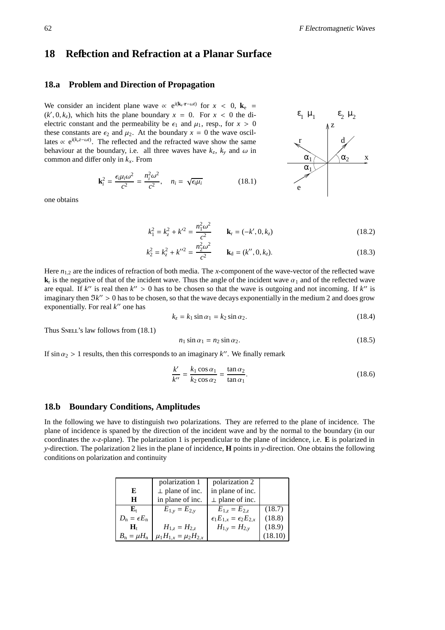## **18 Reflection and Refraction at a Planar Surface**

### **18.a Problem and Direction of Propagation**

We consider an incident plane wave  $\propto$  e<sup>i(k<sub>e</sub>·**r**−ω*t*)</sub> for *x* < 0, k<sub>e</sub> =</sup>  $(k', 0, k_z)$ , which hits the plane boundary  $x = 0$ . For  $x < 0$  the dielectric constant and the permeability be  $\epsilon_1$  and  $\mu_1$ , resp., for  $x > 0$ these constants are  $\epsilon_2$  and  $\mu_2$ . At the boundary  $x = 0$  the wave oscillates  $\propto e^{i(k_z z - \omega t)}$ . The reflected and the refracted wave show the same behaviour at the boundary, i.e. all three waves have  $k_z$ ,  $k_y$  and  $\omega$  in common and differ only in *kx*. From

$$
\mathbf{k}_i^2 = \frac{\epsilon_i \mu_i \omega^2}{c^2} = \frac{n_i^2 \omega^2}{c^2}, \quad n_i = \sqrt{\epsilon_i \mu_i}
$$
 (18.1)



one obtains

$$
k_1^2 = k_z^2 + k'^2 = \frac{n_1^2 \omega^2}{c^2} \qquad \mathbf{k}_r = (-k', 0, k_z)
$$
 (18.2)

$$
k_2^2 = k_z^2 + k^{\prime\prime 2} = \frac{n_2^2 \omega^2}{c^2} \qquad \mathbf{k}_d = (k^{\prime\prime}, 0, k_z). \tag{18.3}
$$

Here  $n_1$ , are the indices of refraction of both media. The *x*-component of the wave-vector of the reflected wave  $\mathbf{k}_r$  is the negative of that of the incident wave. Thus the angle of the incident wave  $\alpha_1$  and of the reflected wave are equal. If  $k''$  is real then  $k'' > 0$  has to be chosen so that the wave is outgoing and not incoming. If  $k''$  is imaginary then  $\mathfrak{I} k'' > 0$  has to be chosen, so that the wave decays exponentially in the medium 2 and does grow exponentially. For real k" one has

$$
k_z = k_1 \sin \alpha_1 = k_2 \sin \alpha_2. \tag{18.4}
$$

Thus SNELL's law follows from  $(18.1)$ 

$$
n_1 \sin \alpha_1 = n_2 \sin \alpha_2. \tag{18.5}
$$

If  $\sin \alpha_2 > 1$  results, then this corresponds to an imaginary k''. We finally remark

$$
\frac{k'}{k''} = \frac{k_1 \cos \alpha_1}{k_2 \cos \alpha_2} = \frac{\tan \alpha_2}{\tan \alpha_1}.
$$
\n(18.6)

### **18.b Boundary Conditions, Amplitudes**

In the following we have to distinguish two polarizations. They are referred to the plane of incidence. The plane of incidence is spaned by the direction of the incident wave and by the normal to the boundary (in our coordinates the *x*-*z*-plane). The polarization 1 is perpendicular to the plane of incidence, i.e. **E** is polarized in *y*-direction. The polarization 2 lies in the plane of incidence, **H** points in *y*-direction. One obtains the following conditions on polarization and continuity

|                      | polarization 1                  | polarization 2                            |        |
|----------------------|---------------------------------|-------------------------------------------|--------|
| E                    | $\perp$ plane of inc.           | in plane of inc.                          |        |
| H                    | in plane of inc.                | $\perp$ plane of inc.                     |        |
| E+                   | $E_{1,y} = E_{2,y}$             | $E_{1z} = E_{2z}$                         | (18.7) |
| $D_n = \epsilon E_n$ |                                 | $\epsilon_1 E_{1,x} = \epsilon_2 E_{2,x}$ | (18.8) |
| $H_{t}$              | $H_{1,z} = H_{2,z}$             | $H_{1,y} = H_{2,y}$                       | (18.9) |
| $B_n = \mu H_n$      | $\mu_1 H_{1,x} = \mu_2 H_{2,x}$ |                                           |        |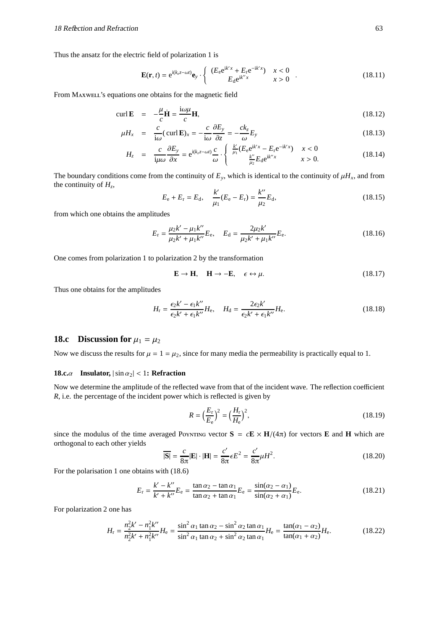Thus the ansatz for the electric field of polarization 1 is

$$
\mathbf{E}(\mathbf{r},t) = e^{i(k_z z - \omega t)} \mathbf{e}_y \cdot \begin{cases} (E_e e^{ik'x} + E_r e^{-ik'x}) & x < 0 \\ E_d e^{ik''x} & x > 0 \end{cases} \tag{18.11}
$$

From MAXWELL's equations one obtains for the magnetic field

$$
\operatorname{curl} \mathbf{E} = -\frac{\mu}{c} \dot{\mathbf{H}} = \frac{\mathrm{i}\omega\mu}{c} \mathbf{H},\tag{18.12}
$$

$$
\mu H_x = \frac{c}{i\omega} (\text{curl } \mathbf{E})_x = -\frac{c}{i\omega} \frac{\partial E_y}{\partial z} = -\frac{ck_z}{\omega} E_y \tag{18.13}
$$

$$
H_z = \frac{c}{i\mu\omega} \frac{\partial E_y}{\partial x} = e^{i(k_z z - \omega t)} \frac{c}{\omega} \cdot \begin{cases} \frac{k'}{\mu_1} (E_e e^{ik'x} - E_r e^{-ik'x}) & x < 0\\ \frac{k''}{\mu_2} E_d e^{ik''x} & x > 0. \end{cases}
$$
(18.14)

The boundary conditions come from the continuity of  $E_y$ , which is identical to the continuity of  $\mu H_x$ , and from the continuity of  $H_z$ ,

$$
E_e + E_r = E_d, \quad \frac{k'}{\mu_1}(E_e - E_r) = \frac{k''}{\mu_2}E_d,
$$
\n(18.15)

from which one obtains the amplitudes

$$
E_{\rm r} = \frac{\mu_2 k' - \mu_1 k''}{\mu_2 k' + \mu_1 k''} E_{\rm e}, \quad E_{\rm d} = \frac{2\mu_2 k'}{\mu_2 k' + \mu_1 k''} E_{\rm e}.
$$
 (18.16)

One comes from polarization 1 to polarization 2 by the transformation

$$
\mathbf{E} \to \mathbf{H}, \quad \mathbf{H} \to -\mathbf{E}, \quad \epsilon \leftrightarrow \mu. \tag{18.17}
$$

Thus one obtains for the amplitudes

$$
H_{\rm r} = \frac{\epsilon_2 k' - \epsilon_1 k''}{\epsilon_2 k' + \epsilon_1 k''} H_{\rm e}, \quad H_{\rm d} = \frac{2\epsilon_2 k'}{\epsilon_2 k' + \epsilon_1 k''} H_{\rm e}.
$$
 (18.18)

### **18.c Discussion** for  $\mu_1 = \mu_2$

Now we discuss the results for  $\mu = 1 = \mu_2$ , since for many media the permeability is practically equal to 1.

### **18.c.** $\alpha$  **Insulator,**  $|\sin \alpha_2| < 1$ **: Refraction**

Now we determine the amplitude of the reflected wave from that of the incident wave. The reflection coefficient *R*, i.e. the percentage of the incident power which is reflected is given by

$$
R = \left(\frac{E_{\rm r}}{E_{\rm e}}\right)^2 = \left(\frac{H_{\rm r}}{H_{\rm e}}\right)^2,\tag{18.19}
$$

since the modulus of the time averaged POYNTING vector  $S = cE \times H/(4\pi)$  for vectors **E** and **H** which are orthogonal to each other yields

$$
\overline{|\mathbf{S}|} = \frac{c}{8\pi} |\mathbf{E}| \cdot |\mathbf{H}| = \frac{c'}{8\pi} \epsilon E^2 = \frac{c'}{8\pi} \mu H^2.
$$
 (18.20)

For the polarisation 1 one obtains with (18.6)

$$
E_{\rm r} = \frac{k' - k''}{k' + k''} E_{\rm e} = \frac{\tan \alpha_2 - \tan \alpha_1}{\tan \alpha_2 + \tan \alpha_1} E_{\rm e} = \frac{\sin(\alpha_2 - \alpha_1)}{\sin(\alpha_2 + \alpha_1)} E_{\rm e}.
$$
 (18.21)

For polarization 2 one has

$$
H_{\rm r} = \frac{n_2^2 k' - n_1^2 k''}{n_2^2 k' + n_1^2 k''} H_{\rm e} = \frac{\sin^2 \alpha_1 \tan \alpha_2 - \sin^2 \alpha_2 \tan \alpha_1}{\sin^2 \alpha_1 \tan \alpha_2 + \sin^2 \alpha_2 \tan \alpha_1} H_{\rm e} = \frac{\tan(\alpha_1 - \alpha_2)}{\tan(\alpha_1 + \alpha_2)} H_{\rm e}.
$$
 (18.22)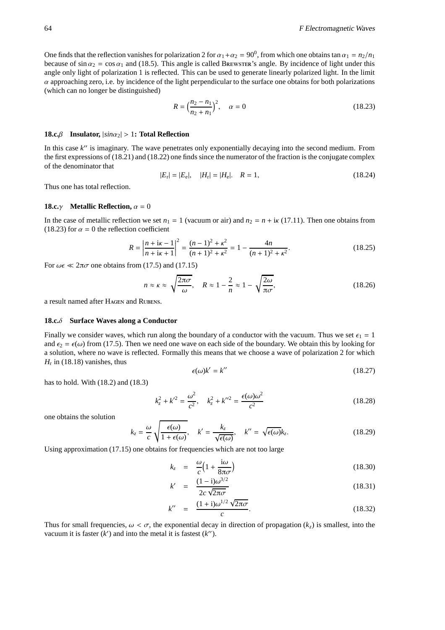One finds that the reflection vanishes for polarization 2 for  $\alpha_1 + \alpha_2 = 90^0$ , from which one obtains tan  $\alpha_1 = n_2/n_1$ because of  $\sin \alpha_2 = \cos \alpha_1$  and (18.5). This angle is called BREWSTER's angle. By incidence of light under this angle only light of polarization 1 is reflected. This can be used to generate linearly polarized light. In the limit  $\alpha$  approaching zero, i.e. by incidence of the light perpendicular to the surface one obtains for both polarizations (which can no longer be distinguished)

$$
R = \left(\frac{n_2 - n_1}{n_2 + n_1}\right)^2, \quad \alpha = 0
$$
\n(18.23)

### **18.c.**β **Insulator,** |*sin*α2| > 1**: Total Reflection**

In this case k'' is imaginary. The wave penetrates only exponentially decaying into the second medium. From the first expressions of (18.21) and (18.22) one finds since the numerator of the fraction is the conjugate complex of the denominator that

$$
|E_{\rm r}| = |E_{\rm e}|, \quad |H_{\rm r}| = |H_{\rm e}|. \quad R = 1,
$$
\n(18.24)

Thus one has total reflection.

### **18.c.**γ **Metallic Reflection,**  $\alpha = 0$

In the case of metallic reflection we set  $n_1 = 1$  (vacuum or air) and  $n_2 = n + i\kappa$  (17.11). Then one obtains from (18.23) for  $\alpha = 0$  the reflection coefficient

$$
R = \left| \frac{n + i\kappa - 1}{n + i\kappa + 1} \right|^2 = \frac{(n - 1)^2 + \kappa^2}{(n + 1)^2 + \kappa^2} = 1 - \frac{4n}{(n + 1)^2 + \kappa^2}.
$$
 (18.25)

For  $\omega \epsilon \ll 2\pi \sigma$  one obtains from (17.5) and (17.15)

$$
n \approx \kappa \approx \sqrt{\frac{2\pi\sigma}{\omega}}, \quad R \approx 1 - \frac{2}{n} \approx 1 - \sqrt{\frac{2\omega}{\pi\sigma}}, \tag{18.26}
$$

a result named after HAGEN and RUBENS.

#### **18.c.**δ **Surface Waves along a Conductor**

Finally we consider waves, which run along the boundary of a conductor with the vacuum. Thus we set  $\epsilon_1 = 1$ and  $\epsilon_2 = \epsilon(\omega)$  from (17.5). Then we need one wave on each side of the boundary. We obtain this by looking for a solution, where no wave is reflected. Formally this means that we choose a wave of polarization 2 for which  $H<sub>r</sub>$  in (18.18) vanishes, thus

$$
\epsilon(\omega)k' = k'' \tag{18.27}
$$

has to hold. With (18.2) and (18.3)

$$
k_z^2 + k'^2 = \frac{\omega^2}{c^2}, \quad k_z^2 + k''^2 = \frac{\epsilon(\omega)\omega^2}{c^2}
$$
 (18.28)

one obtains the solution

$$
k_z = \frac{\omega}{c} \sqrt{\frac{\epsilon(\omega)}{1 + \epsilon(\omega)}}, \quad k' = \frac{k_z}{\sqrt{\epsilon(\omega)}}, \quad k'' = \sqrt{\epsilon(\omega)} k_z.
$$
 (18.29)

Using approximation (17.15) one obtains for frequencies which are not too large

$$
k_z = \frac{\omega}{c} \left( 1 + \frac{i\omega}{8\pi\sigma} \right) \tag{18.30}
$$

$$
k' = \frac{(1 - i)\omega^{3/2}}{2c\sqrt{2\pi\sigma}}
$$
(18.31)

$$
k'' = \frac{(1+i)\omega^{1/2}\sqrt{2\pi\sigma}}{c}.
$$
 (18.32)

Thus for small frequencies,  $\omega < \sigma$ , the exponential decay in direction of propagation  $(k_z)$  is smallest, into the vacuum it is faster  $(k')$  and into the metal it is fastest  $(k'')$ .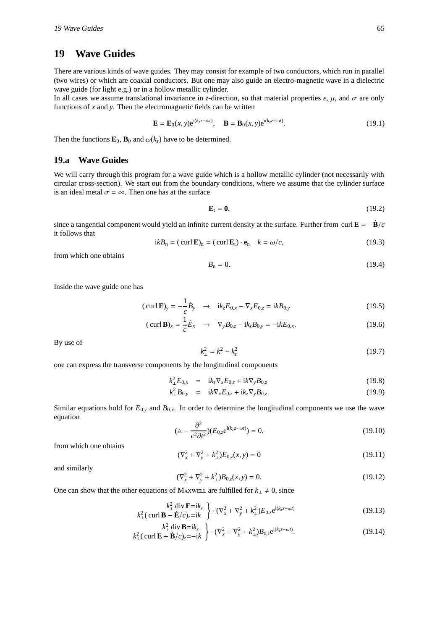## **19 Wave Guides**

There are various kinds of wave guides. They may consist for example of two conductors, which run in parallel (two wires) or which are coaxial conductors. But one may also guide an electro-magnetic wave in a dielectric wave guide (for light e.g.) or in a hollow metallic cylinder.

In all cases we assume translational invariance in *z*-direction, so that material properties  $\epsilon$ ,  $\mu$ , and  $\sigma$  are only functions of *x* and *y*. Then the electromagnetic fields can be written

$$
\mathbf{E} = \mathbf{E}_0(x, y) e^{i(k_z z - \omega t)}, \quad \mathbf{B} = \mathbf{B}_0(x, y) e^{i(k_z z - \omega t)}.
$$
 (19.1)

Then the functions  $\mathbf{E}_0$ ,  $\mathbf{B}_0$  and  $\omega(k_z)$  have to be determined.

## **19.a Wave Guides**

We will carry through this program for a wave guide which is a hollow metallic cylinder (not necessarily with circular cross-section). We start out from the boundary conditions, where we assume that the cylinder surface is an ideal metal  $\sigma = \infty$ . Then one has at the surface

$$
\mathbf{E}_{t} = \mathbf{0},\tag{19.2}
$$

since a tangential component would yield an infinite current density at the surface. Further from curl  $\mathbf{E} = -\dot{\mathbf{B}}/c$ it follows that

$$
ikB_n = (\operatorname{curl} \mathbf{E})_n = (\operatorname{curl} \mathbf{E}_t) \cdot \mathbf{e}_n \quad k = \omega/c,
$$
\n(19.3)

from which one obtains

$$
B_{\rm n} = 0.\tag{19.4}
$$

Inside the wave guide one has

$$
(\text{curl }\mathbf{E})_y = -\frac{1}{c}\dot{B}_y \quad \to \quad \mathrm{i}k_z E_{0,x} - \nabla_x E_{0,z} = \mathrm{i}k B_{0,y} \tag{19.5}
$$

$$
(\text{curl }\mathbf{B})_x = \frac{1}{c}\dot{E}_x \quad \to \quad \nabla_y B_{0,z} - i k_z B_{0,y} = -i k E_{0,x}.
$$
 (19.6)

By use of

$$
k_{\perp}^2 = k^2 - k_z^2 \tag{19.7}
$$

one can express the transverse components by the longitudinal components

$$
k_{\perp}^{2} E_{0,x} = i k_{z} \nabla_{x} E_{0,z} + i k \nabla_{y} B_{0,z}
$$
 (19.8)

$$
k_{\perp}^{2} B_{0,y} = i k \nabla_{x} E_{0,z} + i k_{z} \nabla_{y} B_{0,z}.
$$
 (19.9)

Similar equations hold for  $E_{0,y}$  and  $B_{0,x}$ . In order to determine the longitudinal components we use the wave equation

$$
(\Delta - \frac{\partial^2}{c^2 \partial t^2}) (E_{0,z} e^{i(k_z z - \omega t)}) = 0,
$$
\n(19.10)

from which one obtains

$$
(\nabla_x^2 + \nabla_y^2 + k_\perp^2) E_{0,z}(x, y) = 0
$$
\n(19.11)

and similarly

$$
(\nabla_x^2 + \nabla_y^2 + k_\perp^2) B_{0,z}(x, y) = 0.
$$
\n(19.12)

One can show that the other equations of MAXWELL are fulfilled for  $k_{\perp} \neq 0$ , since

$$
k_{\perp}^{2} \operatorname{div} \mathbf{E} = i k_{z} \n\left\{ \n\cdot (\nabla_{x}^{2} + \nabla_{y}^{2} + k_{\perp}^{2}) E_{0,z} e^{i(k_{z}z - \omega t)} \n\right\}
$$
\n(19.13)

$$
k_{\perp}^{2} \text{div } \mathbf{B} = i k_{z} \n\left\{ \n\cdot (\nabla_{x}^{2} + \nabla_{y}^{2} + k_{\perp}^{2}) B_{0,z} e^{i(k_{z}z - \omega t)} \n\right. \n\tag{19.14}
$$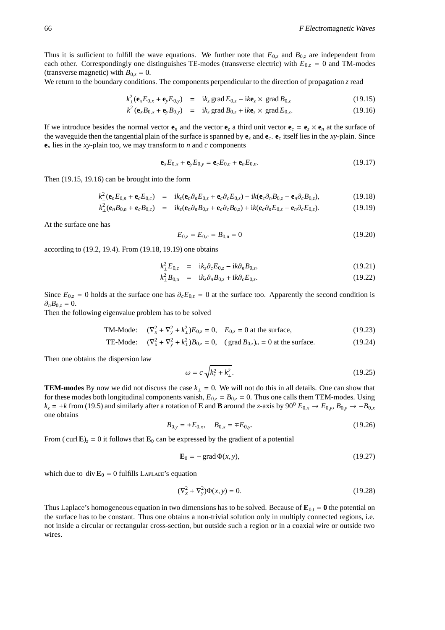Thus it is sufficient to fulfill the wave equations. We further note that  $E_{0,z}$  and  $B_{0,z}$  are independent from each other. Correspondingly one distinguishes TE-modes (transverse electric) with  $E_{0,z} = 0$  and TM-modes (transverse magnetic) with  $B_{0,z} = 0$ .

We return to the boundary conditions. The components perpendicular to the direction of propagation *z* read

$$
k_{\perp}^{2}(\mathbf{e}_{x}E_{0,x}+\mathbf{e}_{y}E_{0,y}) = ik_{z}\,\text{grad}\,E_{0,z} - ik\mathbf{e}_{z}\times\,\text{grad}\,B_{0,z}
$$
 (19.15)

$$
k_{\perp}^{2}(\mathbf{e}_{x}B_{0,x}+\mathbf{e}_{y}B_{0,y}) = ik_{z}\,\text{grad}\,B_{0,z} + ik\mathbf{e}_{z} \times \text{grad}\,E_{0,z}.\tag{19.16}
$$

If we introduce besides the normal vector  $e_n$  and the vector  $e_r$  a third unit vector  $e_c = e_z \times e_n$  at the surface of the waveguide then the tangential plain of the surface is spanned by  $\mathbf{e}_r$  and  $\mathbf{e}_c$ .  $\mathbf{e}_c$  itself lies in the *xy*-plain. Since  $e_n$  lies in the *xy*-plain too, we may transform to *n* and *c* components

$$
\mathbf{e}_x E_{0,x} + \mathbf{e}_y E_{0,y} = \mathbf{e}_c E_{0,c} + \mathbf{e}_n E_{0,n}.
$$
 (19.17)

Then (19.15, 19.16) can be brought into the form

$$
k_{\perp}^{2}(\mathbf{e}_{n}E_{0,n}+\mathbf{e}_{c}E_{0,c}) = i k_{z}(\mathbf{e}_{n}\partial_{n}E_{0,z}+\mathbf{e}_{c}\partial_{c}E_{0,z}) - i k(\mathbf{e}_{c}\partial_{n}B_{0,z}-\mathbf{e}_{n}\partial_{c}B_{0,z}),
$$
(19.18)

$$
k_{\perp}^{2}(\mathbf{e}_{n}B_{0,n}+\mathbf{e}_{c}B_{0,c}) = ik_{z}(\mathbf{e}_{n}\partial_{n}B_{0,z}+\mathbf{e}_{c}\partial_{c}B_{0,z})+ik(\mathbf{e}_{c}\partial_{n}E_{0,z}-\mathbf{e}_{n}\partial_{c}E_{0,z}).
$$
\n(19.19)

At the surface one has

$$
E_{0,z} = E_{0,c} = B_{0,n} = 0 \tag{19.20}
$$

according to (19.2, 19.4). From (19.18, 19.19) one obtains

$$
k_{\perp}^{2} E_{0,c} = i k_{z} \partial_{c} E_{0,z} - i k \partial_{n} B_{0,z}, \qquad (19.21)
$$

$$
k_{\perp}^{2} B_{0,n} = i k_{z} \partial_{n} B_{0,z} + i k \partial_{c} E_{0,z}.
$$
 (19.22)

Since  $E_{0,z} = 0$  holds at the surface one has  $\partial_c E_{0,z} = 0$  at the surface too. Apparently the second condition is  $\partial_n B_{0,z} = 0$ .

Then the following eigenvalue problem has to be solved

TM-Mode: 
$$
(\nabla_x^2 + \nabla_y^2 + k_\perp^2)E_{0,z} = 0
$$
,  $E_{0,z} = 0$  at the surface, (19.23)

TE-Mode: 
$$
(\nabla_x^2 + \nabla_y^2 + k_\perp^2)B_{0,z} = 0
$$
,  $(\text{grad } B_{0,z})_n = 0$  at the surface. (19.24)

Then one obtains the dispersion law

$$
\omega = c \sqrt{k_z^2 + k_\perp^2}.
$$
\n(19.25)

**TEM-modes** By now we did not discuss the case *k*<sup>⊥</sup> = 0. We will not do this in all details. One can show that for these modes both longitudinal components vanish,  $E_{0,z} = B_{0,z} = 0$ . Thus one calls them TEM-modes. Using  $k_z = \pm k$  from (19.5) and similarly after a rotation of **E** and **B** around the *z*-axis by 90<sup>0</sup>  $E_{0,x} \to E_{0,y}$ ,  $B_{0,y} \to -B_{0,x}$ one obtains

$$
B_{0,y} = \pm E_{0,x}, \quad B_{0,x} = \mp E_{0,y}.
$$
 (19.26)

From ( curl  $\mathbf{E}_{2z} = 0$  it follows that  $\mathbf{E}_0$  can be expressed by the gradient of a potential

$$
\mathbf{E}_0 = -\operatorname{grad} \Phi(x, y),\tag{19.27}
$$

which due to div  $\mathbf{E}_0 = 0$  fulfills LAPLACE's equation

$$
(\nabla_x^2 + \nabla_y^2)\Phi(x, y) = 0.
$$
 (19.28)

Thus Laplace's homogeneous equation in two dimensions has to be solved. Because of  $\mathbf{E}_{0,t} = \mathbf{0}$  the potential on the surface has to be constant. Thus one obtains a non-trivial solution only in multiply connected regions, i.e. not inside a circular or rectangular cross-section, but outside such a region or in a coaxial wire or outside two wires.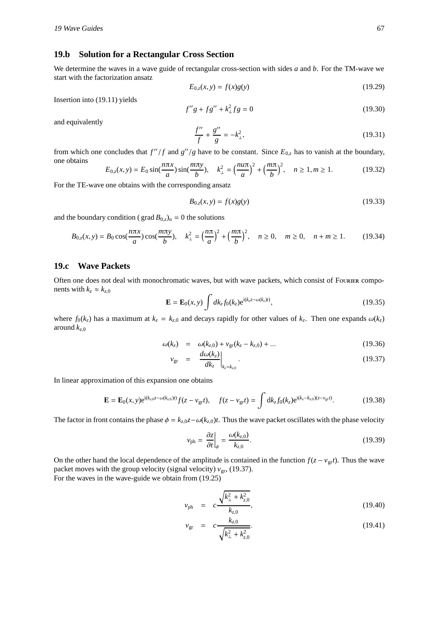### **19.b Solution for a Rectangular Cross Section**

We determine the waves in a wave guide of rectangular cross-section with sides *a* and *b*. For the TM-wave we start with the factorization ansatz

$$
E_{0,z}(x, y) = f(x)g(y)
$$
\n(19.29)

Insertion into (19.11) yields

$$
f''g + fg'' + k_{\perp}^2 fg = 0 \tag{19.30}
$$

and equivalently

$$
\frac{f''}{f} + \frac{g''}{g} = -k_{\perp}^2,\tag{19.31}
$$

from which one concludes that  $f''/f$  and  $g''/g$  have to be constant. Since  $E_{0,z}$  has to vanish at the boundary, one obtains *n*π*x m*π*y*

$$
E_{0,z}(x,y) = E_0 \sin(\frac{n\pi x}{a}) \sin(\frac{m\pi y}{b}), \quad k_{\perp}^2 = \left(\frac{n\pi}{a}\right)^2 + \left(\frac{m\pi}{b}\right)^2, \quad n \ge 1, m \ge 1. \tag{19.32}
$$

For the TE-wave one obtains with the corresponding ansatz

$$
B_{0,z}(x, y) = f(x)g(y)
$$
 (19.33)

and the boundary condition ( $\text{grad } B_{0,z}$ )<sub>n</sub> = 0 the solutions

$$
B_{0,z}(x,y) = B_0 \cos(\frac{n\pi x}{a}) \cos(\frac{m\pi y}{b}), \quad k_\perp^2 = \left(\frac{n\pi}{a}\right)^2 + \left(\frac{m\pi}{b}\right)^2, \quad n \ge 0, \quad m \ge 0, \quad n + m \ge 1. \tag{19.34}
$$

### **19.c Wave Packets**

Often one does not deal with monochromatic waves, but with wave packets, which consist of Fourier components with  $k_z \approx k_{z,0}$ 

$$
\mathbf{E} = \mathbf{E}_0(x, y) \int dk_z f_0(k_z) e^{i(k_z z - \omega(k_z)t)},
$$
\n(19.35)

where  $f_0(k_z)$  has a maximum at  $k_z = k_{z,0}$  and decays rapidly for other values of  $k_z$ . Then one expands  $\omega(k_z)$ around  $k_{z,0}$ 

$$
\omega(k_z) = \omega(k_{z,0}) + v_{\rm gr}(k_z - k_{z,0}) + \dots \tag{19.36}
$$

$$
v_{\rm gr} = \left. \frac{d\omega(k_z)}{dk_z} \right|_{k_z = k_{z,0}}.\tag{19.37}
$$

In linear approximation of this expansion one obtains

$$
\mathbf{E} = \mathbf{E}_0(x, y) e^{i(k_z 0 z - \omega(k_z 0)t)} f(z - v_{\text{gr}} t), \quad f(z - v_{\text{gr}} t) = \int dk_z f_0(k_z) e^{i(k_z - k_{z,0})(z - v_{\text{gr}} t)}.
$$
 (19.38)

The factor in front contains the phase  $\phi = k_{z,0}z - \omega(k_{z,0})t$ . Thus the wave packet oscillates with the phase velocity

$$
v_{\rm ph} = \left. \frac{\partial z}{\partial t} \right|_{\phi} = \frac{\omega(k_{z,0})}{k_{z,0}}.
$$
\n(19.39)

On the other hand the local dependence of the amplitude is contained in the function  $f(z - v_{gt}t)$ . Thus the wave packet moves with the group velocity (signal velocity)  $v_{\text{gr}}$ , (19.37). For the waves in the wave-guide we obtain from  $(19.25)$ 

$$
v_{\rm ph} = c \frac{\sqrt{k_{\perp}^2 + k_{z,0}^2}}{k_{z,0}},
$$
\n(19.40)

$$
v_{\rm gr} = c \frac{k_{z,0}}{\sqrt{k_{\perp}^2 + k_{z,0}^2}}.
$$
 (19.41)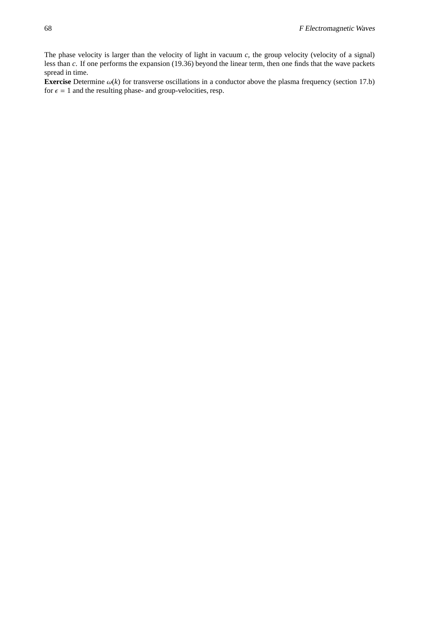The phase velocity is larger than the velocity of light in vacuum  $c$ , the group velocity (velocity of a signal) less than *c*. If one performs the expansion (19.36) beyond the linear term, then one finds that the wave packets spread in time.

**Exercise** Determine  $\omega(k)$  for transverse oscillations in a conductor above the plasma frequency (section 17.b) for  $\epsilon = 1$  and the resulting phase- and group-velocities, resp.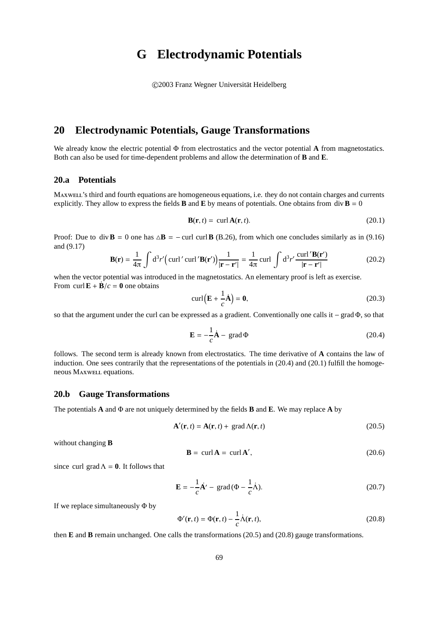# **G Electrodynamic Potentials**

©2003 Franz Wegner Universität Heidelberg

## **20 Electrodynamic Potentials, Gauge Transformations**

We already know the electric potential Φ from electrostatics and the vector potential **A** from magnetostatics. Both can also be used for time-dependent problems and allow the determination of **B** and **E**.

### **20.a Potentials**

MAXWELL's third and fourth equations are homogeneous equations, i.e. they do not contain charges and currents explicitly. They allow to express the fields **B** and **E** by means of potentials. One obtains from div  $\mathbf{B} = 0$ 

$$
\mathbf{B}(\mathbf{r},t) = \text{curl}\,\mathbf{A}(\mathbf{r},t). \tag{20.1}
$$

Proof: Due to div  $\mathbf{B} = 0$  one has  $\Delta \mathbf{B} = - \text{curl curl } \mathbf{B}$  (B.26), from which one concludes similarly as in (9.16) and (9.17)

$$
\mathbf{B}(\mathbf{r}) = \frac{1}{4\pi} \int d^3 r' \left(\text{curl}' \text{ curl}' \mathbf{B}(\mathbf{r}')\right) \frac{1}{|\mathbf{r} - \mathbf{r}'|} = \frac{1}{4\pi} \text{ curl } \int d^3 r' \frac{\text{curl}' \mathbf{B}(\mathbf{r}')}{|\mathbf{r} - \mathbf{r}'|}
$$
(20.2)

when the vector potential was introduced in the magnetostatics. An elementary proof is left as exercise. From curl  $\mathbf{E} + \dot{\mathbf{B}}/c = 0$  one obtains

$$
\operatorname{curl}\left(\mathbf{E} + \frac{1}{c}\dot{\mathbf{A}}\right) = \mathbf{0},\tag{20.3}
$$

so that the argument under the curl can be expressed as a gradient. Conventionally one calls it − grad Φ, so that

$$
\mathbf{E} = -\frac{1}{c}\dot{\mathbf{A}} - \text{grad}\,\Phi \tag{20.4}
$$

follows. The second term is already known from electrostatics. The time derivative of **A** contains the law of induction. One sees contrarily that the representations of the potentials in (20.4) and (20.1) fulfill the homogeneous MAXWELL equations.

### **20.b Gauge Transformations**

The potentials **A** and Φ are not uniquely determined by the fields **B** and **E**. We may replace **A** by

$$
\mathbf{A}'(\mathbf{r},t) = \mathbf{A}(\mathbf{r},t) + \text{grad}\,\Lambda(\mathbf{r},t) \tag{20.5}
$$

without changing **B**

$$
\mathbf{B} = \text{curl}\,\mathbf{A} = \text{curl}\,\mathbf{A}',\tag{20.6}
$$

since curl grad  $\Lambda = 0$ . It follows that

$$
\mathbf{E} = -\frac{1}{c}\dot{\mathbf{A}}' - \text{grad}(\Phi - \frac{1}{c}\dot{\mathbf{\Lambda}}).
$$
 (20.7)

If we replace simultaneously  $\Phi$  by

$$
\Phi'(\mathbf{r},t) = \Phi(\mathbf{r},t) - \frac{1}{c}\dot{\Lambda}(\mathbf{r},t),
$$
\n(20.8)

then **E** and **B** remain unchanged. One calls the transformations (20.5) and (20.8) gauge transformations.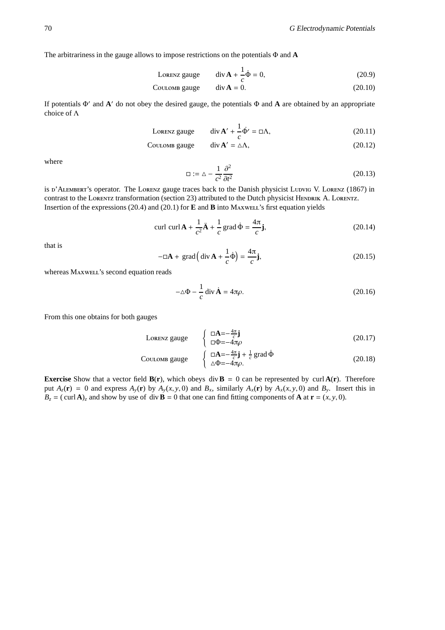The arbitrariness in the gauge allows to impose restrictions on the potentials Φ and **A**

LORENZ gauge 
$$
\text{div } \mathbf{A} + \frac{1}{c} \dot{\Phi} = 0,
$$
 (20.9)

$$
Coulomb gauge \tdiv \mathbf{A} = 0. \t(20.10)
$$

If potentials  $\Phi'$  and  $A'$  do not obey the desired gauge, the potentials  $\Phi$  and  $A$  are obtained by an appropriate choice of Λ

LORENZ gauge 
$$
\operatorname{div} \mathbf{A}' + \frac{1}{c} \dot{\Phi}' = \Box \Lambda,
$$
 (20.11)

Coulomb gauge 
$$
\text{div } \mathbf{A}' = \Delta \Lambda,
$$
 (20.12)

where

$$
\Box := \Delta - \frac{1}{c^2} \frac{\partial^2}{\partial t^2} \tag{20.13}
$$

is D'ALEMBERT's operator. The LORENZ gauge traces back to the Danish physicist LUDVIG V. LORENZ (1867) in contrast to the LORENTZ transformation (section 23) attributed to the Dutch physicist HENDRIK A. LORENTZ. Insertion of the expressions (20.4) and (20.1) for  $E$  and  $B$  into MAXWELL's first equation yields

$$
\operatorname{curl} \operatorname{curl} \mathbf{A} + \frac{1}{c^2} \ddot{\mathbf{A}} + \frac{1}{c} \operatorname{grad} \dot{\Phi} = \frac{4\pi}{c} \mathbf{j},\tag{20.14}
$$

that is

$$
-\Box \mathbf{A} + \text{grad}\left(\mathrm{div}\,\mathbf{A} + \frac{1}{c}\dot{\Phi}\right) = \frac{4\pi}{c}\mathbf{j},\tag{20.15}
$$

whereas MAXWELL's second equation reads

$$
-\Delta \Phi - \frac{1}{c} \operatorname{div} \dot{\mathbf{A}} = 4\pi \rho. \tag{20.16}
$$

From this one obtains for both gauges

Lorenz gauge 
$$
\begin{cases} \Box \mathbf{A} = -\frac{4\pi}{c} \mathbf{j} \\ \Box \Phi = -4\pi \rho \end{cases}
$$
 (20.17)

Coulomb gauge 
$$
\begin{cases} \Box \mathbf{A} = -\frac{4\pi}{c} \mathbf{j} + \frac{1}{c} \operatorname{grad} \Phi \\ \Delta \Phi = -4\pi \rho. \end{cases}
$$
 (20.18)

**Exercise** Show that a vector field  $\mathbf{B}(\mathbf{r})$ , which obeys div  $\mathbf{B} = 0$  can be represented by curl  $\mathbf{A}(\mathbf{r})$ . Therefore put  $A_z(\mathbf{r}) = 0$  and express  $A_y(\mathbf{r})$  by  $A_y(x, y, 0)$  and  $B_x$ , similarly  $A_x(\mathbf{r})$  by  $A_x(x, y, 0)$  and  $B_y$ . Insert this in  $B_z = (\text{curl } \mathbf{A})_z$  and show by use of div  $\mathbf{B} = 0$  that one can find fitting components of **A** at  $\mathbf{r} = (x, y, 0)$ .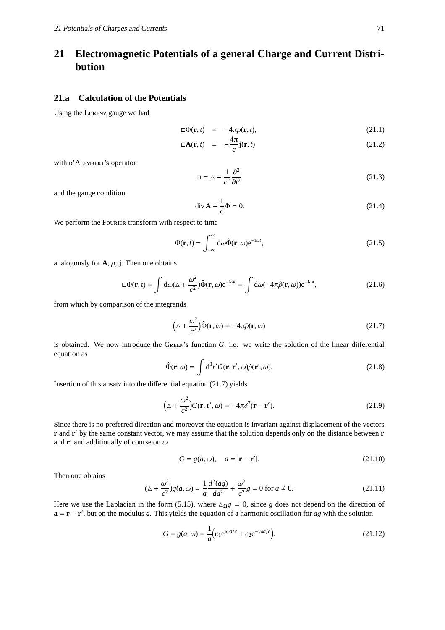## **21 Electromagnetic Potentials of a general Charge and Current Distribution**

### **21.a Calculation of the Potentials**

Using the LORENZ gauge we had

$$
\Box \Phi(\mathbf{r}, t) = -4\pi \rho(\mathbf{r}, t), \qquad (21.1)
$$

$$
\Box \mathbf{A}(\mathbf{r},t) = -\frac{4\pi}{c}\mathbf{j}(\mathbf{r},t) \tag{21.2}
$$

with D'ALEMBERT's operator

$$
\Box = \Delta - \frac{1}{c^2} \frac{\partial^2}{\partial t^2}
$$
 (21.3)

and the gauge condition

$$
\operatorname{div} \mathbf{A} + \frac{1}{c} \dot{\Phi} = 0. \tag{21.4}
$$

We perform the FOURIER transform with respect to time

$$
\Phi(\mathbf{r},t) = \int_{-\infty}^{\infty} d\omega \hat{\Phi}(\mathbf{r},\omega) e^{-i\omega t},
$$
\n(21.5)

analogously for  $\mathbf{A}$ ,  $\rho$ , **j**. Then one obtains

$$
\Box \Phi(\mathbf{r}, t) = \int d\omega (\Delta + \frac{\omega^2}{c^2}) \hat{\Phi}(\mathbf{r}, \omega) e^{-i\omega t} = \int d\omega (-4\pi \hat{\rho}(\mathbf{r}, \omega)) e^{-i\omega t}, \qquad (21.6)
$$

from which by comparison of the integrands

$$
\left(\Delta + \frac{\omega^2}{c^2}\right) \hat{\Phi}(\mathbf{r}, \omega) = -4\pi \hat{\rho}(\mathbf{r}, \omega) \tag{21.7}
$$

is obtained. We now introduce the GREEN's function  $G$ , i.e. we write the solution of the linear differential equation as

$$
\hat{\Phi}(\mathbf{r},\omega) = \int d^3 r' G(\mathbf{r}, \mathbf{r}',\omega) \hat{\rho}(\mathbf{r}',\omega).
$$
 (21.8)

Insertion of this ansatz into the differential equation (21.7) yields

$$
\left(\Delta + \frac{\omega^2}{c^2}\right)G(\mathbf{r}, \mathbf{r}', \omega) = -4\pi\delta^3(\mathbf{r} - \mathbf{r}').\tag{21.9}
$$

Since there is no preferred direction and moreover the equation is invariant against displacement of the vectors **r** and **r'** by the same constant vector, we may assume that the solution depends only on the distance between **r** and  $\mathbf{r}'$  and additionally of course on  $\omega$ 

$$
G = g(a, \omega), \quad a = |\mathbf{r} - \mathbf{r}'|.
$$
\n
$$
(21.10)
$$

Then one obtains

$$
(\Delta + \frac{\omega^2}{c^2})g(a,\omega) = \frac{1}{a}\frac{d^2(ag)}{da^2} + \frac{\omega^2}{c^2}g = 0 \text{ for } a \neq 0.
$$
 (21.11)

Here we use the Laplacian in the form (5.15), where  $\Delta \Omega g = 0$ , since *g* does not depend on the direction of  $\mathbf{a} = \mathbf{r} - \mathbf{r}'$ , but on the modulus *a*. This yields the equation of a harmonic oscillation for *ag* with the solution

$$
G = g(a, \omega) = \frac{1}{a} \Big( c_1 e^{i\omega a/c} + c_2 e^{-i\omega a/c} \Big). \tag{21.12}
$$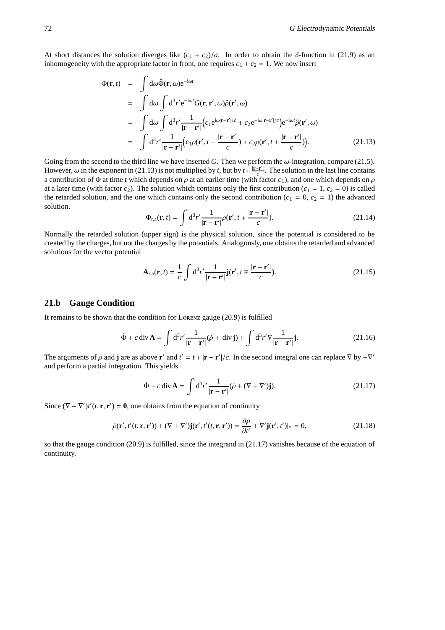At short distances the solution diverges like  $(c_1 + c_2)/a$ . In order to obtain the  $\delta$ -function in (21.9) as an inhomogeneity with the appropriate factor in front, one requires  $c_1 + c_2 = 1$ . We now insert

$$
\Phi(\mathbf{r},t) = \int d\omega \hat{\Phi}(\mathbf{r},\omega) e^{-i\omega t}
$$
\n
$$
= \int d\omega \int d^{3}r' e^{-i\omega t} G(\mathbf{r},\mathbf{r}',\omega) \hat{\rho}(\mathbf{r}',\omega)
$$
\n
$$
= \int d\omega \int d^{3}r' \frac{1}{|\mathbf{r} - \mathbf{r}'|} (c_{1}e^{i\omega|\mathbf{r} - \mathbf{r}'|/c} + c_{2}e^{-i\omega|\mathbf{r} - \mathbf{r}'|/c}) e^{-i\omega t} \hat{\rho}(\mathbf{r}',\omega)
$$
\n
$$
= \int d^{3}r' \frac{1}{|\mathbf{r} - \mathbf{r}'|} (c_{1}\rho(\mathbf{r}',t - \frac{|\mathbf{r} - \mathbf{r}'|}{c}) + c_{2}\rho(\mathbf{r}',t + \frac{|\mathbf{r} - \mathbf{r}'|}{c})). \tag{21.13}
$$

Going from the second to the third line we have inserted  $G$ . Then we perform the  $\omega$ -integration, compare (21.5). However,  $\omega$  in the exponent in (21.13) is not multiplied by *t*, but by  $t \neq \frac{|\mathbf{r}-\mathbf{r}'|}{c}$ . The solution in the last line contains a contribution of  $\Phi$  at time *t* which depends on  $\rho$  at an earlier time (with factor  $c_1$ ), and one which depends on  $\rho$ at a later time (with factor  $c_2$ ). The solution which contains only the first contribution ( $c_1 = 1$ ,  $c_2 = 0$ ) is called the retarded solution, and the one which contains only the second contribution ( $c_1 = 0$ ,  $c_2 = 1$ ) the advanced solution.

$$
\Phi_{\mathbf{r},\mathbf{a}}(\mathbf{r},t) = \int d^3r' \frac{1}{|\mathbf{r} - \mathbf{r}'|} \rho(\mathbf{r}', t \mp \frac{|\mathbf{r} - \mathbf{r}'|}{c}).
$$
\n(21.14)

Normally the retarded solution (upper sign) is the physical solution, since the potential is considered to be created by the charges, but not the charges by the potentials. Analogously, one obtainsthe retarded and advanced solutions for the vector potential

$$
\mathbf{A}_{\mathrm{r},\mathrm{a}}(\mathbf{r},t) = \frac{1}{c} \int \mathrm{d}^3 r' \frac{1}{|\mathbf{r} - \mathbf{r}'|} \mathbf{j}(\mathbf{r}', t \mp \frac{|\mathbf{r} - \mathbf{r}'|}{c}). \tag{21.15}
$$

### **21.b Gauge Condition**

It remains to be shown that the condition for Lorenz gauge  $(20.9)$  is fulfilled

$$
\dot{\Phi} + c \operatorname{div} \mathbf{A} = \int d^3 r' \frac{1}{|\mathbf{r} - \mathbf{r}'|} (\dot{\rho} + \operatorname{div} \mathbf{j}) + \int d^3 r' \nabla \frac{1}{|\mathbf{r} - \mathbf{r}'|} \mathbf{j}.
$$
 (21.16)

The arguments of  $\rho$  and **j** are as above **r**' and  $t' = t \mp |\mathbf{r} - \mathbf{r}'|/c$ . In the second integral one can replace  $\nabla$  by  $-\nabla$ ' and perform a partial integration. This yields

$$
\dot{\Phi} + c \operatorname{div} \mathbf{A} = \int d^3 r' \frac{1}{|\mathbf{r} - \mathbf{r}'|} (\dot{\rho} + (\nabla + \nabla') \mathbf{j}). \tag{21.17}
$$

Since  $(\nabla + \nabla')t'(t, \mathbf{r}, \mathbf{r}') = \mathbf{0}$ , one obtains from the equation of continuity

$$
\dot{\rho}(\mathbf{r}',t'(t,\mathbf{r},\mathbf{r}')) + (\nabla + \nabla')\mathbf{j}(\mathbf{r}',t'(t,\mathbf{r},\mathbf{r}')) = \frac{\partial \rho}{\partial t'} + \nabla'\mathbf{j}(\mathbf{r}',t')|_{t'} = 0,
$$
\n(21.18)

so that the gauge condition (20.9) is fulfilled, since the integrand in (21.17) vanishes because of the equation of continuity.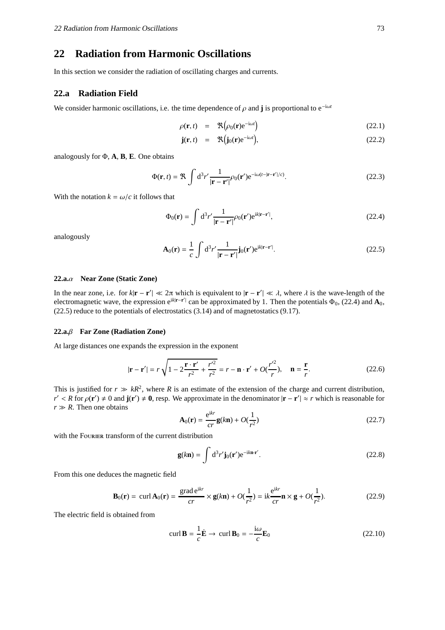# **22 Radiation from Harmonic Oscillations**

In this section we consider the radiation of oscillating charges and currents.

## **22.a Radiation Field**

We consider harmonic oscillations, i.e. the time dependence of  $\rho$  and **j** is proportional to  $e^{-i\omega t}$ 

$$
\rho(\mathbf{r},t) = \mathcal{R}(\rho_0(\mathbf{r})e^{-i\omega t})
$$
\n(22.1)

$$
\mathbf{j}(\mathbf{r},t) = \mathcal{R}(\mathbf{j}_0(\mathbf{r})\mathrm{e}^{-\mathrm{i}\omega t}), \qquad (22.2)
$$

analogously for Φ, **A**, **B**, **E**. One obtains

$$
\Phi(\mathbf{r},t) = \Re \int d^3 r' \frac{1}{|\mathbf{r} - \mathbf{r}'|} \rho_0(\mathbf{r}') e^{-i\omega(t - |\mathbf{r} - \mathbf{r}'|/c)}.
$$
\n(22.3)

With the notation  $k = \omega/c$  it follows that

$$
\Phi_0(\mathbf{r}) = \int d^3 r' \frac{1}{|\mathbf{r} - \mathbf{r}'|} \rho_0(\mathbf{r}') e^{ik|\mathbf{r} - \mathbf{r}'|},\tag{22.4}
$$

analogously

$$
\mathbf{A}_0(\mathbf{r}) = \frac{1}{c} \int d^3 r' \frac{1}{|\mathbf{r} - \mathbf{r}'|} \mathbf{j}_0(\mathbf{r}') e^{ik|\mathbf{r} - \mathbf{r}'|}.
$$
 (22.5)

#### **22.a.**α **Near Zone (Static Zone)**

In the near zone, i.e. for  $k|\mathbf{r} - \mathbf{r}'| \ll 2\pi$  which is equivalent to  $|\mathbf{r} - \mathbf{r}'| \ll \lambda$ , where  $\lambda$  is the wave-length of the electromagnetic wave, the expression e<sup>ik|r−r'</sup>| can be approximated by 1. Then the potentials  $\Phi_0$ , (22.4) and  $\mathbf{A}_0$ , (22.5) reduce to the potentials of electrostatics (3.14) and of magnetostatics (9.17).

#### **22.a.**β **Far Zone (Radiation Zone)**

At large distances one expands the expression in the exponent

$$
|\mathbf{r} - \mathbf{r}'| = r\sqrt{1 - 2\frac{\mathbf{r} \cdot \mathbf{r}'}{r^2} + \frac{r'^2}{r^2}} = r - \mathbf{n} \cdot \mathbf{r}' + O(\frac{r'^2}{r}), \quad \mathbf{n} = \frac{\mathbf{r}}{r}.
$$
 (22.6)

This is justified for  $r \gg kR^2$ , where *R* is an estimate of the extension of the charge and current distribution,  $r' < R$  for  $\rho(\mathbf{r}') \neq 0$  and  $\mathbf{j}(\mathbf{r}') \neq 0$ , resp. We approximate in the denominator  $|\mathbf{r} - \mathbf{r}'| \approx r$  which is reasonable for  $r \gg R$ . Then one obtains

$$
\mathbf{A}_0(\mathbf{r}) = \frac{e^{ikr}}{cr} \mathbf{g}(k\mathbf{n}) + O(\frac{1}{r^2})
$$
\n(22.7)

with the FOURIER transform of the current distribution

$$
\mathbf{g}(k\mathbf{n}) = \int d^3 r' \mathbf{j}_0(\mathbf{r}') e^{-ik\mathbf{n}\cdot\mathbf{r}'}.
$$
 (22.8)

From this one deduces the magnetic field

$$
\mathbf{B}_0(\mathbf{r}) = \operatorname{curl} \mathbf{A}_0(\mathbf{r}) = \frac{\operatorname{grad} \mathbf{e}^{\mathrm{i}kr}}{cr} \times \mathbf{g}(k\mathbf{n}) + O(\frac{1}{r^2}) = \mathrm{i}k \frac{\mathbf{e}^{\mathrm{i}kr}}{cr} \mathbf{n} \times \mathbf{g} + O(\frac{1}{r^2}).\tag{22.9}
$$

The electric field is obtained from

$$
\operatorname{curl} \mathbf{B} = \frac{1}{c} \dot{\mathbf{E}} \to \operatorname{curl} \mathbf{B}_0 = -\frac{\mathrm{i}\omega}{c} \mathbf{E}_0 \tag{22.10}
$$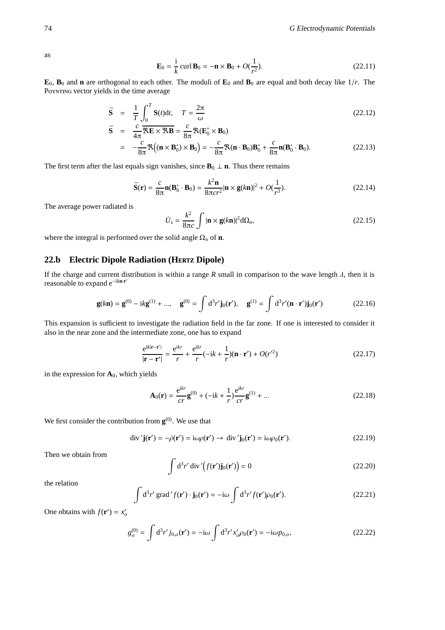as

$$
\mathbf{E}_0 = \frac{\mathbf{i}}{k} \operatorname{curl} \mathbf{B}_0 = -\mathbf{n} \times \mathbf{B}_0 + O(\frac{1}{r^2}).
$$
 (22.11)

 $\mathbf{E}_0$ ,  $\mathbf{B}_0$  and **n** are orthogonal to each other. The moduli of  $\mathbf{E}_0$  and  $\mathbf{B}_0$  are equal and both decay like  $1/r$ . The POYNTING vector yields in the time average

$$
\bar{\mathbf{S}} = \frac{1}{T} \int_0^T \mathbf{S}(t) \mathrm{d}t, \quad T = \frac{2\pi}{\omega} \tag{22.12}
$$

$$
\bar{\mathbf{S}} = \frac{c}{4\pi} \overline{\mathbf{X} \mathbf{E} \times \mathbf{X} \mathbf{B}} = \frac{c}{8\pi} \mathbf{X} (\mathbf{E}_0^* \times \mathbf{B}_0)
$$
  
= 
$$
-\frac{c}{8\pi} \mathbf{X} ((\mathbf{n} \times \mathbf{B}_0^*) \times \mathbf{B}_0) = -\frac{c}{8\pi} \mathbf{X} (\mathbf{n} \cdot \mathbf{B}_0) \mathbf{B}_0^* + \frac{c}{8\pi} \mathbf{n} (\mathbf{B}_0^* \cdot \mathbf{B}_0).
$$
(22.13)

The first term after the last equals sign vanishes, since  $\mathbf{B}_0 \perp \mathbf{n}$ . Thus there remains

$$
\bar{\mathbf{S}}(\mathbf{r}) = \frac{c}{8\pi} \mathbf{n} (\mathbf{B}_0^* \cdot \mathbf{B}_0) = \frac{k^2 \mathbf{n}}{8\pi c r^2} |\mathbf{n} \times \mathbf{g}(k\mathbf{n})|^2 + O(\frac{1}{r^3}).
$$
 (22.14)

The average power radiated is

$$
\dot{U}_{\rm s} = \frac{k^2}{8\pi c} \int |\mathbf{n} \times \mathbf{g}(k\mathbf{n})|^2 d\Omega_n,\tag{22.15}
$$

where the integral is performed over the solid angle  $\Omega_n$  of **n**.

# 22.b **Electric Dipole Radiation** (HERTZ Dipole)

If the charge and current distribution is within a range *R* small in comparison to the wave length  $\lambda$ , then it is reasonable to expand e −i*k***n**·**r** 0

$$
\mathbf{g}(k\mathbf{n}) = \mathbf{g}^{(0)} - ik\mathbf{g}^{(1)} + \dots, \quad \mathbf{g}^{(0)} = \int d^3r' \mathbf{j}_0(\mathbf{r}'), \quad \mathbf{g}^{(1)} = \int d^3r' (\mathbf{n} \cdot \mathbf{r}') \mathbf{j}_0(\mathbf{r}') \tag{22.16}
$$

This expansion is sufficient to investigate the radiation field in the far zone. If one is interested to consider it also in the near zone and the intermediate zone, one has to expand

$$
\frac{e^{ik|\mathbf{r}-\mathbf{r}'|}}{|\mathbf{r}-\mathbf{r}'|} = \frac{e^{ikr}}{r} + \frac{e^{ikr}}{r}(-ik + \frac{1}{r})(\mathbf{n}\cdot\mathbf{r}') + O(r'^2)
$$
\n(22.17)

in the expression for **A**0, which yields

$$
\mathbf{A}_0(\mathbf{r}) = \frac{e^{ikr}}{cr} \mathbf{g}^{(0)} + (-ik + \frac{1}{r}) \frac{e^{ikr}}{cr} \mathbf{g}^{(1)} + \dots
$$
 (22.18)

We first consider the contribution from  $\mathbf{g}^{(0)}$ . We use that

Z

$$
\operatorname{div}'\mathbf{j}(\mathbf{r}') = -\dot{\rho}(\mathbf{r}') = \mathrm{i}\omega\rho(\mathbf{r}') \to \operatorname{div}'\mathbf{j}_0(\mathbf{r}') = \mathrm{i}\omega\rho_0(\mathbf{r}').\tag{22.19}
$$

Then we obtain from

$$
\int d^3 r' \operatorname{div}' \left( f(\mathbf{r}') \mathbf{j}_0(\mathbf{r}') \right) = 0 \tag{22.20}
$$

the relation

$$
\int d^3r' \operatorname{grad}' f(\mathbf{r}') \cdot \mathbf{j}_0(\mathbf{r}') = -i\omega \int d^3r' f(\mathbf{r}') \rho_0(\mathbf{r}'). \tag{22.21}
$$

One obtains with  $f(\mathbf{r}') = x'_\alpha$ 

$$
g_{\alpha}^{(0)} = \int d^3 r' j_{0,\alpha}(\mathbf{r}') = -i\omega \int d^3 r' x'_{\alpha} \rho_0(\mathbf{r}') = -i\omega p_{0,\alpha},
$$
 (22.22)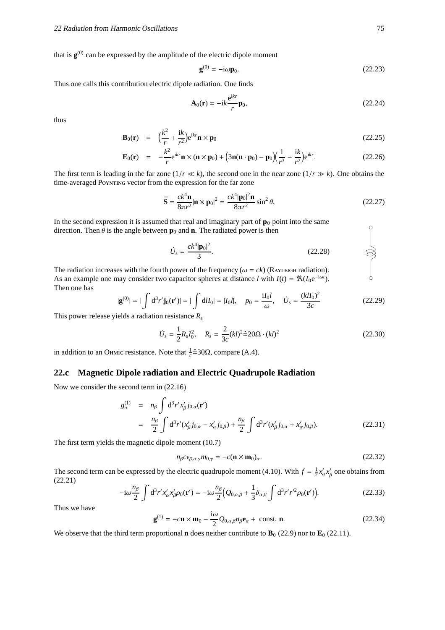that is  $\mathbf{g}^{(0)}$  can be expressed by the amplitude of the electric dipole moment

$$
\mathbf{g}^{(0)} = -\mathrm{i}\omega \mathbf{p}_0. \tag{22.23}
$$

Thus one calls this contribution electric dipole radiation. One finds

$$
\mathbf{A}_0(\mathbf{r}) = -\mathrm{i}k \frac{\mathrm{e}^{\mathrm{i}kr}}{r} \mathbf{p}_0,\tag{22.24}
$$

thus

$$
\mathbf{B}_0(\mathbf{r}) = \left(\frac{k^2}{r} + \frac{\mathrm{i}k}{r^2}\right) e^{\mathrm{i}kr} \mathbf{n} \times \mathbf{p}_0 \tag{22.25}
$$

$$
\mathbf{E}_0(\mathbf{r}) = -\frac{k^2}{r} e^{ikr} \mathbf{n} \times (\mathbf{n} \times \mathbf{p}_0) + (3\mathbf{n}(\mathbf{n} \cdot \mathbf{p}_0) - \mathbf{p}_0) \Big( \frac{1}{r^3} - \frac{ik}{r^2} \Big) e^{ikr}.
$$
 (22.26)

The first term is leading in the far zone  $(1/r \ll k)$ , the second one in the near zone  $(1/r \gg k)$ . One obtains the time-averaged PoyntInG vector from the expression for the far zone

$$
\bar{\mathbf{S}} = \frac{ck^4 \mathbf{n}}{8\pi r^2} |\mathbf{n} \times \mathbf{p}_0|^2 = \frac{ck^4 |\mathbf{p}_0|^2 \mathbf{n}}{8\pi r^2} \sin^2 \theta,
$$
 (22.27)

In the second expression it is assumed that real and imaginary part of  $\mathbf{p}_0$  point into the same direction. Then  $\theta$  is the angle between  $\mathbf{p}_0$  and **n**. The radiated power is then

$$
\dot{U}_{\rm s} = \frac{ck^4 |\mathbf{p}_0|^2}{3}.
$$
\n(22.28)

The radiation increases with the fourth power of the frequency ( $\omega = ck$ ) (RAYLEIGH radiation). As an example one may consider two capacitor spheres at distance *l* with  $I(t) = \mathcal{R}(I_0 e^{-i\omega t})$ . Then one has

$$
|\mathbf{g}^{(0)}| = |\int d^3 r' \mathbf{j}_0(\mathbf{r}')| = |\int dI_0| = |I_0|, \quad p_0 = \frac{iI_0 l}{\omega}, \quad \dot{U}_s = \frac{(kI_0)^2}{3c} \tag{22.29}
$$

This power release yields a radiation resistance *R*<sup>s</sup>

$$
\dot{U}_{\rm s} = \frac{1}{2} R_{\rm s} I_0^2, \quad R_{\rm s} = \frac{2}{3c} (kl)^2 \hat{=} 20 \Omega \cdot (kl)^2 \tag{22.30}
$$

in addition to an Ohmic resistance. Note that  $\frac{1}{c} \hat{=} 30\Omega$ , compare (A.4).

# **22.c Magnetic Dipole radiation and Electric Quadrupole Radiation**

Now we consider the second term in (22.16)

$$
g_{\alpha}^{(1)} = n_{\beta} \int d^{3}r' x'_{\beta} j_{0,\alpha}(\mathbf{r}')
$$
  
= 
$$
\frac{n_{\beta}}{2} \int d^{3}r' (x'_{\beta} j_{0,\alpha} - x'_{\alpha} j_{0,\beta}) + \frac{n_{\beta}}{2} \int d^{3}r' (x'_{\beta} j_{0,\alpha} + x'_{\alpha} j_{0,\beta}).
$$
 (22.31)

The first term yields the magnetic dipole moment (10.7)

$$
n_{\beta}c\epsilon_{\beta,\alpha,\gamma}m_{0,\gamma} = -c(\mathbf{n}\times\mathbf{m}_0)_{\alpha}.\tag{22.32}
$$

The second term can be expressed by the electric quadrupole moment (4.10). With  $f = \frac{1}{2}x'_\alpha x'_\beta$  one obtains from (22.21)

$$
-i\omega \frac{n_\beta}{2} \int d^3 r' x'_\alpha x'_\beta \rho_0(\mathbf{r}') = -i\omega \frac{n_\beta}{2} \Big( Q_{0,\alpha,\beta} + \frac{1}{3} \delta_{\alpha,\beta} \int d^3 r' r'^2 \rho_0(\mathbf{r}') \Big). \tag{22.33}
$$

Thus we have

$$
\mathbf{g}^{(1)} = -c\mathbf{n} \times \mathbf{m}_0 - \frac{\mathrm{i}\omega}{2} Q_{0,\alpha,\beta} n_\beta \mathbf{e}_\alpha + \text{ const. } \mathbf{n}.
$$
 (22.34)

We observe that the third term proportional **n** does neither contribute to  $\mathbf{B}_0$  (22.9) nor to  $\mathbf{E}_0$  (22.11).

 $\bigotimes$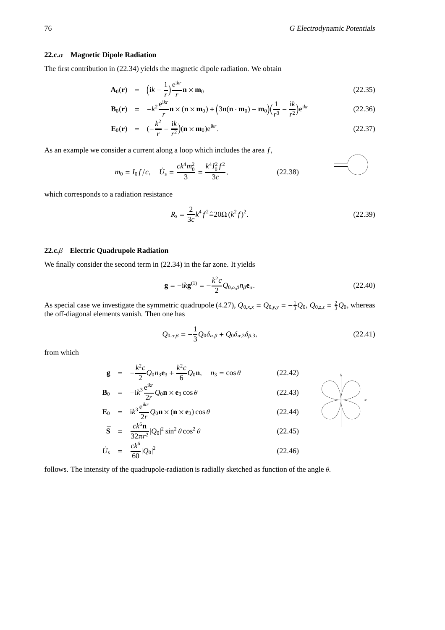## **22.c.**α **Magnetic Dipole Radiation**

The first contribution in (22.34) yields the magnetic dipole radiation. We obtain

$$
\mathbf{A}_0(\mathbf{r}) = \left(ik - \frac{1}{r}\right) \frac{e^{ikr}}{r} \mathbf{n} \times \mathbf{m}_0 \tag{22.35}
$$

$$
\mathbf{B}_0(\mathbf{r}) = -k^2 \frac{e^{ikr}}{r} \mathbf{n} \times (\mathbf{n} \times \mathbf{m}_0) + (3\mathbf{n}(\mathbf{n} \cdot \mathbf{m}_0) - \mathbf{m}_0) \Big(\frac{1}{r^3} - \frac{ik}{r^2}\Big)e^{ikr}
$$
(22.36)

$$
\mathbf{E}_0(\mathbf{r}) = (-\frac{k^2}{r} - \frac{ik}{r^2})(\mathbf{n} \times \mathbf{m}_0)e^{ikr}.
$$
 (22.37)

As an example we consider a current along a loop which includes the area *f* ,

$$
m_0 = I_0 f/c, \quad \dot{U}_s = \frac{ck^4 m_0^2}{3} = \frac{k^4 I_0^2 f^2}{3c}, \tag{22.38}
$$

which corresponds to a radiation resistance

$$
R_{\rm s} = \frac{2}{3c} k^4 f^2 \hat{=} 20 \Omega (k^2 f)^2. \tag{22.39}
$$

# **22.c.**β **Electric Quadrupole Radiation**

We finally consider the second term in (22.34) in the far zone. It yields

$$
\mathbf{g} = -i k \mathbf{g}^{(1)} = -\frac{k^2 c}{2} Q_{0,\alpha,\beta} n_{\beta} \mathbf{e}_{\alpha}.
$$
 (22.40)

As special case we investigate the symmetric quadrupole (4.27),  $Q_{0,x,x} = Q_{0,y,y} = -\frac{1}{3}Q_0$ ,  $Q_{0,z,z} = \frac{2}{3}Q_0$ , whereas the off-diagonal elements vanish. Then one has

$$
Q_{0,\alpha,\beta} = -\frac{1}{3}Q_0\delta_{\alpha,\beta} + Q_0\delta_{\alpha,3}\delta_{\beta,3},\tag{22.41}
$$

from which

$$
\mathbf{g} = -\frac{k^2 c}{2} Q_0 n_3 \mathbf{e}_3 + \frac{k^2 c}{6} Q_0 \mathbf{n}, \quad n_3 = \cos \theta
$$
 (22.42)  
\n
$$
\mathbf{B}_0 = -i k^3 \frac{e^{ikr}}{2r} Q_0 \mathbf{n} \times \mathbf{e}_3 \cos \theta
$$
 (22.43)  
\n
$$
\mathbf{E}_0 = i k^3 \frac{e^{ikr}}{2r} Q_0 \mathbf{n} \times (\mathbf{n} \times \mathbf{e}_3) \cos \theta
$$
 (22.44)  
\n
$$
\bar{\mathbf{S}} = \frac{ck^6 \mathbf{n}}{32\pi r^2} |Q_0|^2 \sin^2 \theta \cos^2 \theta
$$
 (22.45)  
\n
$$
\dot{U}_s = \frac{ck^6}{60} |Q_0|^2
$$
 (22.46)

follows. The intensity of the quadrupole-radiation is radially sketched as function of the angle  $\theta$ .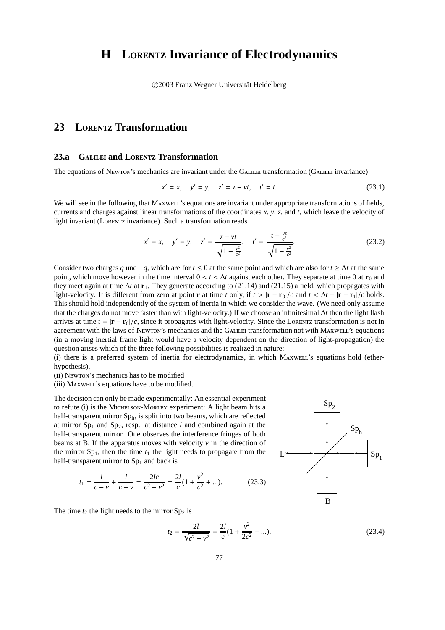# **H L Invariance of Electrodynamics**

©2003 Franz Wegner Universität Heidelberg

# **23 L Transformation**

#### 23.a **GALILEI** and **LORENTZ** Transformation

The equations of Newron's mechanics are invariant under the GALILEI transformation (GALILEI invariance)

$$
x' = x, \quad y' = y, \quad z' = z - vt, \quad t' = t.
$$
 (23.1)

We will see in the following that MAXWELL's equations are invariant under appropriate transformations of fields, currents and charges against linear transformations of the coordinates *x*, *y*, *z*, and *t*, which leave the velocity of light invariant (LORENTZ invariance). Such a transformation reads

$$
x' = x
$$
,  $y' = y$ ,  $z' = \frac{z - vt}{\sqrt{1 - \frac{v^2}{c^2}}}$ ,  $t' = \frac{t - \frac{vz}{c^2}}{\sqrt{1 - \frac{v^2}{c^2}}}$ . (23.2)

Consider two charges *q* und  $-q$ , which are for  $t \le 0$  at the same point and which are also for  $t \ge \Delta t$  at the same point, which move however in the time interval  $0 < t < \Delta t$  against each other. They separate at time 0 at  $\mathbf{r}_0$  and they meet again at time ∆*t* at **r**1. They generate according to (21.14) and (21.15) a field, which propagates with light-velocity. It is different from zero at point **r** at time *t* only, if  $t > |\mathbf{r} - \mathbf{r}_0|/c$  and  $t < \Delta t + |\mathbf{r} - \mathbf{r}_1|/c$  holds. This should hold independently of the system of inertia in which we consider the wave. (We need only assume that the charges do not move faster than with light-velocity.) If we choose an infinitesimal ∆*t* then the light flash arrives at time  $t = |\mathbf{r} - \mathbf{r}_0|/c$ , since it propagates with light-velocity. Since the LORENTZ transformation is not in agreement with the laws of NEWTON's mechanics and the GALILEI transformation not with MAXWELL's equations (in a moving inertial frame light would have a velocity dependent on the direction of light-propagation) the question arises which of the three following possibilities is realized in nature:

(i) there is a preferred system of inertia for electrodynamics, in which MAXWELL's equations hold (etherhypothesis),

(ii) Newron's mechanics has to be modified

(iii) MAXWELL's equations have to be modified.

The decision can only be made experimentally: An essential experiment to refute (i) is the MICHELSON-MORLEY experiment: A light beam hits a half-transparent mirror Sp<sub>h</sub>, is split into two beams, which are reflected at mirror  $Sp_1$  and  $Sp_2$ , resp. at distance *l* and combined again at the half-transparent mirror. One observes the interference fringes of both beams at B. If the apparatus moves with velocity  $\nu$  in the direction of the mirror  $Sp_1$ , then the time  $t_1$  the light needs to propagate from the half-transparent mirror to  $Sp<sub>1</sub>$  and back is

$$
t_1 = \frac{l}{c - \nu} + \frac{l}{c + \nu} = \frac{2lc}{c^2 - \nu^2} = \frac{2l}{c}(1 + \frac{\nu^2}{c^2} + \ldots). \tag{23.3}
$$

The time  $t_2$  the light needs to the mirror  $Sp_2$  is

$$
\begin{array}{c|c}\n & & \multicolumn{3}{c|}{\textbf{\textit{Sp}}}_1 \\
 & \multicolumn{3}{c|}{\textbf{\textit{Sp}}}_1 \\
 & \multicolumn{3}{c|}{\textbf{\textit{Sp}}}_1 \\
 & \multicolumn{3}{c|}{\textbf{\textit{Sp}}}_1 \\
 & \multicolumn{3}{c|}{\textbf{\textit{Sp}}}_1 \\
 & \multicolumn{3}{c|}{\textbf{\textit{Sp}}}_1 \\
 & \multicolumn{3}{c|}{\textbf{\textit{Sp}}}_1 \\
 & \multicolumn{3}{c|}{\textbf{\textit{Sp}}}_1 \\
 & \multicolumn{3}{c|}{\textbf{\textit{Sp}}}_1 \\
 & \multicolumn{3}{c|}{\textbf{\textit{Sp}}}_1 \\
 & \multicolumn{3}{c|}{\textbf{\textit{Sp}}}_1 \\
 & \multicolumn{3}{c|}{\textbf{\textit{Sp}}}_1 \\
 & \multicolumn{3}{c|}{\textbf{\textit{Sp}}}_1 \\
 & \multicolumn{3}{c|}{\textbf{\textit{Sp}}}_1 \\
 & \multicolumn{3}{c|}{\textbf{\textit{Sp}}}_1 \\
 & \multicolumn{3}{c|}{\textbf{\textit{Sp}}}_1 \\
 & \multicolumn{3}{c|}{\textbf{\textit{Sp}}}_1 \\
 & \multicolumn{3}{c|}{\textbf{\textit{Sp}}}_2 \\
 & \multicolumn{3}{c|}{\textbf{\textit{Sp}}}_1 \\
 & \multicolumn{3}{c|}{\textbf{\textit{Sp}}}_2 \\
 & \multicolumn{3}{c|}{\textbf{\textit{Sp}}}_1 \\
 & \multicolumn{3}{c|}{\textbf{\textit{Sp}}}_2 \\
 & \multicolumn{3}{c|}{\textbf{\textit{Sp}}}_1 \\
 & \multicolumn{3}{c|}{\textbf{\textit{Sp}}}_2 \\
 & \multicolumn{3}{c|}{\textbf{\textit{Sp}}}_1 \\
 & \multicolumn{3}{c|}{\textbf{\textit{Sp}}}_2 \\
 & \multicolumn{3}{c|}{\textbf{\textit{Sp}}}_1 \\
 & \multicolumn{3}{c|}{\textbf{\textit{Sp}}}_2 \\
 & \multicolumn{3}{c|}{\textbf{\textit{Sp}}}_2 \\
 & \multicolumn{3}{c|}{\textbf{\textit{Sp}}}_1 \\
 & \multicolumn{3}{c|}{\textbf{\textit{Sp}}}_2 \\
 & \multicolumn{3}{c|}{\textbf{\textit{Sp}}}_2 \\
 & \multicolumn{3}{c|}{\text
$$

$$
t_2 = \frac{2l}{\sqrt{c^2 - \nu^2}} = \frac{2l}{c} (1 + \frac{\nu^2}{2c^2} + \ldots),\tag{23.4}
$$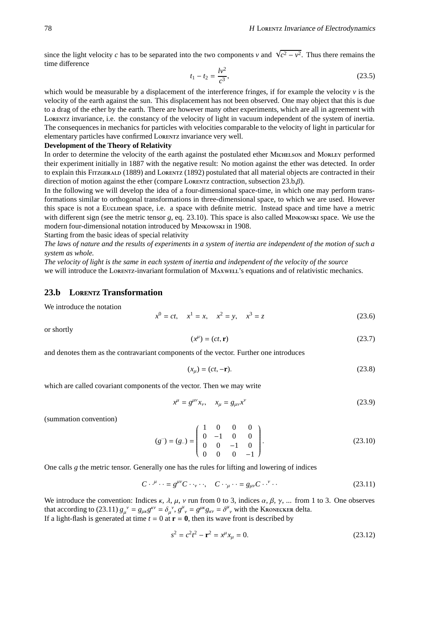since the light velocity *c* has to be separated into the two components *v* and  $\sqrt{c^2 - v^2}$ . Thus there remains the time difference

$$
t_1 - t_2 = \frac{lv^2}{c^3},\tag{23.5}
$$

which would be measurable by a displacement of the interference fringes, if for example the velocity  $\nu$  is the velocity of the earth against the sun. This displacement has not been observed. One may object that this is due to a drag of the ether by the earth. There are however many other experiments, which are all in agreement with LORENTZ invariance, i.e. the constancy of the velocity of light in vacuum independent of the system of inertia. The consequences in mechanics for particles with velocities comparable to the velocity of light in particular for elementary particles have confirmed LORENTZ invariance very well.

#### **Development of the Theory of Relativity**

In order to determine the velocity of the earth against the postulated ether MICHELSON and MORLEY performed their experiment initially in 1887 with the negative result: No motion against the ether was detected. In order to explain this FITZGERALD (1889) and LORENTZ (1892) postulated that all material objects are contracted in their direction of motion against the ether (compare Lorentz contraction, subsection 23.b.β).

In the following we will develop the idea of a four-dimensional space-time, in which one may perform transformations similar to orthogonal transformations in three-dimensional space, to which we are used. However this space is not a Euclipean space, i.e. a space with definite metric. Instead space and time have a metric with different sign (see the metric tensor  $g$ , eq. 23.10). This space is also called M<sub>INKOWSKI</sub> space. We use the modern four-dimensional notation introduced by MINKOWSKI in 1908.

Starting from the basic ideas of special relativity

The laws of nature and the results of experiments in a system of inertia are independent of the motion of such a *system as whole.*

The velocity of light is the same in each system of inertia and independent of the velocity of the source we will introduce the LORENTZ-invariant formulation of MAXWELL's equations and of relativistic mechanics.

# 23.b **LORENTZ** Transformation

We introduce the notation

$$
x^0 = ct, \quad x^1 = x, \quad x^2 = y, \quad x^3 = z \tag{23.6}
$$

or shortly

$$
(x^{\mu}) = (ct, \mathbf{r}) \tag{23.7}
$$

and denotes them as the contravariant components of the vector. Further one introduces

$$
(x_{\mu}) = (ct, -\mathbf{r}).\tag{23.8}
$$

which are called covariant components of the vector. Then we may write

$$
x^{\mu} = g^{\mu\nu} x_{\nu}, \quad x_{\mu} = g_{\mu\nu} x^{\nu}
$$
 (23.9)

(summation convention)

$$
(g^{\cdot\cdot}) = (g_{\cdot\cdot}) = \begin{pmatrix} 1 & 0 & 0 & 0 \\ 0 & -1 & 0 & 0 \\ 0 & 0 & -1 & 0 \\ 0 & 0 & 0 & -1 \end{pmatrix}.
$$
 (23.10)

One calls *g* the metric tensor. Generally one has the rules for lifting and lowering of indices

$$
C \cdot {}^{\mu} \cdot \cdot = g^{\mu \nu} C \cdot \cdot {}_{\nu} \cdot \cdot, \quad C \cdot \cdot {}_{\mu} \cdot \cdot = g_{\mu \nu} C \cdot {}^{\nu} \cdot \cdot \tag{23.11}
$$

We introduce the convention: Indices  $\kappa$ ,  $\lambda$ ,  $\mu$ ,  $\nu$  run from 0 to 3, indices  $\alpha$ ,  $\beta$ ,  $\gamma$ , ... from 1 to 3. One observes that according to (23.11)  $g_\mu^{\ \nu} = g_{\mu\kappa}g^{\kappa\nu} = \delta_\mu^{\ \nu}, g^\mu_{\ \nu} = g^{\mu\kappa}g_{\kappa\nu} = \delta^\mu_{\ \nu}$  with the KRONECKER delta. If a light-flash is generated at time  $t = 0$  at  $\mathbf{r} = \mathbf{0}$ , then its wave front is described by

$$
s^2 = c^2 t^2 - \mathbf{r}^2 = x^\mu x_\mu = 0.
$$
 (23.12)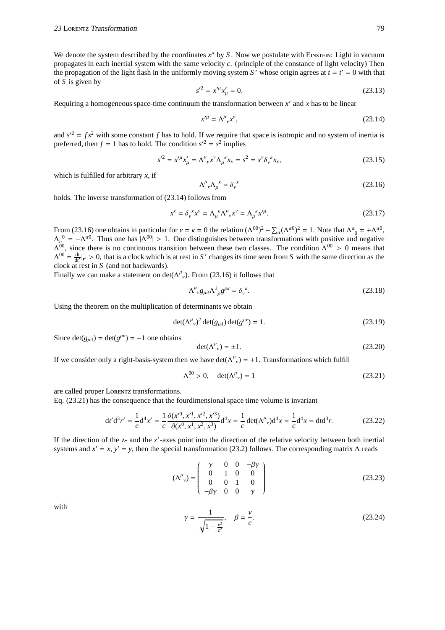We denote the system described by the coordinates  $x^{\mu}$  by *S*. Now we postulate with EINSTEIN: Light in vacuum propagates in each inertial system with the same velocity *c*. (principle of the constance of light velocity) Then the propagation of the light flash in the uniformly moving system *S'* whose origin agrees at  $t = t' = 0$  with that of *S* is given by

$$
s^2 = x^{\prime \mu} x^{\prime}_{\mu} = 0. \tag{23.13}
$$

Requiring a homogeneous space-time continuum the transformation between  $x'$  and  $x$  has to be linear

$$
x^{\prime \mu} = \Lambda^{\mu}{}_{\nu} x^{\nu},\tag{23.14}
$$

and  $s^2 = fs^2$  with some constant f has to hold. If we require that space is isotropic and no system of inertia is preferred, then  $f = 1$  has to hold. The condition  $s^2 = s^2$  implies

$$
s^2 = x^{\prime \mu} x_{\mu} = \Lambda^{\mu}{}_{\nu} x^{\nu} \Lambda_{\mu}{}^{\kappa} x_{\kappa} = s^2 = x^{\nu} \delta_{\nu}{}^{\kappa} x_{\kappa}, \tag{23.15}
$$

which is fulfilled for arbitrary *x*, if

$$
\Lambda^{\mu}{}_{\nu}\Lambda_{\mu}{}^{\kappa} = \delta_{\nu}{}^{\kappa} \tag{23.16}
$$

holds. The inverse transformation of (23.14) follows from

$$
x^k = \delta_{\nu}^{\ \ k} x^{\nu} = \Lambda_{\mu}^{\ \ k} \Lambda^{\mu}_{\ \nu} x^{\nu} = \Lambda_{\mu}^{\ \ k} x^{\prime \mu}.
$$
 (23.17)

From (23.16) one obtains in particular for  $v = \kappa = 0$  the relation  $(\Lambda^{00})^2 - \sum_{\alpha} (\Lambda^{\alpha 0})^2 = 1$ . Note that  $\Lambda^{\alpha}{}_{0} = +\Lambda^{\alpha 0}$ ,  $\Lambda_{\alpha}^{0} = -\Lambda^{\alpha 0}$ . Thus one has  $|\Lambda^{00}| > 1$ . One distinguishes between transformations with positive and negative  $\Lambda^{00}$ , since there is no continuous transition between these two classes. The condition  $\Lambda^{00} > 0$  means that  $\Lambda^{00} = \frac{dt}{dt'}|_{r'} > 0$ , that is a clock which is at rest in *S'* changes its time seen from *S* with the same direction as the clock at rest in *S* (and not backwards).

Finally we can make a statement on  $\det(\Lambda^{\mu}_{\nu})$ . From (23.16) it follows that

$$
\Lambda^{\mu}{}_{\nu}g_{\mu\lambda}\Lambda^{\lambda}{}_{\rho}g^{\rho\kappa} = \delta_{\nu}{}^{\kappa}.
$$
 (23.18)

Using the theorem on the multiplication of determinants we obtain

$$
\det(\Lambda^{\mu}_{\nu})^2 \det(g_{\mu\lambda}) \det(g^{\rho\kappa}) = 1. \tag{23.19}
$$

Since  $\det(g_{\mu\lambda}) = \det(g^{\rho\kappa}) = -1$  one obtains

$$
\det(\Lambda^{\mu}_{\nu}) = \pm 1. \tag{23.20}
$$

If we consider only a right-basis-system then we have  $\det(\Lambda^{\mu}_{\nu}) = +1$ . Transformations which fulfill

$$
\Lambda^{00} > 0, \quad \det(\Lambda^{\mu}_{\nu}) = 1 \tag{23.21}
$$

are called proper LORENTZ transformations.

Eq. (23.21) has the consequence that the fourdimensional space time volume is invariant

$$
dt'd^{3}r' = \frac{1}{c}d^{4}x' = \frac{1}{c}\frac{\partial(x'^{0}, x'^{1}, x'^{2}, x'^{3})}{\partial(x^{0}, x^{1}, x^{2}, x^{3})}d^{4}x = \frac{1}{c}\det(\Lambda^{\mu}_{\nu})d^{4}x = \frac{1}{c}d^{4}x = dt d^{3}r.
$$
 (23.22)

If the direction of the z- and the z'-axes point into the direction of the relative velocity between both inertial systems and  $x' = x$ ,  $y' = y$ , then the special transformation (23.2) follows. The corresponding matrix  $\Lambda$  reads

$$
(\Lambda^{\mu}_{\nu}) = \begin{pmatrix} \gamma & 0 & 0 & -\beta\gamma \\ 0 & 1 & 0 & 0 \\ 0 & 0 & 1 & 0 \\ -\beta\gamma & 0 & 0 & \gamma \end{pmatrix}
$$
 (23.23)

with

$$
\gamma = \frac{1}{\sqrt{1 - \frac{v^2}{c^2}}}, \quad \beta = \frac{v}{c}.
$$
\n(23.24)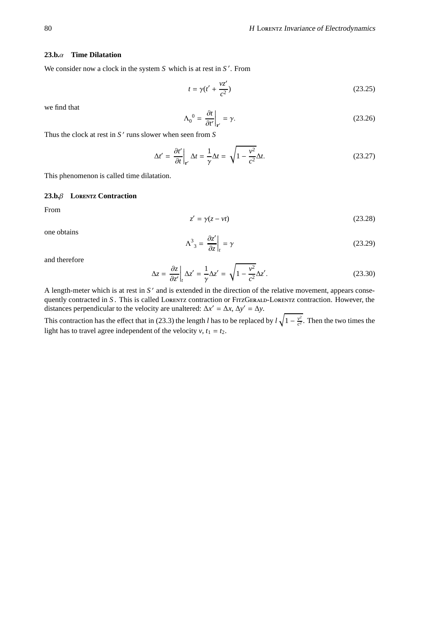#### **23.b.**α **Time Dilatation**

We consider now a clock in the system  $S$  which is at rest in  $S'$ . From

$$
t = \gamma(t' + \frac{v z'}{c^2})
$$
 (23.25)

we find that

$$
\Lambda_0^0 = \left. \frac{\partial t}{\partial t'} \right|_{\mathbf{r}'} = \gamma. \tag{23.26}
$$

Thus the clock at rest in *S*' runs slower when seen from *S* 

$$
\Delta t' = \frac{\partial t'}{\partial t}\bigg|_{\mathbf{r}'} \Delta t = \frac{1}{\gamma} \Delta t = \sqrt{1 - \frac{v^2}{c^2}} \Delta t. \tag{23.27}
$$

This phenomenon is called time dilatation.

#### **23.b.**β **LORENTZ Contraction**

From

$$
z' = \gamma(z - vt) \tag{23.28}
$$

one obtains

$$
\Lambda^3_{3} = \left. \frac{\partial z'}{\partial z} \right|_t = \gamma \tag{23.29}
$$

and therefore

$$
\Delta z = \frac{\partial z}{\partial z'}\Big|_t \Delta z' = \frac{1}{\gamma} \Delta z' = \sqrt{1 - \frac{v^2}{c^2}} \Delta z'.
$$
 (23.30)

A length-meter which is at rest in  $S'$  and is extended in the direction of the relative movement, appears consequently contracted in *S*. This is called LORENTZ contraction or FITZGERALD-LORENTZ contraction. However, the distances perpendicular to the velocity are unaltered:  $\Delta x' = \Delta x$ ,  $\Delta y' = \Delta y$ .

This contraction has the effect that in (23.3) the length *l* has to be replaced by  $l\sqrt{1-\frac{v^2}{c^2}}$  $\frac{v^2}{c^2}$ . Then the two times the light has to travel agree independent of the velocity  $v$ ,  $t_1 = t_2$ .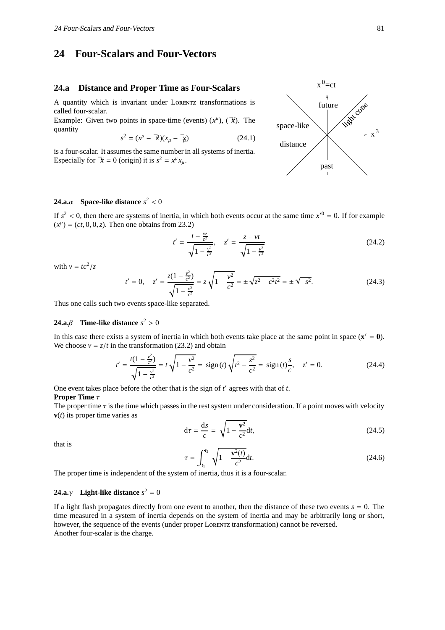# **24 Four-Scalars and Four-Vectors**

# **24.a Distance and Proper Time as Four-Scalars**

A quantity which is invariant under LORENTZ transformations is called four-scalar.

Example: Given two points in space-time (events)  $(x^{\mu})$ ,  $(\bar{x})$ . The quantity

$$
s^{2} = (x^{\mu} - \sqrt[\mu]{x_{\mu} - \sqrt[\mu]{y}})
$$
 (24.1)

is a four-scalar. It assumes the same number in all systems of inertia. Especially for  $\mathcal{H} = 0$  (origin) it is  $s^2 = x^\mu x_\mu$ .

## **24.a.** $\alpha$  **Space-like distance**  $s^2 < 0$

If  $s^2$  < 0, then there are systems of inertia, in which both events occur at the same time  $x'^0 = 0$ . If for example  $(x^{\mu}) = (ct, 0, 0, z)$ . Then one obtains from 23.2)

$$
t' = \frac{t - \frac{vz}{c^2}}{\sqrt{1 - \frac{v^2}{c^2}}}, \quad z' = \frac{z - vt}{\sqrt{1 - \frac{v^2}{c^2}}}
$$
(24.2)

with  $v = t c^2/z$ 

$$
t' = 0, \quad z' = \frac{z(1 - \frac{v^2}{c^2})}{\sqrt{1 - \frac{v^2}{c^2}}} = z\sqrt{1 - \frac{v^2}{c^2}} = \pm\sqrt{z^2 - c^2t^2} = \pm\sqrt{-s^2}.
$$
 (24.3)

Thus one calls such two events space-like separated.

## **24.a.** $\beta$  **Time-like distance**  $s^2 > 0$

In this case there exists a system of inertia in which both events take place at the same point in space  $(\mathbf{x}' = \mathbf{0})$ . We choose  $v = z/t$  in the transformation (23.2) and obtain

$$
t' = \frac{t(1 - \frac{v^2}{c^2})}{\sqrt{1 - \frac{v^2}{c^2}}} = t\sqrt{1 - \frac{v^2}{c^2}} = \text{sign}(t)\sqrt{t^2 - \frac{z^2}{c^2}} = \text{sign}(t)\frac{s}{c}, \quad z' = 0.
$$
 (24.4)

One event takes place before the other that is the sign of  $t'$  agrees with that of  $t$ .

## **Proper Time** τ

The proper time  $\tau$  is the time which passes in the rest system under consideration. If a point moves with velocity **v**(*t*) its proper time varies as

$$
\mathrm{d}\tau = \frac{\mathrm{d}s}{c} = \sqrt{1 - \frac{\mathbf{v}^2}{c^2}} \mathrm{d}t,\tag{24.5}
$$

that is

$$
\tau = \int_{t_1}^{t_2} \sqrt{1 - \frac{\mathbf{v}^2(t)}{c^2}} dt.
$$
 (24.6)

The proper time is independent of the system of inertia, thus it is a four-scalar.

## **24.a.**γ **Light-like distance**  $s^2 = 0$

If a light flash propagates directly from one event to another, then the distance of these two events  $s = 0$ . The time measured in a system of inertia depends on the system of inertia and may be arbitrarily long or short, however, the sequence of the events (under proper LORENTZ transformation) cannot be reversed. Another four-scalar is the charge.

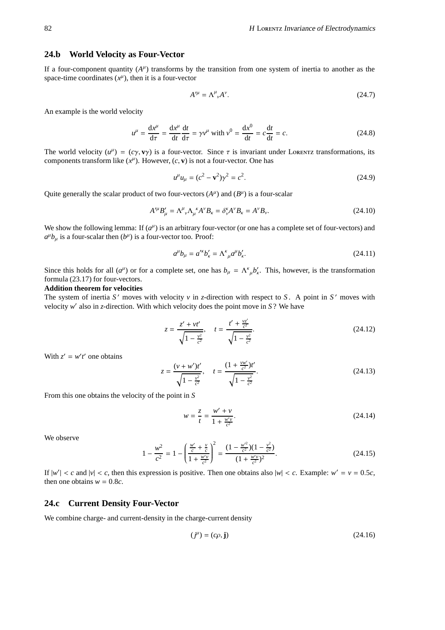### **24.b World Velocity as Four-Vector**

If a four-component quantity  $(A^{\mu})$  transforms by the transition from one system of inertia to another as the space-time coordinates  $(x^{\mu})$ , then it is a four-vector

$$
A^{\prime \mu} = \Lambda^{\mu}{}_{\nu} A^{\nu}.
$$
 (24.7)

An example is the world velocity

$$
u^{\mu} = \frac{dx^{\mu}}{d\tau} = \frac{dx^{\mu}}{dt} \frac{dt}{d\tau} = \gamma v^{\mu} \text{ with } v^{0} = \frac{dx^{0}}{dt} = c \frac{dt}{dt} = c. \qquad (24.8)
$$

The world velocity  $(u^{\mu}) = (c\gamma, \mathbf{v}\gamma)$  is a four-vector. Since  $\tau$  is invariant under Lorentz transformations, its components transform like  $(x^{\mu})$ . However,  $(c, \mathbf{v})$  is not a four-vector. One has

$$
u^{\mu}u_{\mu} = (c^2 - \mathbf{v}^2)\gamma^2 = c^2. \tag{24.9}
$$

Quite generally the scalar product of two four-vectors  $(A^{\mu})$  and  $(B^{\mu})$  is a four-scalar

$$
A^{\prime \mu} B_{\mu}^{\prime} = \Lambda^{\mu}{}_{\nu} \Lambda_{\mu}{}^{\kappa} A^{\nu} B_{\kappa} = \delta^{\kappa}_{\nu} A^{\nu} B_{\kappa} = A^{\nu} B_{\nu}.
$$
 (24.10)

We show the following lemma: If  $(a^{\mu})$  is an arbitrary four-vector (or one has a complete set of four-vectors) and  $a^{\mu}b_{\mu}$  is a four-scalar then ( $b^{\mu}$ ) is a four-vector too. Proof:

$$
a^{\mu}b_{\mu} = a^{\prime\prime}b_{\kappa}^{\prime} = \Lambda^{\kappa}_{\mu}a^{\mu}b_{\kappa}^{\prime}.
$$
 (24.11)

Since this holds for all  $(a^{\mu})$  or for a complete set, one has  $b_{\mu} = \Lambda^{\kappa}_{\mu} b'_{\kappa}$ . This, however, is the transformation formula (23.17) for four-vectors.

# **Addition theorem for velocities**

The system of inertia  $S'$  moves with velocity  $v$  in *z*-direction with respect to  $S$ . A point in  $S'$  moves with velocity w' also in *z*-direction. With which velocity does the point move in *S* ? We have

$$
z = \frac{z' + vt'}{\sqrt{1 - \frac{v^2}{c^2}}}, \quad t = \frac{t' + \frac{vz'}{c^2}}{\sqrt{1 - \frac{v^2}{c^2}}}.
$$
\n(24.12)

With  $z' = w't'$  one obtains

$$
z = \frac{(v + w')t'}{\sqrt{1 - \frac{v^2}{c^2}}}, \quad t = \frac{(1 + \frac{vw'}{c^2})t'}{\sqrt{1 - \frac{v^2}{c^2}}}.
$$
\n(24.13)

From this one obtains the velocity of the point in *S*

$$
w = \frac{z}{t} = \frac{w' + v}{1 + \frac{w'v}{c^2}}.
$$
\n(24.14)

We observe

$$
1 - \frac{w^2}{c^2} = 1 - \left(\frac{\frac{w'}{c} + \frac{v}{c}}{1 + \frac{w'v}{c^2}}\right)^2 = \frac{(1 - \frac{w'^2}{c^2})(1 - \frac{v^2}{c^2})}{(1 + \frac{w'v}{c^2})^2}.
$$
 (24.15)

If  $|w'| < c$  and  $|v| < c$ , then this expression is positive. Then one obtains also  $|w| < c$ . Example:  $w' = v = 0.5c$ , then one obtains  $w = 0.8c$ .

## **24.c Current Density Four-Vector**

We combine charge- and current-density in the charge-current density

$$
(j^{\mu}) = (c\rho, \mathbf{j}) \tag{24.16}
$$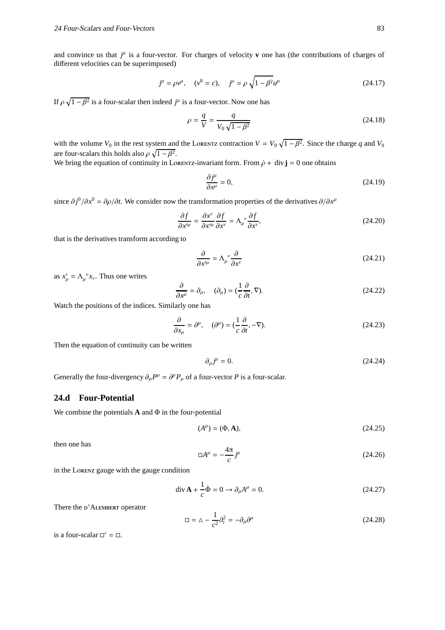and convince us that  $j^{\mu}$  is a four-vector. For charges of velocity **v** one has (the contributions of charges of different velocities can be superimposed)

$$
j^{\mu} = \rho v^{\mu}, \quad (v^0 = c), \quad j^{\mu} = \rho \sqrt{1 - \beta^2} u^{\mu}
$$
 (24.17)

If  $\rho \sqrt{1 - \beta^2}$  is a four-scalar then indeed  $j^{\mu}$  is a four-vector. Now one has

$$
\rho = \frac{q}{V} = \frac{q}{V_0 \sqrt{1 - \beta^2}}
$$
\n(24.18)

with the volume  $V_0$  in the rest system and the LORENTZ contraction  $V = V_0 \sqrt{1 - \beta^2}$ . Since the charge *q* and  $V_0$ are four-scalars this holds also  $\rho \sqrt{1 - \beta^2}$ .

We bring the equation of continuity in Lorentz-invariant form. From  $\dot{\rho}$  + div **j** = 0 one obtains

$$
\frac{\partial j^{\mu}}{\partial x^{\mu}} = 0, \tag{24.19}
$$

since  $\partial j^0/\partial x^0 = \partial \rho/\partial t$ . We consider now the transformation properties of the derivatives  $\partial/\partial x^\mu$ 

$$
\frac{\partial f}{\partial x'^{\mu}} = \frac{\partial x^{\nu}}{\partial x'^{\mu}} \frac{\partial f}{\partial x^{\nu}} = \Lambda_{\mu}^{\ \nu} \frac{\partial f}{\partial x^{\nu}},\tag{24.20}
$$

that is the derivatives transform according to

$$
\frac{\partial}{\partial x'^{\mu}} = \Lambda_{\mu}^{\ \nu} \frac{\partial}{\partial x^{\nu}}
$$
 (24.21)

as  $x'_{\mu} = \Lambda_{\mu}^{\ \nu} x_{\nu}$ . Thus one writes

$$
\frac{\partial}{\partial x^{\mu}} = \partial_{\mu}, \quad (\partial_{\mu}) = (\frac{1}{c} \frac{\partial}{\partial t}, \nabla). \tag{24.22}
$$

Watch the positions of the indices. Similarly one has

$$
\frac{\partial}{\partial x_{\mu}} = \partial^{\mu}, \quad (\partial^{\mu}) = (\frac{1}{c}\frac{\partial}{\partial t}, -\nabla). \tag{24.23}
$$

Then the equation of continuity can be written

$$
\partial_{\mu}j^{\mu} = 0. \tag{24.24}
$$

Generally the four-divergency  $\partial_{\mu}P^{\mu} = \partial^{\mu}P_{\mu}$  of a four-vector *P* is a four-scalar.

# **24.d Four-Potential**

We combine the potentials **A** and Φ in the four-potential

$$
(A^{\mu}) = (\Phi, \mathbf{A}),\tag{24.25}
$$

then one has

$$
\Box A^{\mu} = -\frac{4\pi}{c} j^{\mu} \tag{24.26}
$$

in the LORENZ gauge with the gauge condition

$$
\operatorname{div} \mathbf{A} + \frac{1}{c} \dot{\Phi} = 0 \to \partial_{\mu} A^{\mu} = 0. \tag{24.27}
$$

There the D'ALEMBERT operator

$$
\Box = \Delta - \frac{1}{c^2} \partial_t^2 = -\partial_\mu \partial^\mu \tag{24.28}
$$

is a four-scalar  $\square' = \square$ .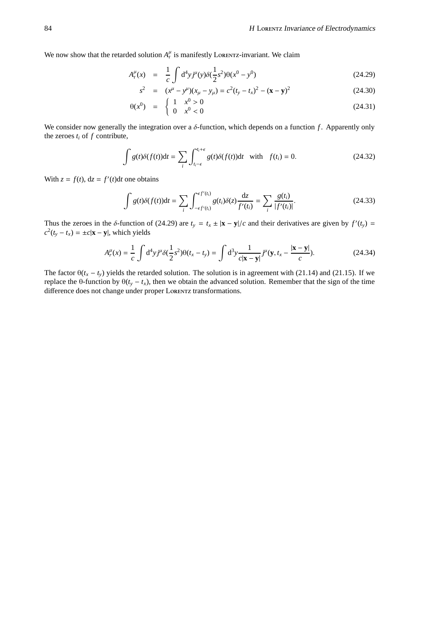We now show that the retarded solution  $A_{r}^{\mu}$  is manifestly Lorentz-invariant. We claim

$$
A_{\rm r}^{\mu}(x) = \frac{1}{c} \int d^4 y j^{\mu}(y) \delta(\frac{1}{2}s^2) \theta(x^0 - y^0)
$$
 (24.29)

$$
s^{2} = (x^{\mu} - y^{\mu})(x_{\mu} - y_{\mu}) = c^{2}(t_{y} - t_{x})^{2} - (\mathbf{x} - \mathbf{y})^{2}
$$
 (24.30)

$$
\theta(x^0) = \begin{cases} 1 & x^0 > 0 \\ 0 & x^0 < 0 \end{cases}
$$
 (24.31)

We consider now generally the integration over a  $\delta$ -function, which depends on a function *f*. Apparently only the zeroes  $t_i$  of  $f$  contribute,

$$
\int g(t)\delta(f(t))dt = \sum_{i} \int_{t_i-\epsilon}^{t_i+\epsilon} g(t)\delta(f(t))dt \quad \text{with} \quad f(t_i) = 0. \tag{24.32}
$$

With  $z = f(t)$ ,  $dz = f'(t)dt$  one obtains

$$
\int g(t)\delta(f(t))dt = \sum_{i} \int_{-\epsilon f'(t_i)}^{\epsilon f'(t_i)} g(t_i)\delta(z) \frac{dz}{f'(t_i)} = \sum_{i} \frac{g(t_i)}{|f'(t_i)|}.
$$
 (24.33)

Thus the zeroes in the  $\delta$ -function of (24.29) are  $t_y = t_x \pm |\mathbf{x} - \mathbf{y}|/c$  and their derivatives are given by  $f'(t_y) =$  $c^2(t_y - t_x) = \pm c|\mathbf{x} - \mathbf{y}|$ , which yields

$$
A_r^{\mu}(x) = \frac{1}{c} \int d^4 y j^{\mu} \delta(\frac{1}{2}s^2) \Theta(t_x - t_y) = \int d^3 y \frac{1}{c|\mathbf{x} - \mathbf{y}|} j^{\mu}(\mathbf{y}, t_x - \frac{|\mathbf{x} - \mathbf{y}|}{c}).
$$
 (24.34)

The factor  $\theta(t_x - t_y)$  yields the retarded solution. The solution is in agreement with (21.14) and (21.15). If we replace the θ-function by  $θ(t<sub>y</sub> - t<sub>x</sub>)$ , then we obtain the advanced solution. Remember that the sign of the time difference does not change under proper LORENTZ transformations.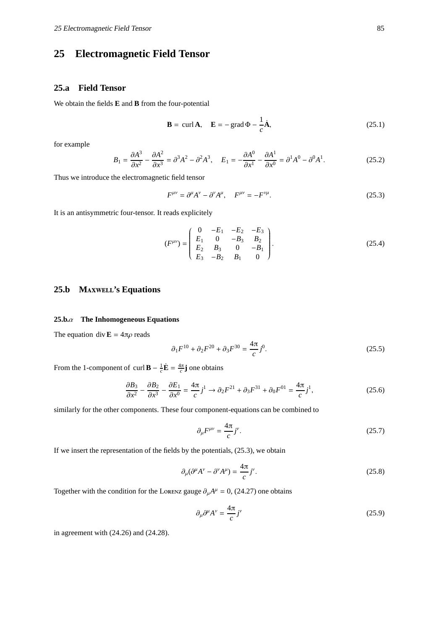# **25 Electromagnetic Field Tensor**

# **25.a Field Tensor**

We obtain the fields **E** and **B** from the four-potential

$$
\mathbf{B} = \text{curl}\,\mathbf{A}, \quad \mathbf{E} = -\text{grad}\,\Phi - \frac{1}{c}\dot{\mathbf{A}}, \tag{25.1}
$$

for example

$$
B_1 = \frac{\partial A^3}{\partial x^2} - \frac{\partial A^2}{\partial x^3} = \partial^3 A^2 - \partial^2 A^3, \quad E_1 = -\frac{\partial A^0}{\partial x^1} - \frac{\partial A^1}{\partial x^0} = \partial^1 A^0 - \partial^0 A^1.
$$
 (25.2)

Thus we introduce the electromagnetic field tensor

$$
F^{\mu\nu} = \partial^{\mu}A^{\nu} - \partial^{\nu}A^{\mu}, \quad F^{\mu\nu} = -F^{\nu\mu}.
$$
 (25.3)

It is an antisymmetric four-tensor. It reads explicitely

$$
(F^{\mu\nu}) = \begin{pmatrix} 0 & -E_1 & -E_2 & -E_3 \\ E_1 & 0 & -B_3 & B_2 \\ E_2 & B_3 & 0 & -B_1 \\ E_3 & -B_2 & B_1 & 0 \end{pmatrix}.
$$
 (25.4)

# **25.b M's Equations**

#### **25.b.**α **The Inhomogeneous Equations**

The equation div  $\mathbf{E} = 4\pi \rho$  reads

$$
\partial_1 F^{10} + \partial_2 F^{20} + \partial_3 F^{30} = \frac{4\pi}{c} j^0.
$$
 (25.5)

From the 1-component of curl **B** –  $\frac{1}{c}\mathbf{\dot{E}} = \frac{4\pi}{c}\mathbf{j}$  one obtains

$$
\frac{\partial B_3}{\partial x^2} - \frac{\partial B_2}{\partial x^3} - \frac{\partial E_1}{\partial x^0} = \frac{4\pi}{c} j^1 \to \partial_2 F^{21} + \partial_3 F^{31} + \partial_0 F^{01} = \frac{4\pi}{c} j^1,\tag{25.6}
$$

similarly for the other components. These four component-equations can be combined to

$$
\partial_{\mu}F^{\mu\nu} = \frac{4\pi}{c}j^{\nu}.\tag{25.7}
$$

If we insert the representation of the fields by the potentials, (25.3), we obtain

$$
\partial_{\mu}(\partial^{\mu}A^{\nu} - \partial^{\nu}A^{\mu}) = \frac{4\pi}{c}j^{\nu}.
$$
 (25.8)

Together with the condition for the Lorenz gauge  $\partial_{\mu}A^{\mu} = 0$ , (24.27) one obtains

$$
\partial_{\mu}\partial^{\mu}A^{\nu} = \frac{4\pi}{c}j^{\nu} \tag{25.9}
$$

in agreement with (24.26) and (24.28).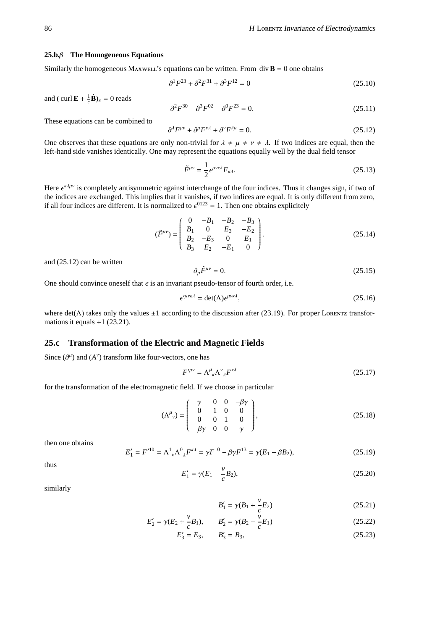#### **25.b.**β **The Homogeneous Equations**

Similarly the homogeneous MAXWELL's equations can be written. From div  $\mathbf{B} = 0$  one obtains

$$
\partial^1 F^{23} + \partial^2 F^{31} + \partial^3 F^{12} = 0 \tag{25.10}
$$

and  $(\text{curl }\mathbf{E} + \frac{1}{c}\dot{\mathbf{B}})_x = 0$  reads

$$
-\partial^2 F^{30} - \partial^3 F^{02} - \partial^0 F^{23} = 0.
$$
 (25.11)

These equations can be combined to

$$
\partial^{\lambda} F^{\mu\nu} + \partial^{\mu} F^{\nu\lambda} + \partial^{\nu} F^{\lambda\mu} = 0. \tag{25.12}
$$

One observes that these equations are only non-trivial for  $\lambda \neq \mu \neq \nu \neq \lambda$ . If two indices are equal, then the left-hand side vanishes identically. One may represent the equations equally well by the dual field tensor

$$
\tilde{F}^{\mu\nu} = \frac{1}{2} \epsilon^{\mu\nu\kappa\lambda} F_{\kappa\lambda}.
$$
\n(25.13)

Here  $\epsilon^{k\lambda\mu\nu}$  is completely antisymmetric against interchange of the four indices. Thus it changes sign, if two of the indices are exchanged. This implies that it vanishes, if two indices are equal. It is only different from zero, if all four indices are different. It is normalized to  $\epsilon^{0123} = 1$ . Then one obtains explicitely

$$
(\tilde{F}^{\mu\nu}) = \begin{pmatrix} 0 & -B_1 & -B_2 & -B_3 \\ B_1 & 0 & E_3 & -E_2 \\ B_2 & -E_3 & 0 & E_1 \\ B_3 & E_2 & -E_1 & 0 \end{pmatrix}.
$$
 (25.14)

and (25.12) can be written

$$
\partial_{\mu}\tilde{F}^{\mu\nu} = 0. \tag{25.15}
$$

One should convince oneself that  $\epsilon$  is an invariant pseudo-tensor of fourth order, i.e.

$$
\epsilon^{\prime\mu\nu\kappa\lambda} = \det(\Lambda)\epsilon^{\mu\nu\kappa\lambda},\tag{25.16}
$$

where det( $\Lambda$ ) takes only the values  $\pm 1$  according to the discussion after (23.19). For proper LORENTZ transformations it equals +1 (23.21).

### **25.c Transformation of the Electric and Magnetic Fields**

Since  $(\partial^{\mu})$  and  $(A^{\nu})$  transform like four-vectors, one has

$$
F^{\prime\mu\nu} = \Lambda^{\mu}_{\ \kappa} \Lambda^{\nu}_{\ \lambda} F^{\kappa\lambda} \tag{25.17}
$$

for the transformation of the electromagnetic field. If we choose in particular

 $E_2'$ 

$$
(\Lambda^{\mu}_{\nu}) = \begin{pmatrix} \gamma & 0 & 0 & -\beta\gamma \\ 0 & 1 & 0 & 0 \\ 0 & 0 & 1 & 0 \\ -\beta\gamma & 0 & 0 & \gamma \end{pmatrix},
$$
 (25.18)

then one obtains

$$
E'_{1} = F'^{10} = \Lambda^{1}_{\ \kappa} \Lambda^{0}_{\ \lambda} F^{\kappa \lambda} = \gamma F^{10} - \beta \gamma F^{13} = \gamma (E_{1} - \beta B_{2}), \tag{25.19}
$$

thus

$$
E_1' = \gamma (E_1 - \frac{v}{c} B_2), \tag{25.20}
$$

similarly

$$
B_1' = \gamma (B_1 + \frac{v}{c} E_2) \tag{25.21}
$$

$$
\gamma(E_2 + \frac{v}{c}B_1), \qquad B'_2 = \gamma(B_2 - \frac{v}{c}E_1) \tag{25.22}
$$

$$
E'_3 = E_3, \qquad B'_3 = B_3,\tag{25.23}
$$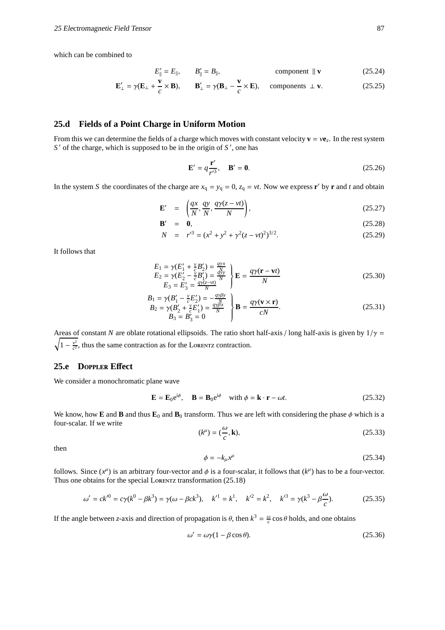which can be combined to

$$
E'_{\parallel} = E_{\parallel}, \qquad B'_{\parallel} = B_{\parallel}, \qquad \text{component } \parallel \mathbf{v} \tag{25.24}
$$

$$
\mathbf{E}'_{\perp} = \gamma (\mathbf{E}_{\perp} + \frac{\mathbf{v}}{c} \times \mathbf{B}), \qquad \mathbf{B}'_{\perp} = \gamma (\mathbf{B}_{\perp} - \frac{\mathbf{v}}{c} \times \mathbf{E}), \qquad \text{components } \perp \mathbf{v}. \tag{25.25}
$$

# **25.d Fields of a Point Charge in Uniform Motion**

From this we can determine the fields of a charge which moves with constant velocity  $\mathbf{v} = v \mathbf{e}_z$ . In the rest system *S*<sup> $\prime$ </sup> of the charge, which is supposed to be in the origin of *S*<sup> $\prime$ </sup>, one has

$$
\mathbf{E}' = q \frac{\mathbf{r}'}{r'^3}, \quad \mathbf{B}' = \mathbf{0}.
$$
 (25.26)

In the system *S* the coordinates of the charge are  $x_q = y_q = 0$ ,  $z_q = vt$ . Now we express **r**' by **r** and *t* and obtain

$$
\mathbf{E}' = \left(\frac{qx}{N}, \frac{qy}{N}, \frac{qy(z - vt)}{N}\right),\tag{25.27}
$$

$$
\mathbf{B'} = \mathbf{0},
$$
  
\n
$$
N = r'^3 = (x^2 + y^2 + \gamma^2 (z - vt)^2)^{3/2}.
$$
\n(25.28)  
\n(25.29)

It follows that

$$
E_1 = \gamma (E_1' + \frac{v}{c} B_2') = \frac{q\gamma x}{N}
$$
  
\n
$$
E_2 = \gamma (E_2' - \frac{v}{c} B_1') = \frac{q\gamma y}{N}
$$
  
\n
$$
E_3 = E_3' = \frac{q\gamma (r - vt)}{N}
$$
  
\n
$$
\left.\begin{array}{c}\n\text{E} = \frac{q\gamma (r - vt)}{N} \\
\text{E} = \frac{q\gamma (r - vt)}{N}\n\end{array}\right\}
$$
\n(25.30)

$$
\begin{aligned} B_1 &= \gamma (B_1' - \frac{v}{c} E_2') = -\frac{q\gamma \beta y}{N} \\ B_2 &= \gamma (B_2' + \frac{v}{c} E_1') = \frac{q\gamma \beta x}{N} \\ B_3 &= B_3' = 0 \end{aligned} \quad \bigg\} \mathbf{B} = \frac{q\gamma (\mathbf{v} \times \mathbf{r})}{cN} . \tag{25.31}
$$

Areas of constant *N* are oblate rotational ellipsoids. The ratio short half-axis / long half-axis is given by  $1/\gamma$  =  $\sqrt{1-\frac{v^2}{c^2}}$  $\frac{v^2}{c^2}$ , thus the same contraction as for the LORENTZ contraction.

# 25.e DOPPLER Effect

We consider a monochromatic plane wave

$$
\mathbf{E} = \mathbf{E}_0 e^{i\phi}, \quad \mathbf{B} = \mathbf{B}_0 e^{i\phi} \quad \text{with } \phi = \mathbf{k} \cdot \mathbf{r} - \omega t. \tag{25.32}
$$

We know, how **E** and **B** and thus  $\mathbf{E}_0$  and  $\mathbf{B}_0$  transform. Thus we are left with considering the phase  $\phi$  which is a four-scalar. If we write

$$
(\mathbf{k}^{\mu}) = (\frac{\omega}{c}, \mathbf{k}),\tag{25.33}
$$

then

$$
\phi = -k_{\mu}x^{\mu} \tag{25.34}
$$

follows. Since  $(x^{\mu})$  is an arbitrary four-vector and  $\phi$  is a four-scalar, it follows that  $(k^{\mu})$  has to be a four-vector. Thus one obtains for the special LORENTZ transformation  $(25.18)$ 

$$
\omega' = ck'^0 = c\gamma(k^0 - \beta k^3) = \gamma(\omega - \beta ck^3), \quad k'^1 = k^1, \quad k'^2 = k^2, \quad k'^3 = \gamma(k^3 - \beta\frac{\omega}{c}).
$$
 (25.35)

If the angle between *z*-axis and direction of propagation is  $\theta$ , then  $k^3 = \frac{\omega}{c} \cos \theta$  holds, and one obtains

$$
\omega' = \omega \gamma (1 - \beta \cos \theta). \tag{25.36}
$$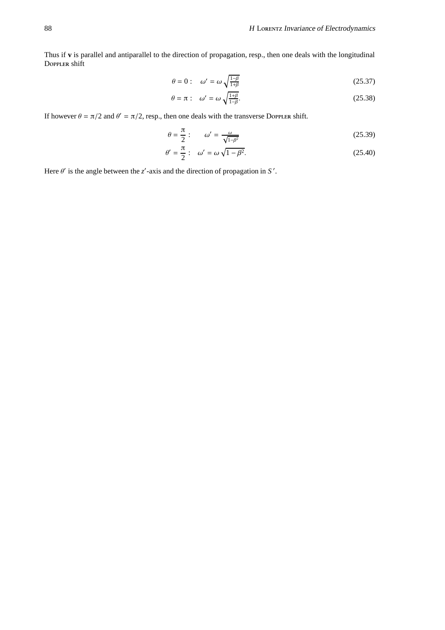Thus if **v** is parallel and antiparallel to the direction of propagation, resp., then one deals with the longitudinal DOPPLER shift

$$
\theta = 0: \quad \omega' = \omega \sqrt{\frac{1-\beta}{1+\beta}} \tag{25.37}
$$

$$
\theta = \pi : \quad \omega' = \omega \sqrt{\frac{1+\beta}{1-\beta}}.
$$
\n(25.38)

If however  $\theta = \pi/2$  and  $\theta' = \pi/2$ , resp., then one deals with the transverse Doppler shift.

$$
\theta = \frac{\pi}{2} : \qquad \omega' = \frac{\omega}{\sqrt{1 - \beta^2}} \tag{25.39}
$$

$$
\theta' = \frac{\pi}{2} : \quad \omega' = \omega \sqrt{1 - \beta^2}.
$$
\n(25.40)

Here  $\theta'$  is the angle between the *z*'-axis and the direction of propagation in *S'*.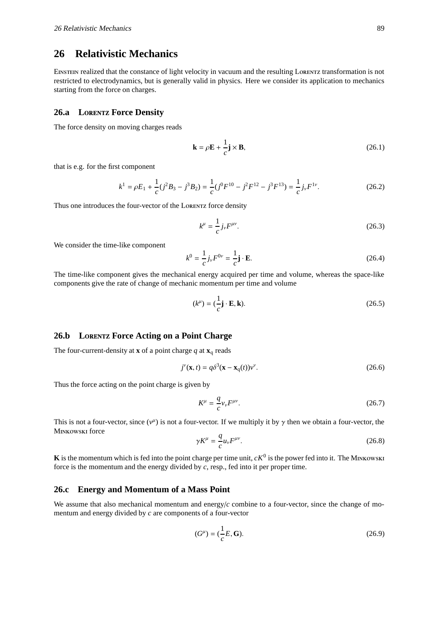# **26 Relativistic Mechanics**

EINSTEIN realized that the constance of light velocity in vacuum and the resulting LORENTZ transformation is not restricted to electrodynamics, but is generally valid in physics. Here we consider its application to mechanics starting from the force on charges.

### **26.a** LORENTZ Force Density

The force density on moving charges reads

$$
\mathbf{k} = \rho \mathbf{E} + \frac{1}{c} \mathbf{j} \times \mathbf{B},\tag{26.1}
$$

that is e.g. for the first component

$$
k^1 = \rho E_1 + \frac{1}{c} (j^2 B_3 - j^3 B_2) = \frac{1}{c} (j^0 F^{10} - j^2 F^{12} - j^3 F^{13}) = \frac{1}{c} j_\nu F^{1\nu}.
$$
 (26.2)

Thus one introduces the four-vector of the LORENTZ force density

$$
k^{\mu} = \frac{1}{c} j_{\nu} F^{\mu \nu}.
$$
 (26.3)

We consider the time-like component

$$
k^0 = \frac{1}{c} j_\nu F^{0\nu} = \frac{1}{c} \mathbf{j} \cdot \mathbf{E}.
$$
 (26.4)

The time-like component gives the mechanical energy acquired per time and volume, whereas the space-like components give the rate of change of mechanic momentum per time and volume

$$
(k^{\mu}) = \left(\frac{1}{c}\mathbf{j} \cdot \mathbf{E}, \mathbf{k}\right). \tag{26.5}
$$

### **26.b L Force Acting on a Point Charge**

The four-current-density at **x** of a point charge *q* at  $\mathbf{x}_0$  reads

$$
j^{\nu}(\mathbf{x},t) = q\delta^3(\mathbf{x} - \mathbf{x}_q(t))v^{\nu}.
$$
 (26.6)

Thus the force acting on the point charge is given by

$$
K^{\mu} = \frac{q}{c} v_{\nu} F^{\mu \nu}.
$$
 (26.7)

This is not a four-vector, since  $(v^\mu)$  is not a four-vector. If we multiply it by  $\gamma$  then we obtain a four-vector, the MINKOWSKI force

$$
\gamma K^{\mu} = \frac{q}{c} u_{\nu} F^{\mu \nu}.
$$
\n(26.8)

**K** is the momentum which is fed into the point charge per time unit,  $cK^0$  is the power fed into it. The MINKOWSKI force is the momentum and the energy divided by *c*, resp., fed into it per proper time.

## **26.c Energy and Momentum of a Mass Point**

We assume that also mechanical momentum and energy/*c* combine to a four-vector, since the change of momentum and energy divided by *c* are components of a four-vector

$$
(G^{\mu}) = (\frac{1}{c}E, \mathbf{G}).
$$
\n(26.9)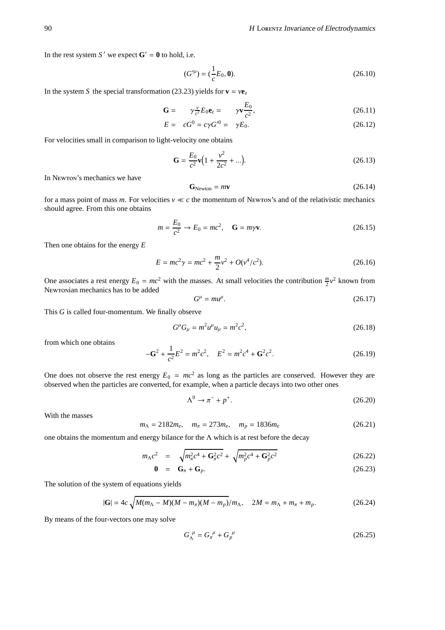In the rest system S' we expect  $G' = 0$  to hold, i.e.

$$
(G^{\prime \mu}) = (\frac{1}{c}E_0, \mathbf{0}).
$$
\n(26.10)

In the system *S* the special transformation (23.23) yields for  $\mathbf{v} = v \mathbf{e}_z$ 

$$
\mathbf{G} = \gamma \frac{\nu}{c^2} E_0 \mathbf{e}_z = \gamma \mathbf{v} \frac{E_0}{c^2}, \tag{26.11}
$$

$$
E = cG^0 = c\gamma G'^0 = \gamma E_0. \tag{26.12}
$$

For velocities small in comparison to light-velocity one obtains

$$
\mathbf{G} = \frac{E_0}{c^2} \mathbf{v} \Big( 1 + \frac{v^2}{2c^2} + \ldots \Big). \tag{26.13}
$$

In NEWTON's mechanics we have

$$
G_{Newton} = m\mathbf{v} \tag{26.14}
$$

for a mass point of mass *m*. For velocities  $v \ll c$  the momentum of Newron's and of the relativistic mechanics should agree. From this one obtains

$$
m = \frac{E_0}{c^2} \to E_0 = mc^2, \quad \mathbf{G} = m\gamma \mathbf{v}.
$$
 (26.15)

Then one obtains for the energy *E*

$$
E = mc^2 \gamma = mc^2 + \frac{m}{2} v^2 + O(v^4/c^2).
$$
 (26.16)

One associates a rest energy  $E_0 = mc^2$  with the masses. At small velocities the contribution  $\frac{m}{2}v^2$  known from Newronian mechanics has to be added

$$
G^{\mu} = m u^{\mu}.\tag{26.17}
$$

This *G* is called four-momentum. We finally observe

$$
G^{\mu}G_{\mu} = m^2 u^{\mu} u_{\mu} = m^2 c^2, \qquad (26.18)
$$

from which one obtains

$$
-G^{2} + \frac{1}{c^{2}}E^{2} = m^{2}c^{2}, \quad E^{2} = m^{2}c^{4} + G^{2}c^{2}.
$$
 (26.19)

One does not observe the rest energy  $E_0 = mc^2$  as long as the particles are conserved. However they are observed when the particles are converted, for example, when a particle decays into two other ones

$$
\Lambda^0 \to \pi^- + p^+.\tag{26.20}
$$

With the masses

$$
m_{\Lambda} = 2182m_e, \quad m_{\pi} = 273m_e, \quad m_p = 1836m_e \tag{26.21}
$$

one obtains the momentum and energy bilance for the Λ which is at rest before the decay

$$
m_{\Lambda}c^2 = \sqrt{m_{\pi}^2c^4 + \mathbf{G}_{\pi}^2c^2} + \sqrt{m_p^2c^4 + \mathbf{G}_p^2c^2}
$$
 (26.22)

$$
\mathbf{0} = \mathbf{G}_{\pi} + \mathbf{G}_{p}. \tag{26.23}
$$

The solution of the system of equations yields

$$
|\mathbf{G}| = 4c\sqrt{M(m_{\Lambda} - M)(M - m_{\pi})(M - m_{p})}/m_{\Lambda}, \quad 2M = m_{\Lambda} + m_{\pi} + m_{p}.
$$
 (26.24)

By means of the four-vectors one may solve

$$
G_{\Lambda}^{\ \mu} = G_{\pi}^{\ \mu} + G_{p}^{\ \mu} \tag{26.25}
$$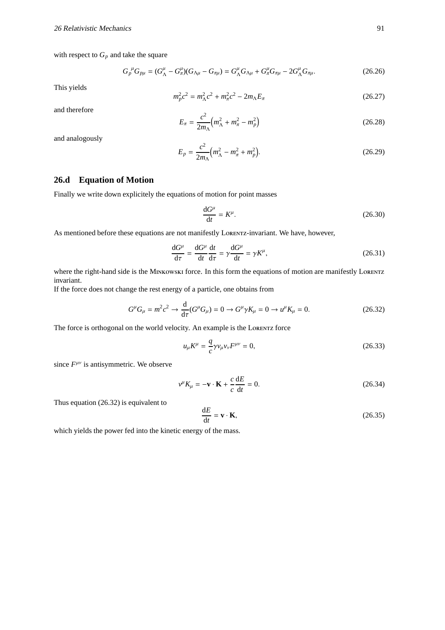with respect to  $G_p$  and take the square

$$
G_{p}{}^{\mu}G_{p\mu} = (G_{\Lambda}^{\mu} - G_{\pi}^{\mu})(G_{\Lambda\mu} - G_{\pi\mu}) = G_{\Lambda}^{\mu}G_{\Lambda\mu} + G_{\pi}^{\mu}G_{\pi\mu} - 2G_{\Lambda}^{\mu}G_{\pi\mu}.
$$
 (26.26)

This yields

$$
m_p^2 c^2 = m_\Lambda^2 c^2 + m_\pi^2 c^2 - 2m_\Lambda E_\pi
$$
 (26.27)

and therefore

$$
E_{\pi} = \frac{c^2}{2m_{\Lambda}} \left( m_{\Lambda}^2 + m_{\pi}^2 - m_p^2 \right)
$$
 (26.28)

and analogously

$$
E_p = \frac{c^2}{2m_{\Lambda}} \left( m_{\Lambda}^2 - m_{\pi}^2 + m_p^2 \right).
$$
 (26.29)

# **26.d Equation of Motion**

Finally we write down explicitely the equations of motion for point masses

$$
\frac{\mathrm{d}G^{\mu}}{\mathrm{d}t} = K^{\mu}.\tag{26.30}
$$

As mentioned before these equations are not manifestly Lorentz-invariant. We have, however,

$$
\frac{\mathrm{d}G^{\mu}}{\mathrm{d}\tau} = \frac{\mathrm{d}G^{\mu}}{\mathrm{d}t}\frac{\mathrm{d}t}{\mathrm{d}\tau} = \gamma \frac{\mathrm{d}G^{\mu}}{\mathrm{d}t} = \gamma K^{\mu},\tag{26.31}
$$

where the right-hand side is the MINKOWSKI force. In this form the equations of motion are manifestly LORENTZ invariant.

If the force does not change the rest energy of a particle, one obtains from

$$
G^{\mu}G_{\mu} = m^{2}c^{2} \to \frac{d}{d\tau}(G^{\mu}G_{\mu}) = 0 \to G^{\mu}\gamma K_{\mu} = 0 \to u^{\mu}K_{\mu} = 0.
$$
 (26.32)

The force is orthogonal on the world velocity. An example is the LORENTZ force

$$
u_{\mu}K^{\mu} = \frac{q}{c}\gamma v_{\mu}v_{\nu}F^{\mu\nu} = 0,
$$
 (26.33)

since  $F^{\mu\nu}$  is antisymmetric. We observe

$$
v^{\mu}K_{\mu} = -\mathbf{v} \cdot \mathbf{K} + \frac{c}{c} \frac{dE}{dt} = 0.
$$
 (26.34)

Thus equation (26.32) is equivalent to

$$
\frac{dE}{dt} = \mathbf{v} \cdot \mathbf{K},\tag{26.35}
$$

which yields the power fed into the kinetic energy of the mass.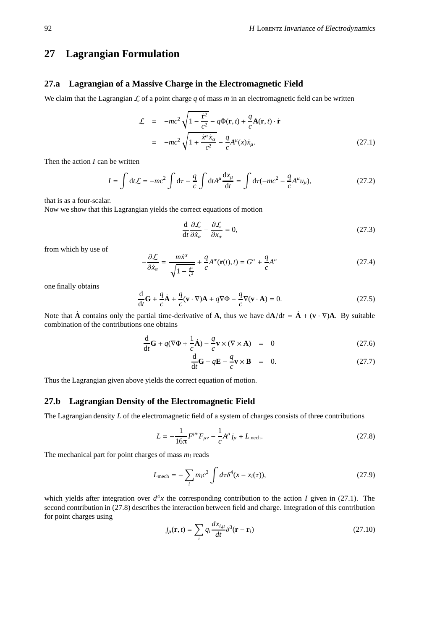# **27 Lagrangian Formulation**

## **27.a Lagrangian of a Massive Charge in the Electromagnetic Field**

We claim that the Lagrangian  $\mathcal L$  of a point charge  $q$  of mass  $m$  in an electromagnetic field can be written

$$
\mathcal{L} = -mc^2 \sqrt{1 - \frac{\dot{\mathbf{r}}^2}{c^2}} - q\Phi(\mathbf{r}, t) + \frac{q}{c}\mathbf{A}(\mathbf{r}, t) \cdot \dot{\mathbf{r}}
$$
  

$$
= -mc^2 \sqrt{1 + \frac{\dot{x}^\alpha \dot{x}_\alpha}{c^2}} - \frac{q}{c}A^\mu(x)\dot{x}_\mu.
$$
 (27.1)

Then the action *I* can be written

$$
I = \int dt \mathcal{L} = -mc^2 \int d\tau - \frac{q}{c} \int dt A^{\mu} \frac{dx_{\mu}}{dt} = \int d\tau (-mc^2 - \frac{q}{c}A^{\mu}u_{\mu}), \qquad (27.2)
$$

that is as a four-scalar.

Now we show that this Lagrangian yields the correct equations of motion

$$
\frac{\mathrm{d}}{\mathrm{d}t}\frac{\partial \mathcal{L}}{\partial \dot{x}_{\alpha}} - \frac{\partial \mathcal{L}}{\partial x_{\alpha}} = 0, \tag{27.3}
$$

from which by use of

$$
-\frac{\partial \mathcal{L}}{\partial \dot{x}_{\alpha}} = \frac{m\dot{x}^{\alpha}}{\sqrt{1 - \frac{\dot{r}^2}{c^2}}} + \frac{q}{c}A^{\alpha}(\mathbf{r}(t), t) = G^{\alpha} + \frac{q}{c}A^{\alpha}
$$
(27.4)

one finally obtains

$$
\frac{d}{dt}\mathbf{G} + \frac{q}{c}\dot{\mathbf{A}} + \frac{q}{c}(\mathbf{v} \cdot \nabla)\mathbf{A} + q\nabla\Phi - \frac{q}{c}\nabla(\mathbf{v} \cdot \mathbf{A}) = 0.
$$
\n(27.5)

Note that **A** contains only the partial time-derivative of **A**, thus we have  $d\mathbf{A}/dt = \dot{\mathbf{A}} + (\mathbf{v} \cdot \nabla)\mathbf{A}$ . By suitable combination of the contributions one obtains

$$
\frac{d}{dt}\mathbf{G} + q(\nabla\Phi + \frac{1}{c}\mathbf{A}) - \frac{q}{c}\mathbf{v} \times (\nabla \times \mathbf{A}) = 0
$$
\n(27.6)

$$
\frac{\mathrm{d}}{\mathrm{d}t}\mathbf{G} - q\mathbf{E} - \frac{q}{c}\mathbf{v} \times \mathbf{B} = 0. \tag{27.7}
$$

Thus the Lagrangian given above yields the correct equation of motion.

# **27.b Lagrangian Density of the Electromagnetic Field**

The Lagrangian density *L* of the electromagnetic field of a system of charges consists of three contributions

$$
L = -\frac{1}{16\pi}F^{\mu\nu}F_{\mu\nu} - \frac{1}{c}A^{\mu}j_{\mu} + L_{\text{mech}}.
$$
 (27.8)

The mechanical part for point charges of mass  $m_i$  reads

$$
L_{\text{mech}} = -\sum_{i} m_i c^3 \int d\tau \delta^4(x - x_i(\tau)), \qquad (27.9)
$$

which yields after integration over  $d^4x$  the corresponding contribution to the action *I* given in (27.1). The second contribution in (27.8) describes the interaction between field and charge. Integration of this contribution for point charges using

$$
j_{\mu}(\mathbf{r},t) = \sum_{i} q_i \frac{dx_{i\mu}}{dt} \delta^3(\mathbf{r} - \mathbf{r}_i)
$$
 (27.10)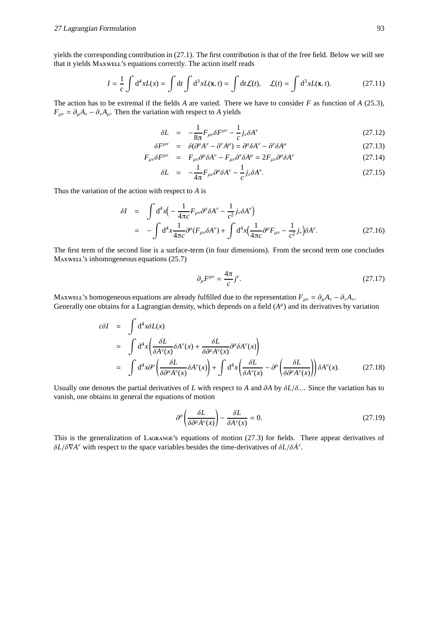yields the corresponding contribution in (27.1). The first contribution is that of the free field. Below we will see that it yields MAXWELL's equations correctly. The action itself reads

$$
I = \frac{1}{c} \int d^4x L(x) = \int dt \int d^3x L(\mathbf{x}, t) = \int dt \mathcal{L}(t), \quad \mathcal{L}(t) = \int d^3x L(\mathbf{x}, t). \tag{27.11}
$$

The action has to be extremal if the fields *A* are varied. There we have to consider *F* as function of *A* (25.3),  $F_{\mu\nu} = \partial_{\mu}A_{\nu} - \partial_{\nu}A_{\mu}$ . Then the variation with respect to *A* yields

$$
\delta L = -\frac{1}{8\pi} F_{\mu\nu} \delta F^{\mu\nu} - \frac{1}{c} j_{\nu} \delta A^{\nu} \tag{27.12}
$$

$$
\delta F^{\mu\nu} = \delta(\partial^{\mu}A^{\nu} - \partial^{\nu}A^{\mu}) = \partial^{\mu}\delta A^{\nu} - \partial^{\nu}\delta A^{\mu} \tag{27.13}
$$

$$
F_{\mu\nu}\delta F^{\mu\nu} = F_{\mu\nu}\partial^{\mu}\delta A^{\nu} - F_{\mu\nu}\partial^{\nu}\delta A^{\mu} = 2F_{\mu\nu}\partial^{\mu}\delta A^{\nu}
$$
\n(27.14)

$$
\delta L = -\frac{1}{4\pi} F_{\mu\nu} \partial^{\mu} \delta A^{\nu} - \frac{1}{c} j_{\nu} \delta A^{\nu}.
$$
 (27.15)

Thus the variation of the action with respect to *A* is

$$
\delta I = \int d^4x \left( -\frac{1}{4\pi c} F_{\mu\nu} \partial^\mu \delta A^\nu - \frac{1}{c^2} j_\nu \delta A^\nu \right)
$$
  
= 
$$
- \int d^4x \frac{1}{4\pi c} \partial^\mu (F_{\mu\nu} \delta A^\nu) + \int d^4x \left( \frac{1}{4\pi c} \partial^\mu F_{\mu\nu} - \frac{1}{c^2} j_\nu \right) \delta A^\nu.
$$
 (27.16)

The first term of the second line is a surface-term (in four dimensions). From the second term one concludes  $MaxWELL's inhomogeneous equations (25.7)$ 

$$
\partial_{\mu}F^{\mu\nu} = \frac{4\pi}{c}j^{\nu}.\tag{27.17}
$$

MAXWELL's homogeneous equations are already fulfilled due to the representation  $F_{\mu\nu} = \partial_{\mu}A_{\nu} - \partial_{\nu}A_{\nu}$ . Generally one obtains for a Lagrangian density, which depends on a field  $(A^\mu)$  and its derivatives by variation

$$
c\delta I = \int d^4x \delta L(x)
$$
  
= 
$$
\int d^4x \left( \frac{\delta L}{\delta A^{\nu}(x)} \delta A^{\nu}(x) + \frac{\delta L}{\delta \partial^{\mu} A^{\nu}(x)} \partial^{\mu} \delta A^{\nu}(x) \right)
$$
  
= 
$$
\int d^4x \partial^{\mu} \left( \frac{\delta L}{\delta \partial^{\mu} A^{\nu}(x)} \delta A^{\nu}(x) \right) + \int d^4x \left( \frac{\delta L}{\delta A^{\nu}(x)} - \partial^{\mu} \left( \frac{\delta L}{\delta \partial^{\mu} A^{\nu}(x)} \right) \right) \delta A^{\nu}(x).
$$
 (27.18)

Usually one denotes the partial derivatives of *L* with respect to *A* and ∂*A* by  $\delta L/\delta$ .... Since the variation has to vanish, one obtains in general the equations of motion

$$
\partial^{\mu} \left( \frac{\delta L}{\delta \partial^{\mu} A^{\nu}(x)} \right) - \frac{\delta L}{\delta A^{\nu}(x)} = 0.
$$
 (27.19)

This is the generalization of LAGRANGE's equations of motion  $(27.3)$  for fields. There appear derivatives of  $\delta L/\delta \nabla A^{\nu}$  with respect to the space variables besides the time-derivatives of  $\delta L/\delta \dot{A}^{\nu}$ .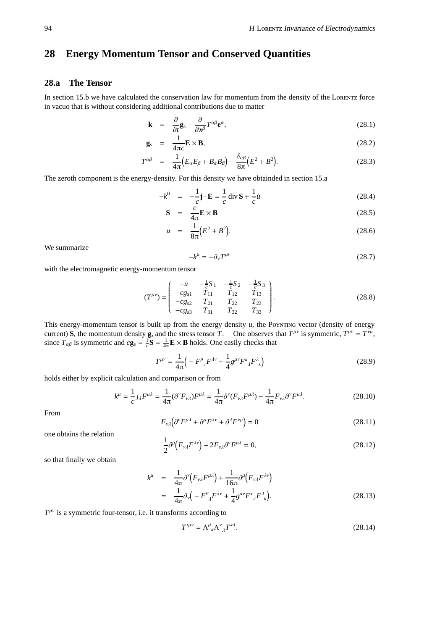# **28 Energy Momentum Tensor and Conserved Quantities**

# **28.a The Tensor**

In section 15.b we have calculated the conservation law for momentum from the density of the LORENTZ force in vacuo that is without considering additional contributions due to matter

$$
-\mathbf{k} = \frac{\partial}{\partial t} \mathbf{g}_s - \frac{\partial}{\partial x^\beta} T^{\alpha \beta} \mathbf{e}^\alpha, \qquad (28.1)
$$

$$
\mathbf{g}_s = \frac{1}{4\pi c} \mathbf{E} \times \mathbf{B},\tag{28.2}
$$

$$
T^{\alpha\beta} = \frac{1}{4\pi} \left( E_{\alpha} E_{\beta} + B_{\alpha} B_{\beta} \right) - \frac{\delta_{\alpha\beta}}{8\pi} \left( E^2 + B^2 \right). \tag{28.3}
$$

The zeroth component is the energy-density. For this density we have obtainded in section 15.a

$$
-k^0 = -\frac{1}{c}\mathbf{j} \cdot \mathbf{E} = -\frac{1}{c} \operatorname{div} \mathbf{S} + \frac{1}{c} \dot{u}
$$
 (28.4)

$$
\mathbf{S} = \frac{c}{4\pi} \mathbf{E} \times \mathbf{B} \tag{28.5}
$$

$$
u = \frac{1}{8\pi} (E^2 + B^2). \tag{28.6}
$$

We summarize

$$
-k^{\mu} = -\partial_{\nu} T^{\mu\nu} \tag{28.7}
$$

with the electromagnetic energy-momentum tensor

$$
(T^{\mu\nu}) = \begin{pmatrix} -u & -\frac{1}{c}S_1 & -\frac{1}{c}S_2 & -\frac{1}{c}S_3 \\ -cg_{s1} & T_{11} & T_{12} & T_{13} \\ -cg_{s2} & T_{21} & T_{22} & T_{23} \\ -cg_{s3} & T_{31} & T_{32} & T_{33} \end{pmatrix}.
$$
 (28.8)

This energy-momentum tensor is built up from the energy density  $u$ , the Poyn that vector (density of energy current) **S**, the momentum density **g**, and the stress tensor *T*. One observes that  $T^{\mu\nu}$  is symmetric,  $T^{\mu\nu} = T^{\nu\mu}$ , since  $T_{\alpha\beta}$  is symmetric and  $c\mathbf{g}_s = \frac{1}{c}\mathbf{S} = \frac{1}{4\pi}\mathbf{E} \times \mathbf{B}$  holds. One easily checks that

$$
T^{\mu\nu} = \frac{1}{4\pi} \Big( -F^{\mu}_{\ \lambda} F^{\lambda\nu} + \frac{1}{4} g^{\mu\nu} F^{\kappa}_{\ \lambda} F^{\lambda}_{\ \kappa} \Big) \tag{28.9}
$$

holds either by explicit calculation and comparison or from

$$
k^{\mu} = \frac{1}{c} j_{\lambda} F^{\mu \lambda} = \frac{1}{4\pi} (\partial^{\nu} F_{\nu \lambda}) F^{\mu \lambda} = \frac{1}{4\pi} \partial^{\nu} (F_{\nu \lambda} F^{\mu \lambda}) - \frac{1}{4\pi} F_{\nu \lambda} \partial^{\nu} F^{\mu \lambda}.
$$
 (28.10)

From

$$
F_{\nu\lambda} \left( \partial^{\nu} F^{\mu\lambda} + \partial^{\mu} F^{\lambda\nu} + \partial^{\lambda} F^{\nu\mu} \right) = 0 \tag{28.11}
$$

one obtains the relation

$$
\frac{1}{2}\partial^{\mu}\left(F_{\nu\lambda}F^{\lambda\nu}\right) + 2F_{\nu\lambda}\partial^{\nu}F^{\mu\lambda} = 0, \qquad (28.12)
$$

so that finally we obtain

$$
k^{\mu} = \frac{1}{4\pi} \partial^{\nu} \left( F_{\nu\lambda} F^{\mu\lambda} \right) + \frac{1}{16\pi} \partial^{\mu} \left( F_{\nu\lambda} F^{\lambda\nu} \right)
$$
  

$$
= \frac{1}{4\pi} \partial_{\nu} \left( -F^{\mu}{}_{\lambda} F^{\lambda\nu} + \frac{1}{4} g^{\mu\nu} F^{\kappa}{}_{\lambda} F^{\lambda}{}_{\kappa} \right).
$$
 (28.13)

 $T^{\mu\nu}$  is a symmetric four-tensor, i.e. it transforms according to

$$
T^{\prime\mu\nu} = \Lambda^{\mu}{}_{\kappa} \Lambda^{\nu}{}_{\lambda} T^{\kappa\lambda}.
$$
 (28.14)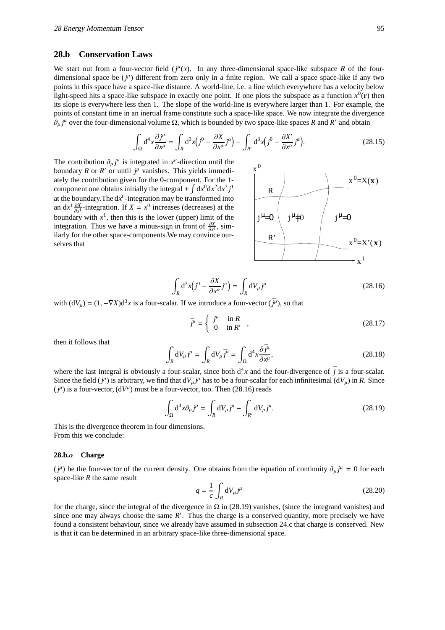#### **28.b Conservation Laws**

We start out from a four-vector field  $(j^{\mu}(x))$ . In any three-dimensional space-like subspace *R* of the fourdimensional space be  $(j^{\mu})$  different from zero only in a finite region. We call a space space-like if any two points in this space have a space-like distance. A world-line, i.e. a line which everywhere has a velocity below light-speed hits a space-like subspace in exactly one point. If one plots the subspace as a function  $x^0(\mathbf{r})$  then its slope is everywhere less then 1. The slope of the world-line is everywhere larger than 1. For example, the points of constant time in an inertial frame constitute such a space-like space. We now integrate the divergence  $\partial_\mu j^\mu$  over the four-dimensional volume  $\Omega$ , which is bounded by two space-like spaces *R* and *R'* and obtain

$$
\int_{\Omega} d^4 x \frac{\partial j^{\mu}}{\partial x^{\mu}} = \int_{R} d^3 x \Big( j^0 - \frac{\partial X}{\partial x^{\alpha}} j^{\alpha} \Big) - \int_{R'} d^3 x \Big( j^0 - \frac{\partial X'}{\partial x^{\alpha}} j^{\alpha} \Big). \tag{28.15}
$$

The contribution  $\partial_\mu j^\mu$  is integrated in  $x^\mu$ -direction until the boundary *R* or *R'* or until  $j^{\mu}$  vanishes. This yields immediately the contribution given for the 0-component. For the 1 component one obtains initially the integral  $\pm \int dx^0 dx^2 dx^3 j^1$ at the boundary. The  $dx^0$ -integration may be transformed into an  $dx^1 \frac{\partial X}{\partial x^1}$ -integration. If  $X = x^0$  increases (decreases) at the boundary with  $x<sup>1</sup>$ , then this is the lower (upper) limit of the integration. Thus we have a minus-sign in front of  $\frac{\partial X}{\partial x^1}$ , similarly for the other space-components. We may convince ourselves that



$$
\int_{R} d^{3}x \left( j^{0} - \frac{\partial X}{\partial x^{\alpha}} j^{\alpha} \right) = \int_{R} dV_{\mu} j^{\mu}
$$
\n(28.16)

with  $(dV_{\mu}) = (1, -\nabla X)d^3x$  is a four-scalar. If we introduce a four-vector  $(\bar{j}^{\mu})$ , so that

$$
\bar{j}^{\mu} = \begin{cases} j^{\mu} & \text{in } R \\ 0 & \text{in } R' \end{cases} , \tag{28.17}
$$

then it follows that

$$
\int_{R} dV_{\mu} j^{\mu} = \int_{R} dV_{\mu} \bar{j}^{\mu} = \int_{\Omega} d^{4}x \frac{\partial \bar{j}^{\mu}}{\partial x^{\mu}},
$$
\n(28.18)

where the last integral is obviously a four-scalar, since both  $d^4x$  and the four-divergence of  $\bar{j}$  is a four-scalar. Since the field  $(j^{\mu})$  is arbitrary, we find that  $dV_{\mu}j^{\mu}$  has to be a four-scalar for each infinitesimal  $(dV_{\mu})$  in *R*. Since  $(j^{\mu})$  is a four-vector,  $(dV^{\mu})$  must be a four-vector, too. Then (28.16) reads

$$
\int_{\Omega} d^4x \partial_{\mu} j^{\mu} = \int_{R} dV_{\mu} j^{\mu} - \int_{R'} dV_{\mu} j^{\mu}.
$$
\n(28.19)

This is the divergence theorem in four dimensions. From this we conclude:

#### **28.b.**α **Charge**

 $(j^{\mu})$  be the four-vector of the current density. One obtains from the equation of continuity  $\partial_{\mu} j^{\mu} = 0$  for each space-like *R* the same result

$$
q = \frac{1}{c} \int_{R} \mathrm{d}V_{\mu} j^{\mu} \tag{28.20}
$$

for the charge, since the integral of the divergence in  $\Omega$  in (28.19) vanishes, (since the integrand vanishes) and since one may always choose the same R'. Thus the charge is a conserved quantity, more precisely we have found a consistent behaviour, since we already have assumed in subsection 24.c that charge is conserved. New is that it can be determined in an arbitrary space-like three-dimensional space.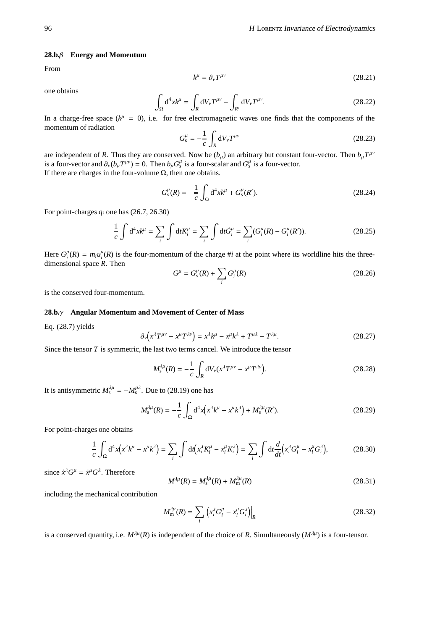#### **28.b.**β **Energy and Momentum**

From

$$
k^{\mu} = \partial_{\nu} T^{\mu\nu} \tag{28.21}
$$

one obtains

$$
\int_{\Omega} d^4 x k^{\mu} = \int_{R} dV_{\nu} T^{\mu\nu} - \int_{R'} dV_{\nu} T^{\mu\nu}.
$$
 (28.22)

In a charge-free space  $(k^{\mu} = 0)$ , i.e. for free electromagnetic waves one finds that the components of the momentum of radiation

$$
G_s^{\mu} = -\frac{1}{c} \int_R \mathrm{d}V_{\nu} T^{\mu \nu} \tag{28.23}
$$

are independent of *R*. Thus they are conserved. Now be  $(b_\mu)$  an arbitrary but constant four-vector. Then  $b_\mu T^{\mu\nu}$ is a four-vector and  $\partial_y (b_\mu T^{\mu\nu}) = 0$ . Then  $b_\mu G_s^\mu$  is a four-scalar and  $G_s^\mu$  is a four-vector.

If there are charges in the four-volume  $\Omega$ , then one obtains.

$$
G_s^{\mu}(R) = -\frac{1}{c} \int_{\Omega} \mathrm{d}^4 x k^{\mu} + G_s^{\mu}(R'). \tag{28.24}
$$

For point-charges  $q_i$  one has (26.7, 26.30)

$$
\frac{1}{c} \int d^4x k^{\mu} = \sum_i \int dt K_i^{\mu} = \sum_i \int dt \dot{G}_i^{\mu} = \sum_i (G_i^{\mu}(R) - G_i^{\mu}(R')). \tag{28.25}
$$

Here  $G_i^{\mu}$  $\frac{\mu}{i}(R) = m_i u_i^{\mu}$  $\frac{d}{dt}(R)$  is the four-momentum of the charge #*i* at the point where its worldline hits the threedimensional space *R*. Then

$$
G^{\mu} = G_s^{\mu}(R) + \sum_i G_i^{\mu}(R)
$$
\n(28.26)

is the conserved four-momentum.

#### **28.b.**γ **Angular Momentum and Movement of Center of Mass**

Eq. (28.7) yields

$$
\partial_{\nu}\left(x^{\lambda}T^{\mu\nu} - x^{\mu}T^{\lambda\nu}\right) = x^{\lambda}k^{\mu} - x^{\mu}k^{\lambda} + T^{\mu\lambda} - T^{\lambda\mu}.
$$
 (28.27)

Since the tensor *T* is symmetric, the last two terms cancel. We introduce the tensor

$$
M_s^{\lambda\mu}(R) = -\frac{1}{c} \int_R \mathrm{d}V_\nu(x^\lambda T^{\mu\nu} - x^\mu T^{\lambda\nu}).\tag{28.28}
$$

It is antisymmetric  $M_s^{\lambda \mu} = -M_s^{\mu \lambda}$ . Due to (28.19) one has

$$
M_s^{\lambda \mu}(R) = -\frac{1}{c} \int_{\Omega} d^4x \Big( x^{\lambda} k^{\mu} - x^{\mu} k^{\lambda} \Big) + M_s^{\lambda \mu}(R'). \tag{28.29}
$$

For point-charges one obtains

$$
\frac{1}{c}\int_{\Omega}d^4x\left(x^{\lambda}k^{\mu}-x^{\mu}k^{\lambda}\right)=\sum_{i}\int dt\left(x_i^{\lambda}K_i^{\mu}-x_i^{\mu}K_i^{\lambda}\right)=\sum_{i}\int dt\frac{d}{dt}\left(x_i^{\lambda}G_i^{\mu}-x_i^{\mu}G_i^{\lambda}\right),\tag{28.30}
$$

since  $\dot{x}^{\lambda}G^{\mu} = \dot{x}^{\mu}G^{\lambda}$ . Therefore

$$
M^{\lambda\mu}(R) = M_s^{\lambda\mu}(R) + M_m^{\lambda\mu}(R)
$$
\n(28.31)

including the mechanical contribution

$$
M_{\rm m}^{\lambda\mu}(R) = \sum_{i} \left( x_i^{\lambda} G_i^{\mu} - x_i^{\mu} G_i^{\lambda} \right) \Big|_{R}
$$
 (28.32)

is a conserved quantity, i.e.  $M^{\lambda\mu}(R)$  is independent of the choice of *R*. Simultaneously  $(M^{\lambda\mu})$  is a four-tensor.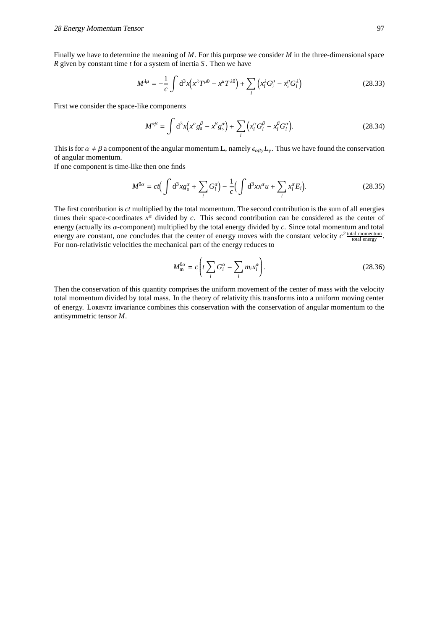Finally we have to determine the meaning of *M*. For this purpose we consider *M* in the three-dimensional space *R* given by constant time *t* for a system of inertia *S* . Then we have

$$
M^{\lambda\mu} = -\frac{1}{c} \int d^3x \Big( x^{\lambda} T^{\mu 0} - x^{\mu} T^{\lambda 0} \Big) + \sum_i \Big( x_i^{\lambda} G_i^{\mu} - x_i^{\mu} G_i^{\lambda} \Big) \tag{28.33}
$$

First we consider the space-like components

$$
M^{\alpha\beta} = \int d^3x \left(x^\alpha g_s^\beta - x^\beta g_s^\alpha\right) + \sum_i \left(x_i^\alpha G_i^\beta - x_i^\beta G_i^\alpha\right). \tag{28.34}
$$

This is for  $\alpha \neq \beta$  a component of the angular momentum **L**, namely  $\epsilon_{\alpha\beta\gamma}L_{\gamma}$ . Thus we have found the conservation of angular momentum.

If one component is time-like then one finds

$$
M^{0\alpha} = ct\left(\int d^3x g_s^{\alpha} + \sum_i G_i^{\alpha}\right) - \frac{1}{c}\left(\int d^3x x^{\alpha} u + \sum_i x_i^{\alpha} E_i\right).
$$
 (28.35)

The first contribution is *ct* multiplied by the total momentum. The second contribution is the sum of all energies times their space-coordinates *x* <sup>α</sup> divided by *c*. This second contribution can be considered as the center of energy (actually its α-component) multiplied by the total energy divided by *c*. Since total momentum and total energy are constant, one concludes that the center of energy moves with the constant velocity  $c^2 \frac{\text{total momentum}}{\text{total energy}}$ . For non-relativistic velocities the mechanical part of the energy reduces to

$$
M_{\rm m}^{0\alpha} = c \left( t \sum_{i} G_i^{\alpha} - \sum_{i} m_i x_i^{\alpha} \right). \tag{28.36}
$$

Then the conservation of this quantity comprises the uniform movement of the center of mass with the velocity total momentum divided by total mass. In the theory of relativity this transforms into a uniform moving center of energy. LORENTZ invariance combines this conservation with the conservation of angular momentum to the antisymmetric tensor *M*.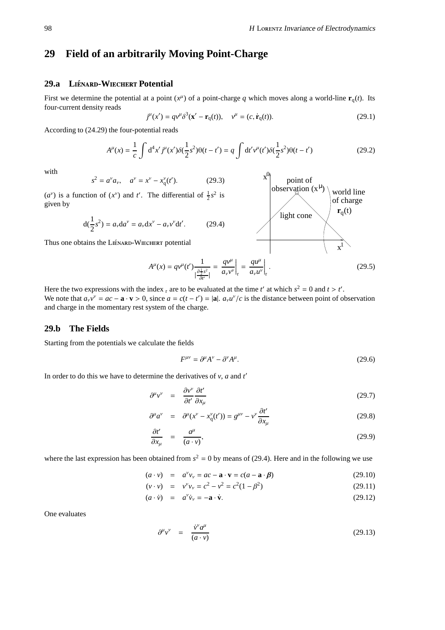# **29 Field of an arbitrarily Moving Point-Charge**

## 29.a LIÉNARD-WIECHERT Potential

First we determine the potential at a point  $(x^{\mu})$  of a point-charge q which moves along a world-line  $\mathbf{r}_q(t)$ . Its four-current density reads

$$
\ddot{r}^{\mu}(x') = qv^{\mu}\delta^{3}(\mathbf{x'} - \mathbf{r}_{q}(t)), \quad v^{\mu} = (c, \dot{\mathbf{r}}_{q}(t)).
$$
\n(29.1)

According to (24.29) the four-potential reads

$$
A^{\mu}(x) = \frac{1}{c} \int d^4 x' j^{\mu}(x') \delta(\frac{1}{2}s^2) \theta(t - t') = q \int d t' v^{\mu}(t') \delta(\frac{1}{2}s^2) \theta(t - t')
$$
 (29.2)

with

$$
s^{2} = a^{v} a_{v}, \quad a^{v} = x^{v} - x_{q}^{v}(t'). \tag{29.3}
$$

(*a*<sup>v</sup>) is a function of (*x*<sup>v</sup>) and *t'*. The differential of  $\frac{1}{2}s^2$  is given by

$$
d(\frac{1}{2}s^2) = a_{\nu}da^{\nu} = a_{\nu}dx^{\nu} - a_{\nu}\nu^{\nu}dt^{\prime}.
$$
 (29.4)

Thus one obtains the LIÉNARD-WIECHERT potential

$$
A^{\mu}(x) = qv^{\mu}(t') \frac{1}{\left|\frac{\partial \frac{1}{2} s^2}{\partial t'}\right|_{\mathbf{r}}} = \left. \frac{qv^{\mu}}{a_{\nu} v^{\nu}} \right|_{\mathbf{r}} = \left. \frac{qu^{\mu}}{a_{\nu} u^{\nu}} \right|_{\mathbf{r}}.
$$
 (29.5)

Here the two expressions with the index  $r$  are to be evaluated at the time *t'* at which  $s^2 = 0$  and  $t > t'$ . We note that  $a_v v^v = ac - \mathbf{a} \cdot \mathbf{v} > 0$ , since  $a = c(t - t') = |\mathbf{a}| \cdot a_v u^v/c$  is the distance between point of observation and charge in the momentary rest system of the charge.

# **29.b The Fields**

Starting from the potentials we calculate the fields

$$
F^{\mu\nu} = \partial^{\mu} A^{\nu} - \partial^{\nu} A^{\mu}.
$$
 (29.6)

In order to do this we have to determine the derivatives of  $v$ ,  $a$  and  $t'$ 

$$
\partial^{\mu} \nu^{\nu} = \frac{\partial \nu^{\nu}}{\partial t'} \frac{\partial t'}{\partial x_{\mu}} \tag{29.7}
$$

$$
\partial^{\mu} a^{\nu} = \partial^{\mu} (x^{\nu} - x_q^{\nu} (t')) = g^{\mu \nu} - v^{\nu} \frac{\partial t'}{\partial x_{\mu}}
$$
 (29.8)

$$
\frac{\partial t'}{\partial x_{\mu}} = \frac{a^{\mu}}{(a \cdot v)},
$$
\n(29.9)

where the last expression has been obtained from  $s^2 = 0$  by means of (29.4). Here and in the following we use

$$
(a \cdot v) = a^v v_v = ac - \mathbf{a} \cdot \mathbf{v} = c(a - \mathbf{a} \cdot \mathbf{\beta})
$$
 (29.10)

$$
(\nu \cdot \nu) = \nu^{\nu} \nu_{\nu} = c^2 - \nu^2 = c^2 (1 - \beta^2)
$$
 (29.11)

$$
(a \cdot \dot{v}) = a^{\nu} \dot{v}_{\nu} = -\mathbf{a} \cdot \dot{\mathbf{v}}.
$$
 (29.12)

One evaluates

$$
\partial^{\mu} \nu^{\nu} = \frac{\dot{\nu}^{\nu} a^{\mu}}{(a \cdot \nu)} \tag{29.13}
$$



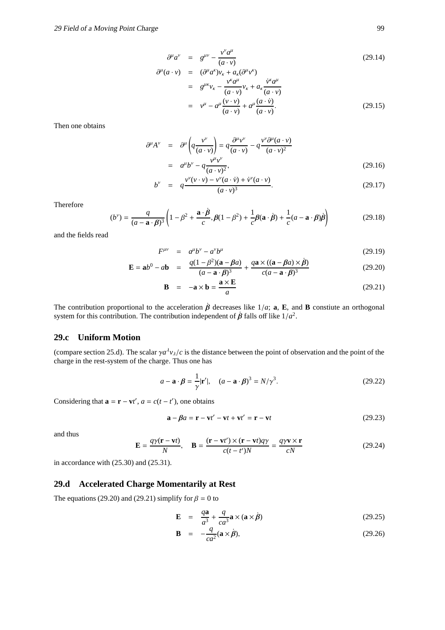$$
\partial^{\mu} a^{\nu} = g^{\mu \nu} - \frac{v^{\nu} a^{\mu}}{(a \cdot v)}
$$
 (29.14)

$$
\partial^{\mu}(a \cdot v) = (\partial^{\mu}a^{\kappa})v_{\kappa} + a_{\kappa}(\partial^{\mu}v^{\kappa})
$$
  
\n
$$
= g^{\mu\kappa}v_{\kappa} - \frac{v^{\kappa}a^{\mu}}{(a \cdot v)}v_{\kappa} + a_{\kappa}\frac{v^{\kappa}a^{\mu}}{(a \cdot v)}
$$
  
\n
$$
= v^{\mu} - a^{\mu}\frac{(v \cdot v)}{(a \cdot v)} + a^{\mu}\frac{(a \cdot v)}{(a \cdot v)}.
$$
 (29.15)

Then one obtains

$$
\partial^{\mu} A^{\nu} = \partial^{\mu} \left( q \frac{v^{\nu}}{(a \cdot v)} \right) = q \frac{\partial^{\mu} v^{\nu}}{(a \cdot v)} - q \frac{v^{\nu} \partial^{\mu} (a \cdot v)}{(a \cdot v)^2}
$$

$$
= q^{\mu} b^{\nu} - q \frac{v^{\mu} v^{\nu}}{(a \cdot v)^2}
$$
(29.16)

$$
= aμbν - q \frac{ν·ν}{(a·ν)^2},
$$
\n
$$
= a\frac{νν(ν·ν) - νν(a·ν) + νν(a·ν)}{29.17}
$$
\n(29.17)

$$
b^{\nu} = q \frac{v^{\nu}(v \cdot v) - v^{\nu}(a \cdot v) + v^{\nu}(a \cdot v)}{(a \cdot v)^{3}}.
$$
 (29.17)

Therefore

$$
(b^{\nu}) = \frac{q}{(a - \mathbf{a} \cdot \boldsymbol{\beta})^3} \left( 1 - \beta^2 + \frac{\mathbf{a} \cdot \dot{\boldsymbol{\beta}}}{c}, \beta(1 - \beta^2) + \frac{1}{c} \beta(\mathbf{a} \cdot \dot{\boldsymbol{\beta}}) + \frac{1}{c} (a - \mathbf{a} \cdot \boldsymbol{\beta}) \dot{\boldsymbol{\beta}} \right)
$$
(29.18)

and the fields read

$$
F^{\mu\nu} = a^{\mu}b^{\nu} - a^{\nu}b^{\mu} \tag{29.19}
$$

$$
\mathbf{E} = \mathbf{a}b^0 - a\mathbf{b} = \frac{q(1-\beta^2)(\mathbf{a}-\beta a)}{(a-\mathbf{a}\cdot\beta)^3} + \frac{q\mathbf{a}\times((\mathbf{a}-\beta a)\times\beta)}{c(a-\mathbf{a}\cdot\beta)^3}
$$
(29.20)

$$
\mathbf{B} = -\mathbf{a} \times \mathbf{b} = \frac{\mathbf{a} \times \mathbf{E}}{a}
$$
 (29.21)

The contribution proportional to the acceleration  $\dot{\beta}$  decreases like  $1/a$ ; **a**, **E**, and **B** constiute an orthogonal system for this contribution. The contribution independent of  $\dot{\beta}$  falls off like  $1/a^2$ .

# **29.c Uniform Motion**

(compare section 25.d). The scalar  $\gamma a^{\lambda}v_{\lambda}/c$  is the distance between the point of observation and the point of the charge in the rest-system of the charge. Thus one has

$$
a - \mathbf{a} \cdot \boldsymbol{\beta} = \frac{1}{\gamma} |\mathbf{r}'|, \quad (a - \mathbf{a} \cdot \boldsymbol{\beta})^3 = N/\gamma^3.
$$
 (29.22)

Considering that  $\mathbf{a} = \mathbf{r} - \mathbf{v}t'$ ,  $a = c(t - t')$ , one obtains

$$
\mathbf{a} - \beta a = \mathbf{r} - \mathbf{v}t' - \mathbf{v}t + \mathbf{v}t' = \mathbf{r} - \mathbf{v}t
$$
 (29.23)

and thus

$$
\mathbf{E} = \frac{q\gamma(\mathbf{r} - \mathbf{v}t)}{N}, \quad \mathbf{B} = \frac{(\mathbf{r} - \mathbf{v}t') \times (\mathbf{r} - \mathbf{v}t)q\gamma}{c(t - t')N} = \frac{q\gamma\mathbf{v} \times \mathbf{r}}{cN}
$$
(29.24)

in accordance with (25.30) and (25.31).

# **29.d Accelerated Charge Momentarily at Rest**

The equations (29.20) and (29.21) simplify for  $\beta = 0$  to

$$
\mathbf{E} = \frac{q\mathbf{a}}{a^3} + \frac{q}{ca^3} \mathbf{a} \times (\mathbf{a} \times \dot{\mathbf{\beta}})
$$
 (29.25)

$$
\mathbf{B} = -\frac{q}{ca^2}(\mathbf{a} \times \dot{\boldsymbol{\beta}}),\tag{29.26}
$$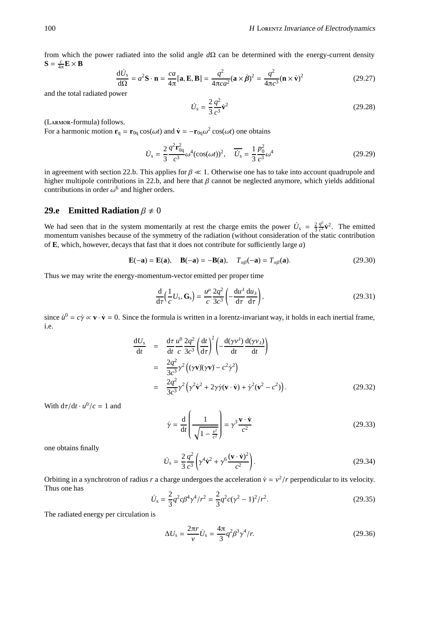from which the power radiated into the solid angle *d*Ω can be determined with the energy-current density  $S = \frac{c}{4\pi} E \times B$ 

$$
\frac{\mathrm{d}\dot{U}_s}{\mathrm{d}\Omega} = a^2 \mathbf{S} \cdot \mathbf{n} = \frac{ca}{4\pi} [\mathbf{a}, \mathbf{E}, \mathbf{B}] = \frac{q^2}{4\pi c a^2} (\mathbf{a} \times \dot{\mathbf{B}})^2 = \frac{q^2}{4\pi c^3} (\mathbf{n} \times \dot{\mathbf{v}})^2 \tag{29.27}
$$

and the total radiated power

d*U*˙

$$
\dot{U}_{\rm s} = \frac{2}{3} \frac{q^2}{c^3} \dot{\mathbf{v}}^2 \tag{29.28}
$$

(LARMOR-formula) follows.

For a harmonic motion  $\mathbf{r}_q = \mathbf{r}_{0q} \cos(\omega t)$  and  $\dot{\mathbf{v}} = -\mathbf{r}_{0q} \omega^2 \cos(\omega t)$  one obtains

$$
\dot{U}_{s} = \frac{2}{3} \frac{q^{2} \mathbf{r}_{0q}^{2}}{c^{3}} \omega^{4} (\cos(\omega t))^{2}, \quad \overline{\dot{U}_{s}} = \frac{1}{3} \frac{p_{0}^{2}}{c^{3}} \omega^{4}
$$
\n(29.29)

in agreement with section 22.b. This applies for  $\beta \ll 1$ . Otherwise one has to take into account quadrupole and higher multipole contributions in 22.b, and here that  $\beta$  cannot be neglected anymore, which yields additional contributions in order  $\omega^6$  and higher orders.

# **29.e Emitted Radiation**  $\beta \neq 0$

We had seen that in the system momentarily at rest the charge emits the power  $\dot{U}_s = \frac{2}{3}$ *q* 2  $\frac{q^2}{c^3}$  **v**<sup>2</sup>. The emitted momentum vanishes because of the symmetry of the radiation (without consideration of the static contribution of **E**, which, however, decays that fast that it does not contribute for sufficiently large *a*)

$$
\mathbf{E}(-\mathbf{a}) = \mathbf{E}(\mathbf{a}), \quad \mathbf{B}(-\mathbf{a}) = -\mathbf{B}(\mathbf{a}), \quad T_{\alpha\beta}(-\mathbf{a}) = T_{\alpha\beta}(\mathbf{a}). \tag{29.30}
$$

Thus we may write the energy-momentum-vector emitted per proper time

$$
\frac{\mathrm{d}}{\mathrm{d}\tau} \Big( \frac{1}{c} U_s, \mathbf{G}_s \Big) = \frac{u^{\mu}}{c} \frac{2q^2}{3c^3} \left( -\frac{\mathrm{d}u^{\lambda}}{\mathrm{d}\tau} \frac{\mathrm{d}u_{\lambda}}{\mathrm{d}\tau} \right),\tag{29.31}
$$

since  $\dot{u}^0 = c\dot{\gamma} \propto \mathbf{v} \cdot \dot{\mathbf{v}} = 0$ . Since the formula is written in a lorentz-invariant way, it holds in each inertial frame, i.e.

$$
\frac{dU_s}{dt} = \frac{d\tau}{dt} \frac{u^0}{c} \frac{2q^2}{3c^3} \left(\frac{dt}{d\tau}\right)^2 \left(-\frac{d(\gamma v^{\lambda})}{dt} \frac{d(\gamma v_{\lambda})}{dt}\right)
$$
\n
$$
= \frac{2q^2}{3c^3} \gamma^2 \left((\gamma \mathbf{v})(\gamma \mathbf{v}) - c^2 \dot{\gamma}^2\right)
$$
\n
$$
= \frac{2q^2}{3c^3} \gamma^2 \left(\gamma^2 \mathbf{v}^2 + 2\gamma \dot{\gamma} (\mathbf{v} \cdot \mathbf{v}) + \dot{\gamma}^2 (\mathbf{v}^2 - c^2)\right).
$$
\n(29.32)

With  $d\tau/dt \cdot u^0/c = 1$  and

$$
\dot{\gamma} = \frac{\mathrm{d}}{\mathrm{d}t} \left( \frac{1}{\sqrt{1 - \frac{v^2}{c^2}}} \right) = \gamma^3 \frac{\mathbf{v} \cdot \dot{\mathbf{v}}}{c^2}
$$
\n(29.33)

one obtains finally

$$
\dot{U}_{\rm s} = \frac{2}{3} \frac{q^2}{c^3} \left( \gamma^4 \dot{\mathbf{v}}^2 + \gamma^6 \frac{(\mathbf{v} \cdot \dot{\mathbf{v}})^2}{c^2} \right). \tag{29.34}
$$

Orbiting in a synchrotron of radius *r* a charge undergoes the acceleration  $\dot{v} = v^2/r$  perpendicular to its velocity. Thus one has

$$
\dot{U}_{\rm s} = \frac{2}{3} q^2 c \beta^4 \gamma^4 / r^2 = \frac{2}{3} q^2 c (\gamma^2 - 1)^2 / r^2.
$$
 (29.35)

The radiated energy per circulation is

$$
\Delta U_{\rm s} = \frac{2\pi r}{v} \dot{U}_{\rm s} = \frac{4\pi}{3} q^2 \beta^3 \gamma^4 / r. \tag{29.36}
$$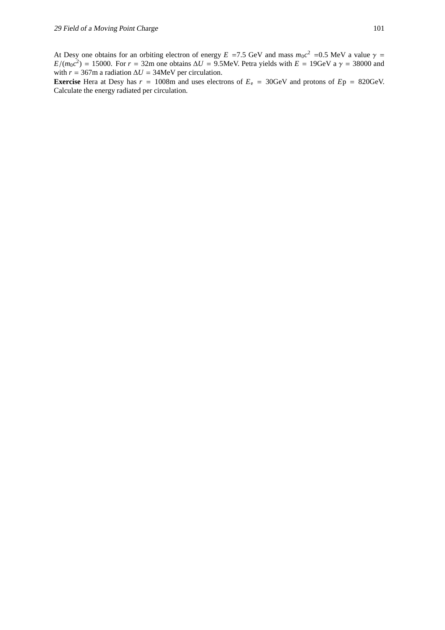At Desy one obtains for an orbiting electron of energy  $E = 7.5$  GeV and mass  $m_0c^2 = 0.5$  MeV a value  $\gamma =$  $E/(m_0c^2) = 15000$ . For  $r = 32$ m one obtains  $\Delta U = 9.5$ MeV. Petra yields with  $E = 19$ GeV a  $\gamma = 38000$  and with  $r = 367$ m a radiation  $\Delta U = 34$ MeV per circulation.

**Exercise** Hera at Desy has *r* = 1008m and uses electrons of *E*<sup>e</sup> = 30GeV and protons of *E*p = 820GeV. Calculate the energy radiated per circulation.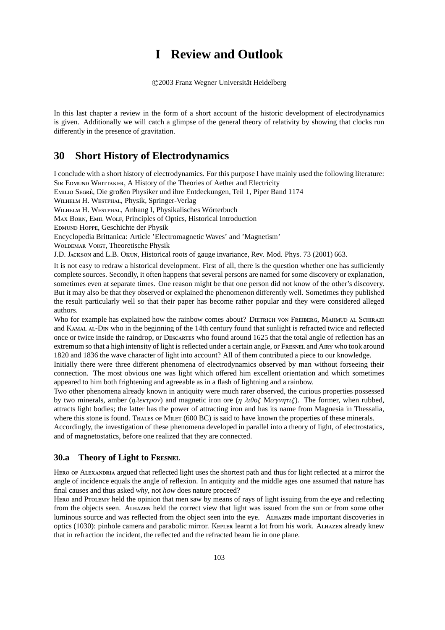# **I Review and Outlook**

© 2003 Franz Wegner Universität Heidelberg

In this last chapter a review in the form of a short account of the historic development of electrodynamics is given. Additionally we will catch a glimpse of the general theory of relativity by showing that clocks run differently in the presence of gravitation.

# **30 Short History of Electrodynamics**

I conclude with a short history of electrodynamics. For this purpose I have mainly used the following literature: SIR EDMUND WHITTAKER, A History of the Theories of Aether and Electricity EMILIO SEGRÈ, Die großen Physiker und ihre Entdeckungen, Teil 1, Piper Band 1174 WILHELM H. WESTPHAL, Physik, Springer-Verlag WILHELM H. WESTPHAL, Anhang I, Physikalisches Wörterbuch

MAX BORN, EMIL WOLF, Principles of Optics, Historical Introduction

EDMUND HOPPE, Geschichte der Physik

Encyclopedia Brittanica: Article 'Electromagnetic Waves' and 'Magnetism'

WOLDEMAR VOIGT, Theoretische Physik

J.D. JACKSON and L.B. OKUN, Historical roots of gauge invariance, Rev. Mod. Phys. 73 (2001) 663.

It is not easy to redraw a historical development. First of all, there is the question whether one has sufficiently complete sources. Secondly, it often happens that several persons are named for some discovery or explanation, sometimes even at separate times. One reason might be that one person did not know of the other's discovery. But it may also be that they observed or explained the phenomenon differently well. Sometimes they published the result particularly well so that their paper has become rather popular and they were considered alleged authors.

Who for example has explained how the rainbow comes about? DIETRICH VON FREIBERG, MAHMUD AL SCHIRAZI and KAMAL AL-DIN who in the beginning of the 14th century found that sunlight is refracted twice and reflected once or twice inside the raindrop, or DESCARTES who found around 1625 that the total angle of reflection has an extremum so that a high intensity of light is reflected under a certain angle, or FRESNEL and AIRY who took around 1820 and 1836 the wave character of light into account? All of them contributed a piece to our knowledge.

Initially there were three different phenomena of electrodynamics observed by man without forseeing their connection. The most obvious one was light which offered him excellent orientation and which sometimes appeared to him both frightening and agreeable as in a flash of lightning and a rainbow.

Two other phenomena already known in antiquity were much rarer observed, the curious properties possessed by two minerals, amber (ηλκτρ*o*ν) and magnetic iron ore (η λιθ*o*ζ Mαγνητιζ). The former, when rubbed, attracts light bodies; the latter has the power of attracting iron and has its name from Magnesia in Thessalia, where this stone is found. THALES OF MILET (600 BC) is said to have known the properties of these minerals.

Accordingly, the investigation of these phenomena developed in parallel into a theory of light, of electrostatics, and of magnetostatics, before one realized that they are connected.

# **30.a Theory of Light to F**

HERO OF ALEXANDRIA argued that reflected light uses the shortest path and thus for light reflected at a mirror the angle of incidence equals the angle of reflexion. In antiquity and the middle ages one assumed that nature has final causes and thus asked *why*, not *how* does nature proceed?

HERO and PTOLEMY held the opinion that men saw by means of rays of light issuing from the eye and reflecting from the objects seen. A *HAZEN* held the correct view that light was issued from the sun or from some other luminous source and was reflected from the object seen into the eye. ALHAZEN made important discoveries in optics (1030): pinhole camera and parabolic mirror. KEPLER learnt a lot from his work. ALHAZEN already knew that in refraction the incident, the reflected and the refracted beam lie in one plane.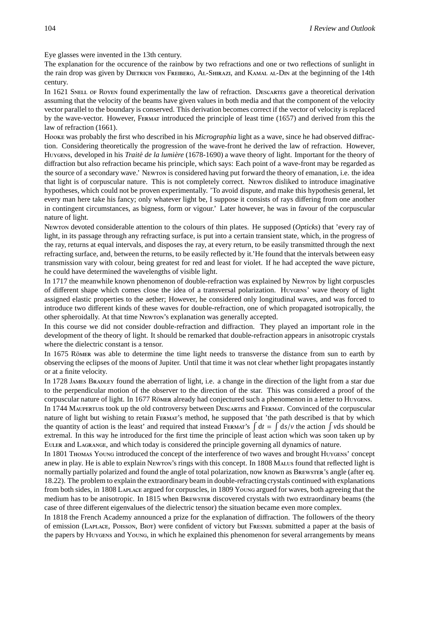Eye glasses were invented in the 13th century.

The explanation for the occurence of the rainbow by two refractions and one or two reflections of sunlight in the rain drop was given by DIETRICH VON FREIBERG, AL-SHIRAZI, and KAMAL AL-DIN at the beginning of the 14th century.

In 1621 SNELL OF ROYEN found experimentally the law of refraction. DESCARTES gave a theoretical derivation assuming that the velocity of the beams have given values in both media and that the component of the velocity vector parallel to the boundary is conserved. This derivation becomes correct if the vector of velocity is replaced by the wave-vector. However, FERMAT introduced the principle of least time (1657) and derived from this the law of refraction (1661).

Hooke was probably the first who described in his *Micrographia* light as a wave, since he had observed diffraction. Considering theoretically the progression of the wave-front he derived the law of refraction. However, Huygens, developed in his *Traité de la lumière* (1678-1690) a wave theory of light. Important for the theory of diffraction but also refraction became his principle, which says: Each point of a wave-front may be regarded as the source of a secondary wave.' Newron is considered having put forward the theory of emanation, i.e. the idea that light is of corpuscular nature. This is not completely correct. New row disliked to introduce imaginative hypotheses, which could not be proven experimentally. 'To avoid dispute, and make this hypothesis general, let every man here take his fancy; only whatever light be, I suppose it consists of rays differing from one another in contingent circumstances, as bigness, form or vigour.' Later however, he was in favour of the corpuscular nature of light.

Newron devoted considerable attention to the colours of thin plates. He supposed (*Opticks*) that 'every ray of light, in its passage through any refracting surface, is put into a certain transient state, which, in the progress of the ray, returns at equal intervals, and disposes the ray, at every return, to be easily transmitted through the next refracting surface, and, between the returns, to be easily reflected by it.'He found that the intervals between easy transmission vary with colour, being greatest for red and least for violet. If he had accepted the wave picture, he could have determined the wavelengths of visible light.

In 1717 the meanwhile known phenomenon of double-refraction was explained by Newron by light corpuscles of different shape which comes close the idea of a transversal polarization. HuyGENS' wave theory of light assigned elastic properties to the aether; However, he considered only longitudinal waves, and was forced to introduce two different kinds of these waves for double-refraction, one of which propagated isotropically, the other spheroidally. At that time Newron's explanation was generally accepted.

In this course we did not consider double-refraction and diffraction. They played an important role in the development of the theory of light. It should be remarked that double-refraction appears in anisotropic crystals where the dielectric constant is a tensor.

In 1675 Römen was able to determine the time light needs to transverse the distance from sun to earth by observing the eclipses of the moons of Jupiter. Until that time it was not clear whether light propagates instantly or at a finite velocity.

In 1728 JAMES BRADLEY found the aberration of light, i.e. a change in the direction of the light from a star due to the perpendicular motion of the observer to the direction of the star. This was considered a proof of the corpuscular nature of light. In 1677 Römen already had conjectured such a phenomenon in a letter to Huygens.

In 1744 M AUPERTUIS took up the old controversy between DESCARTES and FERMAT. Convinced of the corpuscular nature of light but wishing to retain FERMAT's method, he supposed that 'the path described is that by which the quantity of action is the least' and required that instead FERMAT's  $\int dt = \int ds/v$  the action  $\int v ds$  should be extremal. In this way he introduced for the first time the principle of least action which was soon taken up by EULER and LAGRANGE, and which today is considered the principle governing all dynamics of nature.

In 1801 THOMAS YOUNG introduced the concept of the interference of two waves and brought HUYGENS' concept anew in play. He is able to explain Newron's rings with this concept. In 1808 M ALUS found that reflected light is normally partially polarized and found the angle of total polarization, now known as BREWSTER's angle (after eq. 18.22). The problem to explain the extraordinary beam in double-refracting crystals continued with explanations from both sides, in 1808 LAPLACE argued for corpuscles, in 1809 Young argued for waves, both agreeing that the medium has to be anisotropic. In 1815 when B new ster discovered crystals with two extraordinary beams (the case of three different eigenvalues of the dielectric tensor) the situation became even more complex.

In 1818 the French Academy announced a prize for the explanation of diffraction. The followers of the theory of emission (LAPLACE, Poisson, Bior) were confident of victory but FRESNEL submitted a paper at the basis of the papers by Huygens and Young, in which he explained this phenomenon for several arrangements by means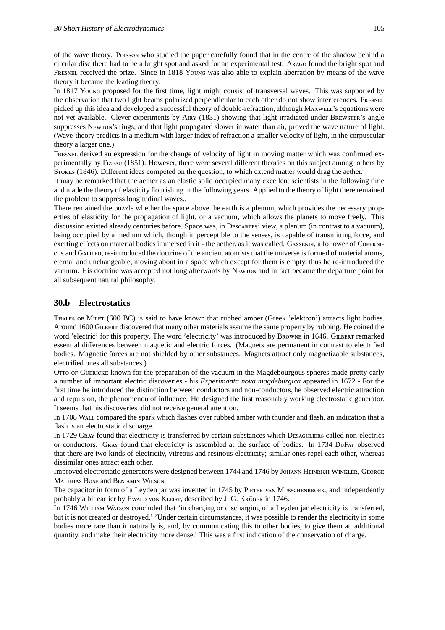of the wave theory. Poisson who studied the paper carefully found that in the centre of the shadow behind a circular disc there had to be a bright spot and asked for an experimental test. ARAGO found the bright spot and FRESNEL received the prize. Since in 1818 Young was also able to explain aberration by means of the wave theory it became the leading theory.

In 1817 Young proposed for the first time, light might consist of transversal waves. This was supported by the observation that two light beams polarized perpendicular to each other do not show interferences. F picked up this idea and developed a successful theory of double-refraction, although MAXWELL's equations were not yet available. Clever experiments by AIRY (1831) showing that light irradiated under BREWSTER's angle suppresses Newron's rings, and that light propagated slower in water than air, proved the wave nature of light. (Wave-theory predicts in a medium with larger index of refraction a smaller velocity of light, in the corpuscular theory a larger one.)

FRESNEL derived an expression for the change of velocity of light in moving matter which was confirmed experimentally by FizeAU (1851). However, there were several different theories on this subject among others by STOKES (1846). Different ideas competed on the question, to which extend matter would drag the aether.

It may be remarked that the aether as an elastic solid occupied many excellent scientists in the following time and made the theory of elasticity flourishing in the following years. Applied to the theory of light there remained the problem to suppress longitudinal waves..

There remained the puzzle whether the space above the earth is a plenum, which provides the necessary properties of elasticity for the propagation of light, or a vacuum, which allows the planets to move freely. This discussion existed already centuries before. Space was, in DESCARTES' view, a plenum (in contrast to a vacuum), being occupied by a medium which, though imperceptible to the senses, is capable of transmitting force, and exerting effects on material bodies immersed in it - the aether, as it was called. GASSENDI, a follower of COPERNIcus and GALILEO, re-introduced the doctrine of the ancient atomists that the universe is formed of material atoms, eternal and unchangeable, moving about in a space which except for them is empty, thus he re-introduced the vacuum. His doctrine was accepted not long afterwards by Newron and in fact became the departure point for all subsequent natural philosophy.

# **30.b Electrostatics**

THALES OF MILET (600 BC) is said to have known that rubbed amber (Greek 'elektron') attracts light bodies. Around 1600 GILBERT discovered that many other materials assume the same property by rubbing. He coined the word 'electric' for this property. The word 'electricity' was introduced by BROWNE in 1646. GILBERT remarked essential differences between magnetic and electric forces. (Magnets are permanent in contrast to electrified bodies. Magnetic forces are not shielded by other substances. Magnets attract only magnetizable substances, electrified ones all substances.)

OTTO OF GUERICKE known for the preparation of the vacuum in the Magdebourgous spheres made pretty early a number of important electric discoveries - his *Experimanta nova magdeburgica* appeared in 1672 - For the first time he introduced the distinction between conductors and non-conductors, he observed electric attraction and repulsion, the phenomenon of influence. He designed the first reasonably working electrostatic generator. It seems that his discoveries did not receive general attention.

In 1708 WALL compared the spark which flashes over rubbed amber with thunder and flash, an indication that a flash is an electrostatic discharge.

In 1729 GRAY found that electricity is transferred by certain substances which DESAGULIERS called non-electrics or conductors. GRAY found that electricity is assembled at the surface of bodies. In 1734 DuFAY observed that there are two kinds of electricity, vitreous and resinous electricity; similar ones repel each other, whereas dissimilar ones attract each other.

Improved electrostatic generators were designed between 1744 and 1746 by JOHANN HEINRICH WINKLER, GEORGE MATTHIAS BOSE and BENJAMIN WILSON.

The capacitor in form of a Leyden jar was invented in 1745 by PIETER VAN MUSSCHENBROEK, and independently probably a bit earlier by EWALD VON KLEIST, described by J. G. KRÜGER in 1746.

In 1746 WILLIAM WATSON concluded that 'in charging or discharging of a Leyden jar electricity is transferred, but it is not created or destroyed.' 'Under certain circumstances, it was possible to render the electricity in some bodies more rare than it naturally is, and, by communicating this to other bodies, to give them an additional quantity, and make their electricity more dense.' This was a first indication of the conservation of charge.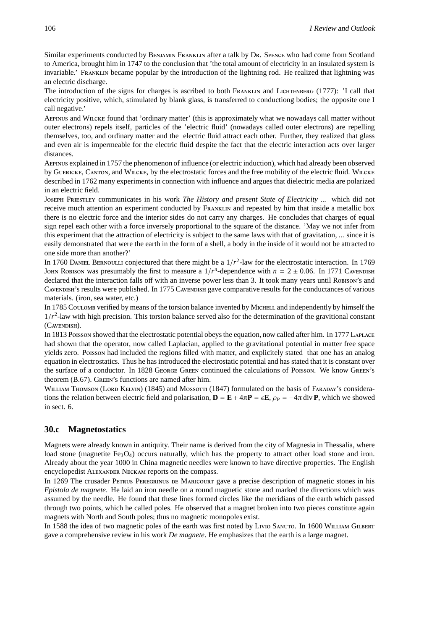Similar experiments conducted by BENJAMIN FRANKLIN after a talk by DR. SPENCE who had come from Scotland to America, brought him in 1747 to the conclusion that 'the total amount of electricity in an insulated system is invariable.' FRANKLIN became popular by the introduction of the lightning rod. He realized that lightning was an electric discharge.

The introduction of the signs for charges is ascribed to both FRANKLIN and LICHTENBERG  $(1777)$ : 'I call that electricity positive, which, stimulated by blank glass, is transferred to conductiong bodies; the opposite one I call negative.'

AEPINUS and WILCKE found that 'ordinary matter' (this is approximately what we nowadays call matter without outer electrons) repels itself, particles of the 'electric fluid' (nowadays called outer electrons) are repelling themselves, too, and ordinary matter and the electric fluid attract each other. Further, they realized that glass and even air is impermeable for the electric fluid despite the fact that the electric interaction acts over larger distances.

A explained in 1757 the phenomenon of influence (or electric induction), which had already been observed by GUERICKE, CANTON, and WILCKE, by the electrostatic forces and the free mobility of the electric fluid. WILCKE described in 1762 many experiments in connection with influence and argues that dielectric media are polarized in an electric field.

JOSEPH PRIESTLEY communicates in his work *The History and present State of Electricity ...* which did not receive much attention an experiment conducted by FRANKLIN and repeated by him that inside a metallic box there is no electric force and the interior sides do not carry any charges. He concludes that charges of equal sign repel each other with a force inversely proportional to the square of the distance. 'May we not infer from this experiment that the attraction of electricity is subject to the same laws with that of gravitation, ... since it is easily demonstrated that were the earth in the form of a shell, a body in the inside of it would not be attracted to one side more than another?'

In 1760 DANIEL BERNOULLI conjectured that there might be a  $1/r^2$ -law for the electrostatic interaction. In 1769 JOHN ROBISON was presumably the first to measure a  $1/r^n$ -dependence with  $n = 2 \pm 0.06$ . In 1771 CAVENDISH declared that the interaction falls off with an inverse power less than 3. It took many years until Robison's and CAVENDISH's results were published. In 1775 CAVENDISH gave comparative results for the conductances of various materials. (iron, sea water, etc.)

In 1785 Coulomb verified by means of the torsion balance invented by Michell and independently by himself the  $1/r^2$ -law with high precision. This torsion balance served also for the determination of the gravitional constant (CAVENDISH).

In 1813 Poisson showed that the electrostatic potential obeys the equation, now called after him. In 1777 LAPLACE had shown that the operator, now called Laplacian, applied to the gravitational potential in matter free space yields zero. Poisson had included the regions filled with matter, and explicitely stated that one has an analog equation in electrostatics. Thus he has introduced the electrostatic potential and has stated that it is constant over the surface of a conductor. In 1828 GEORGE GREEN continued the calculations of Poisson. We know GREEN's theorem  $(B.67)$ . GREEN's functions are named after him.

WILLIAM THOMSON (LORD KELVIN) (1845) and MOSSOTTI (1847) formulated on the basis of FARADAY's considerations the relation between electric field and polarisation,  $\mathbf{D} = \mathbf{E} + 4\pi \mathbf{P} = \epsilon \mathbf{E}$ ,  $\rho_{\rm P} = -4\pi \operatorname{div} \mathbf{P}$ , which we showed in sect. 6.

## **30.c Magnetostatics**

Magnets were already known in antiquity. Their name is derived from the city of Magnesia in Thessalia, where load stone (magnetite  $Fe<sub>3</sub>O<sub>4</sub>$ ) occurs naturally, which has the property to attract other load stone and iron. Already about the year 1000 in China magnetic needles were known to have directive properties. The English encyclopedist ALEXANDER NECKAM reports on the compass.

In 1269 The crusader PETRUS PEREGRINUS DE MARICOURT gave a precise description of magnetic stones in his *Epistola de magnete*. He laid an iron needle on a round magnetic stone and marked the directions which was assumed by the needle. He found that these lines formed circles like the meridians of the earth which passed through two points, which he called poles. He observed that a magnet broken into two pieces constitute again magnets with North and South poles; thus no magnetic monopoles exist.

In 1588 the idea of two magnetic poles of the earth was first noted by Livio SANUTO. In 1600 WILLIAM GILBERT gave a comprehensive review in his work *De magnete*. He emphasizes that the earth is a large magnet.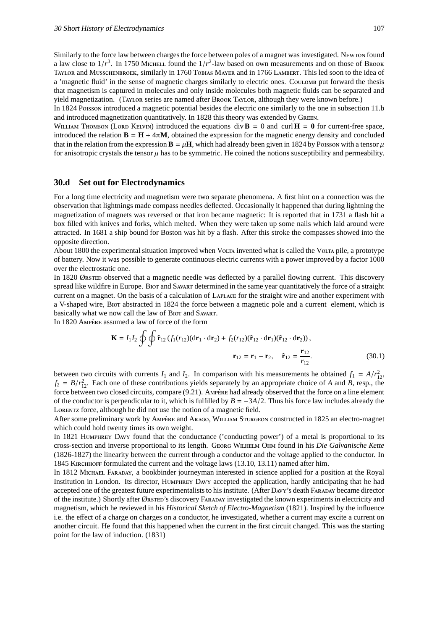Similarly to the force law between charges the force between poles of a magnet was investigated. NEWTON found a law close to  $1/r^3$ . In 1750 M rche L found the  $1/r^2$ -law based on own measurements and on those of B Rook TAYLOR and MUSSCHENBROEK, similarly in 1760 TOBIAS MAYER and in 1766 LAMBERT. This led soon to the idea of a 'magnetic fluid' in the sense of magnetic charges similarly to electric ones. Coulomb put forward the thesis that magnetism is captured in molecules and only inside molecules both magnetic fluids can be separated and yield magnetization. (TAYLOR series are named after BROOK TAYLOR, although they were known before.)

In 1824 Poisson introduced a magnetic potential besides the electric one similarly to the one in subsection 11.b and introduced magnetization quantitatively. In 1828 this theory was extended by GREEN.

WILLIAM THOMSON (LORD KELVIN) introduced the equations div  $\mathbf{B} = 0$  and curl  $\mathbf{H} = \mathbf{0}$  for current-free space, introduced the relation  $\mathbf{B} = \mathbf{H} + 4\pi\mathbf{M}$ , obtained the expression for the magnetic energy density and concluded that in the relation from the expression  $\mathbf{B} = \mu \mathbf{H}$ , which had already been given in 1824 by Poisson with a tensor  $\mu$ for anisotropic crystals the tensor  $\mu$  has to be symmetric. He coined the notions susceptibility and permeability.

#### **30.d Set out for Electrodynamics**

For a long time electricity and magnetism were two separate phenomena. A first hint on a connection was the observation that lightnings made compass needles deflected. Occasionally it happened that during lightning the magnetization of magnets was reversed or that iron became magnetic: It is reported that in 1731 a flash hit a box filled with knives and forks, which melted. When they were taken up some nails which laid around were attracted. In 1681 a ship bound for Boston was hit by a flash. After this stroke the compasses showed into the opposite direction.

About 1800 the experimental situation improved when VOLTA invented what is called the VOLTA pile, a prototype of battery. Now it was possible to generate continuous electric currents with a power improved by a factor 1000 over the electrostatic one.

In 1820 Ø estrep observed that a magnetic needle was deflected by a parallel flowing current. This discovery spread like wildfire in Europe. B or and SAVART determined in the same year quantitatively the force of a straight current on a magnet. On the basis of a calculation of LAPLACE for the straight wire and another experiment with a V-shaped wire, Bior abstracted in 1824 the force between a magnetic pole and a current element, which is basically what we now call the law of B or and SAVART.

In 1820 AMPÈRE assumed a law of force of the form

$$
\mathbf{K} = I_1 I_2 \oint \oint \hat{\mathbf{r}}_{12} \left( f_1(r_{12}) (\mathbf{dr}_1 \cdot \mathbf{dr}_2) + f_2(r_{12}) (\hat{\mathbf{r}}_{12} \cdot \mathbf{dr}_1) (\hat{\mathbf{r}}_{12} \cdot \mathbf{dr}_2) \right),
$$

$$
\mathbf{r}_{12} = \mathbf{r}_1 - \mathbf{r}_2, \quad \hat{\mathbf{r}}_{12} = \frac{\mathbf{r}_{12}}{r_{12}}.
$$
(30.1)

between two circuits with currents  $I_1$  and  $I_2$ . In comparison with his measurements he obtained  $f_1 = A/r_{12}^2$ ,  $f_2 = B/r_{12}^2$ . Each one of these contributions yields separately by an appropriate choice of *A* and *B*, resp., the force between two closed circuits, compare  $(9.21)$ . A where had already observed that the force on a line element of the conductor is perpendicular to it, which is fulfilled by  $B = -3A/2$ . Thus his force law includes already the LORENTZ force, although he did not use the notion of a magnetic field.

After some preliminary work by AMPERE and ARAGO, WILLIAM STURGEON constructed in 1825 an electro-magnet which could hold twenty times its own weight.

In 1821 HUMPHREY DAVY found that the conductance ('conducting power') of a metal is proportional to its cross-section and inverse proportional to its length. GEORG WILHELM OHM found in his *Die Galvanische Kette* (1826-1827) the linearity between the current through a conductor and the voltage applied to the conductor. In 1845 KIRCHHOFF formulated the current and the voltage laws (13.10, 13.11) named after him.

In 1812 M IGHAEL FARADAY, a bookbinder journeyman interested in science applied for a position at the Royal Institution in London. Its director, HUMPHREY DAVY accepted the application, hardly anticipating that he had accepted one of the greatest future experimentalists to his institute. (After DANY's death FARADAY became director of the institute.) Shortly after ØRSTED's discovery FARADAY investigated the known experiments in electricity and magnetism, which he reviewed in his *Historical Sketch of Electro-Magnetism* (1821). Inspired by the influence i.e. the effect of a charge on charges on a conductor, he investigated, whether a current may excite a current on another circuit. He found that this happened when the current in the first circuit changed. This was the starting point for the law of induction. (1831)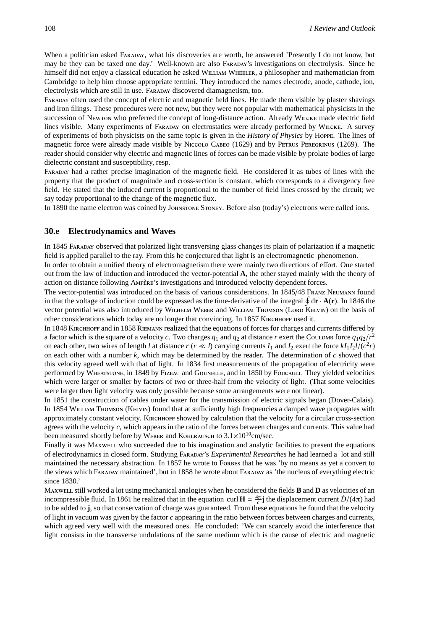When a politician asked FARADAY, what his discoveries are worth, he answered 'Presently I do not know, but may be they can be taxed one day.' Well-known are also FARADAY's investigations on electrolysis. Since he himself did not enjoy a classical education he asked WILLIAM WHEELER, a philosopher and mathematician from Cambridge to help him choose appropriate termini. They introduced the names electrode, anode, cathode, ion, electrolysis which are still in use. FARADAY discovered diamagnetism, too.

FARADAY often used the concept of electric and magnetic field lines. He made them visible by plaster shavings and iron filings. These procedures were not new, but they were not popular with mathematical physicists in the succession of Newton who preferred the concept of long-distance action. Already WILCKE made electric field lines visible. Many experiments of FARADAY on electrostatics were already performed by WILCKE. A survey of experiments of both physicists on the same topic is given in the *History of Physics* by Hoppe. The lines of magnetic force were already made visible by NICCOLO CABEO  $(1629)$  and by PETRUS PEREGRINUS (1269). The reader should consider why electric and magnetic lines of forces can be made visible by prolate bodies of large dielectric constant and susceptibility, resp.

FARADAY had a rather precise imagination of the magnetic field. He considered it as tubes of lines with the property that the product of magnitude and cross-section is constant, which corresponds to a divergency free field. He stated that the induced current is proportional to the number of field lines crossed by the circuit; we say today proportional to the change of the magnetic flux.

In 1890 the name electron was coined by JOHNSTONE STONEY. Before also (today's) electrons were called ions.

## **30.e Electrodynamics and Waves**

In 1845 FARADAY observed that polarized light transversing glass changes its plain of polarization if a magnetic field is applied parallel to the ray. From this he conjectured that light is an electromagnetic phenomenon. In order to obtain a unified theory of electromagnetism there were mainly two directions of effort. One started out from the law of induction and introduced the vector-potential **A**, the other stayed mainly with the theory of action on distance following AMPERE's investigations and introduced velocity dependent forces.

The vector-potential was introduced on the basis of various considerations. In 1845/48 FRANZ NEUMANN found in that the voltage of induction could be expressed as the time-derivative of the integral  $\oint d\mathbf{r} \cdot \mathbf{A}(\mathbf{r})$ . In 1846 the vector potential was also introduced by WILHELM WEBER and WILLIAM THOMSON (LORD KELVIN) on the basis of other considerations which today are no longer that convincing. In 1857 KIRCHHOFF used it.

In 1848 KIRCHHOFF and in 1858 RIEMANN realized that the equations of forces for charges and currents differed by a factor which is the square of a velocity *c*. Two charges  $q_1$  and  $q_2$  at distance *r* exert the Coulomb force  $q_1q_2/r^2$ on each other, two wires of length *l* at distance  $r (r \ll l)$  carrying currents  $I_1$  and  $I_2$  exert the force  $kI_1I_2l/(c^2r)$ on each other with a number *k*, which may be determined by the reader. The determination of *c* showed that this velocity agreed well with that of light. In 1834 first measurements of the propagation of electricity were performed by WHEATSTONE, in 1849 by FIZEAU and GOUNELLE, and in 1850 by FOUCAULT. They yielded velocities which were larger or smaller by factors of two or three-half from the velocity of light. (That some velocities were larger then light velocity was only possible because some arrangements were not linear).

In 1851 the construction of cables under water for the transmission of electric signals began (Dover-Calais). In 1854 WILLIAM THOMSON (KELVIN) found that at sufficiently high frequencies a damped wave propagates with approximately constant velocity. KIRCHHOFF showed by calculation that the velocity for a circular cross-section agrees with the velocity *c*, which appears in the ratio of the forces between charges and currents. This value had been measured shortly before by WEBER and KOHLRAUSCH to  $3.1 \times 10^{10}$ cm/sec.

Finally it was MAXWELL who succeeded due to his imagination and analytic facilities to present the equations of electrodynamics in closed form. Studying FARADAY's *Experimental Researches* he had learned a lot and still maintained the necessary abstraction. In 1857 he wrote to Fore that he was 'by no means as yet a convert to the views which FARADAY maintained', but in 1858 he wrote about FARADAY as 'the nucleus of everything electric since 1830.'

MAXWELL still worked a lot using mechanical analogies when he considered the fields **B** and **D** as velocities of an incompressible fluid. In 1861 he realized that in the equation curl  $\mathbf{H} = \frac{4\pi}{c}\mathbf{j}$  the displacement current  $\dot{D}/(4\pi)$  had to be added to **j**, so that conservation of charge was guaranteed. From these equations he found that the velocity of light in vacuum was given by the factor *c* appearing in the ratio between forces between charges and currents, which agreed very well with the measured ones. He concluded: 'We can scarcely avoid the interference that light consists in the transverse undulations of the same medium which is the cause of electric and magnetic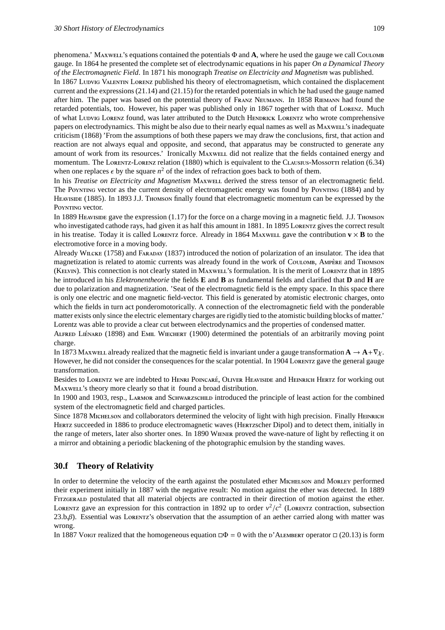phenomena.' MAXWELL's equations contained the potentials  $\Phi$  and  $\mathbf{A}$ , where he used the gauge we call Coulomb gauge. In 1864 he presented the complete set of electrodynamic equations in his paper *On a Dynamical Theory of the Electromagnetic Field*. In 1871 his monograph *Treatise on Electricity and Magnetism* was published.

In 1867 Lupvig VALENTIN LORENZ published his theory of electromagnetism, which contained the displacement current and the expressions(21.14) and (21.15) for the retarded potentials in which he had used the gauge named after him. The paper was based on the potential theory of FRANZ NEUMANN. In 1858 RIEMANN had found the retarded potentials, too. However, his paper was published only in 1867 together with that of LORENZ. Much of what LUDVIG LORENZ found, was later attributed to the Dutch HENDRICK LORENTZ who wrote comprehensive papers on electrodynamics. This might be also due to their nearly equal names as well as MAXWELL's inadequate criticism (1868) 'From the assumptions of both these papers we may draw the conclusions, first, that action and reaction are not always equal and opposite, and second, that apparatus may be constructed to generate any amount of work from its resources.' Ironically MAXWELL did not realize that the fields contained energy and momentum. The LORENTZ-LORENZ relation  $(1880)$  which is equivalent to the CLAUSIUS-MOSSOTTI relation  $(6.34)$ when one replaces  $\epsilon$  by the square  $n^2$  of the index of refraction goes back to both of them.

In his *Treatise on Electricity and Magnetism* MAXWELL derived the stress tensor of an electromagnetic field. The POYNTING vector as the current density of electromagnetic energy was found by POYNTING (1884) and by HEAVISIDE (1885). In 1893 J.J. THOMSON finally found that electromagnetic momentum can be expressed by the POYNTING vector.

In 1889 H expression  $(1.17)$  for the force on a charge moving in a magnetic field. J.J. Thomson who investigated cathode rays, had given it as half this amount in 1881. In 1895 LORENTZ gives the correct result in his treatise. Today it is called LORENTZ force. Already in 1864 MAXWELL gave the contribution  $\mathbf{v} \times \mathbf{B}$  to the electromotive force in a moving body.

Already WILCKE (1758) and FARADAY (1837) introduced the notion of polarization of an insulator. The idea that magnetization is related to atomic currents was already found in the work of Coulomb, AMPERE and THOMSON (KELVIN). This connection is not clearly stated in MAXWELL's formulation. It is the merit of LORENTZ that in 1895 he introduced in his *Elektronentheorie* the fields **E** and **B** as fundamental fields and clarified that **D** and **H** are due to polarization and magnetization. 'Seat of the electromagnetic field is the empty space. In this space there is only one electric and one magnetic field-vector. This field is generated by atomistic electronic charges, onto which the fields in turn act ponderomotorically. A connection of the electromagnetic field with the ponderable matter exists only since the electric elementary charges are rigidly tied to the atomistic building blocks of matter.' Lorentz was able to provide a clear cut between electrodynamics and the properties of condensed matter.

ALFRED LIÉNARD (1898) and EMIL WIECHERT (1900) determined the potentials of an arbitrarily moving point charge.

In 1873 M axwell already realized that the magnetic field is invariant under a gauge transformation  $\mathbf{A} \to \mathbf{A} + \nabla \chi$ . However, he did not consider the consequences for the scalar potential. In 1904 LORENTZ gave the general gauge transformation.

Besides to LORENTZ we are indebted to HENRI POINCARÉ, OLIVER HEAVISIDE and HEINRICH HERTZ for working out MAXWELL's theory more clearly so that it found a broad distribution.

In 1900 and 1903, resp., LARMOR and SCHWARZSCHILD introduced the principle of least action for the combined system of the electromagnetic field and charged particles.

Since 1878 MICHELSON and collaborators determined the velocity of light with high precision. Finally HEINRICH HERTZ succeeded in 1886 to produce electromagnetic waves (HERTZscher Dipol) and to detect them, initially in the range of meters, later also shorter ones. In 1890 WIENER proved the wave-nature of light by reflecting it on a mirror and obtaining a periodic blackening of the photographic emulsion by the standing waves.

# **30.f Theory of Relativity**

In order to determine the velocity of the earth against the postulated ether MICHELSON and MORLEY performed their experiment initially in 1887 with the negative result: No motion against the ether was detected. In 1889 FITZGERALD postulated that all material objects are contracted in their direction of motion against the ether. LORENTZ gave an expression for this contraction in 1892 up to order  $v^2/c^2$  (LORENTZ contraction, subsection 23.b. $\beta$ ). Essential was LORENTZ's observation that the assumption of an aether carried along with matter was wrong.

In 1887 V order realized that the homogeneous equation  $\Box \Phi = 0$  with the D'ALEMBERT operator  $\Box$  (20.13) is form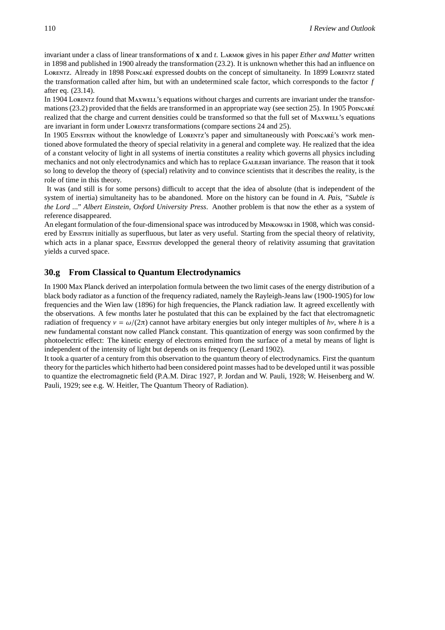invariant under a class of linear transformations of **x** and t. LARMOR gives in his paper *Ether and Matter* written in 1898 and published in 1900 already the transformation (23.2). It is unknown whether this had an influence on LORENTZ. Already in 1898 POINCARÉ expressed doubts on the concept of simultaneity. In 1899 LORENTZ stated the transformation called after him, but with an undetermined scale factor, which corresponds to the factor *f* after eq. (23.14).

In 1904 LORENTZ found that MAXWELL's equations without charges and currents are invariant under the transformations (23.2) provided that the fields are transformed in an appropriate way (see section 25). In 1905 Polncare realized that the charge and current densities could be transformed so that the full set of MAXWELL's equations are invariant in form under LORENTZ transformations (compare sections 24 and 25).

In 1905 EINSTEIN without the knowledge of LORENTZ's paper and simultaneously with POINCARÉ's work mentioned above formulated the theory of special relativity in a general and complete way. He realized that the idea of a constant velocity of light in all systems of inertia constitutes a reality which governs all physics including mechanics and not only electrodynamics and which has to replace GALILEIAN invariance. The reason that it took so long to develop the theory of (special) relativity and to convince scientists that it describes the reality, is the role of time in this theory.

It was (and still is for some persons) difficult to accept that the idea of absolute (that is independent of the system of inertia) simultaneity has to be abandoned. More on the history can be found in *A. Pais, "Subtle is the Lord ..." Albert Einstein, Oxford University Press*. Another problem is that now the ether as a system of reference disappeared.

An elegant formulation of the four-dimensional space was introduced by MINKOWSKI in 1908, which was considered by EINSTEIN initially as superfluous, but later as very useful. Starting from the special theory of relativity, which acts in a planar space, EINSTEIN developped the general theory of relativity assuming that gravitation yields a curved space.

## **30.g From Classical to Quantum Electrodynamics**

In 1900 Max Planck derived an interpolation formula between the two limit cases of the energy distribution of a black body radiator as a function of the frequency radiated, namely the Rayleigh-Jeans law (1900-1905) for low frequencies and the Wien law (1896) for high frequencies, the Planck radiation law. It agreed excellently with the observations. A few months later he postulated that this can be explained by the fact that electromagnetic radiation of frequency  $v = \omega/(2\pi)$  cannot have arbitary energies but only integer multiples of *hv*, where *h* is a new fundamental constant now called Planck constant. This quantization of energy was soon confirmed by the photoelectric effect: The kinetic energy of electrons emitted from the surface of a metal by means of light is independent of the intensity of light but depends on its frequency (Lenard 1902).

It took a quarter of a century from this observation to the quantum theory of electrodynamics. First the quantum theory for the particles which hitherto had been considered point masses had to be developed until it was possible to quantize the electromagnetic field (P.A.M. Dirac 1927, P. Jordan and W. Pauli, 1928; W. Heisenberg and W. Pauli, 1929; see e.g. W. Heitler, The Quantum Theory of Radiation).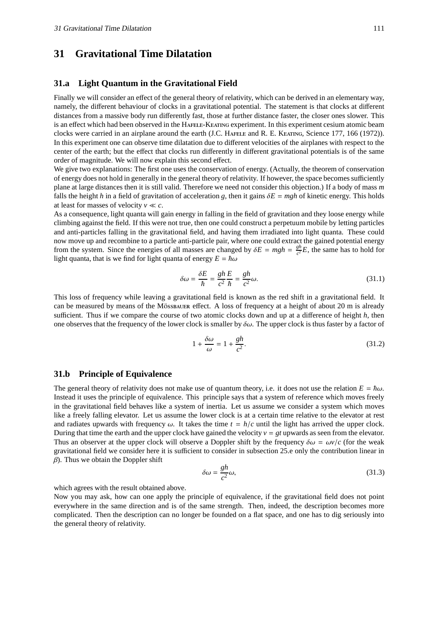# **31 Gravitational Time Dilatation**

#### **31.a Light Quantum in the Gravitational Field**

Finally we will consider an effect of the general theory of relativity, which can be derived in an elementary way, namely, the different behaviour of clocks in a gravitational potential. The statement is that clocks at different distances from a massive body run differently fast, those at further distance faster, the closer ones slower. This is an effect which had been observed in the HAFELE-KEATING experiment. In this experiment cesium atomic beam clocks were carried in an airplane around the earth (J.C. HAFELE and R. E. KEATING, Science 177, 166 (1972)). In this experiment one can observe time dilatation due to different velocities of the airplanes with respect to the center of the earth; but the effect that clocks run differently in different gravitational potentials is of the same order of magnitude. We will now explain this second effect.

We give two explanations: The first one uses the conservation of energy. (Actually, the theorem of conservation of energy does not hold in generally in the general theory of relativity. If however, the space becomes sufficiently plane at large distances then it is still valid. Therefore we need not consider this objection.) If a body of mass *m* falls the height *h* in a field of gravitation of acceleration *g*, then it gains  $\delta E = mgh$  of kinetic energy. This holds at least for masses of velocity  $v \ll c$ .

As a consequence, light quanta will gain energy in falling in the field of gravitation and they loose energy while climbing against the field. If this were not true, then one could construct a perpetuum mobile by letting particles and anti-particles falling in the gravitational field, and having them irradiated into light quanta. These could now move up and recombine to a particle anti-particle pair, where one could extract the gained potential energy from the system. Since the energies of all masses are changed by  $\delta E = mgh = \frac{gh}{c^2}$  $\frac{gn}{c^2}E$ , the same has to hold for light quanta, that is we find for light quanta of energy  $E = \hbar \omega$ 

$$
\delta\omega = \frac{\delta E}{\hbar} = \frac{gh}{c^2} \frac{E}{\hbar} = \frac{gh}{c^2} \omega.
$$
\n(31.1)

This loss of frequency while leaving a gravitational field is known as the red shift in a gravitational field. It can be measured by means of the MÖSSBAUER effect. A loss of frequency at a height of about 20 m is already sufficient. Thus if we compare the course of two atomic clocks down and up at a difference of height *h*, then one observes that the frequency of the lower clock is smaller by  $\delta\omega$ . The upper clock is thus faster by a factor of

$$
1 + \frac{\delta \omega}{\omega} = 1 + \frac{gh}{c^2}.\tag{31.2}
$$

### **31.b Principle of Equivalence**

The general theory of relativity does not make use of quantum theory, i.e. it does not use the relation  $E = \hbar \omega$ . Instead it uses the principle of equivalence. This principle says that a system of reference which moves freely in the gravitational field behaves like a system of inertia. Let us assume we consider a system which moves like a freely falling elevator. Let us assume the lower clock is at a certain time relative to the elevator at rest and radiates upwards with frequency  $\omega$ . It takes the time  $t = h/c$  until the light has arrived the upper clock. During that time the earth and the upper clock have gained the velocity  $v = gt$  upwards as seen from the elevator. Thus an observer at the upper clock will observe a Doppler shift by the frequency  $\delta \omega = \omega v/c$  (for the weak gravitational field we consider here it is sufficient to consider in subsection 25.e only the contribution linear in  $\beta$ ). Thus we obtain the Doppler shift

$$
\delta\omega = \frac{gh}{c^2}\omega,\tag{31.3}
$$

which agrees with the result obtained above.

Now you may ask, how can one apply the principle of equivalence, if the gravitational field does not point everywhere in the same direction and is of the same strength. Then, indeed, the description becomes more complicated. Then the description can no longer be founded on a flat space, and one has to dig seriously into the general theory of relativity.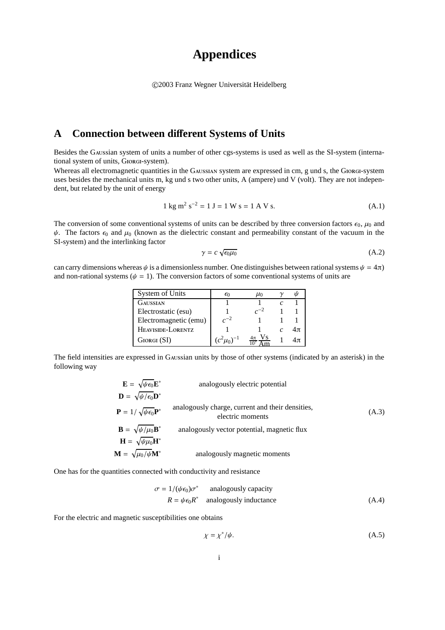# **Appendices**

©2003 Franz Wegner Universität Heidelberg

# **A Connection between di**ff**erent Systems of Units**

Besides the Gaussian system of units a number of other cgs-systems is used as well as the SI-system (international system of units, GIORGI-system).

Whereas all electromagnetic quantities in the GAUSSIAN system are expressed in cm, g und s, the GIORGI-system uses besides the mechanical units m, kg und s two other units, A (ampere) und V (volt). They are not independent, but related by the unit of energy

$$
1 \text{ kg m}^2 \text{ s}^{-2} = 1 \text{ J} = 1 \text{ W s} = 1 \text{ A V s.}
$$
 (A.1)

The conversion of some conventional systems of units can be described by three conversion factors  $\epsilon_0$ ,  $\mu_0$  and  $\psi$ . The factors  $\epsilon_0$  and  $\mu_0$  (known as the dielectric constant and permeability constant of the vacuum in the SI-system) and the interlinking factor

$$
\gamma = c \sqrt{\epsilon_0 \mu_0} \tag{A.2}
$$

can carry dimensions whereas  $\psi$  is a dimensionless number. One distinguishes between rational systems  $\psi = 4\pi$ ) and non-rational systems ( $\psi = 1$ ). The conversion factors of some conventional systems of units are

| System of Units       | E∩  | $\mu_0$ |    |
|-----------------------|-----|---------|----|
| <b>GAUSSIAN</b>       |     |         |    |
| Electrostatic (esu)   |     |         |    |
| Electromagnetic (emu) | .–2 |         |    |
| HEAVISIDE-LORENTZ     |     |         | 4π |
| GIORGI (SI)           |     |         |    |

The field intensities are expressed in Gaussian units by those of other systems (indicated by an asterisk) in the following way

$$
\mathbf{E} = \sqrt{\psi \epsilon_0} \mathbf{E}^*
$$
 analogously electric potential  
\n
$$
\mathbf{D} = \sqrt{\psi/\epsilon_0} \mathbf{D}^*
$$
 analogously charge, current and their densities,  
\nelectric moments  
\n
$$
\mathbf{B} = \sqrt{\psi/\mu_0} \mathbf{B}^*
$$
 analogously vector potential, magnetic flux  
\n
$$
\mathbf{H} = \sqrt{\psi \mu_0} \mathbf{H}^*
$$
  
\n
$$
\mathbf{M} = \sqrt{\mu_0/\psi} \mathbf{M}^*
$$
 analogously magnetic moments

One has for the quantities connected with conductivity and resistance

 $\sigma = 1/(\psi \epsilon_0) \sigma^*$  analogously capacity  $R = \psi \epsilon_0 R^*$  analogously inductance (A.4)

For the electric and magnetic susceptibilities one obtains

$$
\chi = \chi^* / \psi. \tag{A.5}
$$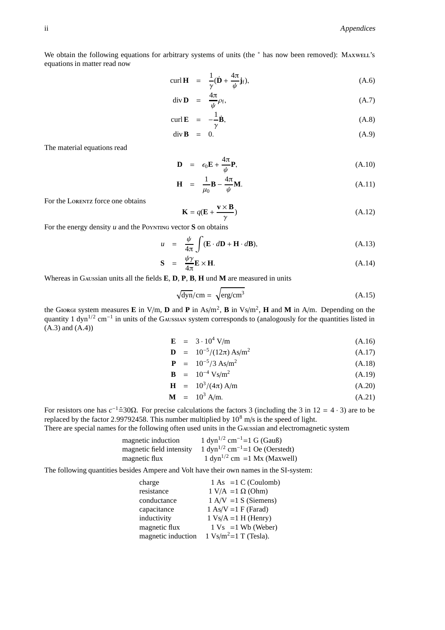We obtain the following equations for arbitrary systems of units (the \* has now been removed): MAXWELL's equations in matter read now

$$
\operatorname{curl} \mathbf{H} = \frac{1}{\gamma} (\dot{\mathbf{D}} + \frac{4\pi}{\psi} \mathbf{j}_f), \tag{A.6}
$$

$$
\operatorname{div} \mathbf{D} = \frac{4\pi}{\psi} \rho_f, \tag{A.7}
$$

$$
\operatorname{curl} \mathbf{E} = -\frac{1}{\gamma} \dot{\mathbf{B}}, \tag{A.8}
$$

$$
\operatorname{div} \mathbf{B} = 0. \tag{A.9}
$$

The material equations read

$$
\mathbf{D} = \epsilon_0 \mathbf{E} + \frac{4\pi}{\psi} \mathbf{P}, \tag{A.10}
$$

$$
\mathbf{H} = \frac{1}{\mu_0} \mathbf{B} - \frac{4\pi}{\psi} \mathbf{M}.
$$
 (A.11)

For the LORENTZ force one obtains

$$
\mathbf{K} = q(\mathbf{E} + \frac{\mathbf{v} \times \mathbf{B}}{\gamma})
$$
 (A.12)

For the energy density  $u$  and the POYNTING vector  $S$  on obtains

$$
u = \frac{\psi}{4\pi} \int (\mathbf{E} \cdot d\mathbf{D} + \mathbf{H} \cdot d\mathbf{B}), \tag{A.13}
$$

$$
\mathbf{S} = \frac{\psi \gamma}{4\pi} \mathbf{E} \times \mathbf{H}.
$$
 (A.14)

Whereas in Gaussian units all the fields  $E$ ,  $D$ ,  $P$ ,  $B$ ,  $H$  und  $M$  are measured in units

$$
\sqrt{\text{dyn}}/\text{cm} = \sqrt{\text{erg}/\text{cm}^3}
$$
 (A.15)

the Grong system measures **E** in V/m, **D** and **P** in As/m<sup>2</sup>, **B** in Vs/m<sup>2</sup>, **H** and **M** in A/m. Depending on the quantity 1 dyn<sup>1/2</sup> cm<sup>-1</sup> in units of the GAUSSIAN system corresponds to (analogously for the quantities listed in (A.3) and (A.4))

$$
\mathbf{E} = 3 \cdot 10^4 \text{ V/m} \tag{A.16}
$$

$$
\mathbf{D} = 10^{-5} / (12\pi) \text{ As/m}^2 \tag{A.17}
$$

$$
\mathbf{P} = 10^{-5} / 3 \text{ As/m}^2 \tag{A.18}
$$

$$
B = 10^{-4} \text{ Vs/m}^2 \tag{A.19}
$$

$$
H = 103/(4\pi) A/m
$$
 (A.20)

$$
M = 10^3 A/m. \t(A.21)
$$

For resistors one has  $c^{-1}$   $\cong$  30Ω. For precise calculations the factors 3 (including the 3 in 12 = 4 · 3) are to be replaced by the factor 2.99792458. This number multiplied by  $10^8$  m/s is the speed of light.

There are special names for the following often used units in the GAUSSian and electromagnetic system

| magnetic induction       | 1 dyn <sup>1/2</sup> cm <sup>-1</sup> =1 G (Gauß)      |
|--------------------------|--------------------------------------------------------|
| magnetic field intensity | 1 dyn <sup>1/2</sup> cm <sup>-1</sup> =1 Oe (Oerstedt) |
| magnetic flux            | 1 dyn <sup>1/2</sup> cm = 1 Mx (Maxwell)               |

The following quantities besides Ampere and Volt have their own names in the SI-system:

| charge             | $1 As = 1 C (Coulomb)$                    |
|--------------------|-------------------------------------------|
| resistance         | $1 \text{ V/A} = 1 \Omega \text{ (Ohm)}$  |
| conductance        | $1 \text{ A/V} = 1 \text{ S}$ (Siemens)   |
| capacitance        | $1$ As/V = 1 F (Farad)                    |
| inductivity        | $1 \text{ Vs/A} = 1 \text{ H (Henry)}$    |
| magnetic flux      | $1 \text{ Vs} = 1 \text{ Wb}$ (Weber)     |
| magnetic induction | $1 \text{ Vs/m}^2 = 1 \text{ T}$ (Tesla). |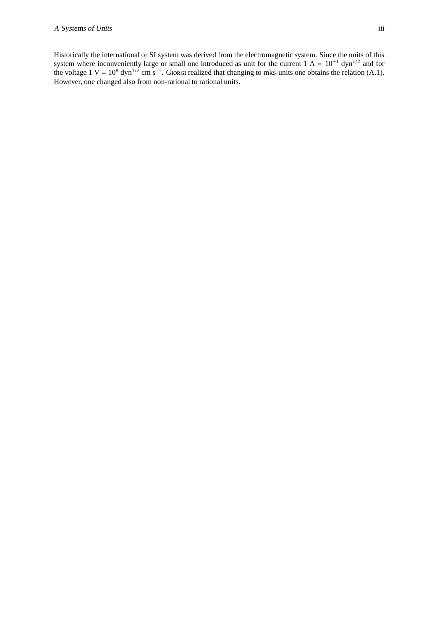Historically the international or SI system was derived from the electromagnetic system. Since the units of this system where inconveniently large or small one introduced as unit for the current  $1 A = 10^{-1}$  dyn<sup>1/2</sup> and for the voltage 1 V =  $10^8$  dyn<sup>1/2</sup> cm s<sup>-1</sup>. Giongi realized that changing to mks-units one obtains the relation (A.1). However, one changed also from non-rational to rational units.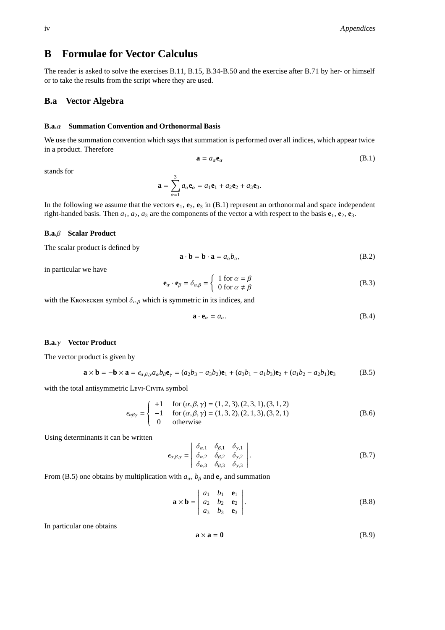# **B Formulae for Vector Calculus**

The reader is asked to solve the exercises B.11, B.15, B.34-B.50 and the exercise after B.71 by her- or himself or to take the results from the script where they are used.

### **B.a Vector Algebra**

### **B.a.**α **Summation Convention and Orthonormal Basis**

We use the summation convention which says that summation is performed over all indices, which appear twice in a product. Therefore

$$
\mathbf{a} = a_{\alpha} \mathbf{e}_{\alpha} \tag{B.1}
$$

stands for

$$
\mathbf{a} = \sum_{\alpha=1}^{3} a_{\alpha} \mathbf{e}_{\alpha} = a_1 \mathbf{e}_1 + a_2 \mathbf{e}_2 + a_3 \mathbf{e}_3.
$$

In the following we assume that the vectors  $e_1$ ,  $e_2$ ,  $e_3$  in (B.1) represent an orthonormal and space independent right-handed basis. Then  $a_1$ ,  $a_2$ ,  $a_3$  are the components of the vector **a** with respect to the basis  $e_1$ ,  $e_2$ ,  $e_3$ .

#### **B.a.**β **Scalar Product**

The scalar product is defined by

$$
\mathbf{a} \cdot \mathbf{b} = \mathbf{b} \cdot \mathbf{a} = a_{\alpha} b_{\alpha},\tag{B.2}
$$

in particular we have

$$
\mathbf{e}_{\alpha} \cdot \mathbf{e}_{\beta} = \delta_{\alpha,\beta} = \begin{cases} 1 \text{ for } \alpha = \beta \\ 0 \text{ for } \alpha \neq \beta \end{cases}
$$
 (B.3)

with the KRONECKER symbol  $\delta_{\alpha,\beta}$  which is symmetric in its indices, and

$$
\mathbf{a} \cdot \mathbf{e}_{\alpha} = a_{\alpha}.\tag{B.4}
$$

#### **B.a.**γ **Vector Product**

The vector product is given by

$$
\mathbf{a} \times \mathbf{b} = -\mathbf{b} \times \mathbf{a} = \epsilon_{\alpha,\beta,\gamma} a_{\alpha} b_{\beta} \mathbf{e}_{\gamma} = (a_2 b_3 - a_3 b_2) \mathbf{e}_1 + (a_3 b_1 - a_1 b_3) \mathbf{e}_2 + (a_1 b_2 - a_2 b_1) \mathbf{e}_3
$$
(B.5)

with the total antisymmetric LEVI-CIVITA symbol

$$
\epsilon_{\alpha\beta\gamma} = \begin{cases}\n+1 & \text{for } (\alpha, \beta, \gamma) = (1, 2, 3), (2, 3, 1), (3, 1, 2) \\
-1 & \text{for } (\alpha, \beta, \gamma) = (1, 3, 2), (2, 1, 3), (3, 2, 1) \\
0 & \text{otherwise}\n\end{cases}
$$
\n(B.6)

Using determinants it can be written

$$
\epsilon_{\alpha,\beta,\gamma} = \begin{vmatrix} \delta_{\alpha,1} & \delta_{\beta,1} & \delta_{\gamma,1} \\ \delta_{\alpha,2} & \delta_{\beta,2} & \delta_{\gamma,2} \\ \delta_{\alpha,3} & \delta_{\beta,3} & \delta_{\gamma,3} \end{vmatrix} . \tag{B.7}
$$

From (B.5) one obtains by multiplication with  $a_{\alpha}$ ,  $b_{\beta}$  and  $\mathbf{e}_{\gamma}$  and summation

$$
\mathbf{a} \times \mathbf{b} = \begin{vmatrix} a_1 & b_1 & \mathbf{e}_1 \\ a_2 & b_2 & \mathbf{e}_2 \\ a_3 & b_3 & \mathbf{e}_3 \end{vmatrix} . \tag{B.8}
$$

In particular one obtains

$$
\mathbf{a} \times \mathbf{a} = \mathbf{0} \tag{B.9}
$$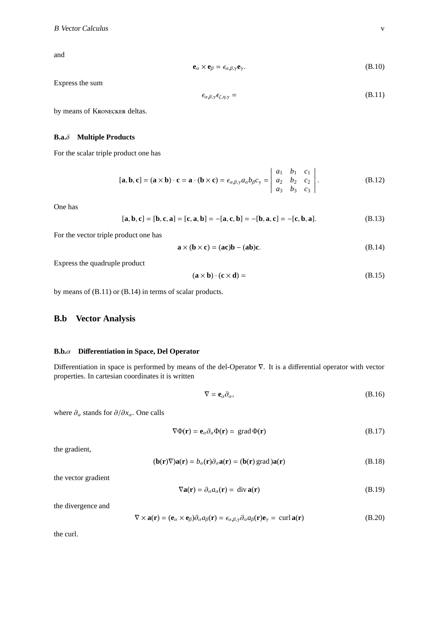and

$$
\mathbf{e}_{\alpha} \times \mathbf{e}_{\beta} = \epsilon_{\alpha,\beta,\gamma} \mathbf{e}_{\gamma}.
$$
 (B.10)

Express the sum

$$
\epsilon_{\alpha,\beta,\gamma}\epsilon_{\zeta,\eta,\gamma} = (B.11)
$$

by means of KRONECKER deltas.

# **B.a.**δ **Multiple Products**

For the scalar triple product one has

$$
[\mathbf{a}, \mathbf{b}, \mathbf{c}] = (\mathbf{a} \times \mathbf{b}) \cdot \mathbf{c} = \mathbf{a} \cdot (\mathbf{b} \times \mathbf{c}) = \epsilon_{\alpha, \beta, \gamma} a_{\alpha} b_{\beta} c_{\gamma} = \begin{vmatrix} a_1 & b_1 & c_1 \\ a_2 & b_2 & c_2 \\ a_3 & b_3 & c_3 \end{vmatrix}.
$$
 (B.12)

One has

$$
[a, b, c] = [b, c, a] = [c, a, b] = -[a, c, b] = -[b, a, c] = -[c, b, a].
$$
 (B.13)

For the vector triple product one has

$$
\mathbf{a} \times (\mathbf{b} \times \mathbf{c}) = (\mathbf{ac})\mathbf{b} - (\mathbf{ab})\mathbf{c}.
$$
 (B.14)

Express the quadruple product

$$
(\mathbf{a} \times \mathbf{b}) \cdot (\mathbf{c} \times \mathbf{d}) =
$$
 (B.15)

by means of (B.11) or (B.14) in terms of scalar products.

# **B.b Vector Analysis**

# **B.b.**α **Di**ff**erentiation in Space, Del Operator**

Differentiation in space is performed by means of the del-Operator ∇. It is a differential operator with vector properties. In cartesian coordinates it is written

$$
\nabla = \mathbf{e}_{\alpha} \partial_{\alpha}, \tag{B.16}
$$

where  $\partial_{\alpha}$  stands for  $\partial/\partial x_{\alpha}$ . One calls

$$
\nabla \Phi(\mathbf{r}) = \mathbf{e}_{\alpha} \partial_{\alpha} \Phi(\mathbf{r}) = \text{grad}\,\Phi(\mathbf{r})
$$
 (B.17)

the gradient,

$$
(\mathbf{b}(\mathbf{r})\nabla)\mathbf{a}(\mathbf{r}) = b_{\alpha}(\mathbf{r})\partial_{\alpha}\mathbf{a}(\mathbf{r}) = (\mathbf{b}(\mathbf{r})\operatorname{grad})\mathbf{a}(\mathbf{r})
$$
(B.18)

the vector gradient

$$
\nabla \mathbf{a}(\mathbf{r}) = \partial_{\alpha} a_{\alpha}(\mathbf{r}) = \text{div}\,\mathbf{a}(\mathbf{r})
$$
 (B.19)

the divergence and

$$
\nabla \times \mathbf{a}(\mathbf{r}) = (\mathbf{e}_{\alpha} \times \mathbf{e}_{\beta}) \partial_{\alpha} a_{\beta}(\mathbf{r}) = \epsilon_{\alpha, \beta, \gamma} \partial_{\alpha} a_{\beta}(\mathbf{r}) \mathbf{e}_{\gamma} = \text{curl } \mathbf{a}(\mathbf{r})
$$
(B.20)

the curl.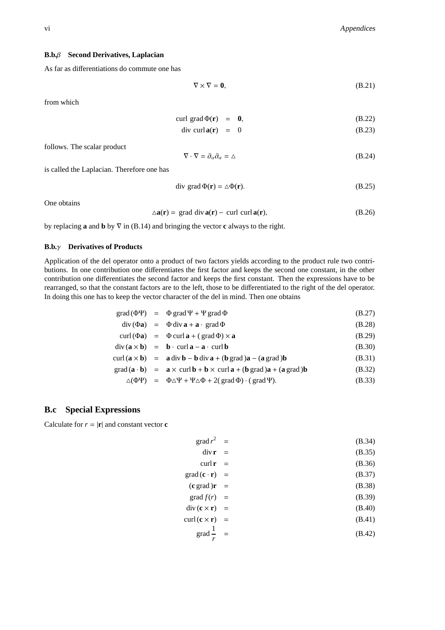#### **B.b.**β **Second Derivatives, Laplacian**

As far as differentiations do commute one has

$$
\nabla \times \nabla = \mathbf{0},\tag{B.21}
$$

from which

$$
\text{curl grad } \Phi(\mathbf{r}) = \mathbf{0}, \tag{B.22}
$$

$$
\text{div curl } \mathbf{a}(\mathbf{r}) = 0 \tag{B.23}
$$

follows. The scalar product

$$
\nabla \cdot \nabla = \partial_{\alpha} \partial_{\alpha} = \Delta \tag{B.24}
$$

is called the Laplacian. Therefore one has

$$
\text{div } \text{grad } \Phi(\mathbf{r}) = \Delta \Phi(\mathbf{r}).\tag{B.25}
$$

One obtains

$$
\Delta \mathbf{a}(\mathbf{r}) = \text{grad div } \mathbf{a}(\mathbf{r}) - \text{curl curl } \mathbf{a}(\mathbf{r}),
$$
 (B.26)

by replacing **a** and **b** by ∇ in (B.14) and bringing the vector **c** always to the right.

#### **B.b.**γ **Derivatives of Products**

Application of the del operator onto a product of two factors yields according to the product rule two contributions. In one contribution one differentiates the first factor and keeps the second one constant, in the other contribution one differentiates the second factor and keeps the first constant. Then the expressions have to be rearranged, so that the constant factors are to the left, those to be differentiated to the right of the del operator. In doing this one has to keep the vector character of the del in mind. Then one obtains

$$
grad (\Phi \Psi) = \Phi grad \Psi + \Psi grad \Phi
$$
 (B.27)  
\n
$$
div (\Phi \mathbf{a}) = \Phi div \mathbf{a} + \mathbf{a} \cdot grad \Phi
$$
 (B.28)  
\n
$$
curl (\Phi \mathbf{a}) = \Phi curl \mathbf{a} + (grad \Phi) \times \mathbf{a}
$$
 (B.29)  
\n
$$
div (\mathbf{a} \times \mathbf{b}) = \mathbf{b} \cdot curl \mathbf{a} - \mathbf{a} \cdot curl \mathbf{b}
$$
 (B.30)  
\n
$$
curl (\mathbf{a} \times \mathbf{b}) = \mathbf{a} div \mathbf{b} - \mathbf{b} div \mathbf{a} + (\mathbf{b} grad) \mathbf{a} - (\mathbf{a grad}) \mathbf{b}
$$
 (B.31)  
\n
$$
grad (\mathbf{a} \cdot \mathbf{b}) = \mathbf{a} \times curl \mathbf{b} + \mathbf{b} \times curl \mathbf{a} + (\mathbf{b grad}) \mathbf{a} + (\mathbf{a grad}) \mathbf{b}
$$
 (B.32)

$$
\Delta(\Phi\Psi) = \Phi \Delta\Psi + \Psi \Delta\Phi + 2(\text{grad}\,\Phi) \cdot (\text{grad}\,\Psi). \tag{B.33}
$$

# **B.c Special Expressions**

Calculate for  $r = |\mathbf{r}|$  and constant vector **c** 

| $\int \text{grad } r^2 =$                    | (B.34) |
|----------------------------------------------|--------|
| $div \mathbf{r}$ =                           | (B.35) |
| curl $\mathbf{r}$ =                          | (B.36) |
| $\text{grad}(\mathbf{c} \cdot \mathbf{r})$ = | (B.37) |
| $(c \text{ grad})\mathbf{r}$ =               | (B.38) |
| $\operatorname{grad} f(r) =$                 | (B.39) |
| $div(c \times r) =$                          | (B.40) |
| $curl(c \times r) =$                         | (B.41) |
| $\text{grad} \dot{=}$ =                      | (B.42) |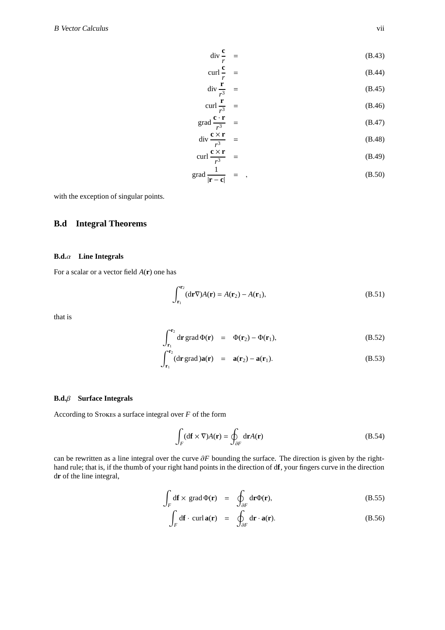$$
\operatorname{div} \frac{\mathbf{c}}{r} = (B.43)
$$

$$
\text{curl} \frac{\mathbf{c}}{r} =
$$
\n
$$
\text{div} \frac{\mathbf{r}}{r} =
$$
\n(B.44)\n  
\n(B.45)

$$
\text{curl} \frac{\mathbf{r}}{r^3} =
$$
\n
$$
\text{curl} \frac{\mathbf{r}}{r^3} =
$$
\n(B.46)\n  
\n
$$
\text{curl} \frac{\mathbf{r}}{r^3} =
$$
\n(B.47)

$$
\text{grad } \frac{c}{r^3} = \text{(B.47)}
$$
\n
$$
\text{div } \frac{c \times r}{r^3} = \text{(B.48)}
$$

$$
\operatorname{curl} \frac{\mathbf{c} \times \mathbf{r}}{r^3} = \tag{B.49}
$$

$$
\text{grad}\,\frac{1}{|\mathbf{r} - \mathbf{c}|} = ,\tag{B.50}
$$

with the exception of singular points.

# **B.d Integral Theorems**

#### **B.d.**α **Line Integrals**

For a scalar or a vector field *A*(**r**) one has

$$
\int_{\mathbf{r}_1}^{\mathbf{r}_2} (\mathrm{d}\mathbf{r} \nabla) A(\mathbf{r}) = A(\mathbf{r}_2) - A(\mathbf{r}_1),\tag{B.51}
$$

that is

$$
\int_{\mathbf{r}_1}^{\mathbf{r}_2} d\mathbf{r} \operatorname{grad} \Phi(\mathbf{r}) = \Phi(\mathbf{r}_2) - \Phi(\mathbf{r}_1), \tag{B.52}
$$

$$
\int_{\mathbf{r}_1}^{\mathbf{r}_2} (\mathbf{dr} \, \text{grad}) \mathbf{a}(\mathbf{r}) = \mathbf{a}(\mathbf{r}_2) - \mathbf{a}(\mathbf{r}_1). \tag{B.53}
$$

#### **B.d.**β **Surface Integrals**

According to STOKES a surface integral over  $F$  of the form

$$
\int_{F} (\mathrm{d}\mathbf{f} \times \nabla) A(\mathbf{r}) = \oint_{\partial F} \mathrm{d}\mathbf{r} A(\mathbf{r})
$$
\n(B.54)

can be rewritten as a line integral over the curve ∂*F* bounding the surface. The direction is given by the righthand rule; that is, if the thumb of your right hand points in the direction of d**f**, your fingers curve in the direction d**r** of the line integral,

$$
\int_{F} \mathrm{d} \mathbf{f} \times \mathrm{grad} \, \Phi(\mathbf{r}) = \oint_{\partial F} \mathrm{d} \mathbf{r} \Phi(\mathbf{r}), \tag{B.55}
$$

$$
\int_{F} \mathbf{d} \mathbf{f} \cdot \mathbf{curl} \, \mathbf{a}(\mathbf{r}) = \oint_{\partial F} \mathbf{d} \mathbf{r} \cdot \mathbf{a}(\mathbf{r}). \tag{B.56}
$$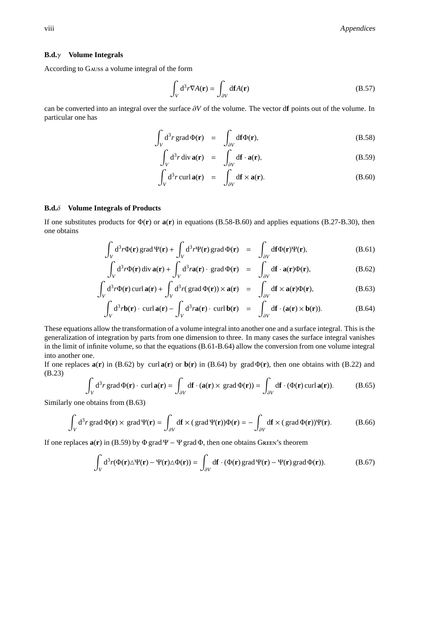#### **B.d.**γ **Volume Integrals**

According to Gauss a volume integral of the form

$$
\int_{V} d^{3}r \nabla A(\mathbf{r}) = \int_{\partial V} d\mathbf{f} A(\mathbf{r})
$$
\n(B.57)

can be converted into an integral over the surface ∂*V* of the volume. The vector d**f** points out of the volume. In particular one has

$$
\int_{V} d^{3}r \operatorname{grad} \Phi(\mathbf{r}) = \int_{\partial V} d\mathbf{f} \Phi(\mathbf{r}), \tag{B.58}
$$

$$
\int_{V} d^{3}r \operatorname{div} \mathbf{a}(\mathbf{r}) = \int_{\partial V} d\mathbf{f} \cdot \mathbf{a}(\mathbf{r}),
$$
\n(B.59)

$$
\int_{V} d^{3}r \operatorname{curl} \mathbf{a}(\mathbf{r}) = \int_{\partial V} d\mathbf{f} \times \mathbf{a}(\mathbf{r}).
$$
\n(B.60)

#### **B.d.**δ **Volume Integrals of Products**

If one substitutes products for  $\Phi(\mathbf{r})$  or  $\mathbf{a}(\mathbf{r})$  in equations (B.58-B.60) and applies equations (B.27-B.30), then one obtains

$$
\int_{V} d^{3}r \Phi(\mathbf{r}) \operatorname{grad} \Psi(\mathbf{r}) + \int_{V} d^{3}r \Psi(\mathbf{r}) \operatorname{grad} \Phi(\mathbf{r}) = \int_{\partial V} d\mathbf{f} \Phi(\mathbf{r}) \Psi(\mathbf{r}),
$$
\n(B.61)

$$
\int_{V} d^{3}r \Phi(\mathbf{r}) \operatorname{div} \mathbf{a}(\mathbf{r}) + \int_{V} d^{3}r \mathbf{a}(\mathbf{r}) \cdot \operatorname{grad} \Phi(\mathbf{r}) = \int_{\partial V} d\mathbf{f} \cdot \mathbf{a}(\mathbf{r}) \Phi(\mathbf{r}),
$$
\n(B.62)

$$
\int_{V} d^{3}r \Phi(\mathbf{r}) \operatorname{curl} \mathbf{a}(\mathbf{r}) + \int_{V} d^{3}r (\operatorname{grad} \Phi(\mathbf{r})) \times \mathbf{a}(\mathbf{r}) = \int_{\partial V} d\mathbf{f} \times \mathbf{a}(\mathbf{r}) \Phi(\mathbf{r}),
$$
\n(B.63)

$$
\int_{V} d^{3}r \mathbf{b}(\mathbf{r}) \cdot \operatorname{curl} \mathbf{a}(\mathbf{r}) - \int_{V} d^{3}r \mathbf{a}(\mathbf{r}) \cdot \operatorname{curl} \mathbf{b}(\mathbf{r}) = \int_{\partial V} d\mathbf{f} \cdot (\mathbf{a}(\mathbf{r}) \times \mathbf{b}(\mathbf{r})).
$$
\n(B.64)

These equations allow the transformation of a volume integral into another one and a surface integral. This is the generalization of integration by parts from one dimension to three. In many cases the surface integral vanishes in the limit of infinite volume, so that the equations (B.61-B.64) allow the conversion from one volume integral into another one.

If one replaces  $\mathbf{a}(\mathbf{r})$  in (B.62) by curl  $\mathbf{a}(\mathbf{r})$  or  $\mathbf{b}(\mathbf{r})$  in (B.64) by grad  $\Phi(\mathbf{r})$ , then one obtains with (B.22) and (B.23)

$$
\int_{V} d^{3}r \operatorname{grad} \Phi(\mathbf{r}) \cdot \operatorname{curl} \mathbf{a}(\mathbf{r}) = \int_{\partial V} d\mathbf{f} \cdot (\mathbf{a}(\mathbf{r}) \times \operatorname{grad} \Phi(\mathbf{r})) = \int_{\partial V} d\mathbf{f} \cdot (\Phi(\mathbf{r}) \operatorname{curl} \mathbf{a}(\mathbf{r})). \tag{B.65}
$$

Similarly one obtains from (B.63)

$$
\int_{V} d^{3}r \operatorname{grad} \Phi(\mathbf{r}) \times \operatorname{grad} \Psi(\mathbf{r}) = \int_{\partial V} d\mathbf{f} \times (\operatorname{grad} \Psi(\mathbf{r})) \Phi(\mathbf{r}) = -\int_{\partial V} d\mathbf{f} \times (\operatorname{grad} \Phi(\mathbf{r})) \Psi(\mathbf{r}).
$$
 (B.66)

If one replaces  $a(r)$  in (B.59) by  $\Phi$  grad  $\Psi - \Psi$  grad  $\Phi$ , then one obtains GREEN's theorem

$$
\int_{V} d^{3}r(\Phi(\mathbf{r}) \triangle \Psi(\mathbf{r}) - \Psi(\mathbf{r}) \triangle \Phi(\mathbf{r})) = \int_{\partial V} d\mathbf{f} \cdot (\Phi(\mathbf{r}) \operatorname{grad} \Psi(\mathbf{r}) - \Psi(\mathbf{r}) \operatorname{grad} \Phi(\mathbf{r})).
$$
\n(B.67)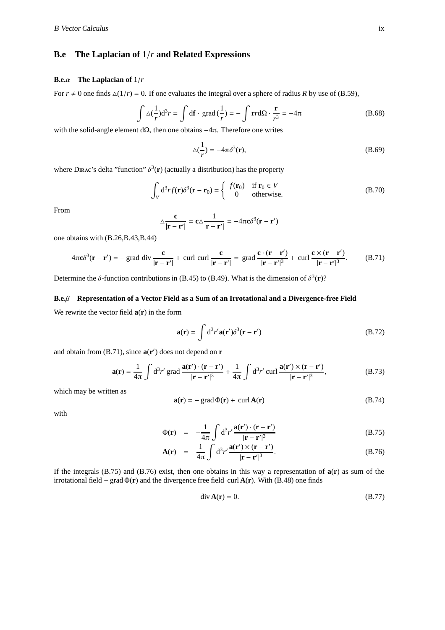# **B.e The Laplacian of** 1/*r* **and Related Expressions**

#### **B.e.** $\alpha$  **The Laplacian of**  $1/r$

For  $r \neq 0$  one finds  $\Delta(1/r) = 0$ . If one evaluates the integral over a sphere of radius *R* by use of (B.59),

$$
\int \Delta(\frac{1}{r})d^3r = \int df \cdot \text{grad}(\frac{1}{r}) = -\int \text{rrd}\Omega \cdot \frac{\mathbf{r}}{r^3} = -4\pi
$$
 (B.68)

with the solid-angle element d $\Omega$ , then one obtains  $-4\pi$ . Therefore one writes

$$
\Delta(\frac{1}{r}) = -4\pi\delta^3(\mathbf{r}),\tag{B.69}
$$

where D<sub>IRAC</sub>'s delta "function"  $\delta^3(\mathbf{r})$  (actually a distribution) has the property

$$
\int_{V} d^{3}rf(\mathbf{r})\delta^{3}(\mathbf{r}-\mathbf{r}_{0}) = \begin{cases} f(\mathbf{r}_{0}) & \text{if } \mathbf{r}_{0} \in V \\ 0 & \text{otherwise.} \end{cases}
$$
(B.70)

From

$$
\Delta \frac{\mathbf{c}}{|\mathbf{r} - \mathbf{r}'|} = \mathbf{c} \Delta \frac{1}{|\mathbf{r} - \mathbf{r}'|} = -4\pi \mathbf{c} \delta^3 (\mathbf{r} - \mathbf{r}')
$$

one obtains with (B.26,B.43,B.44)

$$
4\pi \mathbf{c}\delta^3(\mathbf{r}-\mathbf{r}') = -\operatorname{grad} \operatorname{div} \frac{\mathbf{c}}{|\mathbf{r}-\mathbf{r}'|} + \operatorname{curl} \operatorname{curl} \frac{\mathbf{c}}{|\mathbf{r}-\mathbf{r}'|} = \operatorname{grad} \frac{\mathbf{c} \cdot (\mathbf{r}-\mathbf{r}')}{|\mathbf{r}-\mathbf{r}'|^3} + \operatorname{curl} \frac{\mathbf{c} \times (\mathbf{r}-\mathbf{r}')}{|\mathbf{r}-\mathbf{r}'|^3}.
$$
 (B.71)

Determine the  $\delta$ -function contributions in (B.45) to (B.49). What is the dimension of  $\delta^3(\mathbf{r})$ ?

#### **B.e.**β **Representation of a Vector Field as a Sum of an Irrotational and a Divergence-free Field**

We rewrite the vector field **a**(**r**) in the form

$$
\mathbf{a}(\mathbf{r}) = \int d^3 r' \mathbf{a}(\mathbf{r}') \delta^3(\mathbf{r} - \mathbf{r}') \tag{B.72}
$$

and obtain from (B.71), since  $a(r')$  does not depend on **r** 

$$
\mathbf{a}(\mathbf{r}) = \frac{1}{4\pi} \int d^3 r' \operatorname{grad} \frac{\mathbf{a}(\mathbf{r}') \cdot (\mathbf{r} - \mathbf{r}')}{|\mathbf{r} - \mathbf{r}'|^3} + \frac{1}{4\pi} \int d^3 r' \operatorname{curl} \frac{\mathbf{a}(\mathbf{r}') \times (\mathbf{r} - \mathbf{r}')}{|\mathbf{r} - \mathbf{r}'|^3},
$$
(B.73)

which may be written as

$$
\mathbf{a}(\mathbf{r}) = -\operatorname{grad} \Phi(\mathbf{r}) + \operatorname{curl} \mathbf{A}(\mathbf{r})
$$
 (B.74)

with

$$
\Phi(\mathbf{r}) = -\frac{1}{4\pi} \int d^3 r' \frac{\mathbf{a}(\mathbf{r}') \cdot (\mathbf{r} - \mathbf{r}')}{|\mathbf{r} - \mathbf{r}'|^3}
$$
(B.75)

$$
\mathbf{A}(\mathbf{r}) = \frac{1}{4\pi} \int d^3 r' \frac{\mathbf{a}(\mathbf{r}') \times (\mathbf{r} - \mathbf{r}')}{|\mathbf{r} - \mathbf{r}'|^3}.
$$
 (B.76)

If the integrals (B.75) and (B.76) exist, then one obtains in this way a representation of **a**(**r**) as sum of the irrotational field – grad  $\Phi(\mathbf{r})$  and the divergence free field curl  $\mathbf{A}(\mathbf{r})$ . With (B.48) one finds

$$
\operatorname{div} \mathbf{A}(\mathbf{r}) = 0. \tag{B.77}
$$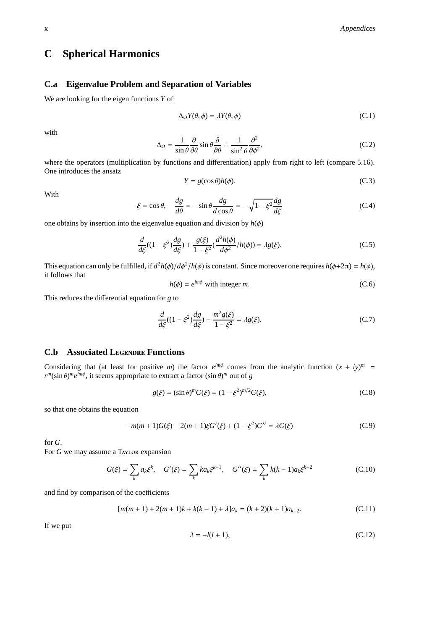# **C Spherical Harmonics**

# **C.a Eigenvalue Problem and Separation of Variables**

We are looking for the eigen functions *Y* of

$$
\Delta_{\Omega} Y(\theta, \phi) = \lambda Y(\theta, \phi) \tag{C.1}
$$

with

$$
\Delta_{\Omega} = \frac{1}{\sin \theta} \frac{\partial}{\partial \theta} \sin \theta \frac{\partial}{\partial \theta} + \frac{1}{\sin^2 \theta} \frac{\partial^2}{\partial \phi^2},
$$
 (C.2)

where the operators (multiplication by functions and differentiation) apply from right to left (compare 5.16). One introduces the ansatz

$$
Y = g(\cos \theta)h(\phi). \tag{C.3}
$$

With

$$
\xi = \cos \theta, \quad \frac{dg}{d\theta} = -\sin \theta \frac{dg}{d\cos \theta} = -\sqrt{1 - \xi^2} \frac{dg}{d\xi}
$$
(C.4)

one obtains by insertion into the eigenvalue equation and division by  $h(\phi)$ 

$$
\frac{d}{d\xi}((1-\xi^2)\frac{dg}{d\xi}) + \frac{g(\xi)}{1-\xi^2}(\frac{d^2h(\phi)}{d\phi^2}/h(\phi)) = \lambda g(\xi). \tag{C.5}
$$

This equation can only be fulfilled, if  $d^2h(\phi)/d\phi^2/h(\phi)$  is constant. Since moreover one requires  $h(\phi+2\pi) = h(\phi)$ , it follows that

$$
h(\phi) = e^{im\phi} \text{ with integer } m. \tag{C.6}
$$

This reduces the differential equation for *g* to

$$
\frac{d}{d\xi}((1-\xi^2)\frac{dg}{d\xi}) - \frac{m^2g(\xi)}{1-\xi^2} = \lambda g(\xi). \tag{C.7}
$$

### **C.b** Associated LEGENDRE Functions

Considering that (at least for positive *m*) the factor  $e^{im\phi}$  comes from the analytic function  $(x + iy)^m$  =  $r^m(\sin\theta)^m e^{im\phi}$ , it seems appropriate to extract a factor  $(\sin\theta)^m$  out of *g* 

$$
g(\xi) = (\sin \theta)^m G(\xi) = (1 - \xi^2)^{m/2} G(\xi),
$$
 (C.8)

so that one obtains the equation

$$
-m(m+1)G(\xi) - 2(m+1)\xi G'(\xi) + (1 - \xi^2)G'' = \lambda G(\xi)
$$
 (C.9)

for *G*.

For *G* we may assume a TAYLOR expansion

$$
G(\xi) = \sum_{k} a_{k} \xi^{k}, \quad G'(\xi) = \sum_{k} k a_{k} \xi^{k-1}, \quad G''(\xi) = \sum_{k} k(k-1) a_{k} \xi^{k-2}
$$
 (C.10)

and find by comparison of the coefficients

$$
[m(m+1) + 2(m+1)k + k(k-1) + \lambda]a_k = (k+2)(k+1)a_{k+2}.
$$
 (C.11)

If we put

$$
\lambda = -l(l+1),\tag{C.12}
$$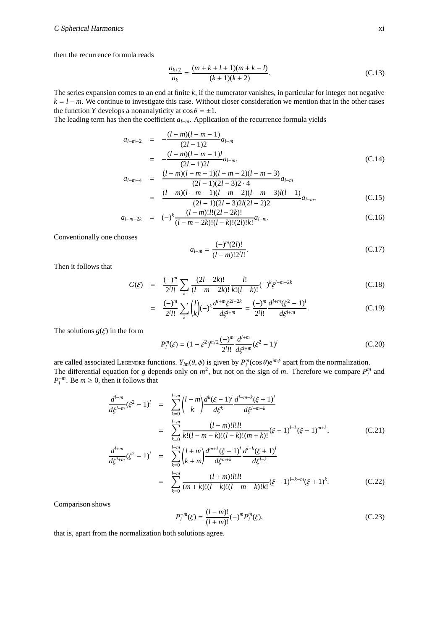then the recurrence formula reads

$$
\frac{a_{k+2}}{a_k} = \frac{(m+k+l+1)(m+k-l)}{(k+1)(k+2)}.
$$
\n(C.13)

The series expansion comes to an end at finite *k*, if the numerator vanishes, in particular for integer not negative *k* = *l* − *m*. We continue to investigate this case. Without closer consideration we mention that in the other cases the function *Y* develops a nonanalyticity at  $\cos \theta = \pm 1$ .

The leading term has then the coefficient *al*−*m*. Application of the recurrence formula yields

$$
a_{l-m-2} = -\frac{(l-m)(l-m-1)}{(2l-1)2} a_{l-m}
$$
  
= 
$$
-\frac{(l-m)(l-m-1)l}{(2l-1)2l} a_{l-m},
$$
 (C.14)

$$
a_{l-m-4} = \frac{(l-m)(l-m-1)(l-m-2)(l-m-3)}{(2l-1)(2l-3)2 \cdot 4} a_{l-m}
$$
  
= 
$$
\frac{(l-m)(l-m-1)(l-m-2)(l-m-3)l(l-1)}{(2l-1)(2l-3)2l(2l-2)2} a_{l-m},
$$
 (C.15)

$$
(2l-1)(2l-3)2l(2l-2)2
$$
\n
$$
a_{l-m-2k} = (-)^{k} \frac{(l-m)!l!(2l-2k)!}{(l-m-2k)!(l-k)!(2l)!k!} a_{l-m}.
$$
\n(C.16)

Conventionally one chooses

$$
a_{l-m} = \frac{(-)^m (2l)!}{(l-m)! 2^l l!}.
$$
\n(C.17)

Then it follows that

$$
G(\xi) = \frac{(-)^m}{2^l l!} \sum_{k} \frac{(2l - 2k)!}{(l - m - 2k)!} \frac{l!}{k!(l - k)!} (-)^k \xi^{l - m - 2k}
$$
 (C.18)

$$
= \frac{(-)^m}{2^l l!} \sum_{k} {l \choose k} (-)^k \frac{d^{l+m} \xi^{2l-2k}}{d \xi^{l+m}} = \frac{(-)^m}{2^l l!} \frac{d^{l+m} (\xi^2 - 1)^l}{d \xi^{l+m}}.
$$
 (C.19)

The solutions  $g(\xi)$  in the form

$$
P_l^m(\xi) = (1 - \xi^2)^{m/2} \frac{(-)^m}{2^l l!} \frac{d^{l+m}}{d\xi^{l+m}} (\xi^2 - 1)^l
$$
 (C.20)

are called associated LEGENDRE functions.  $Y_{lm}(\theta, \phi)$  is given by  $P_l^m(\cos \theta)e^{im\phi}$  apart from the normalization. The differential equation for *g* depends only on  $m^2$ , but not on the sign of *m*. Therefore we compare  $P_l^m$  and  $P_l^{-m}$ . Be  $m \ge 0$ , then it follows that

$$
\frac{d^{l-m}}{d\xi^{l-m}}(\xi^2 - 1)^l = \sum_{k=0}^{l-m} {l-m \choose k} \frac{d^k(\xi - 1)^l}{d\xi^k} \frac{d^{l-m-k}(\xi + 1)^l}{d\xi^{l-m-k}}
$$

$$
= \sum_{k=0}^{l-m} \frac{(l-m)!l!l!}{k!(l-m-k)!(l-k)!(m+k)!} (\xi - 1)^{l-k} (\xi + 1)^{m+k}, \qquad (C.21)
$$

$$
\frac{d^{l+m}}{d\xi^{l+m}}(\xi^2 - 1)^l = \sum_{k=0}^{l-m} {l+m \choose k+m} \frac{d^{m+k}(\xi - 1)^l}{d\xi^{m+k}} \frac{d^{l-k}(\xi + 1)^l}{d\xi^{l-k}}
$$

$$
= \sum_{k=0}^{l-m} \frac{(l+m)!l!l!}{(m+k)!(l-k)!(l-m-k)!k!} (\xi - 1)^{l-k-m}(\xi + 1)^k. \tag{C.22}
$$

Comparison shows

$$
P_l^{-m}(\xi) = \frac{(l-m)!}{(l+m)!}(-)^m P_l^m(\xi),\tag{C.23}
$$

that is, apart from the normalization both solutions agree.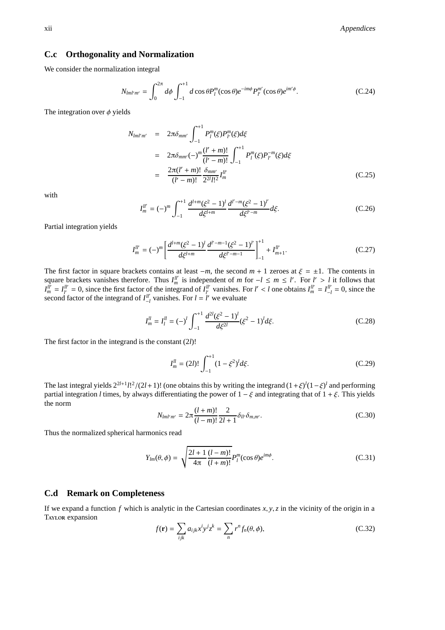#### **C.c Orthogonality and Normalization**

We consider the normalization integral

$$
N_{lml'm'} = \int_0^{2\pi} d\phi \int_{-1}^{+1} d\cos\theta P_l^m(\cos\theta) e^{-im\phi} P_l^{m'}(\cos\theta) e^{im'\phi}.
$$
 (C.24)

The integration over  $\phi$  yields

$$
N_{lml'm'} = 2\pi \delta_{mm'} \int_{-1}^{+1} P_l^m(\xi) P_{l'}^m(\xi) d\xi
$$
  
\n
$$
= 2\pi \delta_{mm'}(-)^m \frac{(l' + m)!}{(l' - m)!} \int_{-1}^{+1} P_l^m(\xi) P_{l'}^{-m}(\xi) d\xi
$$
  
\n
$$
= \frac{2\pi (l' + m)!}{(l' - m)!} \frac{\delta_{mm'}}{2^{2l}l!^2} I_m^{ll'} \qquad (C.25)
$$

with

$$
I_m^{ll'} = (-)^m \int_{-1}^{+1} \frac{d^{l+m}(\xi^2 - 1)^l}{d\xi^{l+m}} \frac{d^{l'-m}(\xi^2 - 1)^l}{d\xi^{l'-m}} d\xi.
$$
 (C.26)

Partial integration yields

$$
I_m^{ll'} = (-)^m \left[ \frac{d^{l+m}(\xi^2 - 1)^l}{d\xi^{l+m}} \frac{d^{l'-m-1}(\xi^2 - 1)^{l'}}{d\xi^{l'-m-1}} \right]_{-1}^{+1} + I_{m+1}^{ll'}.
$$
 (C.27)

The first factor in square brackets contains at least  $-m$ , the second  $m + 1$  zeroes at  $\xi = \pm 1$ . The contents in square brackets vanishes therefore. Thus  $I_m^{ll'}$  is independent of *m* for  $-l \le m \le l'$ . For  $l' > l$  it follows that  $I_m^{ll'} = I_{l'}^{ll'} = 0$ , since the first factor of the integrand of  $I_{l'}^{ll'}$  vanishes. For  $l' < l$  one obtains  $I_m^{ll'} = I_{-l}^{ll'} = 0$ , since the second factor of the integrand of  $I_{-l}^{ll'}$  vanishes. For  $l = l'$  we evaluate

$$
I_m^{\parallel} = I_l^{\parallel} = (-)^l \int_{-1}^{+1} \frac{d^{2l}(\xi^2 - 1)^l}{d\xi^{2l}} (\xi^2 - 1)^l d\xi.
$$
 (C.28)

The first factor in the integrand is the constant (2*l*)!

$$
I_m^l = (2l)! \int_{-1}^{+1} (1 - \xi^2)^l d\xi.
$$
 (C.29)

The last integral yields  $2^{2l+1}l!^2/(2l+1)!$  (one obtains this by writing the integrand  $(1+\xi)^l(1-\xi)^l$  and performing partial integration *l* times, by always differentiating the power of  $1 - \xi$  and integrating that of  $1 + \xi$ . This yields the norm

$$
N_{lml'm'} = 2\pi \frac{(l+m)!}{(l-m)!} \frac{2}{2l+1} \delta_{ll'} \delta_{m,m'}.
$$
 (C.30)

Thus the normalized spherical harmonics read

$$
Y_{lm}(\theta,\phi) = \sqrt{\frac{2l+1}{4\pi} \frac{(l-m)!}{(l+m)!}} P_l^m(\cos\theta) e^{im\phi}.
$$
 (C.31)

#### **C.d Remark on Completeness**

If we expand a function  $f$  which is analytic in the Cartesian coordinates  $x, y, z$  in the vicinity of the origin in a TAYLOR expansion

$$
f(\mathbf{r}) = \sum_{ijk} a_{ijk} x^i y^j z^k = \sum_n r^n f_n(\theta, \phi), \qquad (C.32)
$$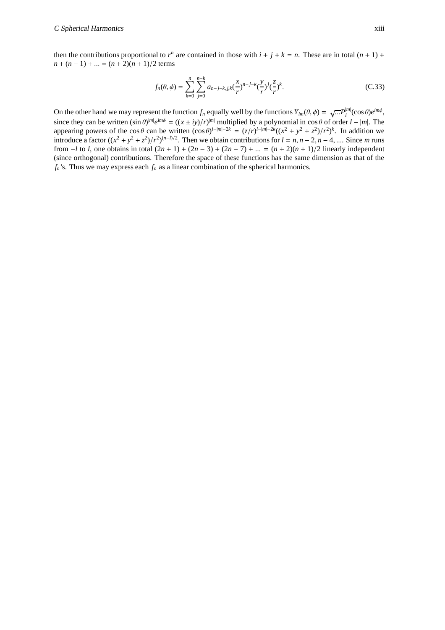then the contributions proportional to  $r^n$  are contained in those with  $i + j + k = n$ . These are in total  $(n + 1) +$  $n + (n - 1) + ... = (n + 2)(n + 1)/2$  terms

$$
f_n(\theta,\phi) = \sum_{k=0}^n \sum_{j=0}^{n-k} a_{n-j-k,j,k} (\frac{x}{r})^{n-j-k} (\frac{y}{r})^j (\frac{z}{r})^k.
$$
 (C.33)

On the other hand we may represent the function  $f_n$  equally well by the functions  $Y_{lm}(\theta, \phi) = \sqrt{\ldots} P_l^{|m|}(\cos \theta) e^{im\phi}$ , since they can be written  $(\sin \theta)^{|m|} e^{im\phi} = ((x \pm iy)/r)^{|m|}$  multiplied by a polynomial in  $\cos \theta$  of order  $l - |m|$ . The appearing powers of the cos  $\theta$  can be written  $(\cos \theta)^{l-|m|-2k} = (z/r)^{l-|m|-2k}((x^2 + y^2 + z^2)/r^2)^k$ . In addition we introduce a factor  $((x^2 + y^2 + z^2)/r^2)^{(n-l)/2}$ . Then we obtain contributions for  $l = n, n - 2, n - 4, ...$  Since *m* runs from  $-l$  to *l*, one obtains in total  $(2n + 1) + (2n - 3) + (2n - 7) + ... = (n + 2)(n + 1)/2$  linearly independent (since orthogonal) contributions. Therefore the space of these functions has the same dimension as that of the *fn*'s. Thus we may express each *f<sup>n</sup>* as a linear combination of the spherical harmonics.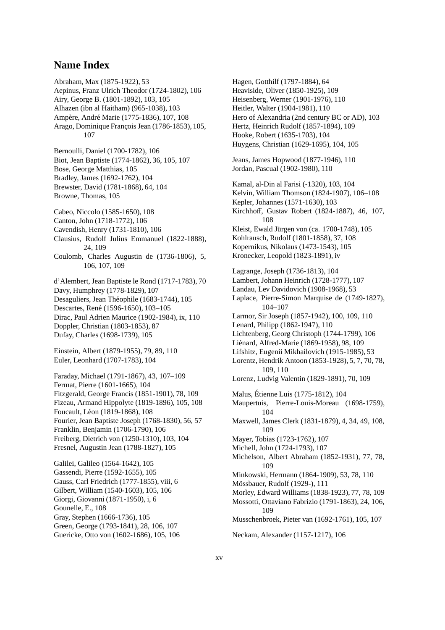# **Name Index**

Abraham, Max (1875-1922), 53 Aepinus, Franz Ulrich Theodor (1724-1802), 106 Airy, George B. (1801-1892), 103, 105 Alhazen (ibn al Haitham) (965-1038), 103 Ampère, André Marie (1775-1836), 107, 108 Arago, Dominique François Jean (1786-1853), 105, 107 Bernoulli, Daniel (1700-1782), 106 Biot, Jean Baptiste (1774-1862), 36, 105, 107 Bose, George Matthias, 105 Bradley, James (1692-1762), 104 Brewster, David (1781-1868), 64, 104 Browne, Thomas, 105 Cabeo, Niccolo (1585-1650), 108 Canton, John (1718-1772), 106 Cavendish, Henry (1731-1810), 106 Clausius, Rudolf Julius Emmanuel (1822-1888), 24, 109 Coulomb, Charles Augustin de (1736-1806), 5, 106, 107, 109 d'Alembert, Jean Baptiste le Rond (1717-1783), 70 Davy, Humphrey (1778-1829), 107 Desaguliers, Jean Théophile (1683-1744), 105 Descartes, René (1596-1650), 103-105 Dirac, Paul Adrien Maurice (1902-1984), ix, 110 Doppler, Christian (1803-1853), 87 Dufay, Charles (1698-1739), 105 Einstein, Albert (1879-1955), 79, 89, 110 Euler, Leonhard (1707-1783), 104 Faraday, Michael (1791-1867), 43, 107–109 Fermat, Pierre (1601-1665), 104 Fitzgerald, George Francis (1851-1901), 78, 109 Fizeau, Armand Hippolyte (1819-1896), 105, 108 Foucault, Léon (1819-1868), 108 Fourier, Jean Baptiste Joseph (1768-1830), 56, 57 Franklin, Benjamin (1706-1790), 106 Freiberg, Dietrich von (1250-1310), 103, 104 Fresnel, Augustin Jean (1788-1827), 105 Galilei, Galileo (1564-1642), 105 Gassendi, Pierre (1592-1655), 105 Gauss, Carl Friedrich (1777-1855), viii, 6 Gilbert, William (1540-1603), 105, 106 Giorgi, Giovanni (1871-1950), i, 6 Gounelle, E., 108 Gray, Stephen (1666-1736), 105 Green, George (1793-1841), 28, 106, 107 Guericke, Otto von (1602-1686), 105, 106

Hagen, Gotthilf (1797-1884), 64 Heaviside, Oliver (1850-1925), 109 Heisenberg, Werner (1901-1976), 110 Heitler, Walter (1904-1981), 110 Hero of Alexandria (2nd century BC or AD), 103 Hertz, Heinrich Rudolf (1857-1894), 109 Hooke, Robert (1635-1703), 104 Huygens, Christian (1629-1695), 104, 105 Jeans, James Hopwood (1877-1946), 110 Jordan, Pascual (1902-1980), 110 Kamal, al-Din al Farisi (-1320), 103, 104 Kelvin, William Thomson (1824-1907), 106–108 Kepler, Johannes (1571-1630), 103 Kirchhoff, Gustav Robert (1824-1887), 46, 107, 108 Kleist, Ewald Jürgen von (ca. 1700-1748), 105 Kohlrausch, Rudolf (1801-1858), 37, 108 Kopernikus, Nikolaus (1473-1543), 105 Kronecker, Leopold (1823-1891), iv Lagrange, Joseph (1736-1813), 104 Lambert, Johann Heinrich (1728-1777), 107 Landau, Lev Davidovich (1908-1968), 53 Laplace, Pierre-Simon Marquise de (1749-1827), 104–107 Larmor, Sir Joseph (1857-1942), 100, 109, 110 Lenard, Philipp (1862-1947), 110 Lichtenberg, Georg Christoph (1744-1799), 106 Liénard, Alfred-Marie (1869-1958), 98, 109 Lifshitz, Eugenii Mikhailovich (1915-1985), 53 Lorentz, Hendrik Antoon (1853-1928), 5, 7, 70, 78, 109, 110 Lorenz, Ludvig Valentin (1829-1891), 70, 109 Malus, Étienne Luis (1775-1812), 104 Maupertuis, Pierre-Louis-Moreau (1698-1759), 104 Maxwell, James Clerk (1831-1879), 4, 34, 49, 108, 109 Mayer, Tobias (1723-1762), 107 Michell, John (1724-1793), 107 Michelson, Albert Abraham (1852-1931), 77, 78, 109 Minkowski, Hermann (1864-1909), 53, 78, 110 Mössbauer, Rudolf (1929-), 111 Morley, Edward Williams (1838-1923), 77, 78, 109 Mossotti, Ottaviano Fabrizio (1791-1863), 24, 106, 109 Musschenbroek, Pieter van (1692-1761), 105, 107 Neckam, Alexander (1157-1217), 106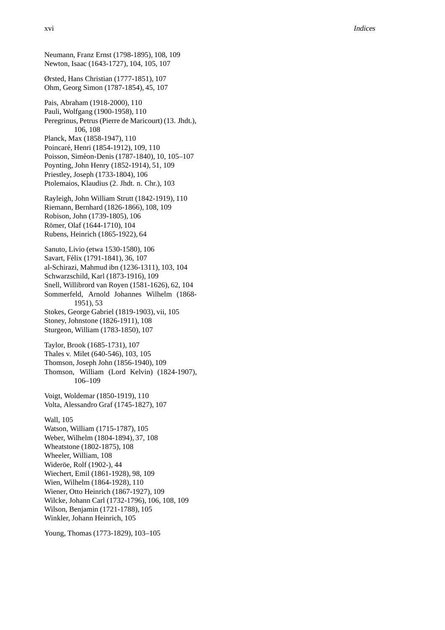Neumann, Franz Ernst (1798-1895), 108, 109 Newton, Isaac (1643-1727), 104, 105, 107 Ørsted, Hans Christian (1777-1851), 107 Ohm, Geor g Simon (1787-1854), 45, 107 Pais, Abraham (1918-2000), 110 Pauli, Wolfgang (1900-1958), 110 Peregrinus, Petrus (Pierre de Maricourt) (13. Jhdt.), 106, 108 Planck, Max (1858-1947), 110 Poincaré, Henri (1854-1912), 109, 110 Poisson, Siméon-Denis (1787-1840), 10, 105-107 Poynting, John Henry (1852-1914), 51, 109 Priestle y , Joseph (1733-1804), 106 Ptolemaios, Klaudius (2. Jhdt. n. Chr.), 103 Rayleigh, John William Strutt (1842-1919), 110 Riemann, Bernhard (1826-1866), 108, 109 Robison, John (1739-1805), 106 Römer, Olaf (1644-1710), 104 Rubens, Heinrich (1865-1922), 64 Sanuto, Livio (etw a 1530-1580), 106 Savart, Félix (1791-1841), 36, 107 al-Schirazi, Mahmud ibn (1236-1311), 103, 104 Schwarzschild, Karl (1873-1916), 109 Snell, Willibrord van Royen (1581-1626), 62, 104 Sommerfeld, Arnold Johannes Wilhelm (1868- 1951), 53 Stokes, George Gabriel (1819-1903), vii, 105 Stoney, Johnstone (1826-1911), 108 Sturgeon, William (1783-1850), 107 Taylor , Brook (1685-1731), 107 Thales v . Milet (640-546), 103, 105 Thomson, Joseph John (1856-1940), 109 Thomson, William (Lord Kelvin) (1824-1907), 106–109 Voigt, Woldemar (1850-1919), 110 Volta, Alessandro Graf (1745-1827), 107 Wall, 105 Watson, William (1715-1787), 105 Weber, Wilhelm (1804-1894), 37, 108 Wheatstone (1802-1875), 108 Wheeler , William, 108 Wideröe, Rolf (1902-), 44 Wiechert, Emil (1861-1928), 98, 109 Wien, Wilhelm (1864-1928), 110 Wiener, Otto Heinrich (1867-1927), 109 Wilcke, Johann Carl (1732-1796), 106, 108, 109 Wilson, Benjamin (1721-1788), 105 Winkler, Johann Heinrich, 105 Young, Thomas (1773-1829), 103–105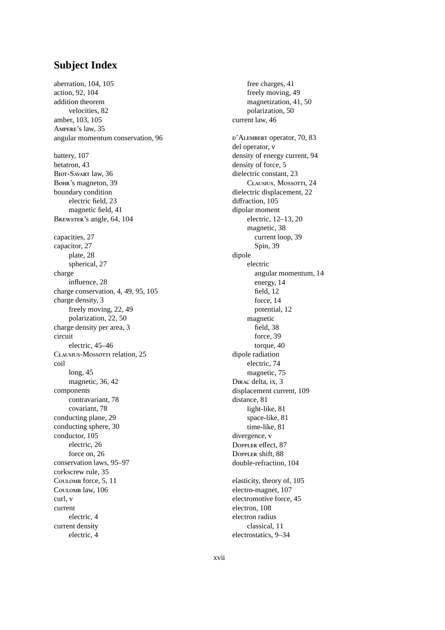# **Subject Index**

aberration, 104, 105 action, 92, 104 addition theorem velocities, 82 amber, 103, 105 AMPERE's law, 35 angular momentum conservation, 96 battery, 107 betatron, 43 BIOT-SAVART law, 36 BOHR's magneton, 39 boundary condition electric field, 23 magnetic field, 41 BREWSTER's angle, 64, 104 capacities, 27 capacitor, 27 plate, 28 spherical, 27 charge influence, 28 charge conservation, 4, 49, 95, 105 charge density, 3 freely moving, 22, 49 polarization, 22, 50 charge density per area, 3 circuit electric, 45–46 CLAUSIUS-MOSSOTTI relation, 25 coil long, 45 magnetic, 36, 42 components contravariant, 78 covariant, 78 conducting plane, 29 conducting sphere, 30 conductor, 105 electric, 26 force on, 26 conservation laws, 95–97 corkscrew rule, 35 COULOMB force, 5, 11 COULOMB law, 106 curl, v current electric, 4 current density electric, 4

free charges, 41 freely moving, 49 magnetization, 41, 50 polarization, 50 current law, 46 D'ALEMBERT operator, 70, 83 del operator, v density of energy current, 94 density of force, 5 dielectric constant, 23 CLAUSIUS, MOSSOTTI, 24 dielectric displacement, 22 diffraction, 105 dipolar moment electric, 12–13, 20 magnetic, 38 current loop, 39 Spin, 39 dipole electric angular momentum, 14 energy, 14 field, 12 force, 14 potential, 12 magnetic field, 38 force, 39 torque, 40 dipole radiation electric, 74 magnetic, 75 DIRAC delta, ix, 3 displacement current, 109 distance, 81 light-like, 81 space-like, 81 time-like, 81 divergence, v DOPPLER effect, 87 DOPPLER shift, 88 double-refraction, 104 elasticity, theory of, 105 electro-magnet, 107 electromotive force, 45 electron, 108 electron radius classical, 11 electrostatics, 9–34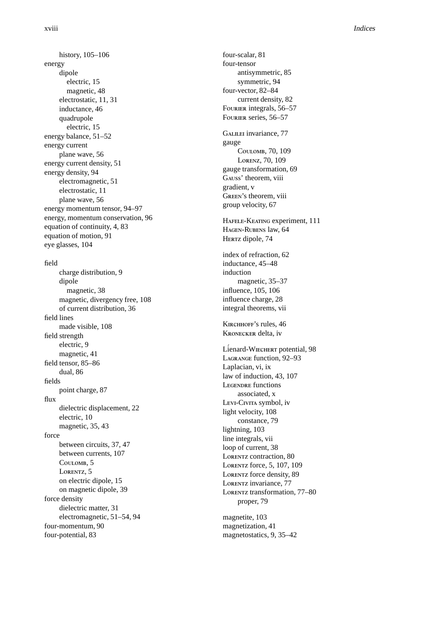history , 105–106 energy dipole electric, 15 magnetic, 48 electrostatic, 11, 31 inductance, 46 quadrupole electric, 15 energy balance, 51–52 energy current plane w ave, 56 energy current density , 51 energy density , 94 electromagnetic, 51 electrostatic, 11 plane w ave, 56 energy momentum tensor , 94–97 energy , momentum conservation, 96 equation of continuity , 4, 83 equation of motion, 91 eye glasses, 104

field

charge distribution, 9 dipole magnetic, 38 magnetic, di vergenc y free, 108 of current distribution, 36 field lines made visible, 108 field strength electric, 9 magnetic, 41 field tensor , 85–86 dual, 86 fields point charge, 87 flux dielectric displacement, 22 electric, 10 magnetic, 35, 43 force between circuits, 37, 47 between currents, 107 COULOMB, 5 LORENTZ, 5 on electric dipole, 15 on magnetic dipole, 39 force density dielectric matter , 31 electromagnetic, 51–54, 94 four-momentum, 90 four-potential, 83

four-scalar , 81 four-tensor antisymmetric, 85 symmetric, 94 four-vector , 82–84 current density , 82 FOURIER integrals, 56–57 FOURIER series, 56–57 GALILEI invariance, 77 gauge<br>Coulomb, 70, 109 Lorenz, 70, 109 gauge transformation, 69

Gauss' theorem, viii gradient, v GREEN's theorem, viii group velocity , 67

HAFELE-KEATING experiment, 111 HAGEN-RUBENS law, 64 HERTZ dipole, 74

inde x of refraction, 62 inductance, 45–48 induction magnetic, 35–37 influence, 105, 106 influence charge, 28 integral theorems, vii

KIRCHHOFF's rules, 46 KRONECKER delta, iv

Lienard-WIECHERT potential, 98 LAGRANGE function, 92-93 Laplacian, vi, ix la w of induction, 43, 107 **LEGENDRE** functions associated, x Levi-Civita symbol, iv light velocity , 108 constance, 79 lightning, 103 line integrals, vii loop of current, 38 LORENTZ contraction, 80 LORENTZ force, 5, 107, 109 LORENTZ force density, 89 LORENTZ invariance, 77 LORENTZ transformation, 77-80 proper , 79

magnetite, 103 magnetization, 41 magnetostatics, 9, 35–42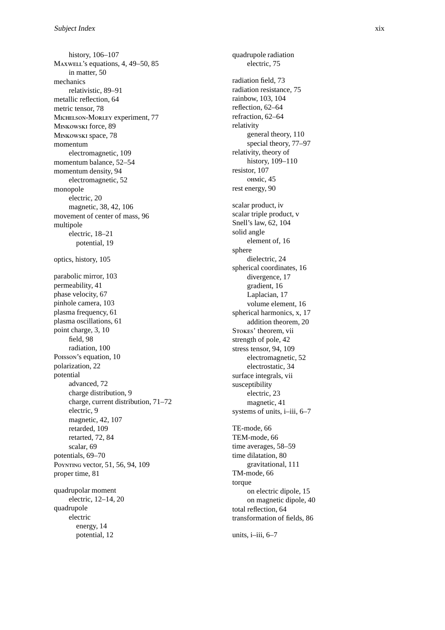history , 106–107 MAXWELL's equations, 4, 49–50, 85 in matter , 50 mechanics relativistic, 89–91 metallic reflection, 64 metric tensor , 78 MICHELSON-MORLEY experiment, 77 MINKOWSKI force, 89 MINKOWSKI space, 78 momentum electromagnetic, 109 momentum balance, 52–54 momentum density , 94 electromagnetic, 52 monopole electric, 20 magnetic, 38, 42, 106 mo vement of center of mass, 96 multipole electric, 18–21 potential, 19 optics, history , 105 parabolic mirror , 103 permeability , 41 phase velocity , 67 pinhole camera, 103 plasma frequenc y , 61 plasma oscillations, 61 point charge, 3, 10 field, 98 radiation, 100 Poisson's equation, 10 polarization, 22 potential advanced, 72 charge distribution, 9 charge, current distribution, 71–72 electric, 9 magnetic, 42, 107 retarded, 109 retarted, 72, 84 scalar , 69 potentials, 69–70 POYNTING vector, 51, 56, 94, 109 proper time, 81 quadrupolar moment electric, 12–14, 20 quadrupole electric energy , 14 potential, 12

quadrupole radiation electric, 75 radiation field, 73 radiation resistance, 75 rainbo w , 103, 104 reflection, 62–64 refraction, 62–64 relativity general theory , 110 special theory , 77–97 relativity , theory of history , 109–110 resistor , 107 онміс, 45 rest energy , 90 scalar product, i v scalar triple product, v Snell's law, 62, 104 solid angle element of, 16 sphere dielectric, 24 spherical coordinates, 16 di vergence, 17 gradient, 16 Laplacian, 17 volume element, 16 spherical harmonics, x, 17 addition theorem, 20 STOKES' theorem, vii strength of pole, 42 stress tensor , 94, 109 electromagnetic, 52 electrostatic, 34 surface integrals, vii susceptibility electric, 23 magnetic, 41 systems of units, i–iii, 6–7 TE-mode, 66 TEM-mode, 66 time averages, 58–59 time dilatation, 80 gravitational, 111 TM-mode, 66 torque on electric dipole, 15 on magnetic dipole, 40 total reflection, 64 transformation of fields, 86

units,  $i$ -iii,  $6-7$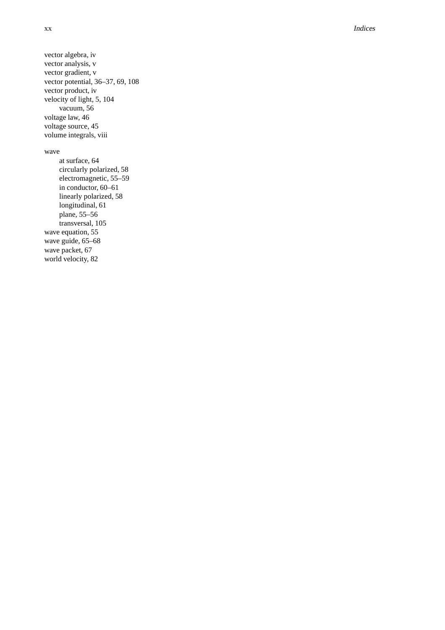vector algebra, iv vector analysis, v vector gradient, v vector potential, 36–37, 69, 108 vector product, iv velocity of light, 5, 104 vacuum, 56 voltage law, 46 voltage source, 45 volume integrals, viii

#### wave

at surface, 64 circularly polarized, 58 electromagnetic, 55–59 in conductor , 60–61 linearly polarized, 58 longitudinal, 61 plane, 55–56 transversal, 105 w av e equation, 55 w av e guide, 65–68 w av e packet, 67 world velocity , 82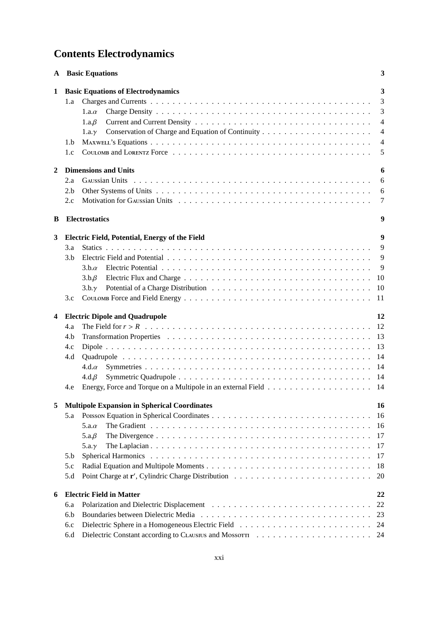# **Contents Electrodynamics**

|                         |     | <b>A</b> Basic Equations                                        | 3              |
|-------------------------|-----|-----------------------------------------------------------------|----------------|
| 1                       |     | <b>Basic Equations of Electrodynamics</b>                       | 3              |
|                         | 1.a |                                                                 | 3              |
|                         |     | $1.a.\alpha$                                                    | 3              |
|                         |     | 1.a.B                                                           | $\overline{4}$ |
|                         |     | $1.a. \gamma$                                                   | $\overline{4}$ |
|                         | 1.b |                                                                 | $\overline{4}$ |
|                         | 1.c |                                                                 | 5              |
| 2                       |     | <b>Dimensions and Units</b>                                     | 6              |
|                         | 2.a | <b>GAUSSIAN Units</b>                                           | 6              |
|                         | 2.b |                                                                 | 6              |
|                         | 2.c |                                                                 | 7              |
| B                       |     | <b>Electrostatics</b>                                           | 9              |
| 3                       |     | Electric Field, Potential, Energy of the Field                  | 9              |
|                         | 3.a |                                                                 | 9              |
|                         | 3.b |                                                                 | 9              |
|                         |     | $3.h.\alpha$                                                    | 9              |
|                         |     | $3.b.\beta$                                                     | -10            |
|                         |     | -10<br>$3.b. \gamma$                                            |                |
|                         | 3.c |                                                                 |                |
| $\overline{\mathbf{4}}$ |     | <b>Electric Dipole and Quadrupole</b>                           | 12             |
|                         | 4.a | -12                                                             |                |
|                         | 4.b |                                                                 |                |
|                         | 4.c |                                                                 |                |
|                         | 4.d |                                                                 |                |
|                         |     | 4.d. $\alpha$                                                   |                |
|                         |     | $4.d.\beta$                                                     |                |
|                         | 4.e | Energy, Force and Torque on a Multipole in an external Field 14 |                |
| 5                       |     | <b>Multipole Expansion in Spherical Coordinates</b>             | 16             |
|                         | 5.a |                                                                 | 16             |
|                         |     | $5.a.\alpha$                                                    | 16             |
|                         |     | 5.a. $\beta$                                                    | -17            |
|                         |     | 5.a. $\gamma$                                                   | 17             |
|                         | 5.b |                                                                 | 17             |
|                         | 5.c |                                                                 | -18            |
|                         | 5.d |                                                                 | <b>20</b>      |
|                         |     |                                                                 |                |
| 6                       |     | <b>Electric Field in Matter</b>                                 | 22             |
|                         | 6.a |                                                                 | 22             |
|                         | 6.b |                                                                 | 23             |
|                         | 6.c |                                                                 | 24             |
|                         | 6.d |                                                                 |                |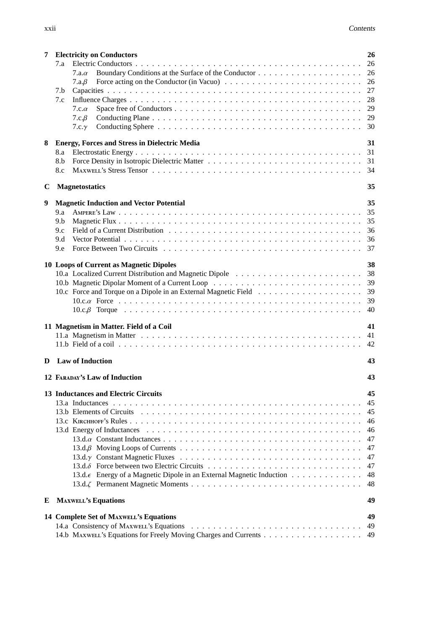|             | <b>Electricity on Conductors</b>                                    | 26       |
|-------------|---------------------------------------------------------------------|----------|
|             | 7.a                                                                 | 26       |
|             | 7.a. $\alpha$                                                       | 26       |
|             | 7.a.B<br>7.b                                                        | 26<br>27 |
|             | 7.c                                                                 | 28       |
|             | 7.c. $\alpha$                                                       | 29       |
|             | 7.c. $\beta$                                                        | 29       |
|             | 7.c. $\gamma$                                                       | 30       |
| 8           | <b>Energy, Forces and Stress in Dielectric Media</b>                | 31       |
|             | 8.a                                                                 | 31       |
|             | 8.b                                                                 | 31       |
|             | 8.c                                                                 | 34       |
| $\mathbf C$ | <b>Magnetostatics</b>                                               | 35       |
|             |                                                                     |          |
| 9           | <b>Magnetic Induction and Vector Potential</b>                      | 35       |
|             | 9.a                                                                 | 35       |
|             | 9.b                                                                 | 35       |
|             | 9.c<br>9.d                                                          | 36       |
|             | 9.e                                                                 | 36<br>37 |
|             |                                                                     |          |
|             | 10 Loops of Current as Magnetic Dipoles                             | 38       |
|             | 10.a Localized Current Distribution and Magnetic Dipole             | 38       |
|             |                                                                     | 39       |
|             |                                                                     | 39       |
|             |                                                                     | 39       |
|             |                                                                     | 40       |
|             | 11 Magnetism in Matter. Field of a Coil                             | 41       |
|             |                                                                     | 41       |
|             |                                                                     | 42       |
| D           | <b>Law of Induction</b>                                             | 43       |
|             | 12 FARADAY's Law of Induction                                       | 43       |
|             |                                                                     |          |
|             | 13 Inductances and Electric Circuits                                | 45       |
|             |                                                                     | 45       |
|             |                                                                     | 45       |
|             |                                                                     | 46<br>46 |
|             |                                                                     | 47       |
|             |                                                                     | 47       |
|             |                                                                     | 47       |
|             |                                                                     | 47       |
|             | 13.d. Energy of a Magnetic Dipole in an External Magnetic Induction | 48       |
|             |                                                                     | 48       |
| E           | <b>MAXWELL'S Equations</b>                                          | 49       |
|             |                                                                     |          |
|             |                                                                     |          |
|             | <b>14 Complete Set of MAXWELL's Equations</b>                       | 49<br>49 |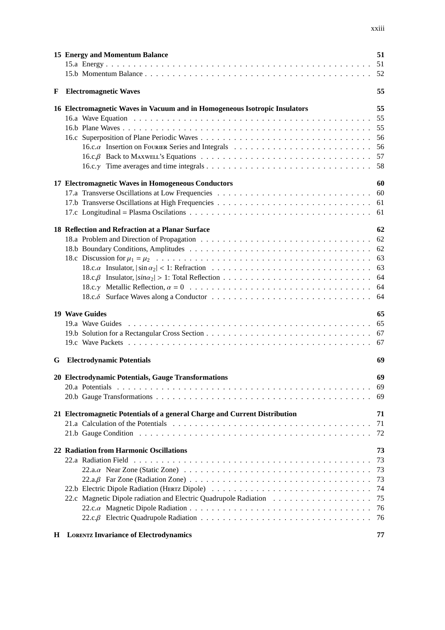|          | <b>15 Energy and Momentum Balance</b>                                                              | 51                                           |
|----------|----------------------------------------------------------------------------------------------------|----------------------------------------------|
|          |                                                                                                    | 51<br>52                                     |
| F        | <b>Electromagnetic Waves</b>                                                                       | 55                                           |
|          | 16 Electromagnetic Waves in Vacuum and in Homogeneous Isotropic Insulators                         | 55                                           |
|          |                                                                                                    | 55<br>55<br>-56<br>56                        |
|          |                                                                                                    | 58                                           |
|          | 17 Electromagnetic Waves in Homogeneous Conductors                                                 | 60                                           |
|          |                                                                                                    | 60<br>61<br>61                               |
|          |                                                                                                    |                                              |
|          | 18 Reflection and Refraction at a Planar Surface<br>18.c. $\delta$ Surface Waves along a Conductor | 62<br>62<br>62<br>63<br>63<br>64<br>64<br>64 |
|          | <b>19 Wave Guides</b>                                                                              | 65<br>65<br>67<br>67                         |
| G        | <b>Electrodynamic Potentials</b>                                                                   | 69                                           |
|          | 20 Electrodynamic Potentials, Gauge Transformations<br>20.a Potentials                             | 69<br>69                                     |
|          |                                                                                                    | 69                                           |
|          | 21 Electromagnetic Potentials of a general Charge and Current Distribution                         | 71<br>71<br>72                               |
|          | 22 Radiation from Harmonic Oscillations                                                            | 73                                           |
|          |                                                                                                    | 73<br>73<br>73<br>74<br>75<br>76<br>76       |
| $\bf{H}$ | <b>LORENTZ Invariance of Electrodynamics</b>                                                       | 77                                           |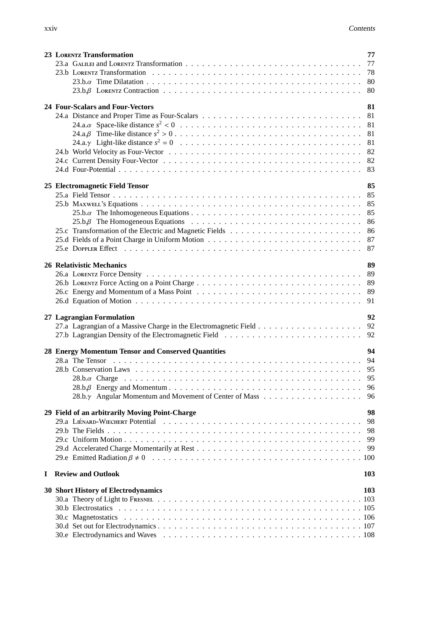|   | 23 LORENTZ Transformation                                                                           | 77  |
|---|-----------------------------------------------------------------------------------------------------|-----|
|   |                                                                                                     | 77  |
|   |                                                                                                     | 78  |
|   |                                                                                                     |     |
|   |                                                                                                     |     |
|   | <b>24 Four-Scalars and Four-Vectors</b>                                                             | 81  |
|   |                                                                                                     |     |
|   |                                                                                                     | 81  |
|   |                                                                                                     |     |
|   |                                                                                                     | 81  |
|   |                                                                                                     | 82  |
|   |                                                                                                     |     |
|   |                                                                                                     | 83  |
|   |                                                                                                     |     |
|   | 25 Electromagnetic Field Tensor                                                                     | 85  |
|   |                                                                                                     | 85  |
|   |                                                                                                     |     |
|   |                                                                                                     |     |
|   |                                                                                                     | 86  |
|   |                                                                                                     |     |
|   |                                                                                                     |     |
|   |                                                                                                     |     |
|   | <b>26 Relativistic Mechanics</b>                                                                    | 89  |
|   |                                                                                                     |     |
|   |                                                                                                     |     |
|   |                                                                                                     |     |
|   |                                                                                                     | 91  |
|   |                                                                                                     |     |
|   | 27 Lagrangian Formulation                                                                           | 92  |
|   |                                                                                                     | 92  |
|   |                                                                                                     | 92  |
|   | 28 Energy Momentum Tensor and Conserved Quantities                                                  | 94  |
|   |                                                                                                     |     |
|   |                                                                                                     |     |
|   |                                                                                                     |     |
|   |                                                                                                     |     |
|   | $28.b.\gamma$ Angular Momentum and Movement of Center of Mass $\dots \dots \dots \dots \dots \dots$ | 96  |
|   |                                                                                                     |     |
|   | 29 Field of an arbitrarily Moving Point-Charge                                                      | 98  |
|   |                                                                                                     | 98  |
|   |                                                                                                     | 98  |
|   |                                                                                                     | 99  |
|   |                                                                                                     | 99  |
|   |                                                                                                     |     |
| 1 | <b>Review and Outlook</b>                                                                           | 103 |
|   |                                                                                                     |     |
|   | 30 Short History of Electrodynamics                                                                 | 103 |
|   |                                                                                                     |     |
|   |                                                                                                     |     |
|   |                                                                                                     |     |
|   |                                                                                                     |     |
|   |                                                                                                     |     |